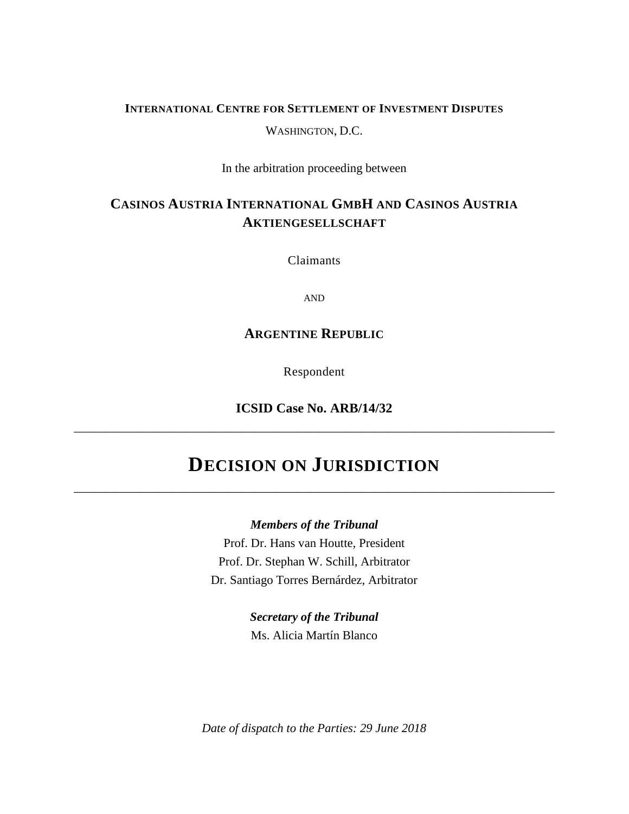# **INTERNATIONAL CENTRE FOR SETTLEMENT OF INVESTMENT DISPUTES**

WASHINGTON, D.C.

In the arbitration proceeding between

# **CASINOS AUSTRIA INTERNATIONAL GMBH AND CASINOS AUSTRIA AKTIENGESELLSCHAFT**

Claimants

AND

## **ARGENTINE REPUBLIC**

Respondent

**ICSID Case No. ARB/14/32** \_\_\_\_\_\_\_\_\_\_\_\_\_\_\_\_\_\_\_\_\_\_\_\_\_\_\_\_\_\_\_\_\_\_\_\_\_\_\_\_\_\_\_\_\_\_\_\_\_\_\_\_\_\_\_\_\_\_\_\_\_\_\_\_\_\_\_\_\_\_\_\_\_\_\_\_\_\_

# **DECISION ON JURISDICTION**

\_\_\_\_\_\_\_\_\_\_\_\_\_\_\_\_\_\_\_\_\_\_\_\_\_\_\_\_\_\_\_\_\_\_\_\_\_\_\_\_\_\_\_\_\_\_\_\_\_\_\_\_\_\_\_\_\_\_\_\_\_\_\_\_\_\_\_\_\_\_\_\_\_\_\_\_\_\_

*Members of the Tribunal*

Prof. Dr. Hans van Houtte, President Prof. Dr. Stephan W. Schill, Arbitrator Dr. Santiago Torres Bernárdez, Arbitrator

> *Secretary of the Tribunal* Ms. Alicia Martín Blanco

*Date of dispatch to the Parties: 29 June 2018*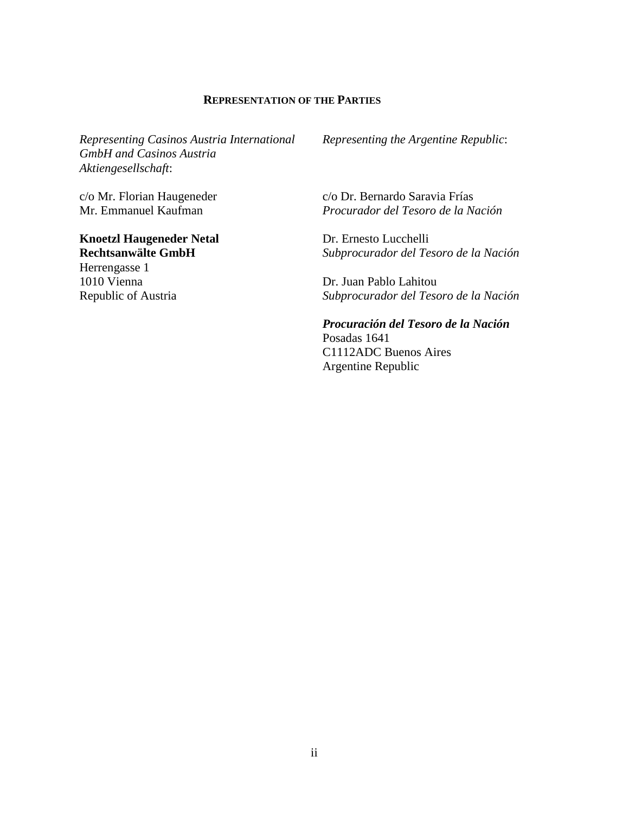### **REPRESENTATION OF THE PARTIES**

*Representing Casinos Austria International GmbH and Casinos Austria Aktiengesellschaft*:

c/o Mr. Florian Haugeneder Mr. Emmanuel Kaufman

**Knoetzl Haugeneder Netal Rechtsanwälte GmbH** Herrengasse 1 1010 Vienna Republic of Austria

*Representing the Argentine Republic*:

c/o Dr. Bernardo Saravia Frías *Procurador del Tesoro de la Nación*

Dr. Ernesto Lucchelli *Subprocurador del Tesoro de la Nación*

Dr. Juan Pablo Lahitou *Subprocurador del Tesoro de la Nación*

*Procuración del Tesoro de la Nación* Posadas 1641 C1112ADC Buenos Aires Argentine Republic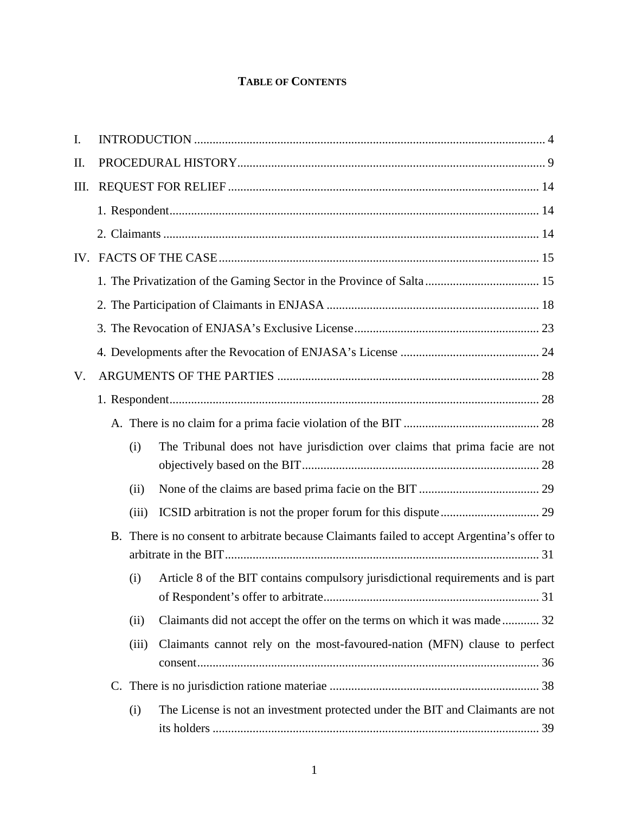# **TABLE OF CONTENTS**

| I.  |  |       |                                                                                             |
|-----|--|-------|---------------------------------------------------------------------------------------------|
| Π.  |  |       |                                                                                             |
| Ш.  |  |       |                                                                                             |
|     |  |       |                                                                                             |
|     |  |       |                                                                                             |
| IV. |  |       |                                                                                             |
|     |  |       |                                                                                             |
|     |  |       |                                                                                             |
|     |  |       |                                                                                             |
|     |  |       |                                                                                             |
| V.  |  |       |                                                                                             |
|     |  |       |                                                                                             |
|     |  |       |                                                                                             |
|     |  | (i)   | The Tribunal does not have jurisdiction over claims that prima facie are not                |
|     |  | (ii)  |                                                                                             |
|     |  | (iii) |                                                                                             |
|     |  |       | B. There is no consent to arbitrate because Claimants failed to accept Argentina's offer to |
|     |  | (i)   | Article 8 of the BIT contains compulsory jurisdictional requirements and is part            |
|     |  | (ii)  | Claimants did not accept the offer on the terms on which it was made 32                     |
|     |  | (iii) | Claimants cannot rely on the most-favoured-nation (MFN) clause to perfect                   |
|     |  |       |                                                                                             |
|     |  | (i)   | The License is not an investment protected under the BIT and Claimants are not              |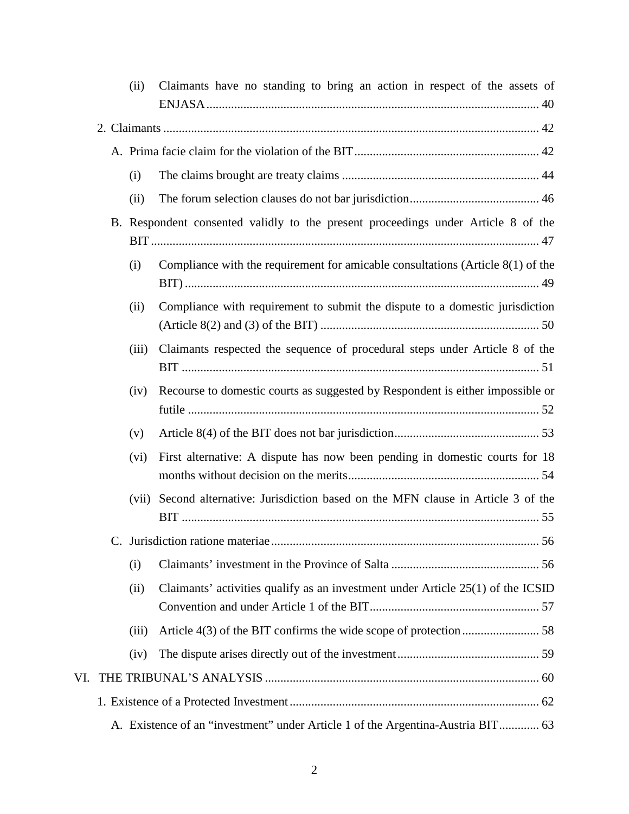|     |  |  | (ii)  | Claimants have no standing to bring an action in respect of the assets of         |
|-----|--|--|-------|-----------------------------------------------------------------------------------|
|     |  |  |       |                                                                                   |
|     |  |  |       |                                                                                   |
|     |  |  | (i)   |                                                                                   |
|     |  |  | (ii)  |                                                                                   |
|     |  |  |       | B. Respondent consented validly to the present proceedings under Article 8 of the |
|     |  |  | (i)   | Compliance with the requirement for amicable consultations (Article 8(1) of the   |
|     |  |  | (ii)  | Compliance with requirement to submit the dispute to a domestic jurisdiction      |
|     |  |  | (iii) | Claimants respected the sequence of procedural steps under Article 8 of the       |
|     |  |  | (iv)  | Recourse to domestic courts as suggested by Respondent is either impossible or    |
|     |  |  | (v)   |                                                                                   |
|     |  |  | (vi)  | First alternative: A dispute has now been pending in domestic courts for 18       |
|     |  |  | (vii) | Second alternative: Jurisdiction based on the MFN clause in Article 3 of the      |
|     |  |  |       |                                                                                   |
|     |  |  | (i)   |                                                                                   |
|     |  |  | (ii)  | Claimants' activities qualify as an investment under Article 25(1) of the ICSID   |
|     |  |  | (iii) |                                                                                   |
|     |  |  | (iv)  |                                                                                   |
| VI. |  |  |       |                                                                                   |
|     |  |  |       |                                                                                   |
|     |  |  |       | A. Existence of an "investment" under Article 1 of the Argentina-Austria BIT 63   |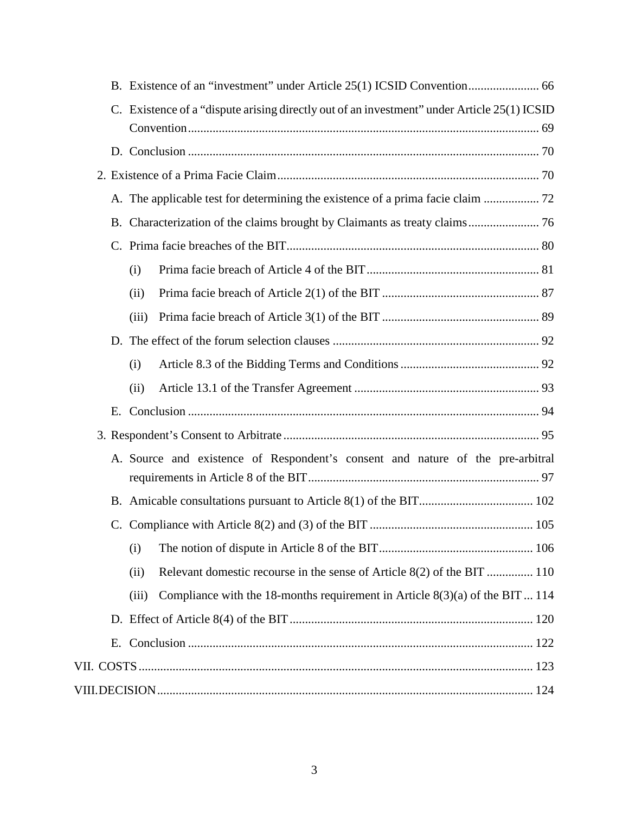|    | C. Existence of a "dispute arising directly out of an investment" under Article 25(1) ICSID |  |
|----|---------------------------------------------------------------------------------------------|--|
|    |                                                                                             |  |
|    |                                                                                             |  |
|    | A. The applicable test for determining the existence of a prima facie claim                 |  |
|    |                                                                                             |  |
|    |                                                                                             |  |
|    | (i)                                                                                         |  |
|    | (ii)                                                                                        |  |
|    | (iii)                                                                                       |  |
|    |                                                                                             |  |
|    | (i)                                                                                         |  |
|    | (ii)                                                                                        |  |
| Е. |                                                                                             |  |
|    |                                                                                             |  |
|    | A. Source and existence of Respondent's consent and nature of the pre-arbitral              |  |
|    |                                                                                             |  |
|    |                                                                                             |  |
|    | (i)                                                                                         |  |
|    | Relevant domestic recourse in the sense of Article 8(2) of the BIT  110<br>(ii)             |  |
|    | Compliance with the 18-months requirement in Article $8(3)(a)$ of the BIT  114<br>(iii)     |  |
|    |                                                                                             |  |
|    |                                                                                             |  |
|    |                                                                                             |  |
|    |                                                                                             |  |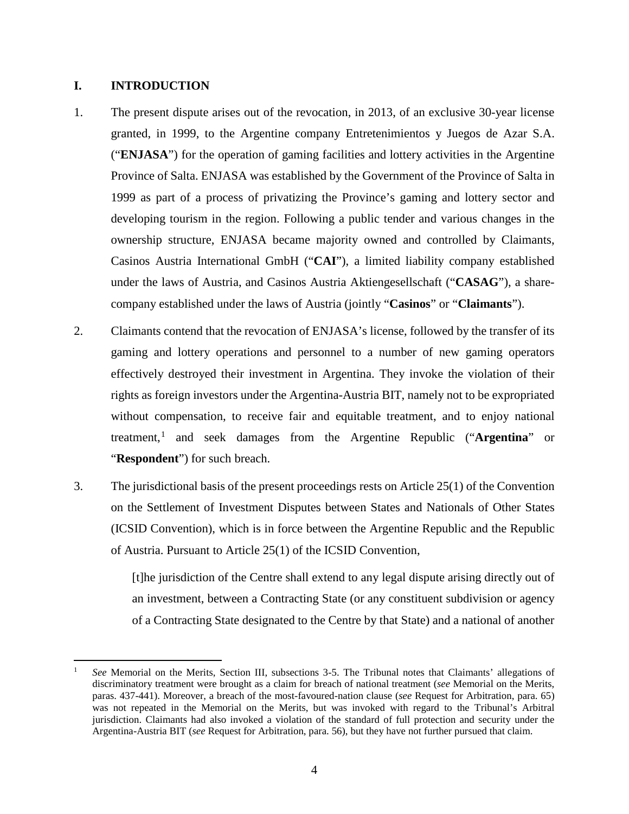### <span id="page-5-0"></span>**I. INTRODUCTION**

- 1. The present dispute arises out of the revocation, in 2013, of an exclusive 30-year license granted, in 1999, to the Argentine company Entretenimientos y Juegos de Azar S.A. ("**ENJASA**") for the operation of gaming facilities and lottery activities in the Argentine Province of Salta. ENJASA was established by the Government of the Province of Salta in 1999 as part of a process of privatizing the Province's gaming and lottery sector and developing tourism in the region. Following a public tender and various changes in the ownership structure, ENJASA became majority owned and controlled by Claimants, Casinos Austria International GmbH ("**CAI**"), a limited liability company established under the laws of Austria, and Casinos Austria Aktiengesellschaft ("**CASAG**"), a sharecompany established under the laws of Austria (jointly "**Casinos**" or "**Claimants**").
- 2. Claimants contend that the revocation of ENJASA's license, followed by the transfer of its gaming and lottery operations and personnel to a number of new gaming operators effectively destroyed their investment in Argentina. They invoke the violation of their rights as foreign investors under the Argentina-Austria BIT, namely not to be expropriated without compensation, to receive fair and equitable treatment, and to enjoy national treatment, [1](#page-5-1) and seek damages from the Argentine Republic ("**Argentina**" or "**Respondent**") for such breach.
- 3. The jurisdictional basis of the present proceedings rests on Article 25(1) of the Convention on the Settlement of Investment Disputes between States and Nationals of Other States (ICSID Convention), which is in force between the Argentine Republic and the Republic of Austria. Pursuant to Article 25(1) of the ICSID Convention,

[t]he jurisdiction of the Centre shall extend to any legal dispute arising directly out of an investment, between a Contracting State (or any constituent subdivision or agency of a Contracting State designated to the Centre by that State) and a national of another

<span id="page-5-1"></span> <sup>1</sup> *See* Memorial on the Merits, Section III, subsections 3-5. The Tribunal notes that Claimants' allegations of discriminatory treatment were brought as a claim for breach of national treatment (*see* Memorial on the Merits, paras. 437-441). Moreover, a breach of the most-favoured-nation clause (*see* Request for Arbitration, para. 65) was not repeated in the Memorial on the Merits, but was invoked with regard to the Tribunal's Arbitral jurisdiction. Claimants had also invoked a violation of the standard of full protection and security under the Argentina-Austria BIT (*see* Request for Arbitration, para. 56), but they have not further pursued that claim.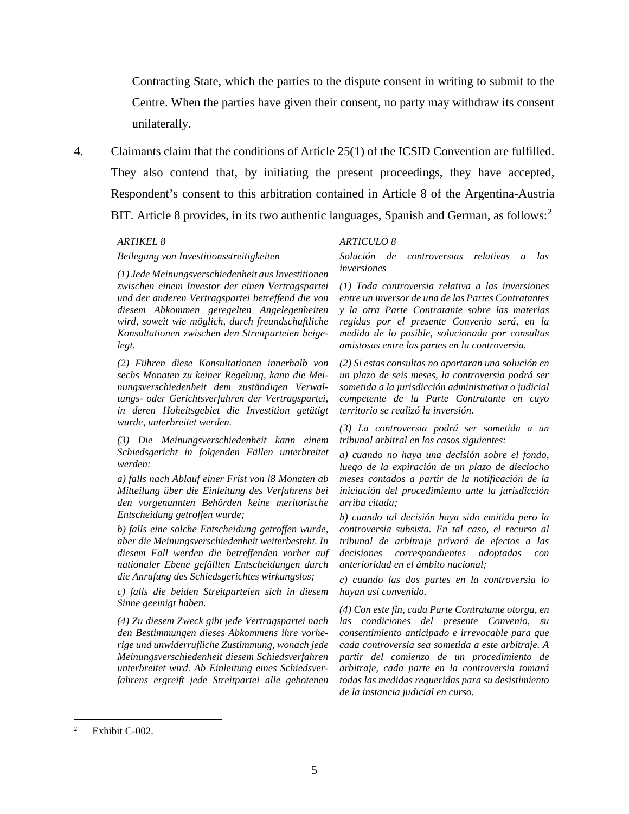Contracting State, which the parties to the dispute consent in writing to submit to the Centre. When the parties have given their consent, no party may withdraw its consent unilaterally.

4. Claimants claim that the conditions of Article 25(1) of the ICSID Convention are fulfilled. They also contend that, by initiating the present proceedings, they have accepted, Respondent's consent to this arbitration contained in Article 8 of the Argentina-Austria BIT. Article 8 provides, in its two authentic languages, Spanish and German, as follows:<sup>[2](#page-6-0)</sup>

#### *ARTIKEL 8*

#### *Beilegung von Investitionsstreitigkeiten*

*(1) Jede Meinungsverschiedenheit aus Investitionen zwischen einem Investor der einen Vertragspartei und der anderen Vertragspartei betreffend die von diesem Abkommen geregelten Angelegenheiten wird, soweit wie möglich, durch freundschaftliche Konsultationen zwischen den Streitparteien beigelegt.*

*(2) Führen diese Konsultationen innerhalb von sechs Monaten zu keiner Regelung, kann die Meinungsverschiedenheit dem zuständigen Verwaltungs- oder Gerichtsverfahren der Vertragspartei, in deren Hoheitsgebiet die Investition getätigt wurde, unterbreitet werden.*

*(3) Die Meinungsverschiedenheit kann einem Schiedsgericht in folgenden Fällen unterbreitet werden:*

*a) falls nach Ablauf einer Frist von l8 Monaten ab Mitteilung über die Einleitung des Verfahrens bei den vorgenannten Behörden keine meritorische Entscheidung getroffen wurde;*

*b) falls eine solche Entscheidung getroffen wurde, aber die Meinungsverschiedenheit weiterbesteht. In diesem Fall werden die betreffenden vorher auf nationaler Ebene gefällten Entscheidungen durch die Anrufung des Schiedsgerichtes wirkungslos;*

*c) falls die beiden Streitparteien sich in diesem Sinne geeinigt haben.*

*(4) Zu diesem Zweck gibt jede Vertragspartei nach den Bestimmungen dieses Abkommens ihre vorherige und unwiderrufliche Zustimmung, wonach jede Meinungsverschiedenheit diesem Schiedsverfahren unterbreitet wird. Ab Einleitung eines Schiedsverfahrens ergreift jede Streitpartei alle gebotenen* 

#### *ARTICULO 8*

*Solución de controversias relativas a las inversiones*

*(1) Toda controversia relativa a las inversiones entre un inversor de una de las Partes Contratantes y la otra Parte Contratante sobre las materias regidas por el presente Convenio será, en la medida de lo posible, solucionada por consultas amistosas entre las partes en la controversia.*

*(2) Si estas consultas no aportaran una solución en un plazo de seis meses, la controversia podrá ser sometida a la jurisdicción administrativa o judicial competente de la Parte Contratante en cuyo territorio se realizó la inversión.*

*(3) La controversia podrá ser sometida a un tribunal arbitral en los casos siguientes:*

*a) cuando no haya una decisión sobre el fondo, luego de la expiración de un plazo de dieciocho meses contados a partir de la notificación de la iniciación del procedimiento ante la jurisdicción arriba citada;*

*b) cuando tal decisión haya sido emitida pero la controversia subsista. En tal caso, el recurso al tribunal de arbitraje privará de efectos a las*  decisiones correspondientes adoptadas *anterioridad en el ámbito nacional;*

*c) cuando las dos partes en la controversia lo hayan así convenido.*

*(4) Con este fin, cada Parte Contratante otorga, en las condiciones del presente Convenio, su consentimiento anticipado e irrevocable para que cada controversia sea sometida a este arbitraje. A partir del comienzo de un procedimiento de arbitraje, cada parte en la controversia tomará todas las medidas requeridas para su desistimiento de la instancia judicial en curso.*

<span id="page-6-0"></span> <sup>2</sup> Exhibit C-002.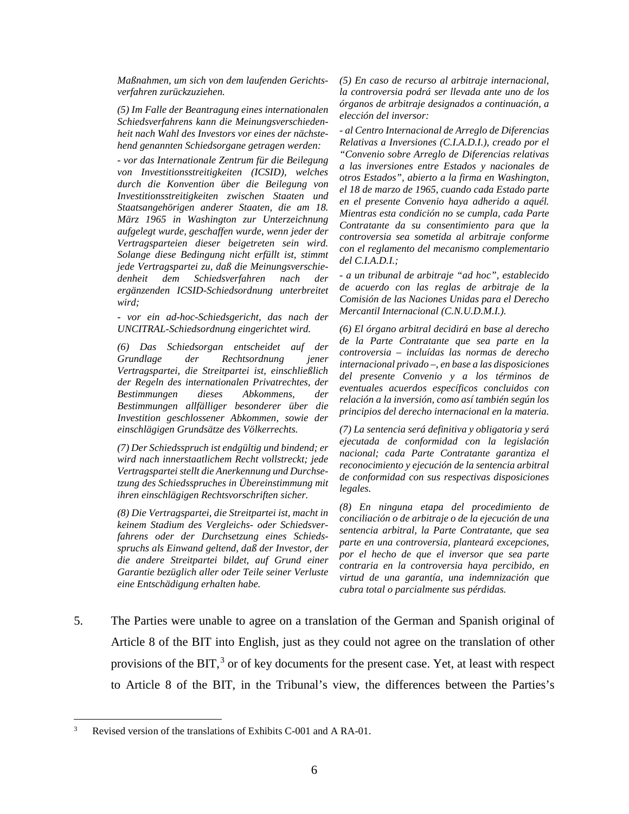*Maßnahmen, um sich von dem laufenden Gerichtsverfahren zurückzuziehen.*

*(5) Im Falle der Beantragung eines internationalen Schiedsverfahrens kann die Meinungsverschiedenheit nach Wahl des Investors vor eines der nächstehend genannten Schiedsorgane getragen werden:*

*- vor das Internationale Zentrum für die Beilegung von Investitionsstreitigkeiten (ICSID), welches durch die Konvention über die Beilegung von Investitionsstreitigkeiten zwischen Staaten und Staatsangehörigen anderer Staaten, die am 18. März 1965 in Washington zur Unterzeichnung aufgelegt wurde, geschaffen wurde, wenn jeder der Vertragsparteien dieser beigetreten sein wird. Solange diese Bedingung nicht erfüllt ist, stimmt jede Vertragspartei zu, daß die Meinungsverschiedenheit dem Schiedsverfahren nach der ergänzenden ICSID-Schiedsordnung unterbreitet wird;*

*- vor ein ad-hoc-Schiedsgericht, das nach der UNCITRAL-Schiedsordnung eingerichtet wird.*

*(6) Das Schiedsorgan entscheidet auf der Grundlage der Rechtsordnung jener Vertragspartei, die Streitpartei ist, einschließlich der Regeln des internationalen Privatrechtes, der Bestimmungen dieses Abkommens, der Bestimmungen allfälliger besonderer über die Investition geschlossener Abkommen, sowie der einschlägigen Grundsätze des Völkerrechts.*

*(7) Der Schiedsspruch ist endgültig und bindend; er wird nach innerstaatlichem Recht vollstreckt; jede Vertragspartei stellt die Anerkennung und Durchsetzung des Schiedsspruches in Übereinstimmung mit ihren einschlägigen Rechtsvorschriften sicher.*

*(8) Die Vertragspartei, die Streitpartei ist, macht in keinem Stadium des Vergleichs- oder Schiedsverfahrens oder der Durchsetzung eines Schiedsspruchs als Einwand geltend, daß der Investor, der die andere Streitpartei bildet, auf Grund einer Garantie bezüglich aller oder Teile seiner Verluste eine Entschädigung erhalten habe.*

*(5) En caso de recurso al arbitraje internacional, la controversia podrá ser llevada ante uno de los órganos de arbitraje designados a continuación, a elección del inversor:*

*- al Centro Internacional de Arreglo de Diferencias Relativas a Inversiones (C.I.A.D.I.), creado por el "Convenio sobre Arreglo de Diferencias relativas a las inversiones entre Estados y nacionales de otros Estados", abierto a la firma en Washington, el 18 de marzo de 1965, cuando cada Estado parte en el presente Convenio haya adherido a aquél. Mientras esta condición no se cumpla, cada Parte Contratante da su consentimiento para que la controversia sea sometida al arbitraje conforme con el reglamento del mecanismo complementario del C.I.A.D.I.;*

*- a un tribunal de arbitraje "ad hoc", establecido de acuerdo con las reglas de arbitraje de la Comisión de las Naciones Unidas para el Derecho Mercantil Internacional (C.N.U.D.M.I.).*

*(6) El órgano arbitral decidirá en base al derecho de la Parte Contratante que sea parte en la controversia – incluídas las normas de derecho internacional privado –, en base a las disposiciones del presente Convenio y a los términos de eventuales acuerdos específicos concluidos con relación a la inversión, como así también según los principios del derecho internacional en la materia.*

*(7) La sentencia será definitiva y obligatoria y será ejecutada de conformidad con la legislación nacional; cada Parte Contratante garantiza el reconocimiento y ejecución de la sentencia arbitral de conformidad con sus respectivas disposiciones legales.*

*(8) En ninguna etapa del procedimiento de conciliación o de arbitraje o de la ejecución de una sentencia arbitral, la Parte Contratante, que sea parte en una controversia, planteará excepciones, por el hecho de que el inversor que sea parte contraria en la controversia haya percibido, en virtud de una garantía, una indemnización que cubra total o parcialmente sus pérdidas.*

5. The Parties were unable to agree on a translation of the German and Spanish original of Article 8 of the BIT into English, just as they could not agree on the translation of other provisions of the BIT, $3$  or of key documents for the present case. Yet, at least with respect to Article 8 of the BIT, in the Tribunal's view, the differences between the Parties's

<span id="page-7-0"></span>Revised version of the translations of Exhibits C-001 and A RA-01.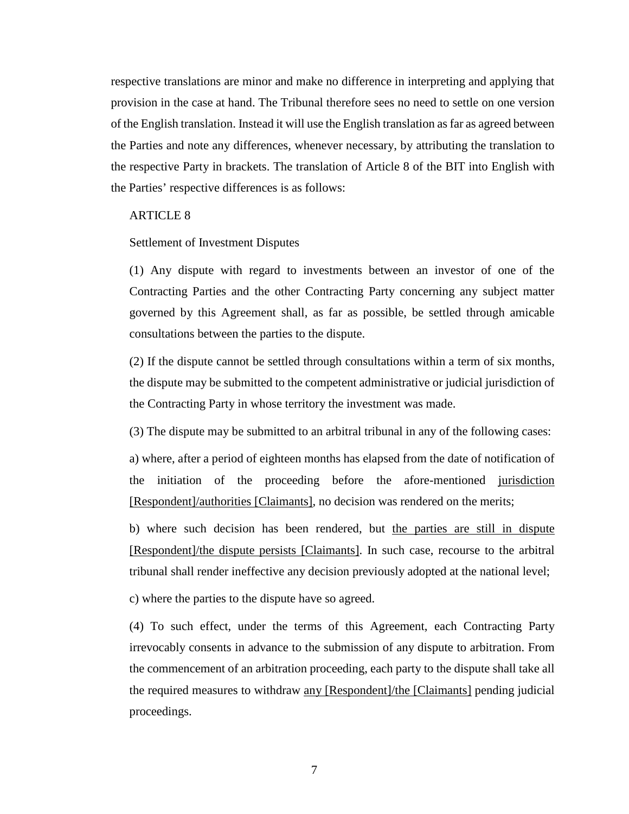respective translations are minor and make no difference in interpreting and applying that provision in the case at hand. The Tribunal therefore sees no need to settle on one version of the English translation. Instead it will use the English translation as far as agreed between the Parties and note any differences, whenever necessary, by attributing the translation to the respective Party in brackets. The translation of Article 8 of the BIT into English with the Parties' respective differences is as follows:

### ARTICLE 8

### Settlement of Investment Disputes

(1) Any dispute with regard to investments between an investor of one of the Contracting Parties and the other Contracting Party concerning any subject matter governed by this Agreement shall, as far as possible, be settled through amicable consultations between the parties to the dispute.

(2) If the dispute cannot be settled through consultations within a term of six months, the dispute may be submitted to the competent administrative or judicial jurisdiction of the Contracting Party in whose territory the investment was made.

(3) The dispute may be submitted to an arbitral tribunal in any of the following cases:

a) where, after a period of eighteen months has elapsed from the date of notification of the initiation of the proceeding before the afore-mentioned jurisdiction [Respondent]/authorities [Claimants], no decision was rendered on the merits;

b) where such decision has been rendered, but the parties are still in dispute [Respondent]/the dispute persists [Claimants]. In such case, recourse to the arbitral tribunal shall render ineffective any decision previously adopted at the national level;

c) where the parties to the dispute have so agreed.

(4) To such effect, under the terms of this Agreement, each Contracting Party irrevocably consents in advance to the submission of any dispute to arbitration. From the commencement of an arbitration proceeding, each party to the dispute shall take all the required measures to withdraw any [Respondent]/the [Claimants] pending judicial proceedings.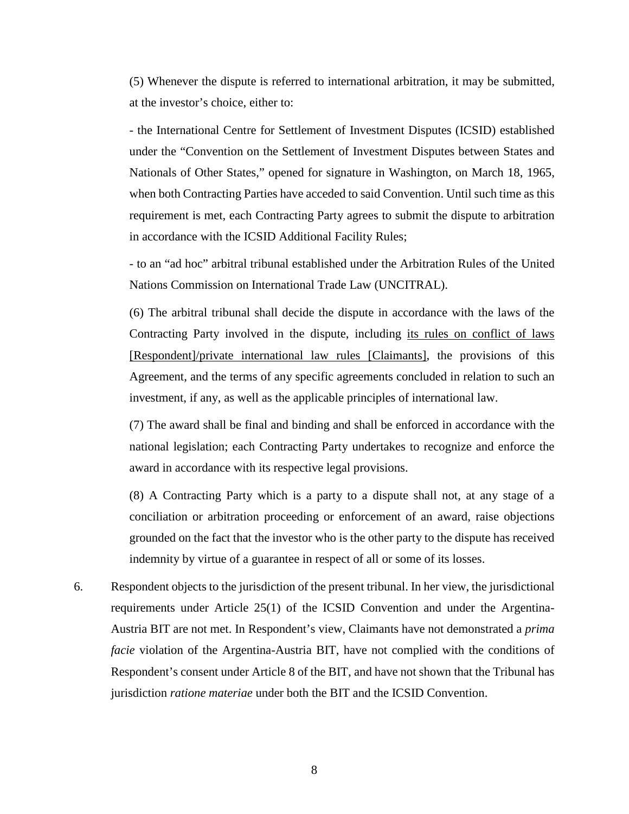(5) Whenever the dispute is referred to international arbitration, it may be submitted, at the investor's choice, either to:

- the International Centre for Settlement of Investment Disputes (ICSID) established under the "Convention on the Settlement of Investment Disputes between States and Nationals of Other States," opened for signature in Washington, on March 18, 1965, when both Contracting Parties have acceded to said Convention. Until such time as this requirement is met, each Contracting Party agrees to submit the dispute to arbitration in accordance with the ICSID Additional Facility Rules;

- to an "ad hoc" arbitral tribunal established under the Arbitration Rules of the United Nations Commission on International Trade Law (UNCITRAL).

(6) The arbitral tribunal shall decide the dispute in accordance with the laws of the Contracting Party involved in the dispute, including its rules on conflict of laws [Respondent]/private international law rules [Claimants], the provisions of this Agreement, and the terms of any specific agreements concluded in relation to such an investment, if any, as well as the applicable principles of international law.

(7) The award shall be final and binding and shall be enforced in accordance with the national legislation; each Contracting Party undertakes to recognize and enforce the award in accordance with its respective legal provisions.

(8) A Contracting Party which is a party to a dispute shall not, at any stage of a conciliation or arbitration proceeding or enforcement of an award, raise objections grounded on the fact that the investor who is the other party to the dispute has received indemnity by virtue of a guarantee in respect of all or some of its losses.

6. Respondent objects to the jurisdiction of the present tribunal. In her view, the jurisdictional requirements under Article 25(1) of the ICSID Convention and under the Argentina-Austria BIT are not met. In Respondent's view, Claimants have not demonstrated a *prima facie* violation of the Argentina-Austria BIT, have not complied with the conditions of Respondent's consent under Article 8 of the BIT, and have not shown that the Tribunal has jurisdiction *ratione materiae* under both the BIT and the ICSID Convention.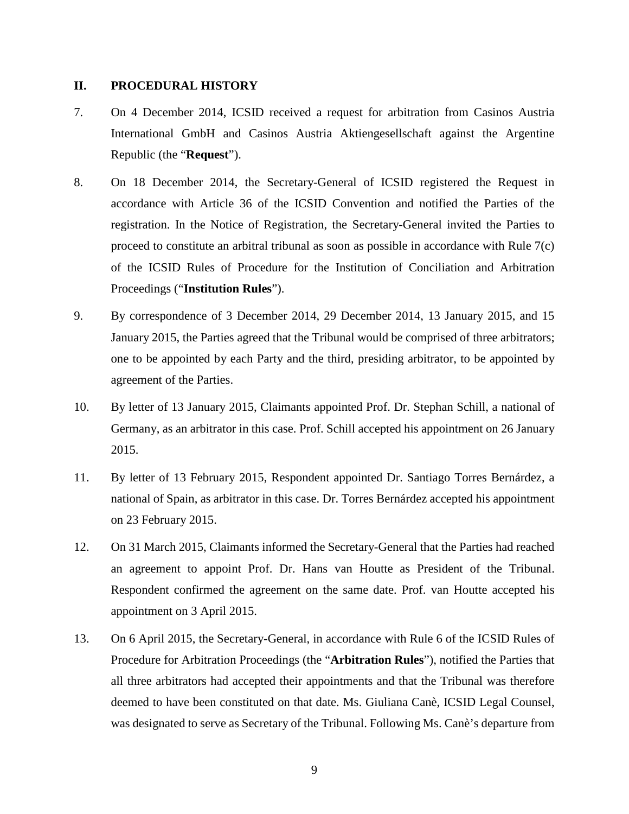### <span id="page-10-0"></span>**II. PROCEDURAL HISTORY**

- 7. On 4 December 2014, ICSID received a request for arbitration from Casinos Austria International GmbH and Casinos Austria Aktiengesellschaft against the Argentine Republic (the "**Request**").
- 8. On 18 December 2014, the Secretary-General of ICSID registered the Request in accordance with Article 36 of the ICSID Convention and notified the Parties of the registration. In the Notice of Registration, the Secretary-General invited the Parties to proceed to constitute an arbitral tribunal as soon as possible in accordance with Rule 7(c) of the ICSID Rules of Procedure for the Institution of Conciliation and Arbitration Proceedings ("**Institution Rules**").
- 9. By correspondence of 3 December 2014, 29 December 2014, 13 January 2015, and 15 January 2015, the Parties agreed that the Tribunal would be comprised of three arbitrators; one to be appointed by each Party and the third, presiding arbitrator, to be appointed by agreement of the Parties.
- 10. By letter of 13 January 2015, Claimants appointed Prof. Dr. Stephan Schill, a national of Germany, as an arbitrator in this case. Prof. Schill accepted his appointment on 26 January 2015.
- 11. By letter of 13 February 2015, Respondent appointed Dr. Santiago Torres Bernárdez, a national of Spain, as arbitrator in this case. Dr. Torres Bernárdez accepted his appointment on 23 February 2015.
- 12. On 31 March 2015, Claimants informed the Secretary-General that the Parties had reached an agreement to appoint Prof. Dr. Hans van Houtte as President of the Tribunal. Respondent confirmed the agreement on the same date. Prof. van Houtte accepted his appointment on 3 April 2015.
- 13. On 6 April 2015, the Secretary-General, in accordance with Rule 6 of the ICSID Rules of Procedure for Arbitration Proceedings (the "**Arbitration Rules**"), notified the Parties that all three arbitrators had accepted their appointments and that the Tribunal was therefore deemed to have been constituted on that date. Ms. Giuliana Canè, ICSID Legal Counsel, was designated to serve as Secretary of the Tribunal. Following Ms. Canè's departure from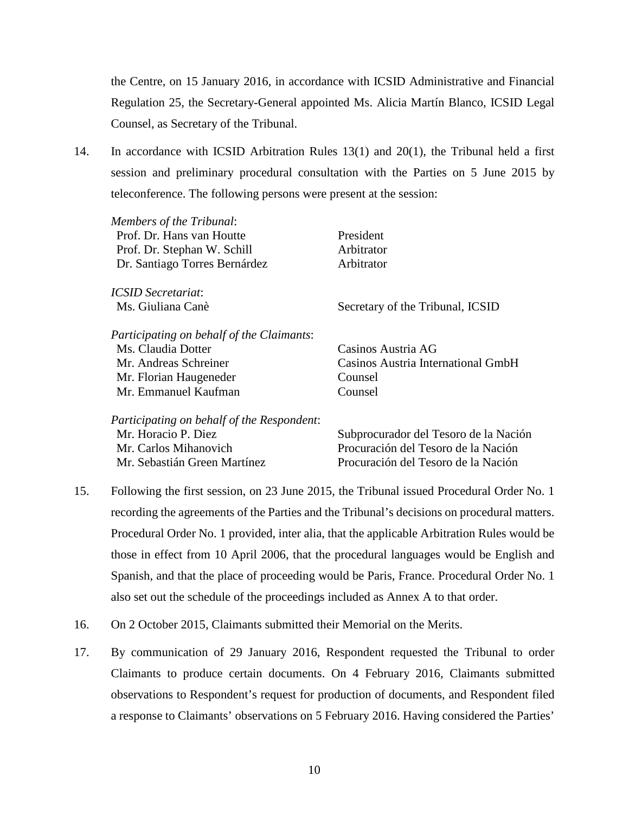the Centre, on 15 January 2016, in accordance with ICSID Administrative and Financial Regulation 25, the Secretary-General appointed Ms. Alicia Martín Blanco, ICSID Legal Counsel, as Secretary of the Tribunal.

14. In accordance with ICSID Arbitration Rules 13(1) and 20(1), the Tribunal held a first session and preliminary procedural consultation with the Parties on 5 June 2015 by teleconference. The following persons were present at the session:

| Members of the Tribunal:                   |                                    |
|--------------------------------------------|------------------------------------|
| Prof. Dr. Hans van Houtte                  | President                          |
| Prof. Dr. Stephan W. Schill                | Arbitrator                         |
| Dr. Santiago Torres Bernárdez              | Arbitrator                         |
| <i><b>ICSID Secretariat:</b></i>           |                                    |
| Ms. Giuliana Canè                          | Secretary of the Tribunal, ICSID   |
| Participating on behalf of the Claimants:  |                                    |
| Ms. Claudia Dotter                         | Casinos Austria AG                 |
| Mr. Andreas Schreiner                      | Casinos Austria International GmbH |
| Mr. Florian Haugeneder                     | Counsel                            |
| Mr. Emmanuel Kaufman                       | Counsel                            |
| Participating on behalf of the Respondent. |                                    |

| Participating on behalf of the Respondent: |                                       |
|--------------------------------------------|---------------------------------------|
| Mr. Horacio P. Diez                        | Subprocurador del Tesoro de la Nación |
| Mr. Carlos Mihanovich                      | Procuración del Tesoro de la Nación   |
| Mr. Sebastián Green Martínez               | Procuración del Tesoro de la Nación   |

- 15. Following the first session, on 23 June 2015, the Tribunal issued Procedural Order No. 1 recording the agreements of the Parties and the Tribunal's decisions on procedural matters. Procedural Order No. 1 provided, inter alia, that the applicable Arbitration Rules would be those in effect from 10 April 2006, that the procedural languages would be English and Spanish, and that the place of proceeding would be Paris, France. Procedural Order No. 1 also set out the schedule of the proceedings included as Annex A to that order.
- 16. On 2 October 2015, Claimants submitted their Memorial on the Merits.
- 17. By communication of 29 January 2016, Respondent requested the Tribunal to order Claimants to produce certain documents. On 4 February 2016, Claimants submitted observations to Respondent's request for production of documents, and Respondent filed a response to Claimants' observations on 5 February 2016. Having considered the Parties'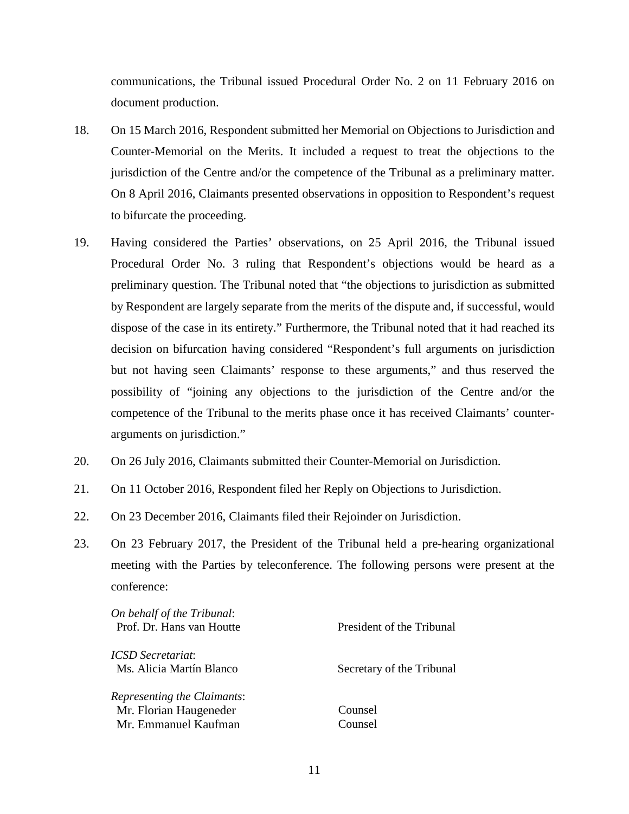communications, the Tribunal issued Procedural Order No. 2 on 11 February 2016 on document production.

- 18. On 15 March 2016, Respondent submitted her Memorial on Objections to Jurisdiction and Counter-Memorial on the Merits. It included a request to treat the objections to the jurisdiction of the Centre and/or the competence of the Tribunal as a preliminary matter. On 8 April 2016, Claimants presented observations in opposition to Respondent's request to bifurcate the proceeding.
- 19. Having considered the Parties' observations, on 25 April 2016, the Tribunal issued Procedural Order No. 3 ruling that Respondent's objections would be heard as a preliminary question. The Tribunal noted that "the objections to jurisdiction as submitted by Respondent are largely separate from the merits of the dispute and, if successful, would dispose of the case in its entirety." Furthermore, the Tribunal noted that it had reached its decision on bifurcation having considered "Respondent's full arguments on jurisdiction but not having seen Claimants' response to these arguments," and thus reserved the possibility of "joining any objections to the jurisdiction of the Centre and/or the competence of the Tribunal to the merits phase once it has received Claimants' counterarguments on jurisdiction."
- 20. On 26 July 2016, Claimants submitted their Counter-Memorial on Jurisdiction.
- 21. On 11 October 2016, Respondent filed her Reply on Objections to Jurisdiction.
- 22. On 23 December 2016, Claimants filed their Rejoinder on Jurisdiction.
- 23. On 23 February 2017, the President of the Tribunal held a pre-hearing organizational meeting with the Parties by teleconference. The following persons were present at the conference:

| On behalf of the Tribunal:<br>Prof. Dr. Hans van Houtte | President of the Tribunal |
|---------------------------------------------------------|---------------------------|
|                                                         |                           |
| <i><b>ICSD</b></i> Secretariat:                         |                           |
| Ms. Alicia Martín Blanco                                | Secretary of the Tribunal |
| Representing the Claimants:                             |                           |
| Mr. Florian Haugeneder                                  | Counsel                   |
| Mr. Emmanuel Kaufman                                    | Counsel                   |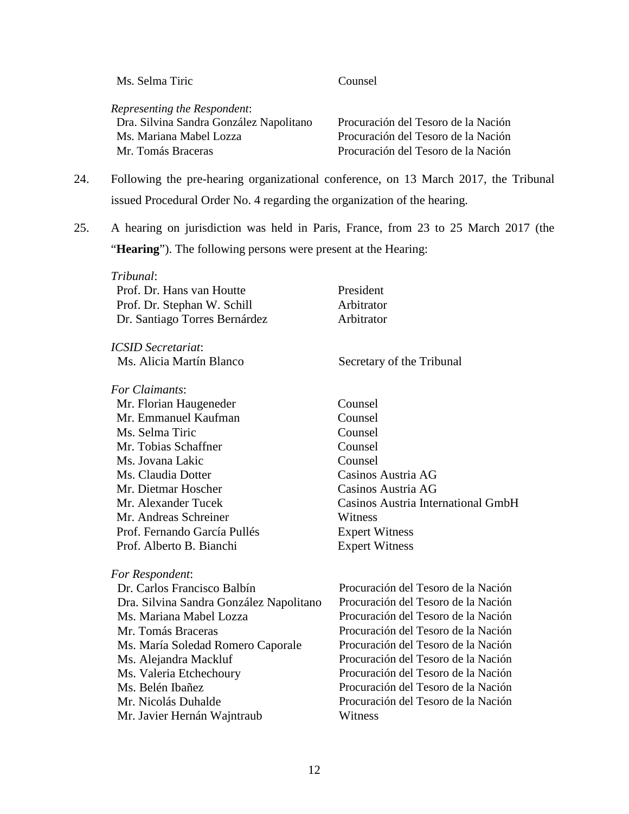Ms. Selma Tiric Counsel

| Representing the Respondent:            |                                     |
|-----------------------------------------|-------------------------------------|
| Dra. Silvina Sandra González Napolitano | Procuración del Tesoro de la Nación |
| Ms. Mariana Mabel Lozza                 | Procuración del Tesoro de la Nación |
| Mr. Tomás Braceras                      | Procuración del Tesoro de la Nación |

- 24. Following the pre-hearing organizational conference, on 13 March 2017, the Tribunal issued Procedural Order No. 4 regarding the organization of the hearing.
- 25. A hearing on jurisdiction was held in Paris, France, from 23 to 25 March 2017 (the "Hearing"). The following persons were present at the Hearing:

| Tribunal:                     |            |  |
|-------------------------------|------------|--|
| Prof. Dr. Hans van Houtte     | President  |  |
| Prof. Dr. Stephan W. Schill   | Arbitrator |  |
| Dr. Santiago Torres Bernárdez | Arbitrator |  |
|                               |            |  |

*ICSID Secretariat*: Ms. Alicia Martín Blanco Secretary of the Tribunal

| Counsel                            |
|------------------------------------|
| Counsel                            |
| Counsel                            |
| Counsel                            |
| Counsel                            |
| Casinos Austria AG                 |
| Casinos Austria AG                 |
| Casinos Austria International GmbH |
| Witness                            |
| <b>Expert Witness</b>              |
| <b>Expert Witness</b>              |
|                                    |

| For Respondent:                         |                                     |
|-----------------------------------------|-------------------------------------|
| Dr. Carlos Francisco Balbín             | Procuración del Tesoro de la Nación |
| Dra. Silvina Sandra González Napolitano | Procuración del Tesoro de la Nación |
| Ms. Mariana Mabel Lozza                 | Procuración del Tesoro de la Nación |
| Mr. Tomás Braceras                      | Procuración del Tesoro de la Nación |
| Ms. María Soledad Romero Caporale       | Procuración del Tesoro de la Nación |
| Ms. Alejandra Mackluf                   | Procuración del Tesoro de la Nación |
| Ms. Valeria Etchechoury                 | Procuración del Tesoro de la Nación |
| Ms. Belén Ibañez                        | Procuración del Tesoro de la Nación |
| Mr. Nicolás Duhalde                     | Procuración del Tesoro de la Nación |
| Mr. Javier Hernán Wajntraub             | Witness                             |
|                                         |                                     |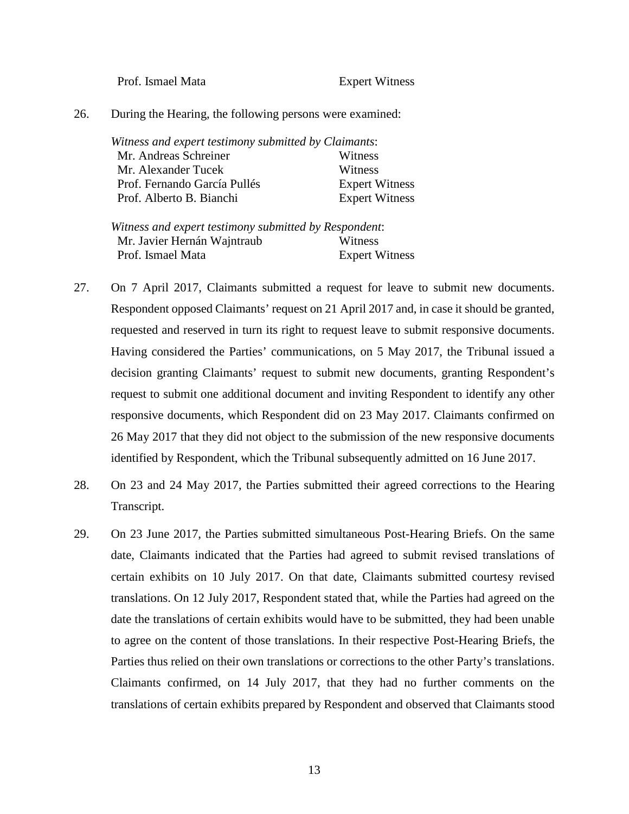Prof. Ismael Mata Expert Witness

26. During the Hearing, the following persons were examined:

| Witness and expert testimony submitted by Claimants: |                       |
|------------------------------------------------------|-----------------------|
| Mr. Andreas Schreiner                                | Witness               |
| Mr. Alexander Tucek                                  | Witness               |
| Prof. Fernando García Pullés                         | <b>Expert Witness</b> |
| Prof. Alberto B. Bianchi                             | <b>Expert Witness</b> |

*Witness and expert testimony submitted by Respondent*: Mr. Javier Hernán Wajntraub Witness Prof. Ismael Mata **Expert Witness** 

- 27. On 7 April 2017, Claimants submitted a request for leave to submit new documents. Respondent opposed Claimants' request on 21 April 2017 and, in case it should be granted, requested and reserved in turn its right to request leave to submit responsive documents. Having considered the Parties' communications, on 5 May 2017, the Tribunal issued a decision granting Claimants' request to submit new documents, granting Respondent's request to submit one additional document and inviting Respondent to identify any other responsive documents, which Respondent did on 23 May 2017. Claimants confirmed on 26 May 2017 that they did not object to the submission of the new responsive documents identified by Respondent, which the Tribunal subsequently admitted on 16 June 2017.
- 28. On 23 and 24 May 2017, the Parties submitted their agreed corrections to the Hearing Transcript.
- 29. On 23 June 2017, the Parties submitted simultaneous Post-Hearing Briefs. On the same date, Claimants indicated that the Parties had agreed to submit revised translations of certain exhibits on 10 July 2017. On that date, Claimants submitted courtesy revised translations. On 12 July 2017, Respondent stated that, while the Parties had agreed on the date the translations of certain exhibits would have to be submitted, they had been unable to agree on the content of those translations. In their respective Post-Hearing Briefs, the Parties thus relied on their own translations or corrections to the other Party's translations. Claimants confirmed, on 14 July 2017, that they had no further comments on the translations of certain exhibits prepared by Respondent and observed that Claimants stood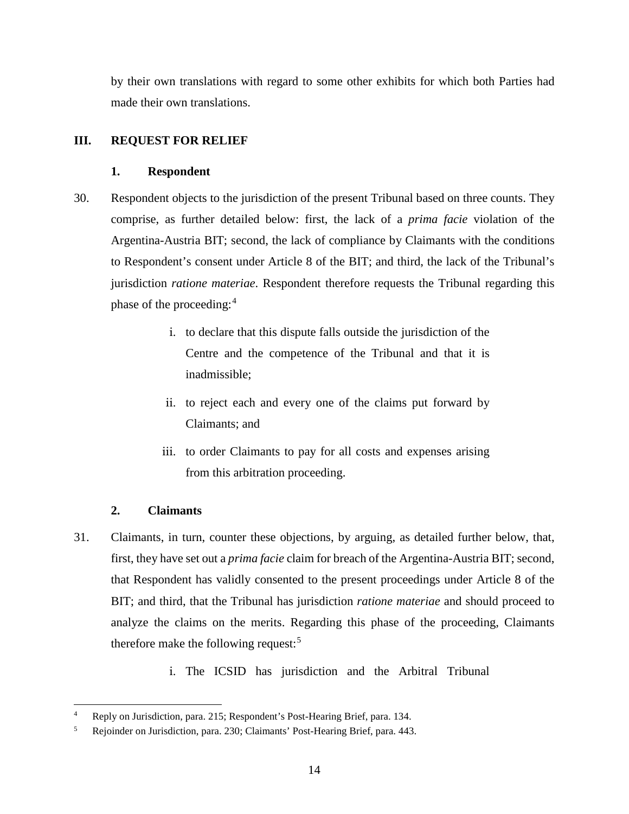by their own translations with regard to some other exhibits for which both Parties had made their own translations.

### <span id="page-15-1"></span><span id="page-15-0"></span>**III. REQUEST FOR RELIEF**

### **1. Respondent**

- 30. Respondent objects to the jurisdiction of the present Tribunal based on three counts. They comprise, as further detailed below: first, the lack of a *prima facie* violation of the Argentina-Austria BIT; second, the lack of compliance by Claimants with the conditions to Respondent's consent under Article 8 of the BIT; and third, the lack of the Tribunal's jurisdiction *ratione materiae*. Respondent therefore requests the Tribunal regarding this phase of the proceeding: [4](#page-15-3)
	- i. to declare that this dispute falls outside the jurisdiction of the Centre and the competence of the Tribunal and that it is inadmissible;
	- ii. to reject each and every one of the claims put forward by Claimants; and
	- iii. to order Claimants to pay for all costs and expenses arising from this arbitration proceeding.

### **2. Claimants**

- <span id="page-15-2"></span>31. Claimants, in turn, counter these objections, by arguing, as detailed further below, that, first, they have set out a *prima facie* claim for breach of the Argentina-Austria BIT; second, that Respondent has validly consented to the present proceedings under Article 8 of the BIT; and third, that the Tribunal has jurisdiction *ratione materiae* and should proceed to analyze the claims on the merits. Regarding this phase of the proceeding, Claimants therefore make the following request: $5$ 
	- i. The ICSID has jurisdiction and the Arbitral Tribunal

<span id="page-15-3"></span>Reply on Jurisdiction, para. 215; Respondent's Post-Hearing Brief, para. 134.

<span id="page-15-4"></span><sup>5</sup> Rejoinder on Jurisdiction, para. 230; Claimants' Post-Hearing Brief, para. 443.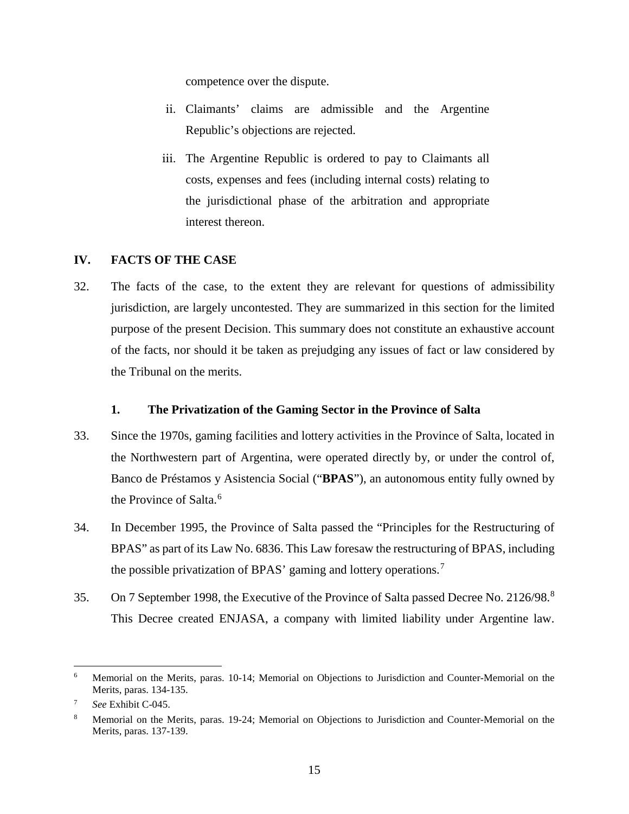competence over the dispute.

- ii. Claimants' claims are admissible and the Argentine Republic's objections are rejected.
- iii. The Argentine Republic is ordered to pay to Claimants all costs, expenses and fees (including internal costs) relating to the jurisdictional phase of the arbitration and appropriate interest thereon.

### <span id="page-16-0"></span>**IV. FACTS OF THE CASE**

32. The facts of the case, to the extent they are relevant for questions of admissibility jurisdiction, are largely uncontested. They are summarized in this section for the limited purpose of the present Decision. This summary does not constitute an exhaustive account of the facts, nor should it be taken as prejudging any issues of fact or law considered by the Tribunal on the merits.

### **1. The Privatization of the Gaming Sector in the Province of Salta**

- <span id="page-16-1"></span>33. Since the 1970s, gaming facilities and lottery activities in the Province of Salta, located in the Northwestern part of Argentina, were operated directly by, or under the control of, Banco de Préstamos y Asistencia Social ("**BPAS**"), an autonomous entity fully owned by the Province of Salta.<sup>[6](#page-16-2)</sup>
- 34. In December 1995, the Province of Salta passed the "Principles for the Restructuring of BPAS" as part of its Law No. 6836. This Law foresaw the restructuring of BPAS, including the possible privatization of BPAS' gaming and lottery operations.<sup>[7](#page-16-3)</sup>
- 35. On 7 September 199[8](#page-16-4), the Executive of the Province of Salta passed Decree No. 2126/98.<sup>8</sup> This Decree created ENJASA, a company with limited liability under Argentine law.

<span id="page-16-2"></span>Memorial on the Merits, paras. 10-14; Memorial on Objections to Jurisdiction and Counter-Memorial on the Merits, paras. 134-135.

<span id="page-16-3"></span><sup>7</sup> *See* Exhibit C-045.

<span id="page-16-4"></span><sup>8</sup> Memorial on the Merits, paras. 19-24; Memorial on Objections to Jurisdiction and Counter-Memorial on the Merits, paras. 137-139.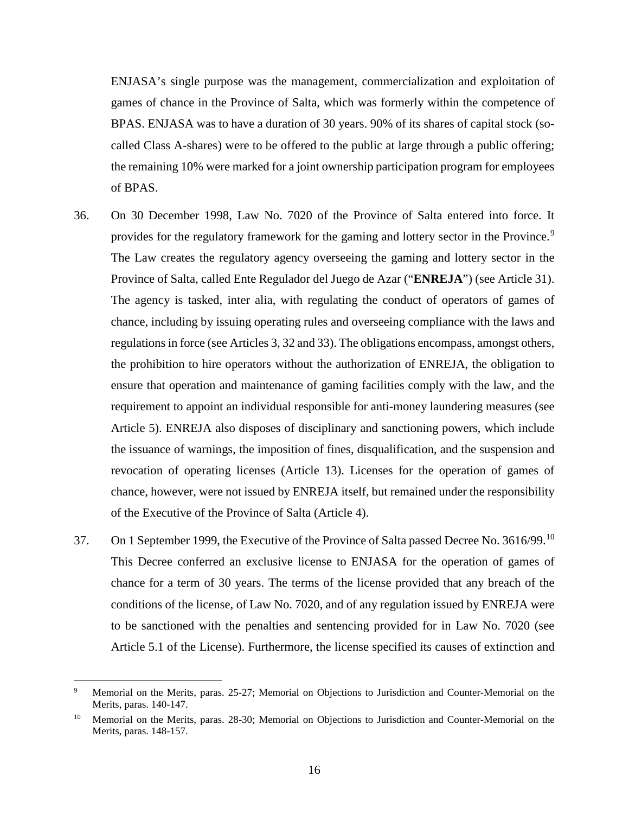ENJASA's single purpose was the management, commercialization and exploitation of games of chance in the Province of Salta, which was formerly within the competence of BPAS. ENJASA was to have a duration of 30 years. 90% of its shares of capital stock (socalled Class A-shares) were to be offered to the public at large through a public offering; the remaining 10% were marked for a joint ownership participation program for employees of BPAS.

- 36. On 30 December 1998, Law No. 7020 of the Province of Salta entered into force. It provides for the regulatory framework for the gaming and lottery sector in the Province.<sup>[9](#page-17-0)</sup> The Law creates the regulatory agency overseeing the gaming and lottery sector in the Province of Salta, called Ente Regulador del Juego de Azar ("**ENREJA**") (see Article 31). The agency is tasked, inter alia, with regulating the conduct of operators of games of chance, including by issuing operating rules and overseeing compliance with the laws and regulations in force (see Articles 3, 32 and 33). The obligations encompass, amongst others, the prohibition to hire operators without the authorization of ENREJA, the obligation to ensure that operation and maintenance of gaming facilities comply with the law, and the requirement to appoint an individual responsible for anti-money laundering measures (see Article 5). ENREJA also disposes of disciplinary and sanctioning powers, which include the issuance of warnings, the imposition of fines, disqualification, and the suspension and revocation of operating licenses (Article 13). Licenses for the operation of games of chance, however, were not issued by ENREJA itself, but remained under the responsibility of the Executive of the Province of Salta (Article 4).
- 37. On 1 September 1999, the Executive of the Province of Salta passed Decree No. 3616/99.<sup>[10](#page-17-1)</sup> This Decree conferred an exclusive license to ENJASA for the operation of games of chance for a term of 30 years. The terms of the license provided that any breach of the conditions of the license, of Law No. 7020, and of any regulation issued by ENREJA were to be sanctioned with the penalties and sentencing provided for in Law No. 7020 (see Article 5.1 of the License). Furthermore, the license specified its causes of extinction and

<span id="page-17-0"></span>Memorial on the Merits, paras. 25-27; Memorial on Objections to Jurisdiction and Counter-Memorial on the Merits, paras. 140-147.

<span id="page-17-1"></span><sup>&</sup>lt;sup>10</sup> Memorial on the Merits, paras. 28-30; Memorial on Objections to Jurisdiction and Counter-Memorial on the Merits, paras. 148-157.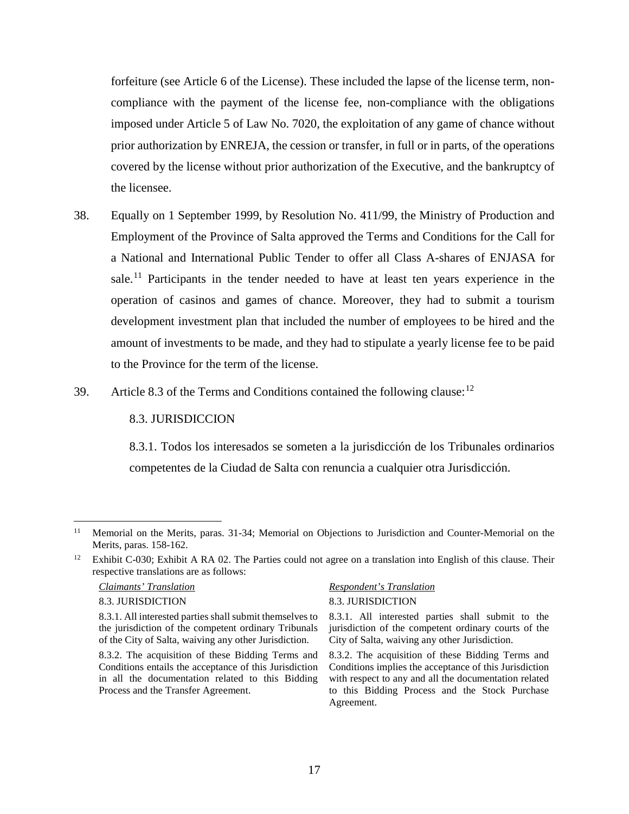forfeiture (see Article 6 of the License). These included the lapse of the license term, noncompliance with the payment of the license fee, non-compliance with the obligations imposed under Article 5 of Law No. 7020, the exploitation of any game of chance without prior authorization by ENREJA, the cession or transfer, in full or in parts, of the operations covered by the license without prior authorization of the Executive, and the bankruptcy of the licensee.

- 38. Equally on 1 September 1999, by Resolution No. 411/99, the Ministry of Production and Employment of the Province of Salta approved the Terms and Conditions for the Call for a National and International Public Tender to offer all Class A-shares of ENJASA for sale.<sup>[11](#page-18-0)</sup> Participants in the tender needed to have at least ten years experience in the operation of casinos and games of chance. Moreover, they had to submit a tourism development investment plan that included the number of employees to be hired and the amount of investments to be made, and they had to stipulate a yearly license fee to be paid to the Province for the term of the license.
- 39. Article 8.3 of the Terms and Conditions contained the following clause:  $12$

### 8.3. JURISDICCION

8.3.1. Todos los interesados se someten a la jurisdicción de los Tribunales ordinarios competentes de la Ciudad de Salta con renuncia a cualquier otra Jurisdicción.

### *Claimants' Translation*

8.3. JURISDICTION

#### *Respondent's Translation*

#### 8.3. JURISDICTION

8.3.1. All interested parties shall submit to the jurisdiction of the competent ordinary courts of the City of Salta, waiving any other Jurisdiction.

8.3.2. The acquisition of these Bidding Terms and Conditions implies the acceptance of this Jurisdiction with respect to any and all the documentation related to this Bidding Process and the Stock Purchase Agreement.

<span id="page-18-0"></span><sup>&</sup>lt;sup>11</sup> Memorial on the Merits, paras. 31-34; Memorial on Objections to Jurisdiction and Counter-Memorial on the Merits, paras. 158-162.

<span id="page-18-1"></span><sup>&</sup>lt;sup>12</sup> Exhibit C-030; Exhibit A RA 02. The Parties could not agree on a translation into English of this clause. Their respective translations are as follows:

<sup>8.3.1.</sup> All interested parties shall submit themselves to the jurisdiction of the competent ordinary Tribunals of the City of Salta, waiving any other Jurisdiction.

<sup>8.3.2.</sup> The acquisition of these Bidding Terms and Conditions entails the acceptance of this Jurisdiction in all the documentation related to this Bidding Process and the Transfer Agreement.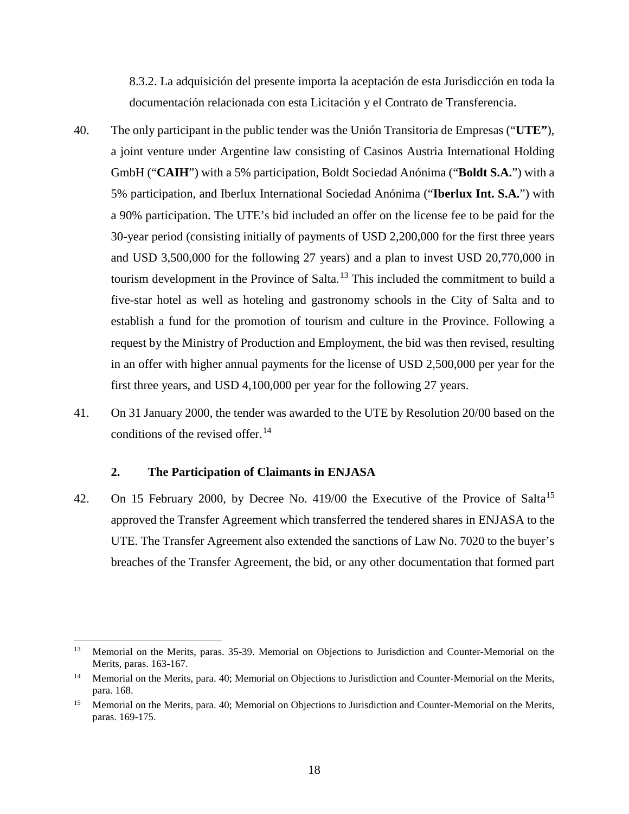8.3.2. La adquisición del presente importa la aceptación de esta Jurisdicción en toda la documentación relacionada con esta Licitación y el Contrato de Transferencia.

- 40. The only participant in the public tender was the Unión Transitoria de Empresas ("**UTE"**), a joint venture under Argentine law consisting of Casinos Austria International Holding GmbH ("**CAIH**") with a 5% participation, Boldt Sociedad Anónima ("**Boldt S.A.**") with a 5% participation, and Iberlux International Sociedad Anónima ("**Iberlux Int. S.A.**") with a 90% participation. The UTE's bid included an offer on the license fee to be paid for the 30-year period (consisting initially of payments of USD 2,200,000 for the first three years and USD 3,500,000 for the following 27 years) and a plan to invest USD 20,770,000 in tourism development in the Province of Salta. [13](#page-19-1) This included the commitment to build a five-star hotel as well as hoteling and gastronomy schools in the City of Salta and to establish a fund for the promotion of tourism and culture in the Province. Following a request by the Ministry of Production and Employment, the bid was then revised, resulting in an offer with higher annual payments for the license of USD 2,500,000 per year for the first three years, and USD 4,100,000 per year for the following 27 years.
- 41. On 31 January 2000, the tender was awarded to the UTE by Resolution 20/00 based on the conditions of the revised offer. [14](#page-19-2)

### **2. The Participation of Claimants in ENJASA**

<span id="page-19-0"></span>42. On [15](#page-19-3) February 2000, by Decree No. 419/00 the Executive of the Provice of Salta<sup>15</sup> approved the Transfer Agreement which transferred the tendered shares in ENJASA to the UTE. The Transfer Agreement also extended the sanctions of Law No. 7020 to the buyer's breaches of the Transfer Agreement, the bid, or any other documentation that formed part

<span id="page-19-1"></span><sup>&</sup>lt;sup>13</sup> Memorial on the Merits, paras. 35-39. Memorial on Objections to Jurisdiction and Counter-Memorial on the Merits, paras. 163-167.

<span id="page-19-2"></span><sup>&</sup>lt;sup>14</sup> Memorial on the Merits, para. 40; Memorial on Objections to Jurisdiction and Counter-Memorial on the Merits, para. 168.

<span id="page-19-3"></span><sup>&</sup>lt;sup>15</sup> Memorial on the Merits, para. 40; Memorial on Objections to Jurisdiction and Counter-Memorial on the Merits, paras. 169-175.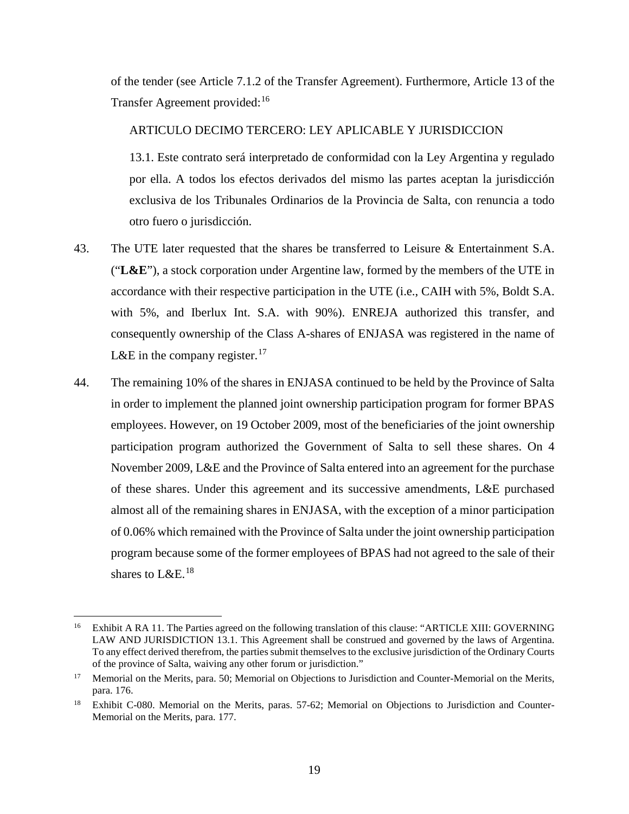of the tender (see Article 7.1.2 of the Transfer Agreement). Furthermore, Article 13 of the Transfer Agreement provided: [16](#page-20-0)

### ARTICULO DECIMO TERCERO: LEY APLICABLE Y JURISDICCION

13.1. Este contrato será interpretado de conformidad con la Ley Argentina y regulado por ella. A todos los efectos derivados del mismo las partes aceptan la jurisdicción exclusiva de los Tribunales Ordinarios de la Provincia de Salta, con renuncia a todo otro fuero o jurisdicción.

- 43. The UTE later requested that the shares be transferred to Leisure & Entertainment S.A. ("**L&E**"), a stock corporation under Argentine law, formed by the members of the UTE in accordance with their respective participation in the UTE (i.e., CAIH with 5%, Boldt S.A. with 5%, and Iberlux Int. S.A. with 90%). ENREJA authorized this transfer, and consequently ownership of the Class A-shares of ENJASA was registered in the name of L&E in the company register.<sup>[17](#page-20-1)</sup>
- 44. The remaining 10% of the shares in ENJASA continued to be held by the Province of Salta in order to implement the planned joint ownership participation program for former BPAS employees. However, on 19 October 2009, most of the beneficiaries of the joint ownership participation program authorized the Government of Salta to sell these shares. On 4 November 2009, L&E and the Province of Salta entered into an agreement for the purchase of these shares. Under this agreement and its successive amendments, L&E purchased almost all of the remaining shares in ENJASA, with the exception of a minor participation of 0.06% which remained with the Province of Salta under the joint ownership participation program because some of the former employees of BPAS had not agreed to the sale of their shares to  $L&E.$ <sup>[18](#page-20-2)</sup>

<span id="page-20-0"></span><sup>&</sup>lt;sup>16</sup> Exhibit A RA 11. The Parties agreed on the following translation of this clause: "ARTICLE XIII: GOVERNING LAW AND JURISDICTION 13.1. This Agreement shall be construed and governed by the laws of Argentina. To any effect derived therefrom, the parties submit themselves to the exclusive jurisdiction of the Ordinary Courts of the province of Salta, waiving any other forum or jurisdiction."

<span id="page-20-1"></span><sup>&</sup>lt;sup>17</sup> Memorial on the Merits, para. 50; Memorial on Objections to Jurisdiction and Counter-Memorial on the Merits, para. 176.

<span id="page-20-2"></span><sup>&</sup>lt;sup>18</sup> Exhibit C-080. Memorial on the Merits, paras. 57-62; Memorial on Objections to Jurisdiction and Counter-Memorial on the Merits, para. 177.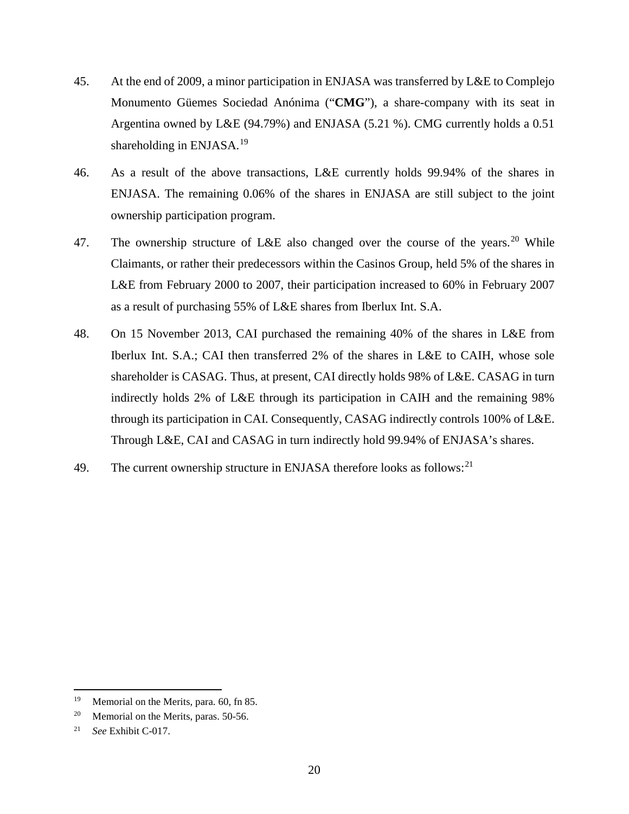- 45. At the end of 2009, a minor participation in ENJASA was transferred by L&E to Complejo Monumento Güemes Sociedad Anónima ("**CMG**"), a share-company with its seat in Argentina owned by L&E (94.79%) and ENJASA (5.21 %). CMG currently holds a 0.51 shareholding in ENJASA.<sup>[19](#page-21-0)</sup>
- 46. As a result of the above transactions, L&E currently holds 99.94% of the shares in ENJASA. The remaining 0.06% of the shares in ENJASA are still subject to the joint ownership participation program.
- 47. The ownership structure of L&E also changed over the course of the years.<sup>[20](#page-21-1)</sup> While Claimants, or rather their predecessors within the Casinos Group, held 5% of the shares in L&E from February 2000 to 2007, their participation increased to 60% in February 2007 as a result of purchasing 55% of L&E shares from Iberlux Int. S.A.
- <span id="page-21-3"></span>48. On 15 November 2013, CAI purchased the remaining 40% of the shares in L&E from Iberlux Int. S.A.; CAI then transferred 2% of the shares in L&E to CAIH, whose sole shareholder is CASAG. Thus, at present, CAI directly holds 98% of L&E. CASAG in turn indirectly holds 2% of L&E through its participation in CAIH and the remaining 98% through its participation in CAI. Consequently, CASAG indirectly controls 100% of L&E. Through L&E, CAI and CASAG in turn indirectly hold 99.94% of ENJASA's shares.
- 49. The current ownership structure in ENJASA therefore looks as follows:<sup>[21](#page-21-2)</sup>

<span id="page-21-0"></span><sup>&</sup>lt;sup>19</sup> Memorial on the Merits, para. 60, fn 85.

<span id="page-21-1"></span><sup>&</sup>lt;sup>20</sup> Memorial on the Merits, paras.  $50-56$ .

<span id="page-21-2"></span><sup>21</sup> *See* Exhibit C-017.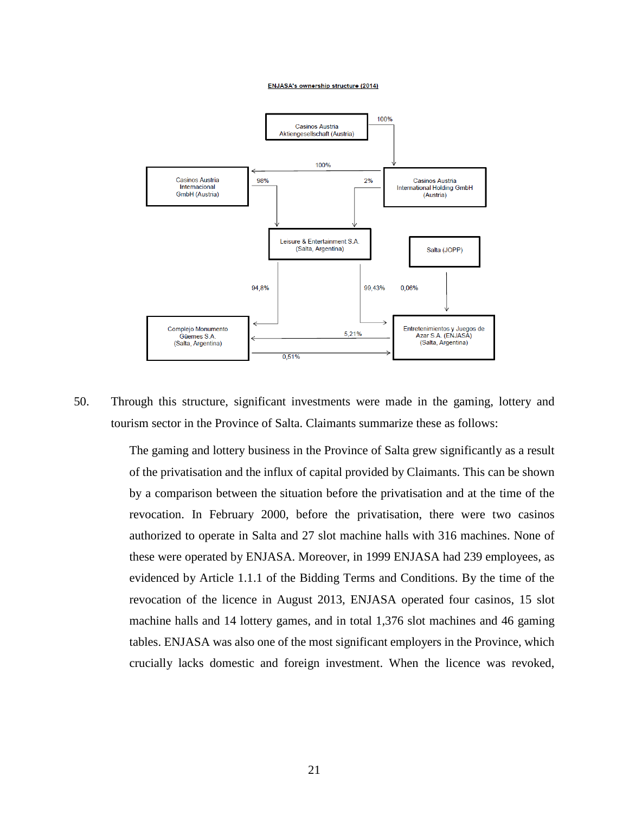#### **ENJASA's ownership structure (2014)**



50. Through this structure, significant investments were made in the gaming, lottery and tourism sector in the Province of Salta. Claimants summarize these as follows:

> The gaming and lottery business in the Province of Salta grew significantly as a result of the privatisation and the influx of capital provided by Claimants. This can be shown by a comparison between the situation before the privatisation and at the time of the revocation. In February 2000, before the privatisation, there were two casinos authorized to operate in Salta and 27 slot machine halls with 316 machines. None of these were operated by ENJASA. Moreover, in 1999 ENJASA had 239 employees, as evidenced by Article 1.1.1 of the Bidding Terms and Conditions. By the time of the revocation of the licence in August 2013, ENJASA operated four casinos, 15 slot machine halls and 14 lottery games, and in total 1,376 slot machines and 46 gaming tables. ENJASA was also one of the most significant employers in the Province, which crucially lacks domestic and foreign investment. When the licence was revoked,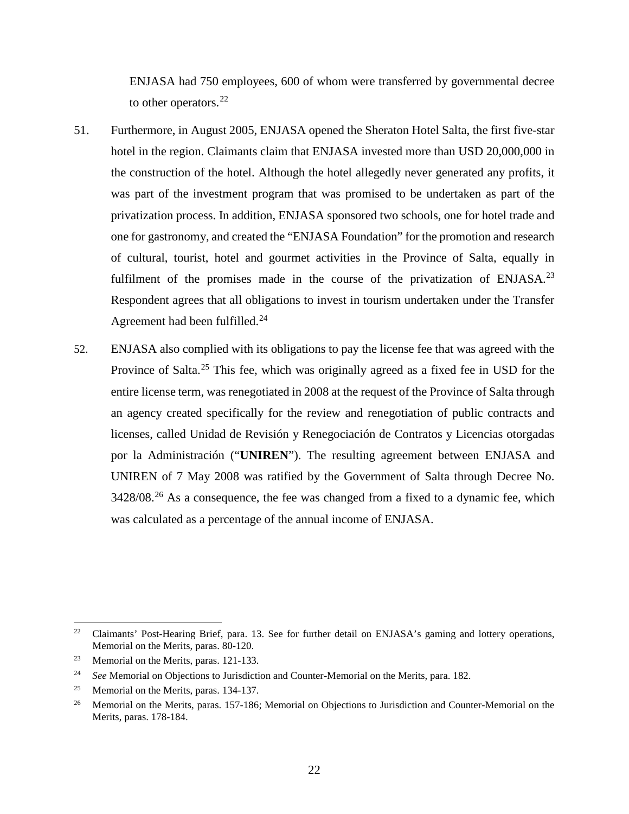ENJASA had 750 employees, 600 of whom were transferred by governmental decree to other operators.<sup>[22](#page-23-0)</sup>

- 51. Furthermore, in August 2005, ENJASA opened the Sheraton Hotel Salta, the first five-star hotel in the region. Claimants claim that ENJASA invested more than USD 20,000,000 in the construction of the hotel. Although the hotel allegedly never generated any profits, it was part of the investment program that was promised to be undertaken as part of the privatization process. In addition, ENJASA sponsored two schools, one for hotel trade and one for gastronomy, and created the "ENJASA Foundation" for the promotion and research of cultural, tourist, hotel and gourmet activities in the Province of Salta, equally in fulfilment of the promises made in the course of the privatization of ENJASA.<sup>[23](#page-23-1)</sup> Respondent agrees that all obligations to invest in tourism undertaken under the Transfer Agreement had been fulfilled.<sup>[24](#page-23-2)</sup>
- 52. ENJASA also complied with its obligations to pay the license fee that was agreed with the Province of Salta.<sup>[25](#page-23-3)</sup> This fee, which was originally agreed as a fixed fee in USD for the entire license term, was renegotiated in 2008 at the request of the Province of Salta through an agency created specifically for the review and renegotiation of public contracts and licenses, called Unidad de Revisión y Renegociación de Contratos y Licencias otorgadas por la Administración ("**UNIREN**"). The resulting agreement between ENJASA and UNIREN of 7 May 2008 was ratified by the Government of Salta through Decree No. 3428/08.[26](#page-23-4) As a consequence, the fee was changed from a fixed to a dynamic fee, which was calculated as a percentage of the annual income of ENJASA.

<span id="page-23-0"></span><sup>&</sup>lt;sup>22</sup> Claimants' Post-Hearing Brief, para. 13. See for further detail on ENJASA's gaming and lottery operations, Memorial on the Merits, paras. 80-120.

<span id="page-23-1"></span><sup>&</sup>lt;sup>23</sup> Memorial on the Merits, paras. 121-133.

<span id="page-23-2"></span><sup>24</sup> *See* Memorial on Objections to Jurisdiction and Counter-Memorial on the Merits, para. 182.

<span id="page-23-3"></span><sup>&</sup>lt;sup>25</sup> Memorial on the Merits, paras. 134-137.

<span id="page-23-4"></span><sup>&</sup>lt;sup>26</sup> Memorial on the Merits, paras. 157-186; Memorial on Objections to Jurisdiction and Counter-Memorial on the Merits, paras. 178-184.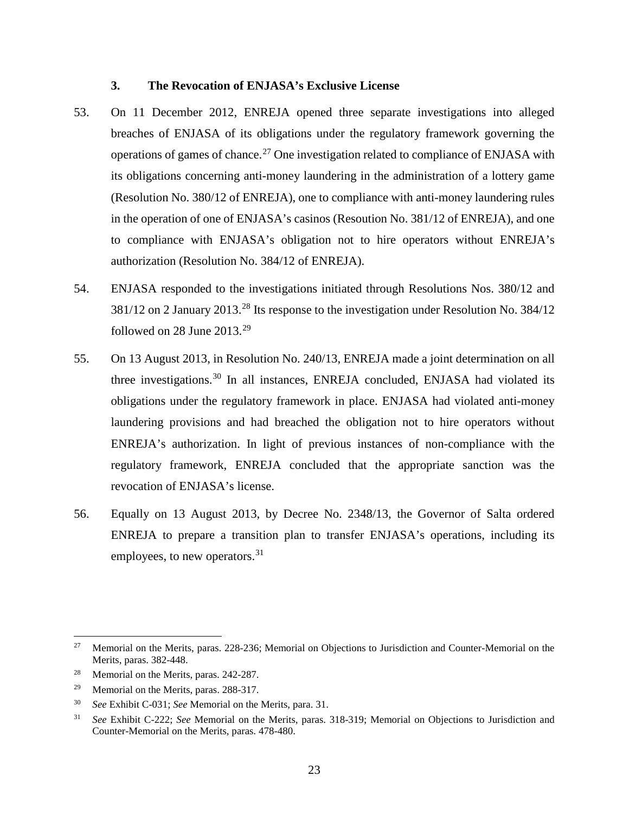### **3. The Revocation of ENJASA's Exclusive License**

- <span id="page-24-0"></span>53. On 11 December 2012, ENREJA opened three separate investigations into alleged breaches of ENJASA of its obligations under the regulatory framework governing the operations of games of chance.<sup>[27](#page-24-1)</sup> One investigation related to compliance of ENJASA with its obligations concerning anti-money laundering in the administration of a lottery game (Resolution No. 380/12 of ENREJA), one to compliance with anti-money laundering rules in the operation of one of ENJASA's casinos (Resoution No. 381/12 of ENREJA), and one to compliance with ENJASA's obligation not to hire operators without ENREJA's authorization (Resolution No. 384/12 of ENREJA).
- 54. ENJASA responded to the investigations initiated through Resolutions Nos. 380/12 and 381/12 on 2 January 2013.<sup>[28](#page-24-2)</sup> Its response to the investigation under Resolution No. 384/12 followed on 28 June  $2013.<sup>29</sup>$  $2013.<sup>29</sup>$  $2013.<sup>29</sup>$
- 55. On 13 August 2013, in Resolution No. 240/13, ENREJA made a joint determination on all three investigations.<sup>[30](#page-24-4)</sup> In all instances, ENREJA concluded, ENJASA had violated its obligations under the regulatory framework in place. ENJASA had violated anti-money laundering provisions and had breached the obligation not to hire operators without ENREJA's authorization. In light of previous instances of non-compliance with the regulatory framework, ENREJA concluded that the appropriate sanction was the revocation of ENJASA's license.
- 56. Equally on 13 August 2013, by Decree No. 2348/13, the Governor of Salta ordered ENREJA to prepare a transition plan to transfer ENJASA's operations, including its employees, to new operators.<sup>[31](#page-24-5)</sup>

<span id="page-24-1"></span><sup>&</sup>lt;sup>27</sup> Memorial on the Merits, paras. 228-236; Memorial on Objections to Jurisdiction and Counter-Memorial on the Merits, paras. 382-448.

<span id="page-24-2"></span><sup>&</sup>lt;sup>28</sup> Memorial on the Merits, paras. 242-287.

<span id="page-24-3"></span><sup>&</sup>lt;sup>29</sup> Memorial on the Merits, paras. 288-317.

<span id="page-24-4"></span><sup>30</sup> *See* Exhibit C-031; *See* Memorial on the Merits, para. 31.

<span id="page-24-5"></span><sup>31</sup> *See* Exhibit C-222; *See* Memorial on the Merits, paras. 318-319; Memorial on Objections to Jurisdiction and Counter-Memorial on the Merits, paras. 478-480.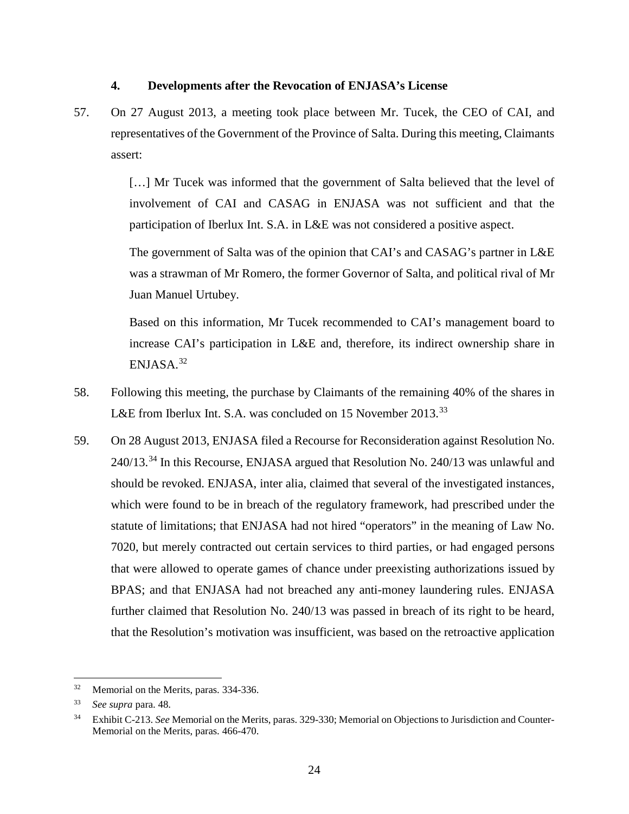### **4. Developments after the Revocation of ENJASA's License**

<span id="page-25-0"></span>57. On 27 August 2013, a meeting took place between Mr. Tucek, the CEO of CAI, and representatives of the Government of the Province of Salta. During this meeting, Claimants assert:

> [...] Mr Tucek was informed that the government of Salta believed that the level of involvement of CAI and CASAG in ENJASA was not sufficient and that the participation of Iberlux Int. S.A. in L&E was not considered a positive aspect.

> The government of Salta was of the opinion that CAI's and CASAG's partner in L&E was a strawman of Mr Romero, the former Governor of Salta, and political rival of Mr Juan Manuel Urtubey.

> Based on this information, Mr Tucek recommended to CAI's management board to increase CAI's participation in L&E and, therefore, its indirect ownership share in ENJASA.[32](#page-25-1)

- 58. Following this meeting, the purchase by Claimants of the remaining 40% of the shares in L&E from Iberlux Int. S.A. was concluded on 15 November 2013.<sup>[33](#page-25-2)</sup>
- 59. On 28 August 2013, ENJASA filed a Recourse for Reconsideration against Resolution No. 240/13.[34](#page-25-3) In this Recourse, ENJASA argued that Resolution No. 240/13 was unlawful and should be revoked. ENJASA, inter alia, claimed that several of the investigated instances, which were found to be in breach of the regulatory framework, had prescribed under the statute of limitations; that ENJASA had not hired "operators" in the meaning of Law No. 7020, but merely contracted out certain services to third parties, or had engaged persons that were allowed to operate games of chance under preexisting authorizations issued by BPAS; and that ENJASA had not breached any anti-money laundering rules. ENJASA further claimed that Resolution No. 240/13 was passed in breach of its right to be heard, that the Resolution's motivation was insufficient, was based on the retroactive application

<span id="page-25-1"></span><sup>&</sup>lt;sup>32</sup> Memorial on the Merits, paras. 334-336.

<span id="page-25-2"></span><sup>33</sup> *See supra* para. [48.](#page-21-3)

<span id="page-25-3"></span><sup>34</sup> Exhibit C-213. *See* Memorial on the Merits, paras. 329-330; Memorial on Objections to Jurisdiction and Counter-Memorial on the Merits, paras. 466-470.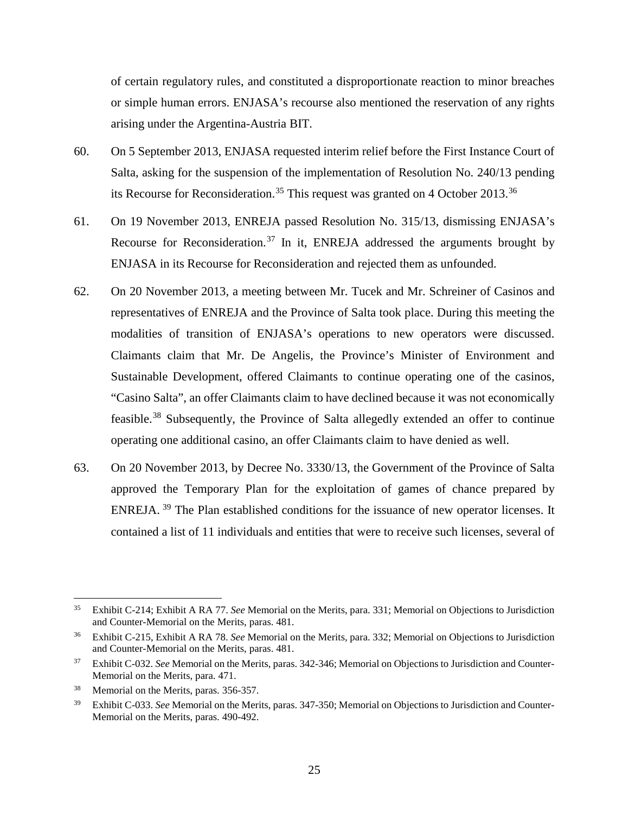of certain regulatory rules, and constituted a disproportionate reaction to minor breaches or simple human errors. ENJASA's recourse also mentioned the reservation of any rights arising under the Argentina-Austria BIT.

- 60. On 5 September 2013, ENJASA requested interim relief before the First Instance Court of Salta, asking for the suspension of the implementation of Resolution No. 240/13 pending its Recourse for Reconsideration.<sup>[35](#page-26-0)</sup> This request was granted on 4 October 2013.<sup>[36](#page-26-1)</sup>
- 61. On 19 November 2013, ENREJA passed Resolution No. 315/13, dismissing ENJASA's Recourse for Reconsideration.<sup>[37](#page-26-2)</sup> In it, ENREJA addressed the arguments brought by ENJASA in its Recourse for Reconsideration and rejected them as unfounded.
- 62. On 20 November 2013, a meeting between Mr. Tucek and Mr. Schreiner of Casinos and representatives of ENREJA and the Province of Salta took place. During this meeting the modalities of transition of ENJASA's operations to new operators were discussed. Claimants claim that Mr. De Angelis, the Province's Minister of Environment and Sustainable Development, offered Claimants to continue operating one of the casinos, "Casino Salta", an offer Claimants claim to have declined because it was not economically feasible.<sup>[38](#page-26-3)</sup> Subsequently, the Province of Salta allegedly extended an offer to continue operating one additional casino, an offer Claimants claim to have denied as well.
- 63. On 20 November 2013, by Decree No. 3330/13, the Government of the Province of Salta approved the Temporary Plan for the exploitation of games of chance prepared by ENREJA. [39](#page-26-4) The Plan established conditions for the issuance of new operator licenses. It contained a list of 11 individuals and entities that were to receive such licenses, several of

<span id="page-26-0"></span> <sup>35</sup> Exhibit C-214; Exhibit A RA 77. *See* Memorial on the Merits, para. 331; Memorial on Objections to Jurisdiction and Counter-Memorial on the Merits, paras. 481.

<span id="page-26-1"></span><sup>36</sup> Exhibit C-215, Exhibit A RA 78. *See* Memorial on the Merits, para. 332; Memorial on Objections to Jurisdiction and Counter-Memorial on the Merits, paras. 481.

<span id="page-26-2"></span><sup>37</sup> Exhibit C-032. *See* Memorial on the Merits, paras. 342-346; Memorial on Objections to Jurisdiction and Counter-Memorial on the Merits, para. 471.

<span id="page-26-3"></span>Memorial on the Merits, paras. 356-357.

<span id="page-26-4"></span><sup>39</sup> Exhibit C-033. *See* Memorial on the Merits, paras. 347-350; Memorial on Objections to Jurisdiction and Counter-Memorial on the Merits, paras. 490-492.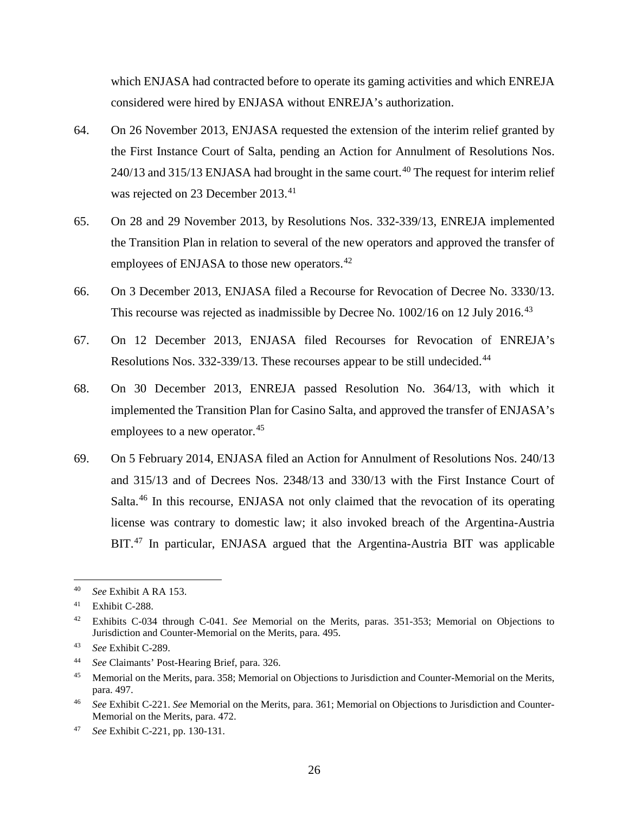which ENJASA had contracted before to operate its gaming activities and which ENREJA considered were hired by ENJASA without ENREJA's authorization.

- 64. On 26 November 2013, ENJASA requested the extension of the interim relief granted by the First Instance Court of Salta, pending an Action for Annulment of Resolutions Nos.  $240/13$  $240/13$  $240/13$  and  $315/13$  ENJASA had brought in the same court.<sup>40</sup> The request for interim relief was rejected on 23 December 2013.<sup>[41](#page-27-1)</sup>
- 65. On 28 and 29 November 2013, by Resolutions Nos. 332-339/13, ENREJA implemented the Transition Plan in relation to several of the new operators and approved the transfer of employees of ENJASA to those new operators.<sup>[42](#page-27-2)</sup>
- 66. On 3 December 2013, ENJASA filed a Recourse for Revocation of Decree No. 3330/13. This recourse was rejected as inadmissible by Decree No. 1002/16 on 12 July 2016.<sup>[43](#page-27-3)</sup>
- 67. On 12 December 2013, ENJASA filed Recourses for Revocation of ENREJA's Resolutions Nos. 332-339/13. These recourses appear to be still undecided.<sup>[44](#page-27-4)</sup>
- 68. On 30 December 2013, ENREJA passed Resolution No. 364/13, with which it implemented the Transition Plan for Casino Salta, and approved the transfer of ENJASA's employees to a new operator.<sup>[45](#page-27-5)</sup>
- 69. On 5 February 2014, ENJASA filed an Action for Annulment of Resolutions Nos. 240/13 and 315/13 and of Decrees Nos. 2348/13 and 330/13 with the First Instance Court of Salta.<sup>[46](#page-27-6)</sup> In this recourse, ENJASA not only claimed that the revocation of its operating license was contrary to domestic law; it also invoked breach of the Argentina-Austria BIT.<sup>[47](#page-27-7)</sup> In particular, ENJASA argued that the Argentina-Austria BIT was applicable

<span id="page-27-0"></span> <sup>40</sup> *See* Exhibit A RA 153.

<span id="page-27-1"></span><sup>41</sup> Exhibit C-288.

<span id="page-27-2"></span><sup>42</sup> Exhibits C-034 through C-041. *See* Memorial on the Merits, paras. 351-353; Memorial on Objections to Jurisdiction and Counter-Memorial on the Merits, para. 495.

<span id="page-27-3"></span><sup>43</sup> *See* Exhibit C-289.

<span id="page-27-4"></span><sup>44</sup> *See* Claimants' Post-Hearing Brief, para. 326.

<span id="page-27-5"></span><sup>&</sup>lt;sup>45</sup> Memorial on the Merits, para. 358; Memorial on Objections to Jurisdiction and Counter-Memorial on the Merits, para. 497.

<span id="page-27-6"></span><sup>46</sup> *See* Exhibit C-221. *See* Memorial on the Merits, para. 361; Memorial on Objections to Jurisdiction and Counter-Memorial on the Merits, para. 472.

<span id="page-27-7"></span><sup>47</sup> *See* Exhibit C-221, pp. 130-131.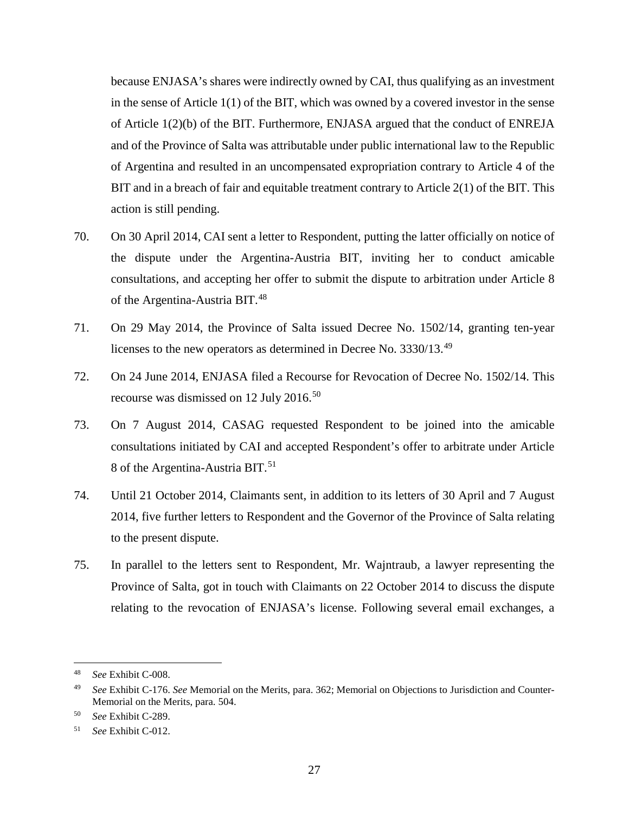because ENJASA's shares were indirectly owned by CAI, thus qualifying as an investment in the sense of Article 1(1) of the BIT, which was owned by a covered investor in the sense of Article 1(2)(b) of the BIT. Furthermore, ENJASA argued that the conduct of ENREJA and of the Province of Salta was attributable under public international law to the Republic of Argentina and resulted in an uncompensated expropriation contrary to Article 4 of the BIT and in a breach of fair and equitable treatment contrary to Article 2(1) of the BIT. This action is still pending.

- 70. On 30 April 2014, CAI sent a letter to Respondent, putting the latter officially on notice of the dispute under the Argentina-Austria BIT, inviting her to conduct amicable consultations, and accepting her offer to submit the dispute to arbitration under Article 8 of the Argentina-Austria BIT.<sup>[48](#page-28-0)</sup>
- 71. On 29 May 2014, the Province of Salta issued Decree No. 1502/14, granting ten-year licenses to the new operators as determined in Decree No. 3330/13.[49](#page-28-1)
- 72. On 24 June 2014, ENJASA filed a Recourse for Revocation of Decree No. 1502/14. This recourse was dismissed on 12 July 2016.<sup>[50](#page-28-2)</sup>
- 73. On 7 August 2014, CASAG requested Respondent to be joined into the amicable consultations initiated by CAI and accepted Respondent's offer to arbitrate under Article 8 of the Argentina-Austria BIT.<sup>[51](#page-28-3)</sup>
- 74. Until 21 October 2014, Claimants sent, in addition to its letters of 30 April and 7 August 2014, five further letters to Respondent and the Governor of the Province of Salta relating to the present dispute.
- 75. In parallel to the letters sent to Respondent, Mr. Wajntraub, a lawyer representing the Province of Salta, got in touch with Claimants on 22 October 2014 to discuss the dispute relating to the revocation of ENJASA's license. Following several email exchanges, a

<span id="page-28-0"></span> <sup>48</sup> *See* Exhibit C-008.

<span id="page-28-1"></span><sup>49</sup> *See* Exhibit C-176. *See* Memorial on the Merits, para. 362; Memorial on Objections to Jurisdiction and Counter-Memorial on the Merits, para. 504.

<span id="page-28-2"></span><sup>50</sup> *See* Exhibit C-289.

<span id="page-28-3"></span><sup>51</sup> *See* Exhibit C-012.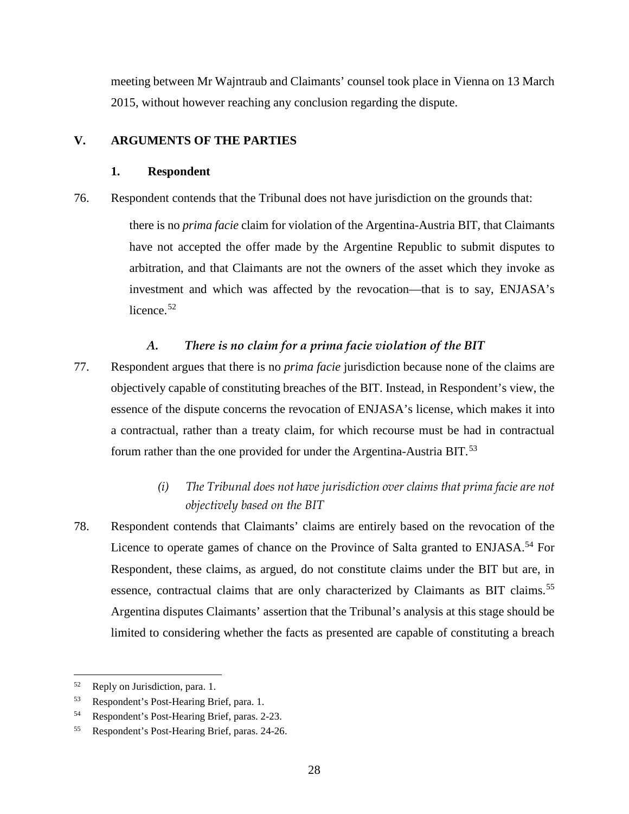meeting between Mr Wajntraub and Claimants' counsel took place in Vienna on 13 March 2015, without however reaching any conclusion regarding the dispute.

### <span id="page-29-1"></span><span id="page-29-0"></span>**V. ARGUMENTS OF THE PARTIES**

### **1. Respondent**

76. Respondent contends that the Tribunal does not have jurisdiction on the grounds that:

there is no *prima facie* claim for violation of the Argentina-Austria BIT, that Claimants have not accepted the offer made by the Argentine Republic to submit disputes to arbitration, and that Claimants are not the owners of the asset which they invoke as investment and which was affected by the revocation—that is to say, ENJASA's licence.<sup>[52](#page-29-4)</sup>

### *A. There is no claim for a prima facie violation of the BIT*

<span id="page-29-2"></span>77. Respondent argues that there is no *prima facie* jurisdiction because none of the claims are objectively capable of constituting breaches of the BIT. Instead, in Respondent's view, the essence of the dispute concerns the revocation of ENJASA's license, which makes it into a contractual, rather than a treaty claim, for which recourse must be had in contractual forum rather than the one provided for under the Argentina-Austria BIT.<sup>[53](#page-29-5)</sup>

# *(i) The Tribunal does not have jurisdiction over claims that prima facie are not objectively based on the BIT*

<span id="page-29-3"></span>78. Respondent contends that Claimants' claims are entirely based on the revocation of the Licence to operate games of chance on the Province of Salta granted to ENJASA.<sup>[54](#page-29-6)</sup> For Respondent, these claims, as argued, do not constitute claims under the BIT but are, in essence, contractual claims that are only characterized by Claimants as BIT claims.<sup>[55](#page-29-7)</sup> Argentina disputes Claimants' assertion that the Tribunal's analysis at this stage should be limited to considering whether the facts as presented are capable of constituting a breach

<span id="page-29-4"></span> <sup>52</sup> Reply on Jurisdiction, para. 1.

<span id="page-29-5"></span><sup>53</sup> Respondent's Post-Hearing Brief, para. 1.

<span id="page-29-6"></span><sup>54</sup> Respondent's Post-Hearing Brief, paras. 2-23.

<span id="page-29-7"></span><sup>55</sup> Respondent's Post-Hearing Brief, paras. 24-26.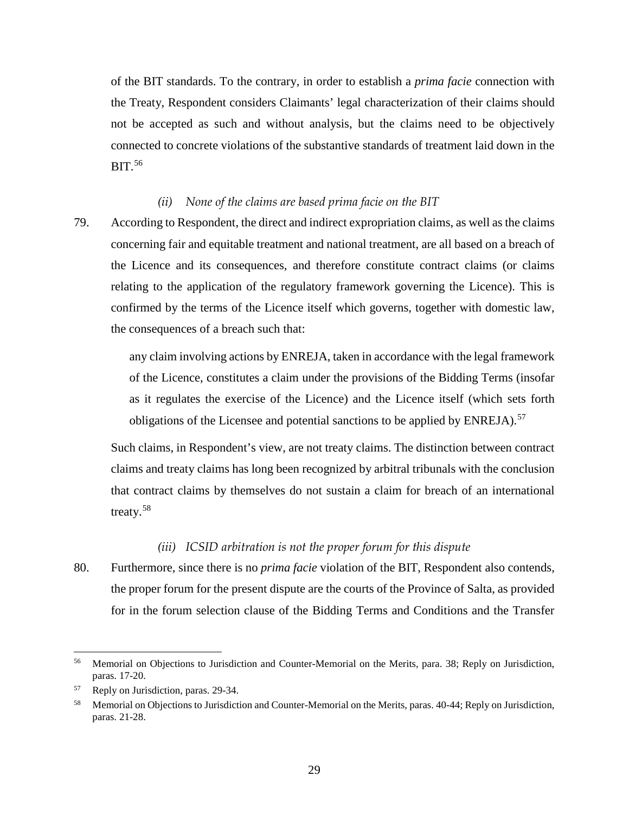of the BIT standards. To the contrary, in order to establish a *prima facie* connection with the Treaty, Respondent considers Claimants' legal characterization of their claims should not be accepted as such and without analysis, but the claims need to be objectively connected to concrete violations of the substantive standards of treatment laid down in the BIT. [56](#page-30-2)

### *(ii) None of the claims are based prima facie on the BIT*

<span id="page-30-0"></span>79. According to Respondent, the direct and indirect expropriation claims, as well as the claims concerning fair and equitable treatment and national treatment, are all based on a breach of the Licence and its consequences, and therefore constitute contract claims (or claims relating to the application of the regulatory framework governing the Licence). This is confirmed by the terms of the Licence itself which governs, together with domestic law, the consequences of a breach such that:

> any claim involving actions by ENREJA, taken in accordance with the legal framework of the Licence, constitutes a claim under the provisions of the Bidding Terms (insofar as it regulates the exercise of the Licence) and the Licence itself (which sets forth obligations of the Licensee and potential sanctions to be applied by ENREJA).<sup>[57](#page-30-3)</sup>

Such claims, in Respondent's view, are not treaty claims. The distinction between contract claims and treaty claims has long been recognized by arbitral tribunals with the conclusion that contract claims by themselves do not sustain a claim for breach of an international treaty. [58](#page-30-4)

### *(iii) ICSID arbitration is not the proper forum for this dispute*

<span id="page-30-1"></span>80. Furthermore, since there is no *prima facie* violation of the BIT, Respondent also contends, the proper forum for the present dispute are the courts of the Province of Salta, as provided for in the forum selection clause of the Bidding Terms and Conditions and the Transfer

<span id="page-30-2"></span> <sup>56</sup> Memorial on Objections to Jurisdiction and Counter-Memorial on the Merits, para. 38; Reply on Jurisdiction, paras. 17-20.

<span id="page-30-3"></span><sup>57</sup> Reply on Jurisdiction, paras. 29-34.

<span id="page-30-4"></span><sup>58</sup> Memorial on Objections to Jurisdiction and Counter-Memorial on the Merits, paras. 40-44; Reply on Jurisdiction, paras. 21-28.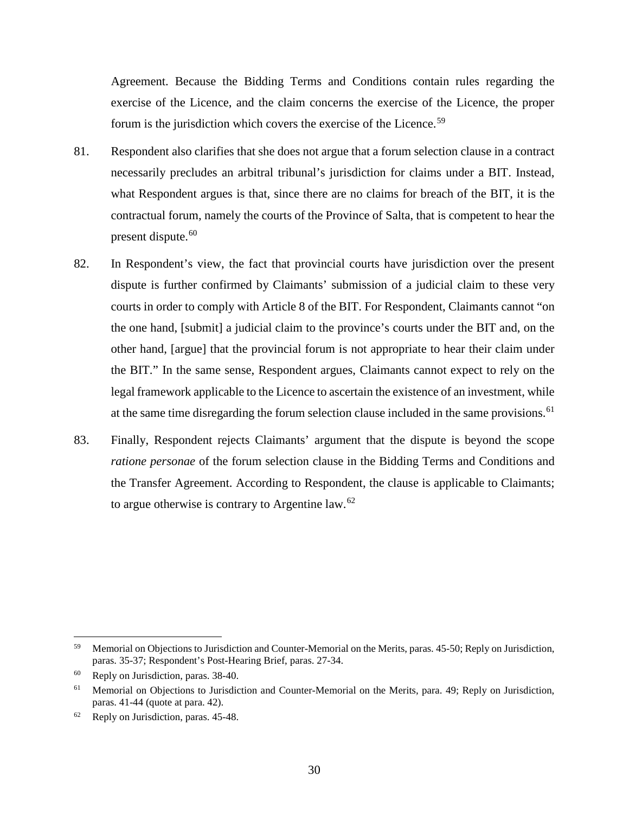Agreement. Because the Bidding Terms and Conditions contain rules regarding the exercise of the Licence, and the claim concerns the exercise of the Licence, the proper forum is the jurisdiction which covers the exercise of the Licence.<sup>[59](#page-31-0)</sup>

- 81. Respondent also clarifies that she does not argue that a forum selection clause in a contract necessarily precludes an arbitral tribunal's jurisdiction for claims under a BIT. Instead, what Respondent argues is that, since there are no claims for breach of the BIT, it is the contractual forum, namely the courts of the Province of Salta, that is competent to hear the present dispute. [60](#page-31-1)
- 82. In Respondent's view, the fact that provincial courts have jurisdiction over the present dispute is further confirmed by Claimants' submission of a judicial claim to these very courts in order to comply with Article 8 of the BIT. For Respondent, Claimants cannot "on the one hand, [submit] a judicial claim to the province's courts under the BIT and, on the other hand, [argue] that the provincial forum is not appropriate to hear their claim under the BIT." In the same sense, Respondent argues, Claimants cannot expect to rely on the legal framework applicable to the Licence to ascertain the existence of an investment, while at the same time disregarding the forum selection clause included in the same provisions.<sup>[61](#page-31-2)</sup>
- 83. Finally, Respondent rejects Claimants' argument that the dispute is beyond the scope *ratione personae* of the forum selection clause in the Bidding Terms and Conditions and the Transfer Agreement. According to Respondent, the clause is applicable to Claimants; to argue otherwise is contrary to Argentine law. $62$

<span id="page-31-0"></span> <sup>59</sup> Memorial on Objections to Jurisdiction and Counter-Memorial on the Merits, paras. 45-50; Reply on Jurisdiction, paras. 35-37; Respondent's Post-Hearing Brief, paras. 27-34.

<span id="page-31-1"></span><sup>60</sup> Reply on Jurisdiction, paras. 38-40.

<span id="page-31-2"></span><sup>&</sup>lt;sup>61</sup> Memorial on Objections to Jurisdiction and Counter-Memorial on the Merits, para. 49; Reply on Jurisdiction, paras. 41-44 (quote at para. 42).

<span id="page-31-3"></span><sup>62</sup> Reply on Jurisdiction, paras. 45-48.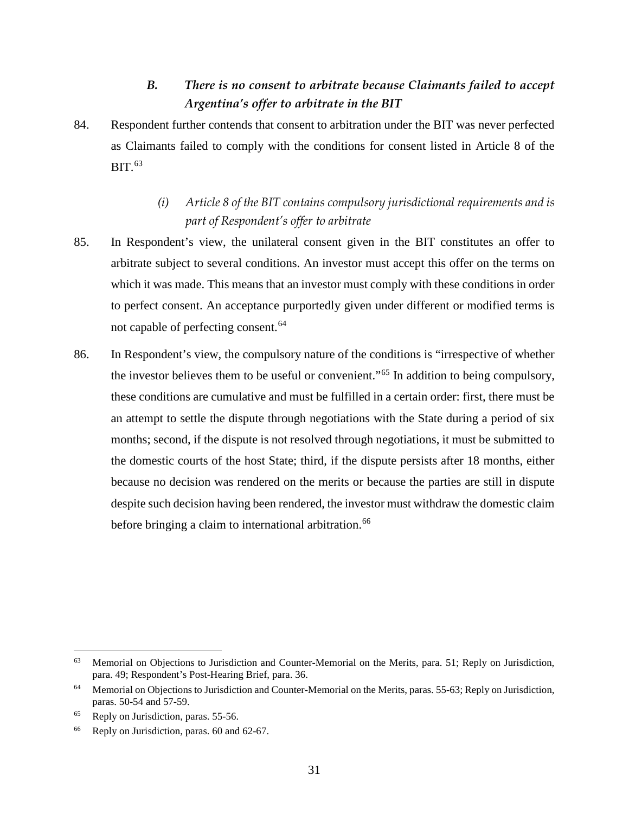# *B. There is no consent to arbitrate because Claimants failed to accept Argentina's offer to arbitrate in the BIT*

<span id="page-32-0"></span>84. Respondent further contends that consent to arbitration under the BIT was never perfected as Claimants failed to comply with the conditions for consent listed in Article 8 of the  $BIT.$   $63$ 

# *(i) Article 8 of the BIT contains compulsory jurisdictional requirements and is part of Respondent's offer to arbitrate*

- <span id="page-32-1"></span>85. In Respondent's view, the unilateral consent given in the BIT constitutes an offer to arbitrate subject to several conditions. An investor must accept this offer on the terms on which it was made. This means that an investor must comply with these conditions in order to perfect consent. An acceptance purportedly given under different or modified terms is not capable of perfecting consent.<sup>[64](#page-32-3)</sup>
- 86. In Respondent's view, the compulsory nature of the conditions is "irrespective of whether the investor believes them to be useful or convenient."[65](#page-32-4) In addition to being compulsory, these conditions are cumulative and must be fulfilled in a certain order: first, there must be an attempt to settle the dispute through negotiations with the State during a period of six months; second, if the dispute is not resolved through negotiations, it must be submitted to the domestic courts of the host State; third, if the dispute persists after 18 months, either because no decision was rendered on the merits or because the parties are still in dispute despite such decision having been rendered, the investor must withdraw the domestic claim before bringing a claim to international arbitration.<sup>[66](#page-32-5)</sup>

<span id="page-32-2"></span> <sup>63</sup> Memorial on Objections to Jurisdiction and Counter-Memorial on the Merits, para. 51; Reply on Jurisdiction, para. 49; Respondent's Post-Hearing Brief, para. 36.

<span id="page-32-3"></span><sup>&</sup>lt;sup>64</sup> Memorial on Objections to Jurisdiction and Counter-Memorial on the Merits, paras. 55-63; Reply on Jurisdiction, paras. 50-54 and 57-59.

<span id="page-32-4"></span><sup>&</sup>lt;sup>65</sup> Reply on Jurisdiction, paras. 55-56.

<span id="page-32-5"></span><sup>66</sup> Reply on Jurisdiction, paras. 60 and 62-67.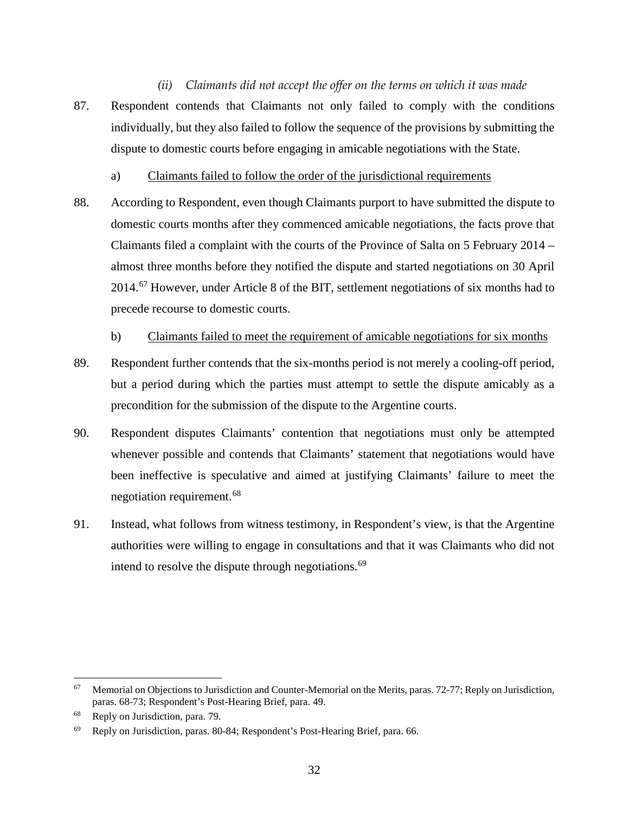### *(ii) Claimants did not accept the offer on the terms on which it was made*

<span id="page-33-0"></span>87. Respondent contends that Claimants not only failed to comply with the conditions individually, but they also failed to follow the sequence of the provisions by submitting the dispute to domestic courts before engaging in amicable negotiations with the State.

### a) Claimants failed to follow the order of the jurisdictional requirements

- 88. According to Respondent, even though Claimants purport to have submitted the dispute to domestic courts months after they commenced amicable negotiations, the facts prove that Claimants filed a complaint with the courts of the Province of Salta on 5 February 2014 – almost three months before they notified the dispute and started negotiations on 30 April 2014.<sup>[67](#page-33-1)</sup> However, under Article 8 of the BIT, settlement negotiations of six months had to precede recourse to domestic courts.
	- b) Claimants failed to meet the requirement of amicable negotiations for six months
- 89. Respondent further contends that the six-months period is not merely a cooling-off period, but a period during which the parties must attempt to settle the dispute amicably as a precondition for the submission of the dispute to the Argentine courts.
- 90. Respondent disputes Claimants' contention that negotiations must only be attempted whenever possible and contends that Claimants' statement that negotiations would have been ineffective is speculative and aimed at justifying Claimants' failure to meet the negotiation requirement.[68](#page-33-2)
- 91. Instead, what follows from witness testimony, in Respondent's view, is that the Argentine authorities were willing to engage in consultations and that it was Claimants who did not intend to resolve the dispute through negotiations.<sup>[69](#page-33-3)</sup>

<span id="page-33-1"></span><sup>&</sup>lt;sup>67</sup> Memorial on Objections to Jurisdiction and Counter-Memorial on the Merits, paras. 72-77; Reply on Jurisdiction, paras. 68-73; Respondent's Post-Hearing Brief, para. 49.

<span id="page-33-2"></span><sup>68</sup> Reply on Jurisdiction, para. 79.

<span id="page-33-3"></span><sup>69</sup> Reply on Jurisdiction, paras. 80-84; Respondent's Post-Hearing Brief, para. 66.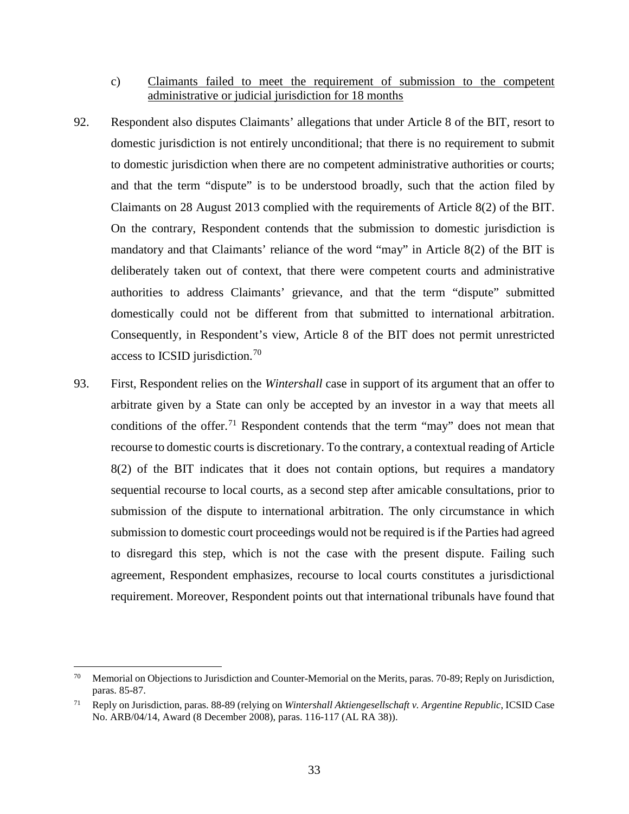- c) Claimants failed to meet the requirement of submission to the competent administrative or judicial jurisdiction for 18 months
- 92. Respondent also disputes Claimants' allegations that under Article 8 of the BIT, resort to domestic jurisdiction is not entirely unconditional; that there is no requirement to submit to domestic jurisdiction when there are no competent administrative authorities or courts; and that the term "dispute" is to be understood broadly, such that the action filed by Claimants on 28 August 2013 complied with the requirements of Article 8(2) of the BIT. On the contrary, Respondent contends that the submission to domestic jurisdiction is mandatory and that Claimants' reliance of the word "may" in Article 8(2) of the BIT is deliberately taken out of context, that there were competent courts and administrative authorities to address Claimants' grievance, and that the term "dispute" submitted domestically could not be different from that submitted to international arbitration. Consequently, in Respondent's view, Article 8 of the BIT does not permit unrestricted access to ICSID jurisdiction.[70](#page-34-0)
- 93. First, Respondent relies on the *Wintershall* case in support of its argument that an offer to arbitrate given by a State can only be accepted by an investor in a way that meets all conditions of the offer.<sup>[71](#page-34-1)</sup> Respondent contends that the term "may" does not mean that recourse to domestic courts is discretionary. To the contrary, a contextual reading of Article 8(2) of the BIT indicates that it does not contain options, but requires a mandatory sequential recourse to local courts, as a second step after amicable consultations, prior to submission of the dispute to international arbitration. The only circumstance in which submission to domestic court proceedings would not be required is if the Parties had agreed to disregard this step, which is not the case with the present dispute. Failing such agreement, Respondent emphasizes, recourse to local courts constitutes a jurisdictional requirement. Moreover, Respondent points out that international tribunals have found that

<span id="page-34-0"></span><sup>&</sup>lt;sup>70</sup> Memorial on Objections to Jurisdiction and Counter-Memorial on the Merits, paras. 70-89; Reply on Jurisdiction, paras. 85-87.

<span id="page-34-1"></span><sup>71</sup> Reply on Jurisdiction, paras. 88-89 (relying on *Wintershall Aktiengesellschaft v. Argentine Republic*, ICSID Case No. ARB/04/14, Award (8 December 2008), paras. 116-117 (AL RA 38)).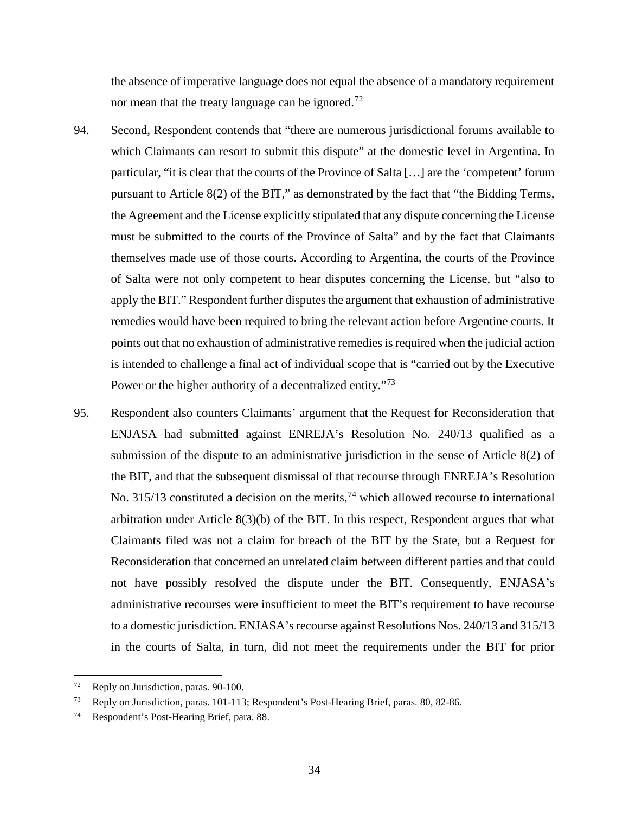the absence of imperative language does not equal the absence of a mandatory requirement nor mean that the treaty language can be ignored.<sup>[72](#page-35-0)</sup>

- 94. Second, Respondent contends that "there are numerous jurisdictional forums available to which Claimants can resort to submit this dispute" at the domestic level in Argentina. In particular, "it is clear that the courts of the Province of Salta […] are the 'competent' forum pursuant to Article 8(2) of the BIT," as demonstrated by the fact that "the Bidding Terms, the Agreement and the License explicitly stipulated that any dispute concerning the License must be submitted to the courts of the Province of Salta" and by the fact that Claimants themselves made use of those courts. According to Argentina, the courts of the Province of Salta were not only competent to hear disputes concerning the License, but "also to apply the BIT." Respondent further disputes the argument that exhaustion of administrative remedies would have been required to bring the relevant action before Argentine courts. It points out that no exhaustion of administrative remedies is required when the judicial action is intended to challenge a final act of individual scope that is "carried out by the Executive Power or the higher authority of a decentralized entity."<sup>[73](#page-35-1)</sup>
- 95. Respondent also counters Claimants' argument that the Request for Reconsideration that ENJASA had submitted against ENREJA's Resolution No. 240/13 qualified as a submission of the dispute to an administrative jurisdiction in the sense of Article 8(2) of the BIT, and that the subsequent dismissal of that recourse through ENREJA's Resolution No. 315/13 constituted a decision on the merits,<sup>[74](#page-35-2)</sup> which allowed recourse to international arbitration under Article 8(3)(b) of the BIT. In this respect, Respondent argues that what Claimants filed was not a claim for breach of the BIT by the State, but a Request for Reconsideration that concerned an unrelated claim between different parties and that could not have possibly resolved the dispute under the BIT. Consequently, ENJASA's administrative recourses were insufficient to meet the BIT's requirement to have recourse to a domestic jurisdiction. ENJASA's recourse against Resolutions Nos. 240/13 and 315/13 in the courts of Salta, in turn, did not meet the requirements under the BIT for prior

<span id="page-35-0"></span> <sup>72</sup> Reply on Jurisdiction, paras. 90-100.

<span id="page-35-1"></span><sup>73</sup> Reply on Jurisdiction, paras. 101-113; Respondent's Post-Hearing Brief, paras. 80, 82-86.

<span id="page-35-2"></span><sup>74</sup> Respondent's Post-Hearing Brief, para. 88.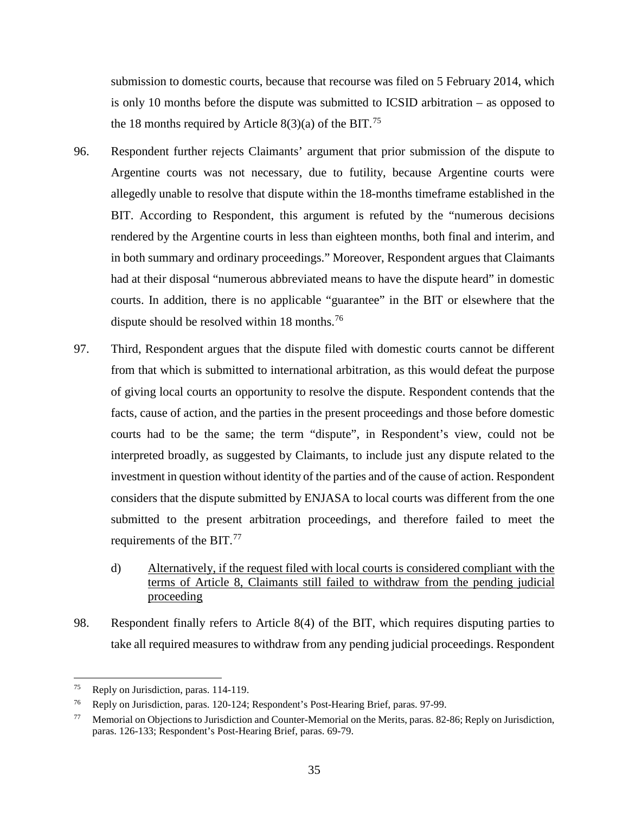submission to domestic courts, because that recourse was filed on 5 February 2014, which is only 10 months before the dispute was submitted to ICSID arbitration – as opposed to the 18 months required by Article 8(3)(a) of the BIT.<sup>[75](#page-36-0)</sup>

- 96. Respondent further rejects Claimants' argument that prior submission of the dispute to Argentine courts was not necessary, due to futility, because Argentine courts were allegedly unable to resolve that dispute within the 18-months timeframe established in the BIT. According to Respondent, this argument is refuted by the "numerous decisions rendered by the Argentine courts in less than eighteen months, both final and interim, and in both summary and ordinary proceedings." Moreover, Respondent argues that Claimants had at their disposal "numerous abbreviated means to have the dispute heard" in domestic courts. In addition, there is no applicable "guarantee" in the BIT or elsewhere that the dispute should be resolved within 18 months.<sup>[76](#page-36-1)</sup>
- 97. Third, Respondent argues that the dispute filed with domestic courts cannot be different from that which is submitted to international arbitration, as this would defeat the purpose of giving local courts an opportunity to resolve the dispute. Respondent contends that the facts, cause of action, and the parties in the present proceedings and those before domestic courts had to be the same; the term "dispute", in Respondent's view, could not be interpreted broadly, as suggested by Claimants, to include just any dispute related to the investment in question without identity of the parties and of the cause of action. Respondent considers that the dispute submitted by ENJASA to local courts was different from the one submitted to the present arbitration proceedings, and therefore failed to meet the requirements of the BIT.<sup>[77](#page-36-2)</sup>
	- d) Alternatively, if the request filed with local courts is considered compliant with the terms of Article 8, Claimants still failed to withdraw from the pending judicial proceeding
- 98. Respondent finally refers to Article 8(4) of the BIT, which requires disputing parties to take all required measures to withdraw from any pending judicial proceedings. Respondent

<span id="page-36-0"></span> <sup>75</sup> Reply on Jurisdiction, paras. 114-119.

<span id="page-36-1"></span><sup>76</sup> Reply on Jurisdiction, paras. 120-124; Respondent's Post-Hearing Brief, paras. 97-99.

<span id="page-36-2"></span><sup>&</sup>lt;sup>77</sup> Memorial on Objections to Jurisdiction and Counter-Memorial on the Merits, paras. 82-86; Reply on Jurisdiction, paras. 126-133; Respondent's Post-Hearing Brief, paras. 69-79.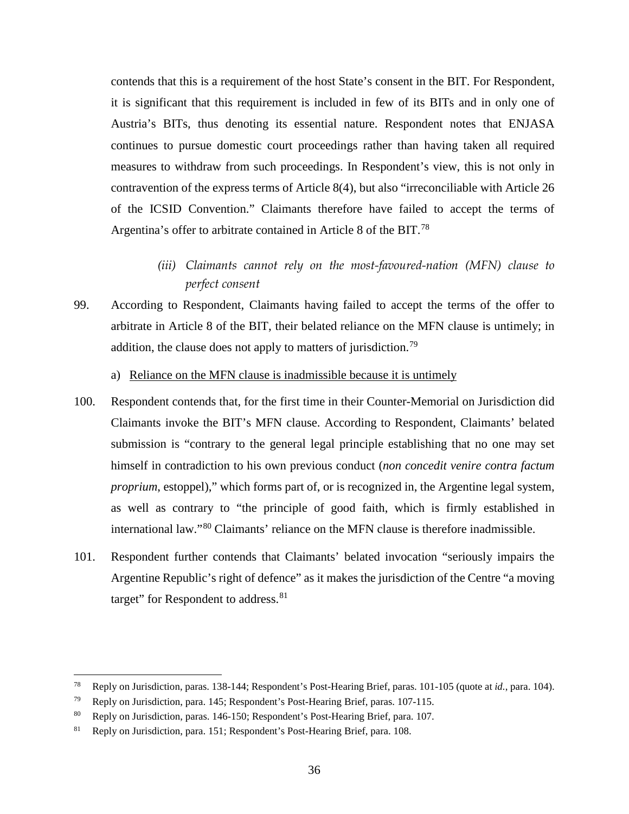contends that this is a requirement of the host State's consent in the BIT. For Respondent, it is significant that this requirement is included in few of its BITs and in only one of Austria's BITs, thus denoting its essential nature. Respondent notes that ENJASA continues to pursue domestic court proceedings rather than having taken all required measures to withdraw from such proceedings. In Respondent's view, this is not only in contravention of the express terms of Article 8(4), but also "irreconciliable with Article 26 of the ICSID Convention." Claimants therefore have failed to accept the terms of Argentina's offer to arbitrate contained in Article 8 of the BIT.<sup>[78](#page-37-0)</sup>

- *(iii) Claimants cannot rely on the most-favoured-nation (MFN) clause to perfect consent*
- 99. According to Respondent, Claimants having failed to accept the terms of the offer to arbitrate in Article 8 of the BIT, their belated reliance on the MFN clause is untimely; in addition, the clause does not apply to matters of jurisdiction.<sup>[79](#page-37-1)</sup>
	- a) Reliance on the MFN clause is inadmissible because it is untimely
- 100. Respondent contends that, for the first time in their Counter-Memorial on Jurisdiction did Claimants invoke the BIT's MFN clause. According to Respondent, Claimants' belated submission is "contrary to the general legal principle establishing that no one may set himself in contradiction to his own previous conduct (*non concedit venire contra factum proprium*, estoppel)," which forms part of, or is recognized in, the Argentine legal system, as well as contrary to "the principle of good faith, which is firmly established in international law."[80](#page-37-2) Claimants' reliance on the MFN clause is therefore inadmissible.
- 101. Respondent further contends that Claimants' belated invocation "seriously impairs the Argentine Republic's right of defence" as it makes the jurisdiction of the Centre "a moving target" for Respondent to address.<sup>[81](#page-37-3)</sup>

<span id="page-37-0"></span> <sup>78</sup> Reply on Jurisdiction, paras. 138-144; Respondent's Post-Hearing Brief, paras. 101-105 (quote at *id.*, para. 104).

<span id="page-37-1"></span><sup>79</sup> Reply on Jurisdiction, para. 145; Respondent's Post-Hearing Brief, paras. 107-115.

<span id="page-37-2"></span><sup>80</sup> Reply on Jurisdiction, paras. 146-150; Respondent's Post-Hearing Brief, para. 107.

<span id="page-37-3"></span><sup>81</sup> Reply on Jurisdiction, para. 151; Respondent's Post-Hearing Brief, para. 108.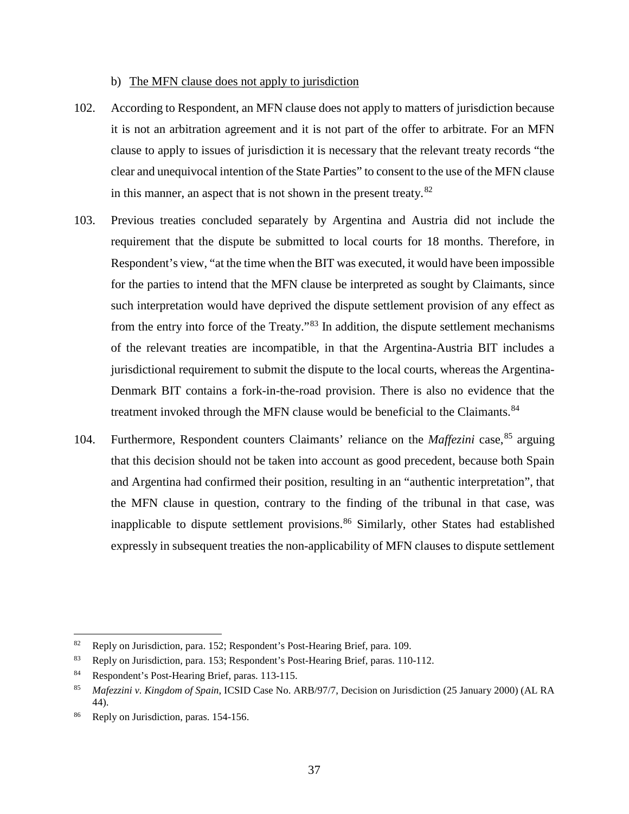#### b) The MFN clause does not apply to jurisdiction

- 102. According to Respondent, an MFN clause does not apply to matters of jurisdiction because it is not an arbitration agreement and it is not part of the offer to arbitrate. For an MFN clause to apply to issues of jurisdiction it is necessary that the relevant treaty records "the clear and unequivocal intention of the State Parties" to consent to the use of the MFN clause in this manner, an aspect that is not shown in the present treaty. $82$
- 103. Previous treaties concluded separately by Argentina and Austria did not include the requirement that the dispute be submitted to local courts for 18 months. Therefore, in Respondent's view, "at the time when the BIT was executed, it would have been impossible for the parties to intend that the MFN clause be interpreted as sought by Claimants, since such interpretation would have deprived the dispute settlement provision of any effect as from the entry into force of the Treaty."[83](#page-38-1) In addition, the dispute settlement mechanisms of the relevant treaties are incompatible, in that the Argentina-Austria BIT includes a jurisdictional requirement to submit the dispute to the local courts, whereas the Argentina-Denmark BIT contains a fork-in-the-road provision. There is also no evidence that the treatment invoked through the MFN clause would be beneficial to the Claimants.<sup>[84](#page-38-2)</sup>
- 104. Furthermore, Respondent counters Claimants' reliance on the *Maffezini* case, [85](#page-38-3) arguing that this decision should not be taken into account as good precedent, because both Spain and Argentina had confirmed their position, resulting in an "authentic interpretation", that the MFN clause in question, contrary to the finding of the tribunal in that case, was inapplicable to dispute settlement provisions.<sup>[86](#page-38-4)</sup> Similarly, other States had established expressly in subsequent treaties the non-applicability of MFN clauses to dispute settlement

<span id="page-38-0"></span> <sup>82</sup> Reply on Jurisdiction, para. 152; Respondent's Post-Hearing Brief, para. 109.

<span id="page-38-1"></span><sup>83</sup> Reply on Jurisdiction, para. 153; Respondent's Post-Hearing Brief, paras. 110-112.

<span id="page-38-2"></span><sup>84</sup> Respondent's Post-Hearing Brief, paras. 113-115.

<span id="page-38-3"></span><sup>85</sup> *Mafezzini v. Kingdom of Spain*, ICSID Case No. ARB/97/7, Decision on Jurisdiction (25 January 2000) (AL RA 44).

<span id="page-38-4"></span><sup>&</sup>lt;sup>86</sup> Reply on Jurisdiction, paras. 154-156.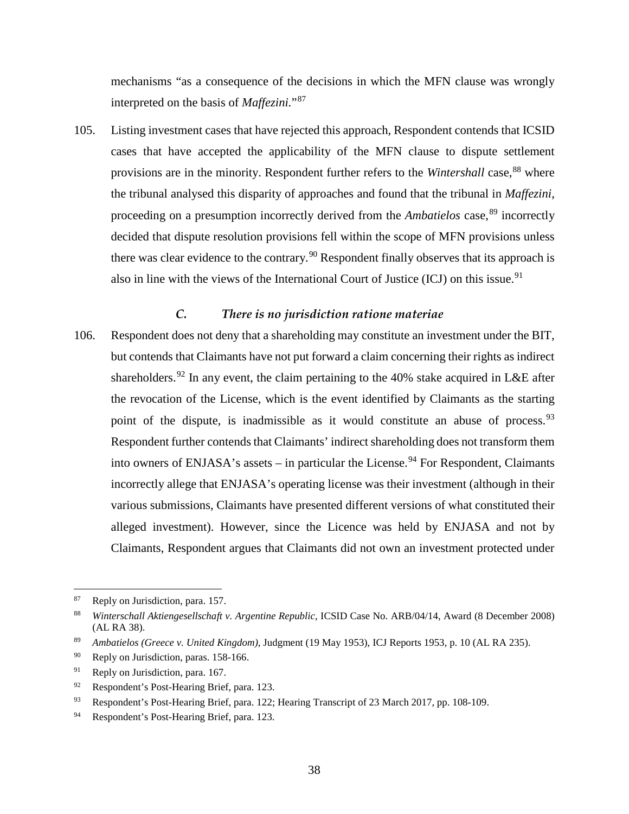mechanisms "as a consequence of the decisions in which the MFN clause was wrongly interpreted on the basis of *Maffezini.*"[87](#page-39-0)

105. Listing investment cases that have rejected this approach, Respondent contends that ICSID cases that have accepted the applicability of the MFN clause to dispute settlement provisions are in the minority. Respondent further refers to the *Wintershall* case, [88](#page-39-1) where the tribunal analysed this disparity of approaches and found that the tribunal in *Maffezini*, proceeding on a presumption incorrectly derived from the *Ambatielos* case, [89](#page-39-2) incorrectly decided that dispute resolution provisions fell within the scope of MFN provisions unless there was clear evidence to the contrary.<sup>[90](#page-39-3)</sup> Respondent finally observes that its approach is also in line with the views of the International Court of Justice (ICJ) on this issue.<sup>[91](#page-39-4)</sup>

### *C. There is no jurisdiction ratione materiae*

<span id="page-39-8"></span>106. Respondent does not deny that a shareholding may constitute an investment under the BIT, but contends that Claimants have not put forward a claim concerning their rights as indirect shareholders.<sup>[92](#page-39-5)</sup> In any event, the claim pertaining to the 40% stake acquired in L&E after the revocation of the License, which is the event identified by Claimants as the starting point of the dispute, is inadmissible as it would constitute an abuse of process.  $93$ Respondent further contends that Claimants' indirect shareholding does not transform them into owners of ENJASA's assets – in particular the License.<sup>[94](#page-39-7)</sup> For Respondent, Claimants incorrectly allege that ENJASA's operating license was their investment (although in their various submissions, Claimants have presented different versions of what constituted their alleged investment). However, since the Licence was held by ENJASA and not by Claimants, Respondent argues that Claimants did not own an investment protected under

<span id="page-39-3"></span><sup>90</sup> Reply on Jurisdiction, paras. 158-166.

<span id="page-39-0"></span> <sup>87</sup> Reply on Jurisdiction, para. 157.

<span id="page-39-1"></span><sup>88</sup> *Winterschall Aktiengesellschaft v. Argentine Republic*, ICSID Case No. ARB/04/14, Award (8 December 2008) (AL RA 38).

<span id="page-39-2"></span><sup>89</sup> *Ambatielos (Greece v. United Kingdom)*, Judgment (19 May 1953), ICJ Reports 1953, p. 10 (AL RA 235).

<span id="page-39-4"></span><sup>&</sup>lt;sup>91</sup> Reply on Jurisdiction, para. 167.

<span id="page-39-5"></span><sup>92</sup> Respondent's Post-Hearing Brief, para. 123.

<span id="page-39-6"></span><sup>93</sup> Respondent's Post-Hearing Brief, para. 122; Hearing Transcript of 23 March 2017, pp. 108-109.

<span id="page-39-7"></span><sup>94</sup> Respondent's Post-Hearing Brief, para. 123.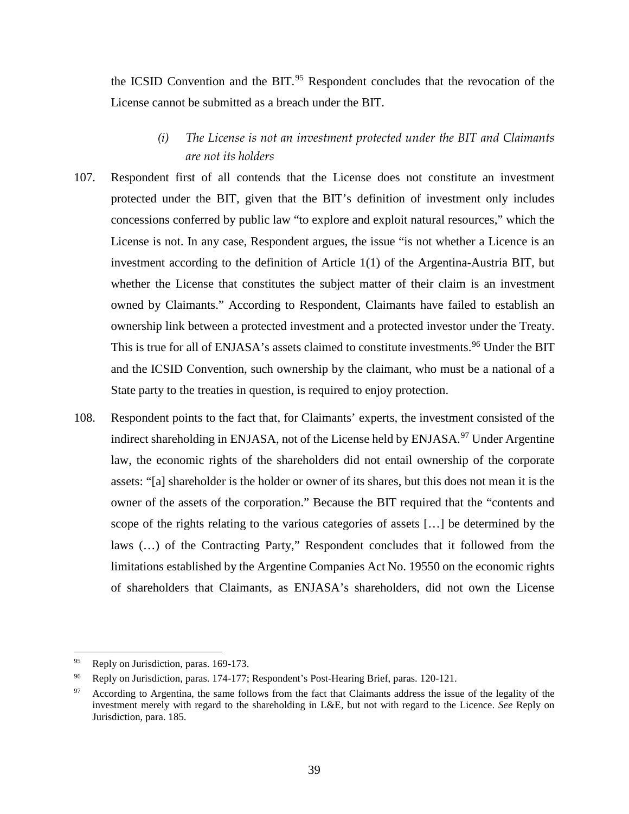the ICSID Convention and the BIT.<sup>[95](#page-40-0)</sup> Respondent concludes that the revocation of the License cannot be submitted as a breach under the BIT.

- *(i) The License is not an investment protected under the BIT and Claimants are not its holders*
- 107. Respondent first of all contends that the License does not constitute an investment protected under the BIT, given that the BIT's definition of investment only includes concessions conferred by public law "to explore and exploit natural resources," which the License is not. In any case, Respondent argues, the issue "is not whether a Licence is an investment according to the definition of Article 1(1) of the Argentina-Austria BIT, but whether the License that constitutes the subject matter of their claim is an investment owned by Claimants." According to Respondent, Claimants have failed to establish an ownership link between a protected investment and a protected investor under the Treaty. This is true for all of ENJASA's assets claimed to constitute investments.<sup>[96](#page-40-1)</sup> Under the BIT and the ICSID Convention, such ownership by the claimant, who must be a national of a State party to the treaties in question, is required to enjoy protection.
- 108. Respondent points to the fact that, for Claimants' experts, the investment consisted of the indirect shareholding in ENJASA, not of the License held by ENJASA.<sup>[97](#page-40-2)</sup> Under Argentine law, the economic rights of the shareholders did not entail ownership of the corporate assets: "[a] shareholder is the holder or owner of its shares, but this does not mean it is the owner of the assets of the corporation." Because the BIT required that the "contents and scope of the rights relating to the various categories of assets […] be determined by the laws (…) of the Contracting Party," Respondent concludes that it followed from the limitations established by the Argentine Companies Act No. 19550 on the economic rights of shareholders that Claimants, as ENJASA's shareholders, did not own the License

<span id="page-40-0"></span><sup>&</sup>lt;sup>95</sup> Reply on Jurisdiction, paras. 169-173.

<span id="page-40-1"></span><sup>96</sup> Reply on Jurisdiction, paras. 174-177; Respondent's Post-Hearing Brief, paras. 120-121.

<span id="page-40-2"></span><sup>&</sup>lt;sup>97</sup> According to Argentina, the same follows from the fact that Claimants address the issue of the legality of the investment merely with regard to the shareholding in L&E, but not with regard to the Licence. *See* Reply on Jurisdiction, para. 185.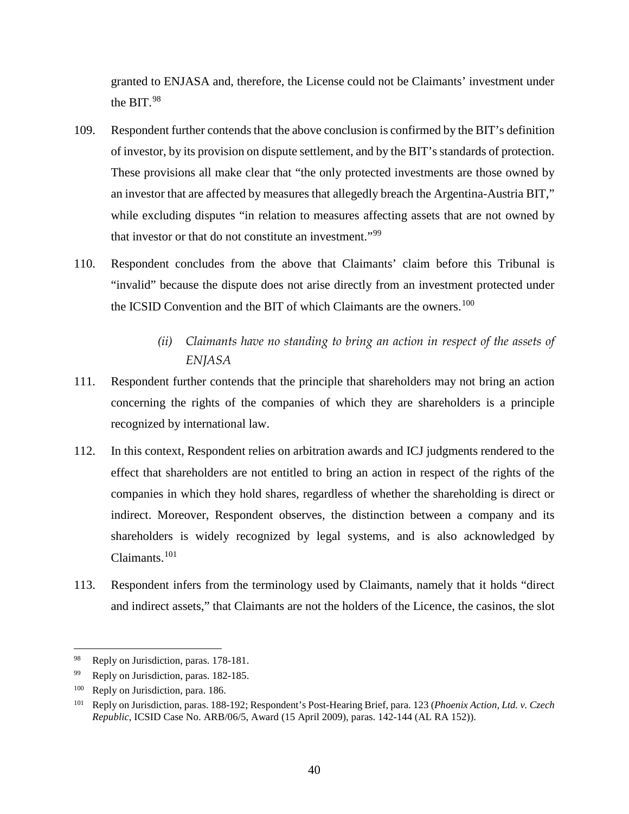granted to ENJASA and, therefore, the License could not be Claimants' investment under the BIT. $98$ 

- 109. Respondent further contends that the above conclusion is confirmed by the BIT's definition of investor, by its provision on dispute settlement, and by the BIT's standards of protection. These provisions all make clear that "the only protected investments are those owned by an investor that are affected by measures that allegedly breach the Argentina-Austria BIT," while excluding disputes "in relation to measures affecting assets that are not owned by that investor or that do not constitute an investment."<sup>[99](#page-41-1)</sup>
- 110. Respondent concludes from the above that Claimants' claim before this Tribunal is "invalid" because the dispute does not arise directly from an investment protected under the ICSID Convention and the BIT of which Claimants are the owners.<sup>[100](#page-41-2)</sup>
	- *(ii) Claimants have no standing to bring an action in respect of the assets of ENJASA*
- 111. Respondent further contends that the principle that shareholders may not bring an action concerning the rights of the companies of which they are shareholders is a principle recognized by international law.
- 112. In this context, Respondent relies on arbitration awards and ICJ judgments rendered to the effect that shareholders are not entitled to bring an action in respect of the rights of the companies in which they hold shares, regardless of whether the shareholding is direct or indirect. Moreover, Respondent observes, the distinction between a company and its shareholders is widely recognized by legal systems, and is also acknowledged by Claimants. [101](#page-41-3)
- 113. Respondent infers from the terminology used by Claimants, namely that it holds "direct and indirect assets," that Claimants are not the holders of the Licence, the casinos, the slot

<span id="page-41-0"></span> <sup>98</sup> Reply on Jurisdiction, paras. 178-181.

<span id="page-41-1"></span><sup>99</sup> Reply on Jurisdiction, paras. 182-185.

<span id="page-41-2"></span><sup>&</sup>lt;sup>100</sup> Reply on Jurisdiction, para. 186.

<span id="page-41-3"></span><sup>101</sup> Reply on Jurisdiction, paras. 188-192; Respondent's Post-Hearing Brief, para. 123 (*Phoenix Action, Ltd. v. Czech Republic*, ICSID Case No. ARB/06/5, Award (15 April 2009), paras. 142-144 (AL RA 152)).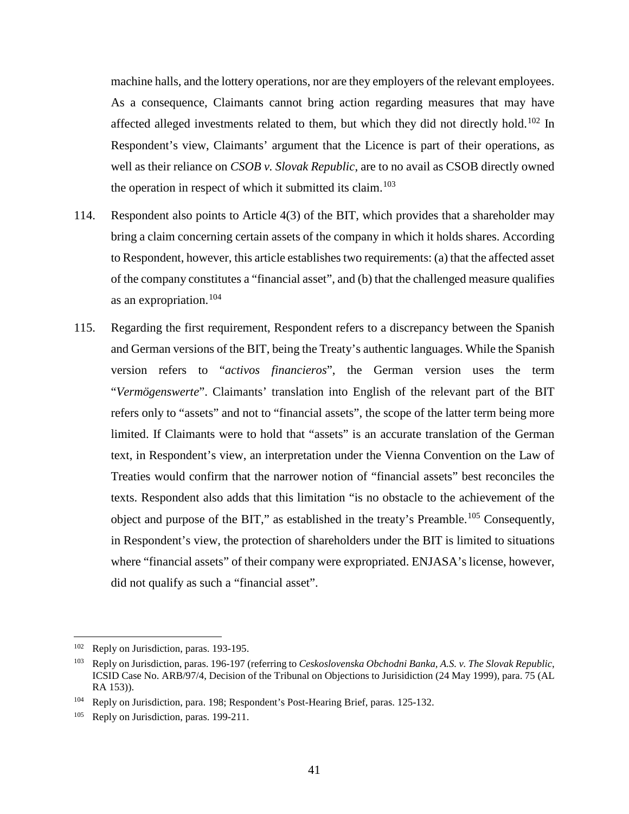machine halls, and the lottery operations, nor are they employers of the relevant employees. As a consequence, Claimants cannot bring action regarding measures that may have affected alleged investments related to them, but which they did not directly hold.<sup>[102](#page-42-0)</sup> In Respondent's view, Claimants' argument that the Licence is part of their operations, as well as their reliance on *CSOB v. Slovak Republic*, are to no avail as CSOB directly owned the operation in respect of which it submitted its claim.<sup>[103](#page-42-1)</sup>

- 114. Respondent also points to Article 4(3) of the BIT, which provides that a shareholder may bring a claim concerning certain assets of the company in which it holds shares. According to Respondent, however, this article establishes two requirements: (a) that the affected asset of the company constitutes a "financial asset", and (b) that the challenged measure qualifies as an expropriation. [104](#page-42-2)
- 115. Regarding the first requirement, Respondent refers to a discrepancy between the Spanish and German versions of the BIT, being the Treaty's authentic languages. While the Spanish version refers to "*activos financieros*", the German version uses the term "*Vermögenswerte*". Claimants' translation into English of the relevant part of the BIT refers only to "assets" and not to "financial assets", the scope of the latter term being more limited. If Claimants were to hold that "assets" is an accurate translation of the German text, in Respondent's view, an interpretation under the Vienna Convention on the Law of Treaties would confirm that the narrower notion of "financial assets" best reconciles the texts. Respondent also adds that this limitation "is no obstacle to the achievement of the object and purpose of the BIT," as established in the treaty's Preamble.<sup>[105](#page-42-3)</sup> Consequently, in Respondent's view, the protection of shareholders under the BIT is limited to situations where "financial assets" of their company were expropriated. ENJASA's license, however, did not qualify as such a "financial asset".

<span id="page-42-0"></span> <sup>102</sup> Reply on Jurisdiction, paras. 193-195.

<span id="page-42-1"></span><sup>103</sup> Reply on Jurisdiction, paras. 196-197 (referring to *Ceskoslovenska Obchodni Banka, A.S. v. The Slovak Republic*, ICSID Case No. ARB/97/4, Decision of the Tribunal on Objections to Jurisidiction (24 May 1999), para. 75 (AL RA 153)).

<span id="page-42-2"></span><sup>104</sup> Reply on Jurisdiction, para. 198; Respondent's Post-Hearing Brief, paras. 125-132.

<span id="page-42-3"></span><sup>&</sup>lt;sup>105</sup> Reply on Jurisdiction, paras. 199-211.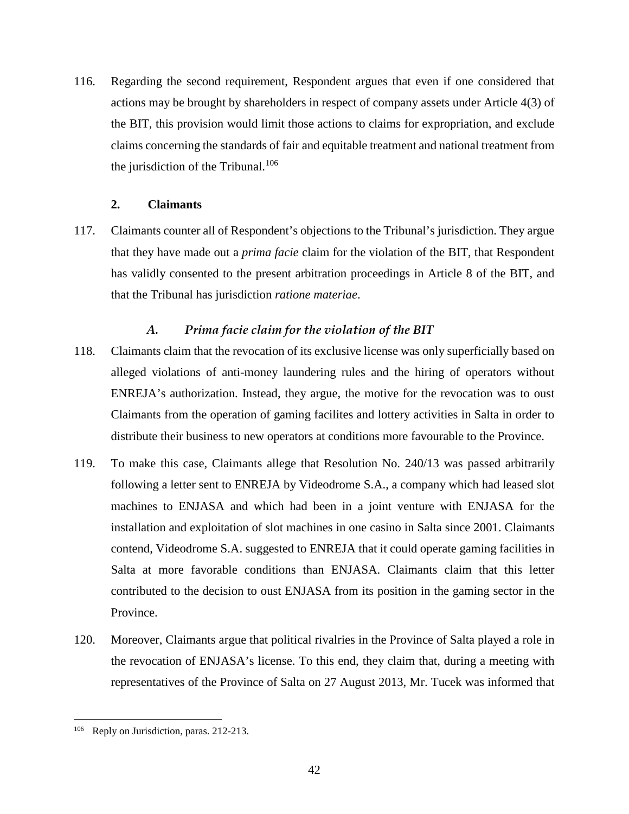116. Regarding the second requirement, Respondent argues that even if one considered that actions may be brought by shareholders in respect of company assets under Article 4(3) of the BIT, this provision would limit those actions to claims for expropriation, and exclude claims concerning the standards of fair and equitable treatment and national treatment from the jurisdiction of the Tribunal. $106$ 

### **2. Claimants**

117. Claimants counter all of Respondent's objections to the Tribunal's jurisdiction. They argue that they have made out a *prima facie* claim for the violation of the BIT, that Respondent has validly consented to the present arbitration proceedings in Article 8 of the BIT, and that the Tribunal has jurisdiction *ratione materiae*.

### *A. Prima facie claim for the violation of the BIT*

- 118. Claimants claim that the revocation of its exclusive license was only superficially based on alleged violations of anti-money laundering rules and the hiring of operators without ENREJA's authorization. Instead, they argue, the motive for the revocation was to oust Claimants from the operation of gaming facilites and lottery activities in Salta in order to distribute their business to new operators at conditions more favourable to the Province.
- 119. To make this case, Claimants allege that Resolution No. 240/13 was passed arbitrarily following a letter sent to ENREJA by Videodrome S.A., a company which had leased slot machines to ENJASA and which had been in a joint venture with ENJASA for the installation and exploitation of slot machines in one casino in Salta since 2001. Claimants contend, Videodrome S.A. suggested to ENREJA that it could operate gaming facilities in Salta at more favorable conditions than ENJASA. Claimants claim that this letter contributed to the decision to oust ENJASA from its position in the gaming sector in the Province.
- 120. Moreover, Claimants argue that political rivalries in the Province of Salta played a role in the revocation of ENJASA's license. To this end, they claim that, during a meeting with representatives of the Province of Salta on 27 August 2013, Mr. Tucek was informed that

<span id="page-43-0"></span><sup>&</sup>lt;sup>106</sup> Reply on Jurisdiction, paras. 212-213.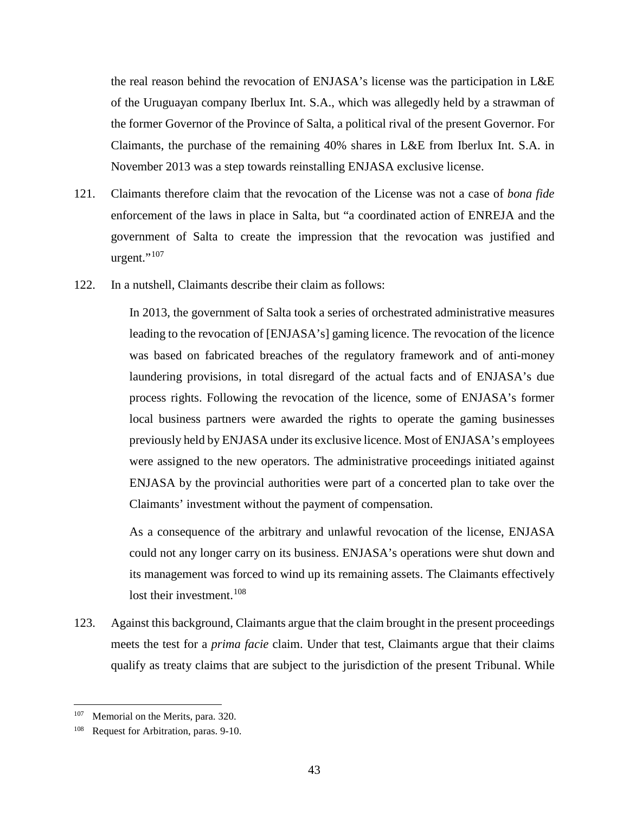the real reason behind the revocation of ENJASA's license was the participation in L&E of the Uruguayan company Iberlux Int. S.A., which was allegedly held by a strawman of the former Governor of the Province of Salta, a political rival of the present Governor. For Claimants, the purchase of the remaining 40% shares in L&E from Iberlux Int. S.A. in November 2013 was a step towards reinstalling ENJASA exclusive license.

- 121. Claimants therefore claim that the revocation of the License was not a case of *bona fide* enforcement of the laws in place in Salta, but "a coordinated action of ENREJA and the government of Salta to create the impression that the revocation was justified and urgent." $107$
- 122. In a nutshell, Claimants describe their claim as follows:

In 2013, the government of Salta took a series of orchestrated administrative measures leading to the revocation of [ENJASA's] gaming licence. The revocation of the licence was based on fabricated breaches of the regulatory framework and of anti-money laundering provisions, in total disregard of the actual facts and of ENJASA's due process rights. Following the revocation of the licence, some of ENJASA's former local business partners were awarded the rights to operate the gaming businesses previously held by ENJASA under its exclusive licence. Most of ENJASA's employees were assigned to the new operators. The administrative proceedings initiated against ENJASA by the provincial authorities were part of a concerted plan to take over the Claimants' investment without the payment of compensation.

As a consequence of the arbitrary and unlawful revocation of the license, ENJASA could not any longer carry on its business. ENJASA's operations were shut down and its management was forced to wind up its remaining assets. The Claimants effectively lost their investment.<sup>[108](#page-44-1)</sup>

123. Against this background, Claimants argue that the claim brought in the present proceedings meets the test for a *prima facie* claim. Under that test, Claimants argue that their claims qualify as treaty claims that are subject to the jurisdiction of the present Tribunal. While

<span id="page-44-0"></span><sup>&</sup>lt;sup>107</sup> Memorial on the Merits, para. 320.

<span id="page-44-1"></span><sup>108</sup> Request for Arbitration, paras. 9-10.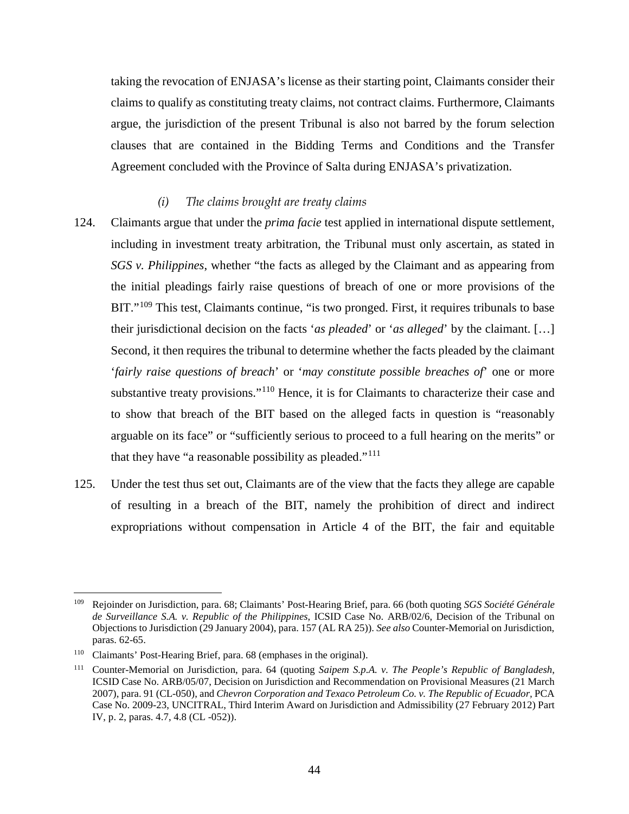taking the revocation of ENJASA's license as their starting point, Claimants consider their claims to qualify as constituting treaty claims, not contract claims. Furthermore, Claimants argue, the jurisdiction of the present Tribunal is also not barred by the forum selection clauses that are contained in the Bidding Terms and Conditions and the Transfer Agreement concluded with the Province of Salta during ENJASA's privatization.

#### *(i) The claims brought are treaty claims*

- 124. Claimants argue that under the *prima facie* test applied in international dispute settlement, including in investment treaty arbitration, the Tribunal must only ascertain, as stated in *SGS v. Philippines*, whether "the facts as alleged by the Claimant and as appearing from the initial pleadings fairly raise questions of breach of one or more provisions of the BIT."<sup>[109](#page-45-0)</sup> This test, Claimants continue, "is two pronged. First, it requires tribunals to base their jurisdictional decision on the facts '*as pleaded*' or '*as alleged*' by the claimant. […] Second, it then requires the tribunal to determine whether the facts pleaded by the claimant '*fairly raise questions of breach*' or '*may constitute possible breaches of*' one or more substantive treaty provisions."<sup>[110](#page-45-1)</sup> Hence, it is for Claimants to characterize their case and to show that breach of the BIT based on the alleged facts in question is "reasonably arguable on its face" or "sufficiently serious to proceed to a full hearing on the merits" or that they have "a reasonable possibility as pleaded."<sup>[111](#page-45-2)</sup>
- 125. Under the test thus set out, Claimants are of the view that the facts they allege are capable of resulting in a breach of the BIT, namely the prohibition of direct and indirect expropriations without compensation in Article 4 of the BIT, the fair and equitable

<span id="page-45-0"></span> <sup>109</sup> Rejoinder on Jurisdiction, para. 68; Claimants' Post-Hearing Brief, para. 66 (both quoting *SGS Société Générale de Surveillance S.A. v. Republic of the Philippines*, ICSID Case No. ARB/02/6, Decision of the Tribunal on Objections to Jurisdiction (29 January 2004), para. 157 (AL RA 25)). *See also* Counter-Memorial on Jurisdiction, paras. 62-65.

<span id="page-45-1"></span><sup>110</sup> Claimants' Post-Hearing Brief, para. 68 (emphases in the original).

<span id="page-45-2"></span><sup>111</sup> Counter-Memorial on Jurisdiction, para. 64 (quoting *Saipem S.p.A. v. The People's Republic of Bangladesh*, ICSID Case No. ARB/05/07, Decision on Jurisdiction and Recommendation on Provisional Measures (21 March 2007), para. 91 (CL-050), and *Chevron Corporation and Texaco Petroleum Co. v. The Republic of Ecuador,* PCA Case No. 2009-23, UNCITRAL, Third Interim Award on Jurisdiction and Admissibility (27 February 2012) Part IV, p. 2, paras. 4.7, 4.8 (CL -052)).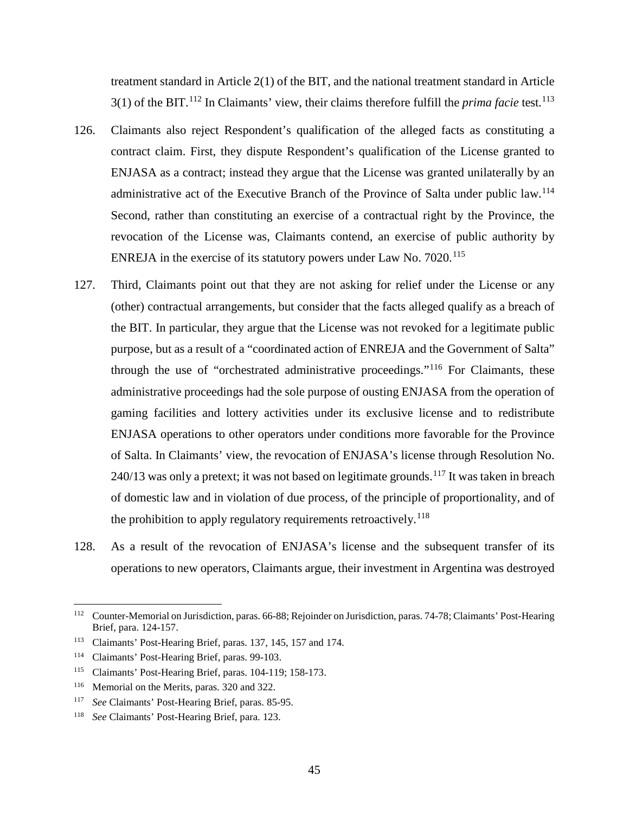treatment standard in Article 2(1) of the BIT, and the national treatment standard in Article 3(1) of the BIT.[112](#page-46-0) In Claimants' view, their claims therefore fulfill the *prima facie* test. [113](#page-46-1)

- 126. Claimants also reject Respondent's qualification of the alleged facts as constituting a contract claim. First, they dispute Respondent's qualification of the License granted to ENJASA as a contract; instead they argue that the License was granted unilaterally by an administrative act of the Executive Branch of the Province of Salta under public law.<sup>[114](#page-46-2)</sup> Second, rather than constituting an exercise of a contractual right by the Province, the revocation of the License was, Claimants contend, an exercise of public authority by ENREJA in the exercise of its statutory powers under Law No. 7020.<sup>[115](#page-46-3)</sup>
- 127. Third, Claimants point out that they are not asking for relief under the License or any (other) contractual arrangements, but consider that the facts alleged qualify as a breach of the BIT. In particular, they argue that the License was not revoked for a legitimate public purpose, but as a result of a "coordinated action of ENREJA and the Government of Salta" through the use of "orchestrated administrative proceedings."<sup>[116](#page-46-4)</sup> For Claimants, these administrative proceedings had the sole purpose of ousting ENJASA from the operation of gaming facilities and lottery activities under its exclusive license and to redistribute ENJASA operations to other operators under conditions more favorable for the Province of Salta. In Claimants' view, the revocation of ENJASA's license through Resolution No. 240/13 was only a pretext; it was not based on legitimate grounds.<sup>[117](#page-46-5)</sup> It was taken in breach of domestic law and in violation of due process, of the principle of proportionality, and of the prohibition to apply regulatory requirements retroactively.<sup>[118](#page-46-6)</sup>
- 128. As a result of the revocation of ENJASA's license and the subsequent transfer of its operations to new operators, Claimants argue, their investment in Argentina was destroyed

<span id="page-46-0"></span><sup>&</sup>lt;sup>112</sup> Counter-Memorial on Jurisdiction, paras. 66-88; Rejoinder on Jurisdiction, paras. 74-78; Claimants' Post-Hearing Brief, para. 124-157.

<span id="page-46-1"></span><sup>113</sup> Claimants' Post-Hearing Brief, paras. 137, 145, 157 and 174.

<span id="page-46-2"></span><sup>114</sup> Claimants' Post-Hearing Brief, paras. 99-103.

<span id="page-46-3"></span><sup>115</sup> Claimants' Post-Hearing Brief, paras. 104-119; 158-173.

<span id="page-46-4"></span><sup>116</sup> Memorial on the Merits, paras. 320 and 322.

<span id="page-46-5"></span><sup>117</sup> *See* Claimants' Post-Hearing Brief, paras. 85-95.

<span id="page-46-6"></span><sup>118</sup> *See* Claimants' Post-Hearing Brief, para. 123.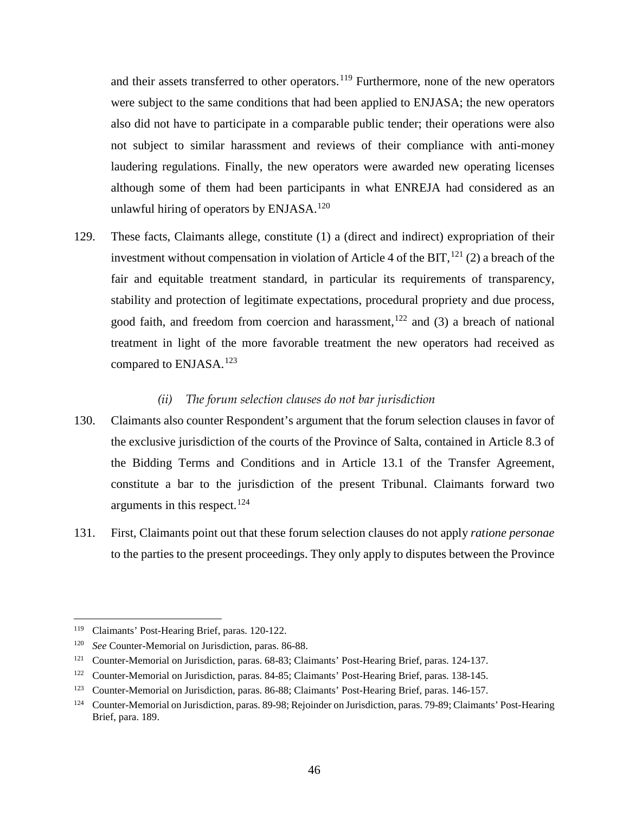and their assets transferred to other operators.<sup>[119](#page-47-0)</sup> Furthermore, none of the new operators were subject to the same conditions that had been applied to ENJASA; the new operators also did not have to participate in a comparable public tender; their operations were also not subject to similar harassment and reviews of their compliance with anti-money laudering regulations. Finally, the new operators were awarded new operating licenses although some of them had been participants in what ENREJA had considered as an unlawful hiring of operators by ENJASA.<sup>[120](#page-47-1)</sup>

129. These facts, Claimants allege, constitute (1) a (direct and indirect) expropriation of their investment without compensation in violation of Article 4 of the BIT,  $^{121}$  $^{121}$  $^{121}$  (2) a breach of the fair and equitable treatment standard, in particular its requirements of transparency, stability and protection of legitimate expectations, procedural propriety and due process, good faith, and freedom from coercion and harassment,  $122$  and (3) a breach of national treatment in light of the more favorable treatment the new operators had received as compared to ENJASA. [123](#page-47-4)

#### *(ii) The forum selection clauses do not bar jurisdiction*

- 130. Claimants also counter Respondent's argument that the forum selection clauses in favor of the exclusive jurisdiction of the courts of the Province of Salta, contained in Article 8.3 of the Bidding Terms and Conditions and in Article 13.1 of the Transfer Agreement, constitute a bar to the jurisdiction of the present Tribunal. Claimants forward two arguments in this respect.<sup>[124](#page-47-5)</sup>
- 131. First, Claimants point out that these forum selection clauses do not apply *ratione personae* to the parties to the present proceedings. They only apply to disputes between the Province

<span id="page-47-0"></span> <sup>119</sup> Claimants' Post-Hearing Brief, paras. 120-122.

<span id="page-47-1"></span><sup>120</sup> *See* Counter-Memorial on Jurisdiction, paras. 86-88.

<span id="page-47-2"></span><sup>121</sup> Counter-Memorial on Jurisdiction, paras. 68-83; Claimants' Post-Hearing Brief, paras. 124-137.

<span id="page-47-3"></span><sup>122</sup> Counter-Memorial on Jurisdiction, paras. 84-85; Claimants' Post-Hearing Brief, paras. 138-145.

<span id="page-47-4"></span><sup>123</sup> Counter-Memorial on Jurisdiction, paras. 86-88; Claimants' Post-Hearing Brief, paras. 146-157.

<span id="page-47-5"></span><sup>124</sup> Counter-Memorial on Jurisdiction, paras. 89-98; Rejoinder on Jurisdiction, paras. 79-89; Claimants' Post-Hearing Brief, para. 189.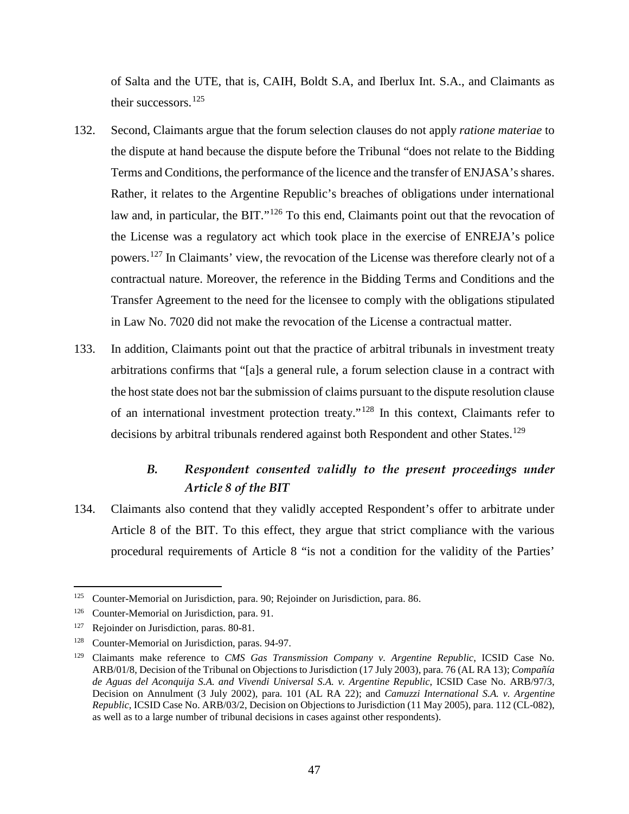of Salta and the UTE, that is, CAIH, Boldt S.A, and Iberlux Int. S.A., and Claimants as their successors. [125](#page-48-0)

- 132. Second, Claimants argue that the forum selection clauses do not apply *ratione materiae* to the dispute at hand because the dispute before the Tribunal "does not relate to the Bidding Terms and Conditions, the performance of the licence and the transfer of ENJASA's shares. Rather, it relates to the Argentine Republic's breaches of obligations under international law and, in particular, the BIT."<sup>[126](#page-48-1)</sup> To this end, Claimants point out that the revocation of the License was a regulatory act which took place in the exercise of ENREJA's police powers.[127](#page-48-2) In Claimants' view, the revocation of the License was therefore clearly not of a contractual nature. Moreover, the reference in the Bidding Terms and Conditions and the Transfer Agreement to the need for the licensee to comply with the obligations stipulated in Law No. 7020 did not make the revocation of the License a contractual matter.
- 133. In addition, Claimants point out that the practice of arbitral tribunals in investment treaty arbitrations confirms that "[a]s a general rule, a forum selection clause in a contract with the host state does not bar the submission of claims pursuant to the dispute resolution clause of an international investment protection treaty."[128](#page-48-3) In this context, Claimants refer to decisions by arbitral tribunals rendered against both Respondent and other States.<sup>[129](#page-48-4)</sup>

# *B. Respondent consented validly to the present proceedings under Article 8 of the BIT*

134. Claimants also contend that they validly accepted Respondent's offer to arbitrate under Article 8 of the BIT. To this effect, they argue that strict compliance with the various procedural requirements of Article 8 "is not a condition for the validity of the Parties'

<span id="page-48-0"></span><sup>&</sup>lt;sup>125</sup> Counter-Memorial on Jurisdiction, para. 90; Rejoinder on Jurisdiction, para. 86.

<span id="page-48-1"></span><sup>126</sup> Counter-Memorial on Jurisdiction, para. 91.

<span id="page-48-2"></span><sup>&</sup>lt;sup>127</sup> Rejoinder on Jurisdiction, paras. 80-81.

<span id="page-48-3"></span><sup>128</sup> Counter-Memorial on Jurisdiction, paras. 94-97.

<span id="page-48-4"></span><sup>129</sup> Claimants make reference to *CMS Gas Transmission Company v. Argentine Republic*, ICSID Case No. ARB/01/8, Decision of the Tribunal on Objections to Jurisdiction (17 July 2003), para. 76 (AL RA 13); *Compañía de Aguas del Aconquija S.A. and Vivendi Universal S.A. v. Argentine Republic*, ICSID Case No. ARB/97/3, Decision on Annulment (3 July 2002), para. 101 (AL RA 22); and *Camuzzi International S.A. v. Argentine Republic*, ICSID Case No. ARB/03/2, Decision on Objections to Jurisdiction (11 May 2005), para. 112 (CL-082), as well as to a large number of tribunal decisions in cases against other respondents).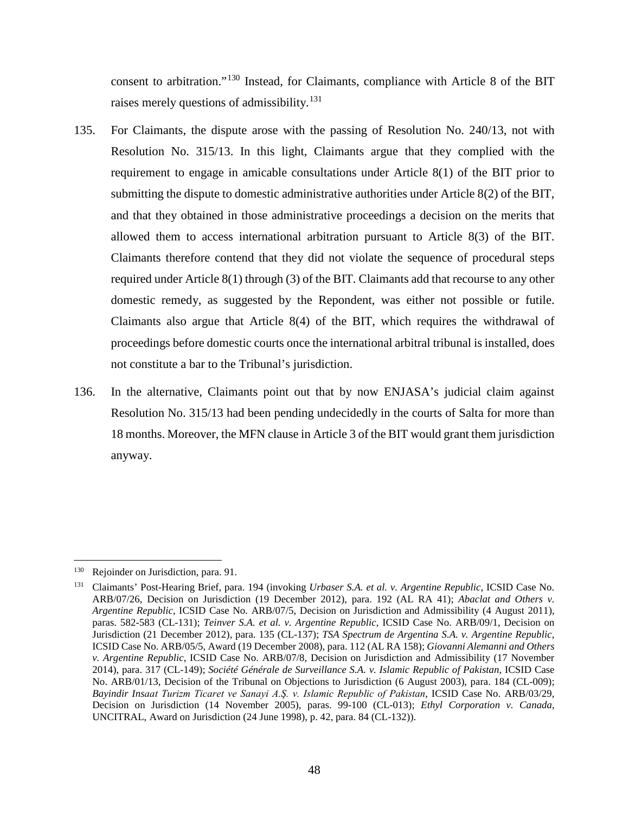consent to arbitration."[130](#page-49-0) Instead, for Claimants, compliance with Article 8 of the BIT raises merely questions of admissibility.[131](#page-49-1)

- 135. For Claimants, the dispute arose with the passing of Resolution No. 240/13, not with Resolution No. 315/13. In this light, Claimants argue that they complied with the requirement to engage in amicable consultations under Article 8(1) of the BIT prior to submitting the dispute to domestic administrative authorities under Article 8(2) of the BIT, and that they obtained in those administrative proceedings a decision on the merits that allowed them to access international arbitration pursuant to Article 8(3) of the BIT. Claimants therefore contend that they did not violate the sequence of procedural steps required under Article 8(1) through (3) of the BIT. Claimants add that recourse to any other domestic remedy, as suggested by the Repondent, was either not possible or futile. Claimants also argue that Article 8(4) of the BIT, which requires the withdrawal of proceedings before domestic courts once the international arbitral tribunal is installed, does not constitute a bar to the Tribunal's jurisdiction.
- 136. In the alternative, Claimants point out that by now ENJASA's judicial claim against Resolution No. 315/13 had been pending undecidedly in the courts of Salta for more than 18 months. Moreover, the MFN clause in Article 3 of the BIT would grant them jurisdiction anyway.

<span id="page-49-0"></span><sup>&</sup>lt;sup>130</sup> Rejoinder on Jurisdiction, para. 91.

<span id="page-49-1"></span><sup>131</sup> Claimants' Post-Hearing Brief, para. 194 (invoking *Urbaser S.A. et al. v. Argentine Republic*, ICSID Case No. ARB/07/26, Decision on Jurisdiction (19 December 2012), para. 192 (AL RA 41); *Abaclat and Others v. Argentine Republic*, ICSID Case No. ARB/07/5, Decision on Jurisdiction and Admissibility (4 August 2011), paras. 582-583 (CL-131); *Teinver S.A. et al. v. Argentine Republic*, ICSID Case No. ARB/09/1, Decision on Jurisdiction (21 December 2012), para. 135 (CL-137); *TSA Spectrum de Argentina S.A. v. Argentine Republic*, ICSID Case No. ARB/05/5, Award (19 December 2008), para. 112 (AL RA 158); *Giovanni Alemanni and Others v. Argentine Republic*, ICSID Case No. ARB/07/8, Decision on Jurisdiction and Admissibility (17 November 2014), para. 317 (CL-149); *Société Générale de Surveillance S.A. v. Islamic Republic of Pakistan*, ICSID Case No. ARB/01/13, Decision of the Tribunal on Objections to Jurisdiction (6 August 2003), para. 184 (CL-009); *Bayindir Insaat Turizm Ticaret ve Sanayi A.Ş. v. Islamic Republic of Pakistan*, ICSID Case No. ARB/03/29, Decision on Jurisdiction (14 November 2005), paras. 99-100 (CL-013); *Ethyl Corporation v. Canada*, UNCITRAL, Award on Jurisdiction (24 June 1998), p. 42, para. 84 (CL-132)).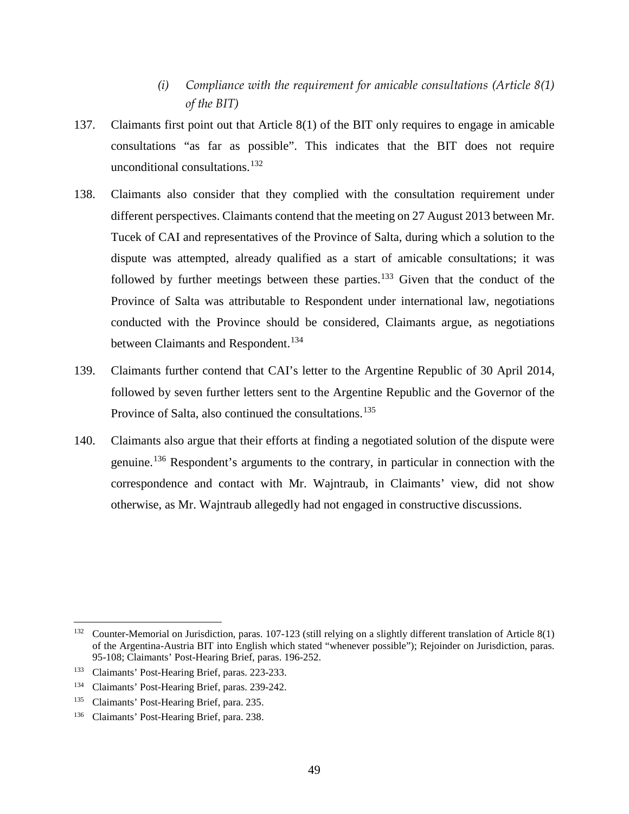- *(i) Compliance with the requirement for amicable consultations (Article 8(1) of the BIT)*
- 137. Claimants first point out that Article 8(1) of the BIT only requires to engage in amicable consultations "as far as possible". This indicates that the BIT does not require unconditional consultations.  $^{132}$  $^{132}$  $^{132}$
- 138. Claimants also consider that they complied with the consultation requirement under different perspectives. Claimants contend that the meeting on 27 August 2013 between Mr. Tucek of CAI and representatives of the Province of Salta, during which a solution to the dispute was attempted, already qualified as a start of amicable consultations; it was followed by further meetings between these parties.<sup>[133](#page-50-1)</sup> Given that the conduct of the Province of Salta was attributable to Respondent under international law, negotiations conducted with the Province should be considered, Claimants argue, as negotiations between Claimants and Respondent.<sup>[134](#page-50-2)</sup>
- 139. Claimants further contend that CAI's letter to the Argentine Republic of 30 April 2014, followed by seven further letters sent to the Argentine Republic and the Governor of the Province of Salta, also continued the consultations.<sup>[135](#page-50-3)</sup>
- 140. Claimants also argue that their efforts at finding a negotiated solution of the dispute were genuine.<sup>[136](#page-50-4)</sup> Respondent's arguments to the contrary, in particular in connection with the correspondence and contact with Mr. Wajntraub, in Claimants' view, did not show otherwise, as Mr. Wajntraub allegedly had not engaged in constructive discussions.

<span id="page-50-0"></span><sup>&</sup>lt;sup>132</sup> Counter-Memorial on Jurisdiction, paras. 107-123 (still relying on a slightly different translation of Article 8(1) of the Argentina-Austria BIT into English which stated "whenever possible"); Rejoinder on Jurisdiction, paras. 95-108; Claimants' Post-Hearing Brief, paras. 196-252.

<span id="page-50-1"></span><sup>133</sup> Claimants' Post-Hearing Brief, paras. 223-233.

<span id="page-50-2"></span><sup>134</sup> Claimants' Post-Hearing Brief, paras. 239-242.

<span id="page-50-3"></span><sup>135</sup> Claimants' Post-Hearing Brief, para. 235.

<span id="page-50-4"></span><sup>136</sup> Claimants' Post-Hearing Brief, para. 238.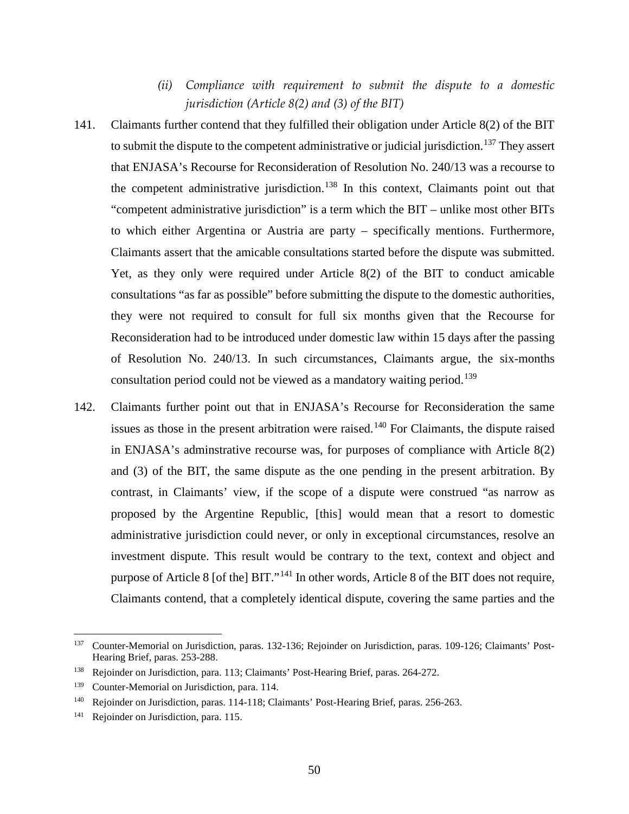- *(ii) Compliance with requirement to submit the dispute to a domestic jurisdiction (Article 8(2) and (3) of the BIT)*
- 141. Claimants further contend that they fulfilled their obligation under Article 8(2) of the BIT to submit the dispute to the competent administrative or judicial jurisdiction.<sup>[137](#page-51-0)</sup> They assert that ENJASA's Recourse for Reconsideration of Resolution No. 240/13 was a recourse to the competent administrative jurisdiction.<sup>[138](#page-51-1)</sup> In this context, Claimants point out that "competent administrative jurisdiction" is a term which the BIT – unlike most other BITs to which either Argentina or Austria are party – specifically mentions. Furthermore, Claimants assert that the amicable consultations started before the dispute was submitted. Yet, as they only were required under Article 8(2) of the BIT to conduct amicable consultations "as far as possible" before submitting the dispute to the domestic authorities, they were not required to consult for full six months given that the Recourse for Reconsideration had to be introduced under domestic law within 15 days after the passing of Resolution No. 240/13. In such circumstances, Claimants argue, the six-months consultation period could not be viewed as a mandatory waiting period.<sup>[139](#page-51-2)</sup>
- 142. Claimants further point out that in ENJASA's Recourse for Reconsideration the same issues as those in the present arbitration were raised.<sup>[140](#page-51-3)</sup> For Claimants, the dispute raised in ENJASA's adminstrative recourse was, for purposes of compliance with Article 8(2) and (3) of the BIT, the same dispute as the one pending in the present arbitration. By contrast, in Claimants' view, if the scope of a dispute were construed "as narrow as proposed by the Argentine Republic, [this] would mean that a resort to domestic administrative jurisdiction could never, or only in exceptional circumstances, resolve an investment dispute. This result would be contrary to the text, context and object and purpose of Article 8 [of the] BIT."<sup>[141](#page-51-4)</sup> In other words, Article 8 of the BIT does not require, Claimants contend, that a completely identical dispute, covering the same parties and the

<span id="page-51-0"></span> <sup>137</sup> Counter-Memorial on Jurisdiction, paras. 132-136; Rejoinder on Jurisdiction, paras. 109-126; Claimants' Post-Hearing Brief, paras. 253-288.

<span id="page-51-1"></span><sup>138</sup> Rejoinder on Jurisdiction, para. 113; Claimants' Post-Hearing Brief, paras. 264-272.

<span id="page-51-2"></span><sup>139</sup> Counter-Memorial on Jurisdiction, para. 114.

<span id="page-51-3"></span><sup>&</sup>lt;sup>140</sup> Rejoinder on Jurisdiction, paras. 114-118; Claimants' Post-Hearing Brief, paras. 256-263.

<span id="page-51-4"></span><sup>&</sup>lt;sup>141</sup> Rejoinder on Jurisdiction, para. 115.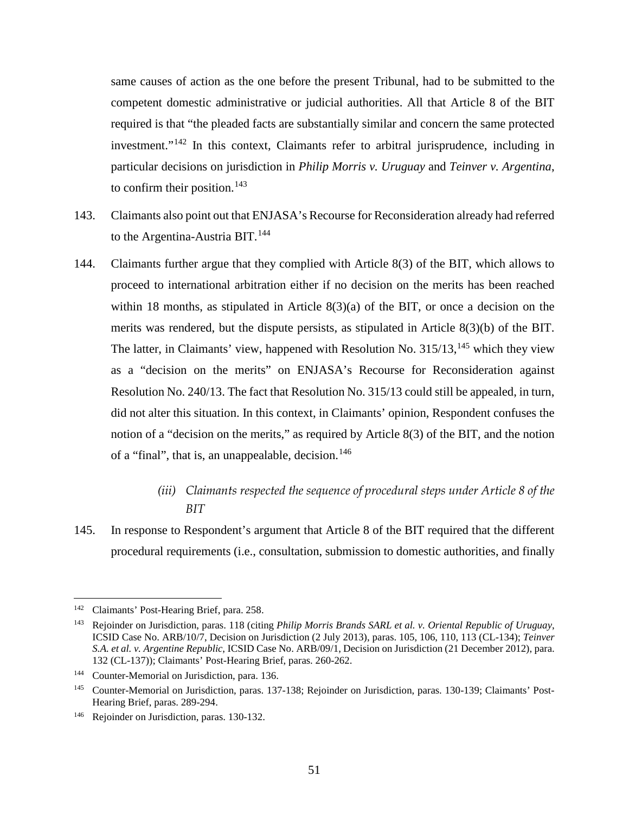same causes of action as the one before the present Tribunal, had to be submitted to the competent domestic administrative or judicial authorities. All that Article 8 of the BIT required is that "the pleaded facts are substantially similar and concern the same protected investment."<sup>[142](#page-52-0)</sup> In this context, Claimants refer to arbitral jurisprudence, including in particular decisions on jurisdiction in *Philip Morris v. Uruguay* and *Teinver v. Argentina*, to confirm their position.<sup>[143](#page-52-1)</sup>

- 143. Claimants also point out that ENJASA's Recourse for Reconsideration already had referred to the Argentina-Austria BIT.<sup>[144](#page-52-2)</sup>
- 144. Claimants further argue that they complied with Article 8(3) of the BIT, which allows to proceed to international arbitration either if no decision on the merits has been reached within 18 months, as stipulated in Article  $8(3)(a)$  of the BIT, or once a decision on the merits was rendered, but the dispute persists, as stipulated in Article 8(3)(b) of the BIT. The latter, in Claimants' view, happened with Resolution No. 315/13,<sup>[145](#page-52-3)</sup> which they view as a "decision on the merits" on ENJASA's Recourse for Reconsideration against Resolution No. 240/13. The fact that Resolution No. 315/13 could still be appealed, in turn, did not alter this situation. In this context, in Claimants' opinion, Respondent confuses the notion of a "decision on the merits," as required by Article 8(3) of the BIT, and the notion of a "final", that is, an unappealable, decision.  $146$

## *(iii) Claimants respected the sequence of procedural steps under Article 8 of the BIT*

145. In response to Respondent's argument that Article 8 of the BIT required that the different procedural requirements (i.e., consultation, submission to domestic authorities, and finally

<span id="page-52-0"></span> <sup>142</sup> Claimants' Post-Hearing Brief, para. 258.

<span id="page-52-1"></span><sup>143</sup> Rejoinder on Jurisdiction, paras. 118 (citing *Philip Morris Brands SARL et al. v. Oriental Republic of Uruguay*, ICSID Case No. ARB/10/7, Decision on Jurisdiction (2 July 2013), paras. 105, 106, 110, 113 (CL-134); *Teinver S.A. et al. v. Argentine Republic*, ICSID Case No. ARB/09/1, Decision on Jurisdiction (21 December 2012), para. 132 (CL-137)); Claimants' Post-Hearing Brief, paras. 260-262.

<span id="page-52-2"></span><sup>144</sup> Counter-Memorial on Jurisdiction, para. 136.

<span id="page-52-3"></span><sup>&</sup>lt;sup>145</sup> Counter-Memorial on Jurisdiction, paras. 137-138; Rejoinder on Jurisdiction, paras. 130-139; Claimants' Post-Hearing Brief, paras. 289-294.

<span id="page-52-4"></span><sup>146</sup> Rejoinder on Jurisdiction, paras. 130-132.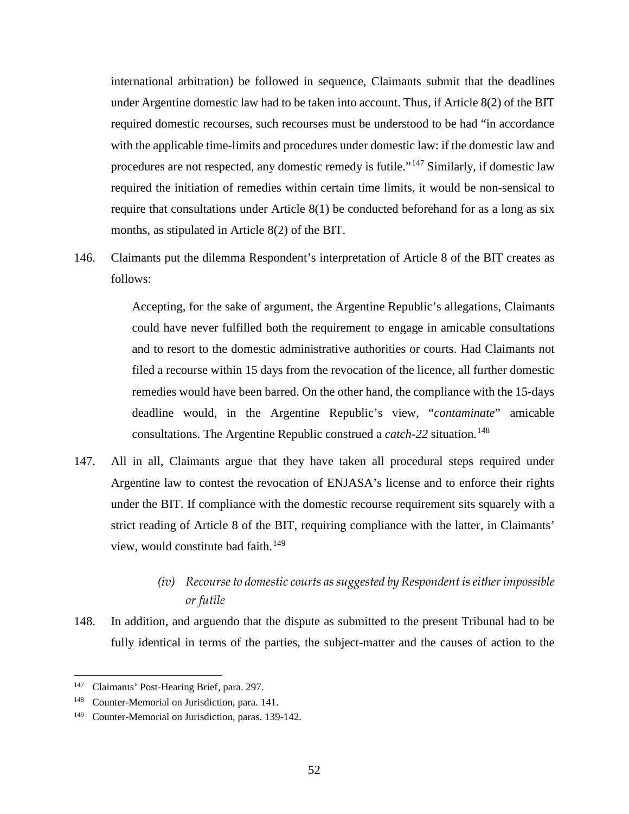international arbitration) be followed in sequence, Claimants submit that the deadlines under Argentine domestic law had to be taken into account. Thus, if Article 8(2) of the BIT required domestic recourses, such recourses must be understood to be had "in accordance with the applicable time-limits and procedures under domestic law: if the domestic law and procedures are not respected, any domestic remedy is futile."[147](#page-53-0) Similarly, if domestic law required the initiation of remedies within certain time limits, it would be non-sensical to require that consultations under Article 8(1) be conducted beforehand for as a long as six months, as stipulated in Article 8(2) of the BIT.

146. Claimants put the dilemma Respondent's interpretation of Article 8 of the BIT creates as follows:

> Accepting, for the sake of argument, the Argentine Republic's allegations, Claimants could have never fulfilled both the requirement to engage in amicable consultations and to resort to the domestic administrative authorities or courts. Had Claimants not filed a recourse within 15 days from the revocation of the licence, all further domestic remedies would have been barred. On the other hand, the compliance with the 15-days deadline would, in the Argentine Republic's view, "*contaminate*" amicable consultations. The Argentine Republic construed a *catch-22* situation.<sup>[148](#page-53-1)</sup>

147. All in all, Claimants argue that they have taken all procedural steps required under Argentine law to contest the revocation of ENJASA's license and to enforce their rights under the BIT. If compliance with the domestic recourse requirement sits squarely with a strict reading of Article 8 of the BIT, requiring compliance with the latter, in Claimants' view, would constitute bad faith. [149](#page-53-2)

# *(iv) Recourse to domestic courts as suggested by Respondent is either impossible or futile*

148. In addition, and arguendo that the dispute as submitted to the present Tribunal had to be fully identical in terms of the parties, the subject-matter and the causes of action to the

<span id="page-53-0"></span> <sup>147</sup> Claimants' Post-Hearing Brief, para. 297.

<span id="page-53-1"></span><sup>148</sup> Counter-Memorial on Jurisdiction, para. 141.

<span id="page-53-2"></span><sup>149</sup> Counter-Memorial on Jurisdiction, paras. 139-142.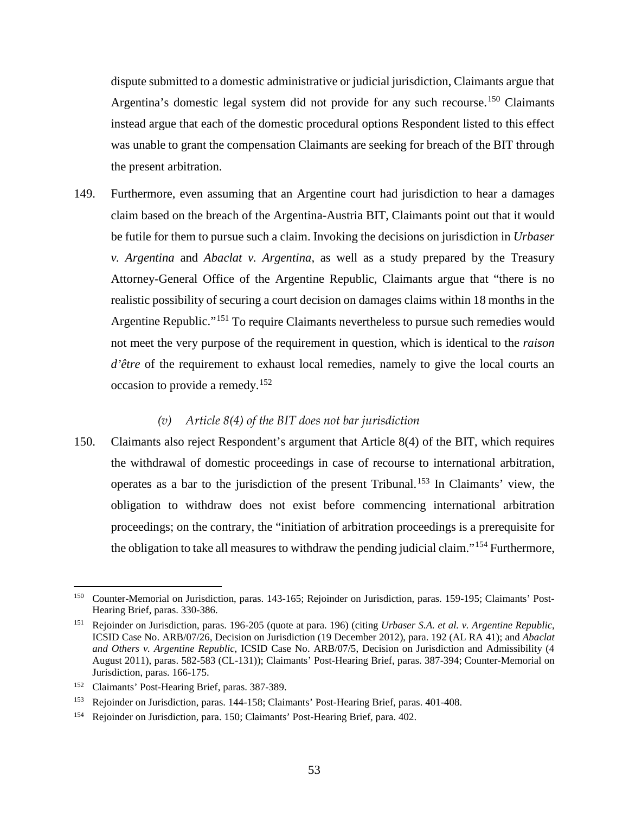dispute submitted to a domestic administrative or judicial jurisdiction, Claimants argue that Argentina's domestic legal system did not provide for any such recourse.<sup>[150](#page-54-0)</sup> Claimants instead argue that each of the domestic procedural options Respondent listed to this effect was unable to grant the compensation Claimants are seeking for breach of the BIT through the present arbitration.

149. Furthermore, even assuming that an Argentine court had jurisdiction to hear a damages claim based on the breach of the Argentina-Austria BIT, Claimants point out that it would be futile for them to pursue such a claim. Invoking the decisions on jurisdiction in *Urbaser v. Argentina* and *Abaclat v. Argentina,* as well as a study prepared by the Treasury Attorney-General Office of the Argentine Republic, Claimants argue that "there is no realistic possibility of securing a court decision on damages claims within 18 months in the Argentine Republic."<sup>[151](#page-54-1)</sup> To require Claimants nevertheless to pursue such remedies would not meet the very purpose of the requirement in question, which is identical to the *raison d'être* of the requirement to exhaust local remedies, namely to give the local courts an occasion to provide a remedy. [152](#page-54-2)

#### *(v) Article 8(4) of the BIT does not bar jurisdiction*

150. Claimants also reject Respondent's argument that Article 8(4) of the BIT, which requires the withdrawal of domestic proceedings in case of recourse to international arbitration, operates as a bar to the jurisdiction of the present Tribunal.[153](#page-54-3) In Claimants' view, the obligation to withdraw does not exist before commencing international arbitration proceedings; on the contrary, the "initiation of arbitration proceedings is a prerequisite for the obligation to take all measures to withdraw the pending judicial claim."<sup>[154](#page-54-4)</sup> Furthermore,

<span id="page-54-0"></span><sup>&</sup>lt;sup>150</sup> Counter-Memorial on Jurisdiction, paras. 143-165; Rejoinder on Jurisdiction, paras. 159-195; Claimants' Post-Hearing Brief, paras. 330-386.

<span id="page-54-1"></span><sup>151</sup> Rejoinder on Jurisdiction, paras. 196-205 (quote at para. 196) (citing *Urbaser S.A. et al. v. Argentine Republic*, ICSID Case No. ARB/07/26, Decision on Jurisdiction (19 December 2012), para. 192 (AL RA 41); and *Abaclat and Others v. Argentine Republic*, ICSID Case No. ARB/07/5, Decision on Jurisdiction and Admissibility (4 August 2011), paras. 582-583 (CL-131)); Claimants' Post-Hearing Brief, paras. 387-394; Counter-Memorial on Jurisdiction, paras. 166-175.

<span id="page-54-2"></span><sup>152</sup> Claimants' Post-Hearing Brief, paras. 387-389.

<span id="page-54-3"></span><sup>153</sup> Rejoinder on Jurisdiction, paras. 144-158; Claimants' Post-Hearing Brief, paras. 401-408.

<span id="page-54-4"></span><sup>154</sup> Rejoinder on Jurisdiction, para. 150; Claimants' Post-Hearing Brief, para. 402.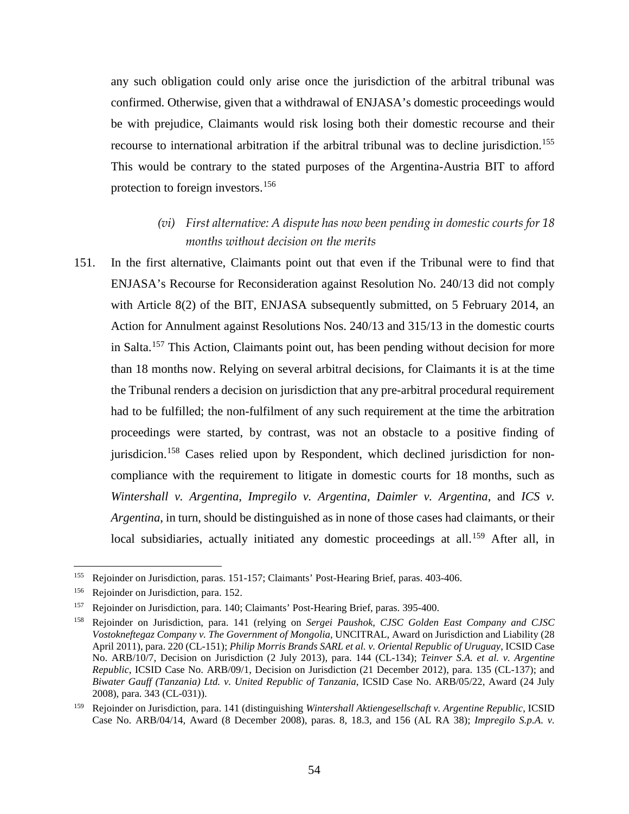any such obligation could only arise once the jurisdiction of the arbitral tribunal was confirmed. Otherwise, given that a withdrawal of ENJASA's domestic proceedings would be with prejudice, Claimants would risk losing both their domestic recourse and their recourse to international arbitration if the arbitral tribunal was to decline jurisdiction.<sup>[155](#page-55-0)</sup> This would be contrary to the stated purposes of the Argentina-Austria BIT to afford protection to foreign investors.<sup>[156](#page-55-1)</sup>

## *(vi) First alternative: A dispute has now been pending in domestic courts for 18 months without decision on the merits*

151. In the first alternative, Claimants point out that even if the Tribunal were to find that ENJASA's Recourse for Reconsideration against Resolution No. 240/13 did not comply with Article 8(2) of the BIT, ENJASA subsequently submitted, on 5 February 2014, an Action for Annulment against Resolutions Nos. 240/13 and 315/13 in the domestic courts in Salta.<sup>[157](#page-55-2)</sup> This Action, Claimants point out, has been pending without decision for more than 18 months now. Relying on several arbitral decisions, for Claimants it is at the time the Tribunal renders a decision on jurisdiction that any pre-arbitral procedural requirement had to be fulfilled; the non-fulfilment of any such requirement at the time the arbitration proceedings were started, by contrast, was not an obstacle to a positive finding of jurisdicion.<sup>[158](#page-55-3)</sup> Cases relied upon by Respondent, which declined jurisdiction for noncompliance with the requirement to litigate in domestic courts for 18 months, such as *Wintershall v. Argentina*, *Impregilo v. Argentina*, *Daimler v. Argentina*, and *ICS v. Argentina*, in turn, should be distinguished as in none of those cases had claimants, or their local subsidiaries, actually initiated any domestic proceedings at all.<sup>[159](#page-55-4)</sup> After all, in

<span id="page-55-0"></span> <sup>155</sup> Rejoinder on Jurisdiction, paras. 151-157; Claimants' Post-Hearing Brief, paras. 403-406.

<span id="page-55-1"></span><sup>156</sup> Rejoinder on Jurisdiction, para. 152.

<span id="page-55-2"></span><sup>157</sup> Rejoinder on Jurisdiction, para. 140; Claimants' Post-Hearing Brief, paras. 395-400.

<span id="page-55-3"></span><sup>158</sup> Rejoinder on Jurisdiction, para. 141 (relying on *Sergei Paushok, CJSC Golden East Company and CJSC Vostokneftegaz Company v. The Government of Mongolia*, UNCITRAL, Award on Jurisdiction and Liability (28 April 2011), para. 220 (CL-151); *Philip Morris Brands SARL et al. v. Oriental Republic of Uruguay*, ICSID Case No. ARB/10/7, Decision on Jurisdiction (2 July 2013), para. 144 (CL-134); *Teinver S.A. et al. v. Argentine Republic*, ICSID Case No. ARB/09/1, Decision on Jurisdiction (21 December 2012), para. 135 (CL-137); and *Biwater Gauff (Tanzania) Ltd. v. United Republic of Tanzania*, ICSID Case No. ARB/05/22, Award (24 July 2008), para. 343 (CL-031)).

<span id="page-55-4"></span><sup>159</sup> Rejoinder on Jurisdiction, para. 141 (distinguishing *Wintershall Aktiengesellschaft v. Argentine Republic*, ICSID Case No. ARB/04/14, Award (8 December 2008), paras. 8, 18.3, and 156 (AL RA 38); *Impregilo S.p.A. v.*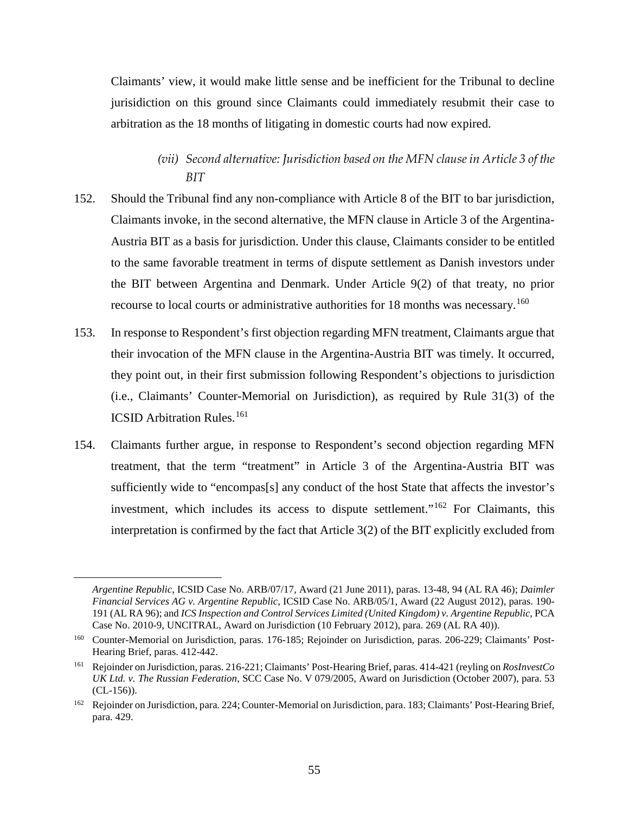Claimants' view, it would make little sense and be inefficient for the Tribunal to decline jurisidiction on this ground since Claimants could immediately resubmit their case to arbitration as the 18 months of litigating in domestic courts had now expired.

### *(vii) Second alternative: Jurisdiction based on the MFN clause in Article 3 of the BIT*

- 152. Should the Tribunal find any non-compliance with Article 8 of the BIT to bar jurisdiction, Claimants invoke, in the second alternative, the MFN clause in Article 3 of the Argentina-Austria BIT as a basis for jurisdiction. Under this clause, Claimants consider to be entitled to the same favorable treatment in terms of dispute settlement as Danish investors under the BIT between Argentina and Denmark. Under Article 9(2) of that treaty, no prior recourse to local courts or administrative authorities for 18 months was necessary.<sup>[160](#page-56-0)</sup>
- 153. In response to Respondent's first objection regarding MFN treatment, Claimants argue that their invocation of the MFN clause in the Argentina-Austria BIT was timely. It occurred, they point out, in their first submission following Respondent's objections to jurisdiction (i.e., Claimants' Counter-Memorial on Jurisdiction), as required by Rule 31(3) of the ICSID Arbitration Rules. [161](#page-56-1)
- 154. Claimants further argue, in response to Respondent's second objection regarding MFN treatment, that the term "treatment" in Article 3 of the Argentina-Austria BIT was sufficiently wide to "encompas[s] any conduct of the host State that affects the investor's investment, which includes its access to dispute settlement."<sup>[162](#page-56-2)</sup> For Claimants, this interpretation is confirmed by the fact that Article 3(2) of the BIT explicitly excluded from

 $\overline{a}$ 

*Argentine Republic*, ICSID Case No. ARB/07/17, Award (21 June 2011), paras. 13-48, 94 (AL RA 46); *Daimler Financial Services AG v. Argentine Republic*, ICSID Case No. ARB/05/1, Award (22 August 2012), paras. 190- 191 (AL RA 96); and *ICS Inspection and Control Services Limited (United Kingdom) v. Argentine Republic*, PCA Case No. 2010-9, UNCITRAL, Award on Jurisdiction (10 February 2012), para. 269 (AL RA 40)).

<span id="page-56-0"></span><sup>160</sup> Counter-Memorial on Jurisdiction, paras. 176-185; Rejoinder on Jurisdiction, paras. 206-229; Claimants' Post-Hearing Brief, paras. 412-442.

<span id="page-56-1"></span><sup>161</sup> Rejoinder on Jurisdiction, paras. 216-221; Claimants' Post-Hearing Brief, paras. 414-421 (reyling on *RosInvestCo UK Ltd. v. The Russian Federation*, SCC Case No. V 079/2005, Award on Jurisdiction (October 2007), para. 53 (CL-156)).

<span id="page-56-2"></span><sup>162</sup> Rejoinder on Jurisdiction, para. 224; Counter-Memorial on Jurisdiction, para. 183; Claimants' Post-Hearing Brief, para. 429.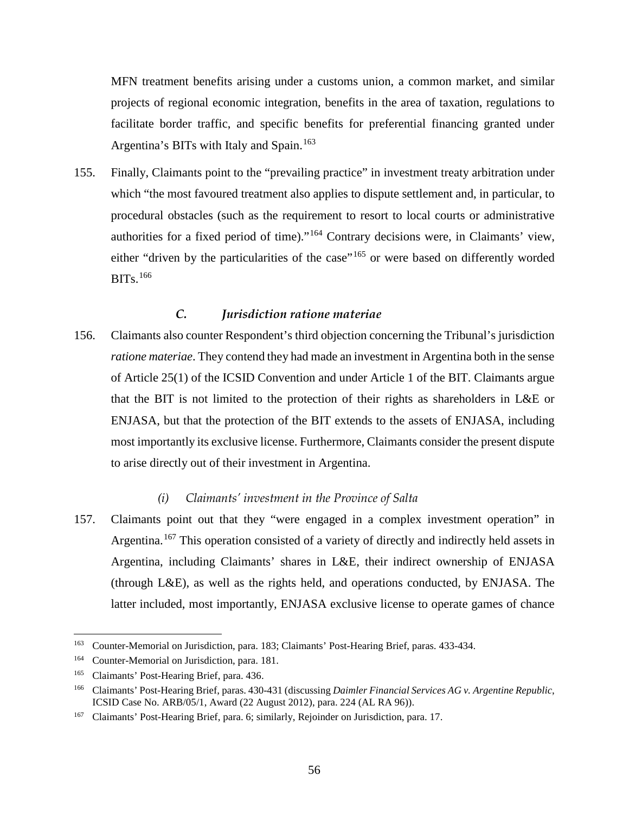MFN treatment benefits arising under a customs union, a common market, and similar projects of regional economic integration, benefits in the area of taxation, regulations to facilitate border traffic, and specific benefits for preferential financing granted under Argentina's BITs with Italy and Spain.<sup>[163](#page-57-0)</sup>

155. Finally, Claimants point to the "prevailing practice" in investment treaty arbitration under which "the most favoured treatment also applies to dispute settlement and, in particular, to procedural obstacles (such as the requirement to resort to local courts or administrative authorities for a fixed period of time)."[164](#page-57-1) Contrary decisions were, in Claimants' view, either "driven by the particularities of the case"<sup>[165](#page-57-2)</sup> or were based on differently worded BITs. [166](#page-57-3)

### *C. Jurisdiction ratione materiae*

156. Claimants also counter Respondent's third objection concerning the Tribunal's jurisdiction *ratione materiae*. They contend they had made an investment in Argentina both in the sense of Article 25(1) of the ICSID Convention and under Article 1 of the BIT. Claimants argue that the BIT is not limited to the protection of their rights as shareholders in L&E or ENJASA, but that the protection of the BIT extends to the assets of ENJASA, including most importantly its exclusive license. Furthermore, Claimants consider the present dispute to arise directly out of their investment in Argentina.

#### *(i) Claimants' investment in the Province of Salta*

157. Claimants point out that they "were engaged in a complex investment operation" in Argentina.<sup>[167](#page-57-4)</sup> This operation consisted of a variety of directly and indirectly held assets in Argentina, including Claimants' shares in L&E, their indirect ownership of ENJASA (through L&E), as well as the rights held, and operations conducted, by ENJASA. The latter included, most importantly, ENJASA exclusive license to operate games of chance

<span id="page-57-0"></span> <sup>163</sup> Counter-Memorial on Jurisdiction, para. 183; Claimants' Post-Hearing Brief, paras. 433-434.

<span id="page-57-1"></span><sup>164</sup> Counter-Memorial on Jurisdiction, para. 181.

<span id="page-57-2"></span><sup>165</sup> Claimants' Post-Hearing Brief, para. 436.

<span id="page-57-3"></span><sup>166</sup> Claimants' Post-Hearing Brief, paras. 430-431 (discussing *Daimler Financial Services AG v. Argentine Republic*, ICSID Case No. ARB/05/1, Award (22 August 2012), para. 224 (AL RA 96)).

<span id="page-57-4"></span><sup>167</sup> Claimants' Post-Hearing Brief, para. 6; similarly, Rejoinder on Jurisdiction, para. 17.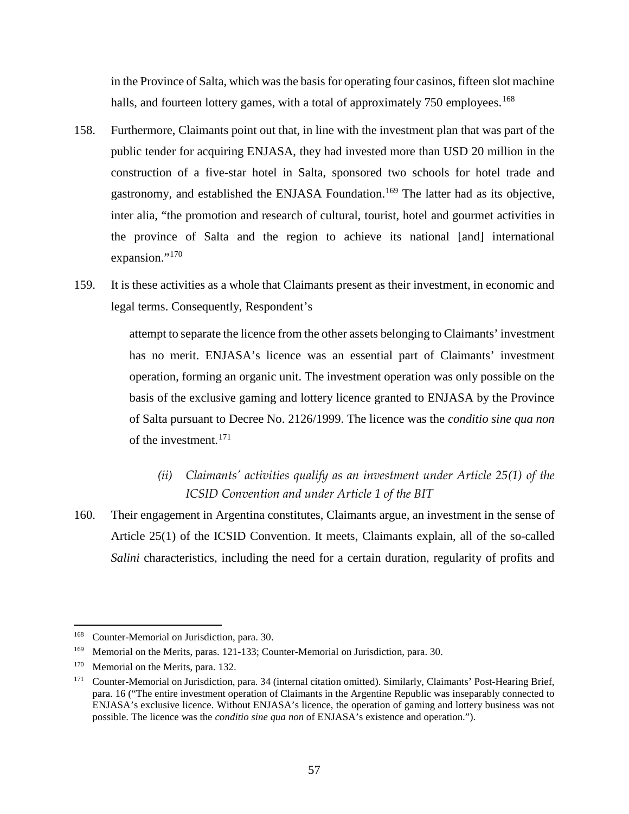in the Province of Salta, which was the basis for operating four casinos, fifteen slot machine halls, and fourteen lottery games, with a total of approximately 750 employees.<sup>[168](#page-58-0)</sup>

- 158. Furthermore, Claimants point out that, in line with the investment plan that was part of the public tender for acquiring ENJASA, they had invested more than USD 20 million in the construction of a five-star hotel in Salta, sponsored two schools for hotel trade and gastronomy, and established the ENJASA Foundation.<sup>[169](#page-58-1)</sup> The latter had as its objective, inter alia, "the promotion and research of cultural, tourist, hotel and gourmet activities in the province of Salta and the region to achieve its national [and] international expansion."<sup>[170](#page-58-2)</sup>
- 159. It is these activities as a whole that Claimants present as their investment, in economic and legal terms. Consequently, Respondent's

attempt to separate the licence from the other assets belonging to Claimants' investment has no merit. ENJASA's licence was an essential part of Claimants' investment operation, forming an organic unit. The investment operation was only possible on the basis of the exclusive gaming and lottery licence granted to ENJASA by the Province of Salta pursuant to Decree No. 2126/1999. The licence was the *conditio sine qua non*  of the investment.[171](#page-58-3)

# *(ii) Claimants' activities qualify as an investment under Article 25(1) of the ICSID Convention and under Article 1 of the BIT*

160. Their engagement in Argentina constitutes, Claimants argue, an investment in the sense of Article 25(1) of the ICSID Convention. It meets, Claimants explain, all of the so-called *Salini* characteristics, including the need for a certain duration, regularity of profits and

<span id="page-58-0"></span> <sup>168</sup> Counter-Memorial on Jurisdiction, para. 30.

<span id="page-58-1"></span><sup>&</sup>lt;sup>169</sup> Memorial on the Merits, paras. 121-133; Counter-Memorial on Jurisdiction, para. 30.

<span id="page-58-2"></span><sup>&</sup>lt;sup>170</sup> Memorial on the Merits, para. 132.

<span id="page-58-3"></span><sup>&</sup>lt;sup>171</sup> Counter-Memorial on Jurisdiction, para. 34 (internal citation omitted). Similarly, Claimants' Post-Hearing Brief, para. 16 ("The entire investment operation of Claimants in the Argentine Republic was inseparably connected to ENJASA's exclusive licence. Without ENJASA's licence, the operation of gaming and lottery business was not possible. The licence was the *conditio sine qua non* of ENJASA's existence and operation.").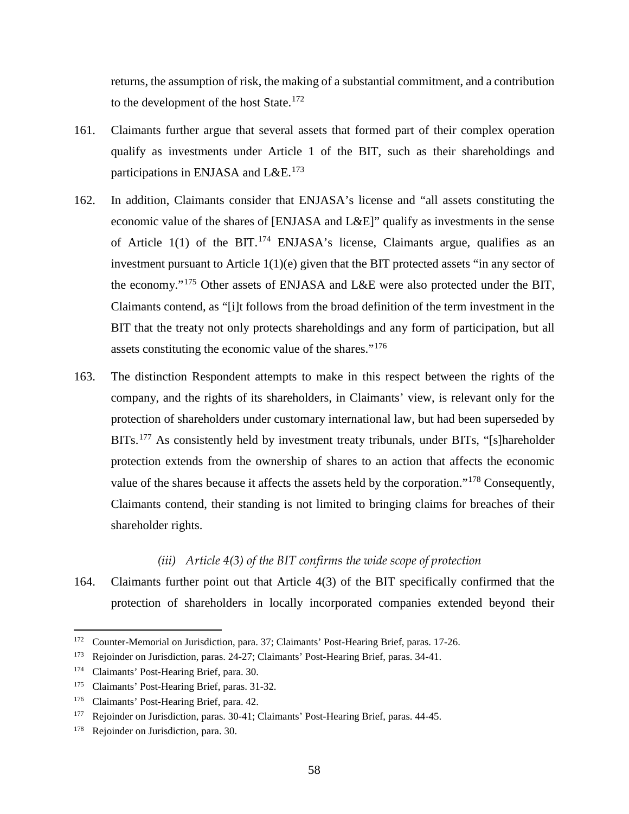returns, the assumption of risk, the making of a substantial commitment, and a contribution to the development of the host State.<sup>[172](#page-59-0)</sup>

- 161. Claimants further argue that several assets that formed part of their complex operation qualify as investments under Article 1 of the BIT, such as their shareholdings and participations in ENJASA and L&E.<sup>[173](#page-59-1)</sup>
- 162. In addition, Claimants consider that ENJASA's license and "all assets constituting the economic value of the shares of [ENJASA and L&E]" qualify as investments in the sense of Article  $1(1)$  of the BIT.<sup>[174](#page-59-2)</sup> ENJASA's license, Claimants argue, qualifies as an investment pursuant to Article 1(1)(e) given that the BIT protected assets "in any sector of the economy."[175](#page-59-3) Other assets of ENJASA and L&E were also protected under the BIT, Claimants contend, as "[i]t follows from the broad definition of the term investment in the BIT that the treaty not only protects shareholdings and any form of participation, but all assets constituting the economic value of the shares."<sup>[176](#page-59-4)</sup>
- 163. The distinction Respondent attempts to make in this respect between the rights of the company, and the rights of its shareholders, in Claimants' view, is relevant only for the protection of shareholders under customary international law, but had been superseded by BITs.<sup>[177](#page-59-5)</sup> As consistently held by investment treaty tribunals, under BITs, "[s]hareholder protection extends from the ownership of shares to an action that affects the economic value of the shares because it affects the assets held by the corporation."<sup>[178](#page-59-6)</sup> Consequently, Claimants contend, their standing is not limited to bringing claims for breaches of their shareholder rights.

#### *(iii) Article 4(3) of the BIT confirms the wide scope of protection*

164. Claimants further point out that Article 4(3) of the BIT specifically confirmed that the protection of shareholders in locally incorporated companies extended beyond their

<span id="page-59-0"></span> <sup>172</sup> Counter-Memorial on Jurisdiction, para. 37; Claimants' Post-Hearing Brief, paras. 17-26.

<span id="page-59-1"></span><sup>173</sup> Rejoinder on Jurisdiction, paras. 24-27; Claimants' Post-Hearing Brief, paras. 34-41.

<span id="page-59-2"></span><sup>174</sup> Claimants' Post-Hearing Brief, para. 30.

<span id="page-59-3"></span><sup>175</sup> Claimants' Post-Hearing Brief, paras. 31-32.

<span id="page-59-4"></span><sup>176</sup> Claimants' Post-Hearing Brief, para. 42.

<span id="page-59-5"></span><sup>&</sup>lt;sup>177</sup> Rejoinder on Jurisdiction, paras. 30-41; Claimants' Post-Hearing Brief, paras. 44-45.

<span id="page-59-6"></span><sup>178</sup> Rejoinder on Jurisdiction, para. 30.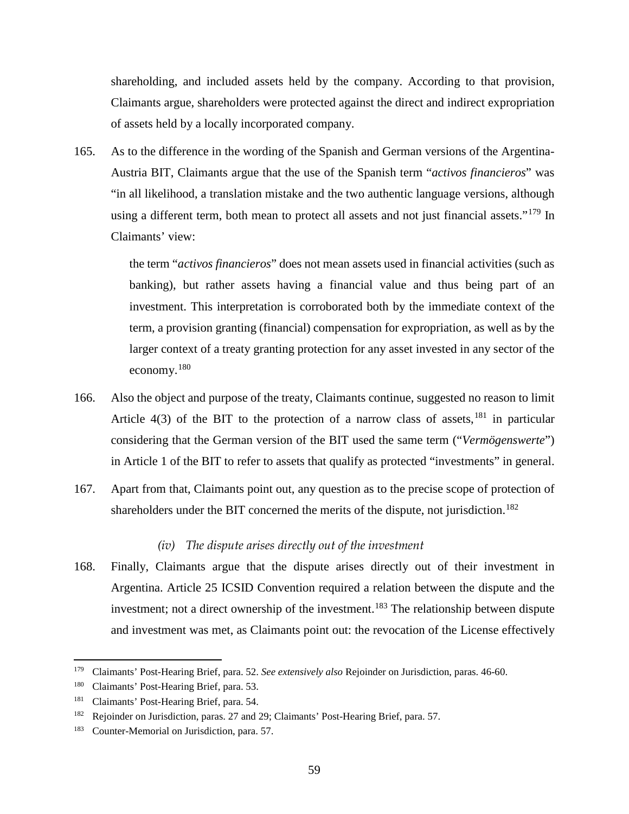shareholding, and included assets held by the company. According to that provision, Claimants argue, shareholders were protected against the direct and indirect expropriation of assets held by a locally incorporated company.

165. As to the difference in the wording of the Spanish and German versions of the Argentina-Austria BIT, Claimants argue that the use of the Spanish term "*activos financieros*" was "in all likelihood, a translation mistake and the two authentic language versions, although using a different term, both mean to protect all assets and not just financial assets."<sup>[179](#page-60-0)</sup> In Claimants' view:

> the term "*activos financieros*" does not mean assets used in financial activities (such as banking), but rather assets having a financial value and thus being part of an investment. This interpretation is corroborated both by the immediate context of the term, a provision granting (financial) compensation for expropriation, as well as by the larger context of a treaty granting protection for any asset invested in any sector of the economy.[180](#page-60-1)

- 166. Also the object and purpose of the treaty, Claimants continue, suggested no reason to limit Article 4(3) of the BIT to the protection of a narrow class of assets,  $181$  in particular considering that the German version of the BIT used the same term ("*Vermögenswerte*") in Article 1 of the BIT to refer to assets that qualify as protected "investments" in general.
- 167. Apart from that, Claimants point out, any question as to the precise scope of protection of shareholders under the BIT concerned the merits of the dispute, not jurisdiction.<sup>[182](#page-60-3)</sup>

#### *(iv) The dispute arises directly out of the investment*

168. Finally, Claimants argue that the dispute arises directly out of their investment in Argentina. Article 25 ICSID Convention required a relation between the dispute and the investment; not a direct ownership of the investment.<sup>[183](#page-60-4)</sup> The relationship between dispute and investment was met, as Claimants point out: the revocation of the License effectively

<span id="page-60-0"></span> <sup>179</sup> Claimants' Post-Hearing Brief, para. 52. *See extensively also* Rejoinder on Jurisdiction, paras. 46-60.

<span id="page-60-1"></span><sup>180</sup> Claimants' Post-Hearing Brief, para. 53.

<span id="page-60-2"></span><sup>181</sup> Claimants' Post-Hearing Brief, para. 54.

<span id="page-60-3"></span><sup>&</sup>lt;sup>182</sup> Rejoinder on Jurisdiction, paras. 27 and 29; Claimants' Post-Hearing Brief, para. 57.

<span id="page-60-4"></span><sup>183</sup> Counter-Memorial on Jurisdiction, para. 57.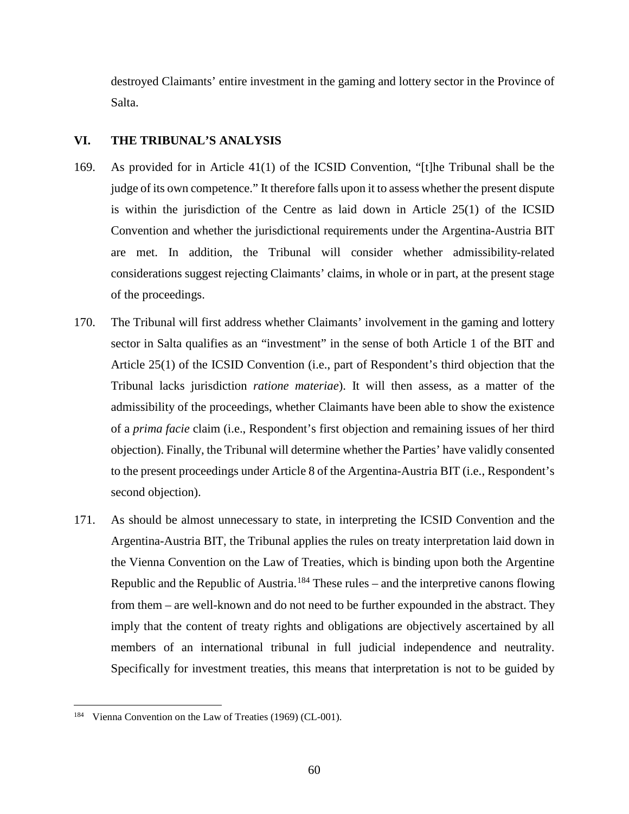destroyed Claimants' entire investment in the gaming and lottery sector in the Province of Salta.

#### **VI. THE TRIBUNAL'S ANALYSIS**

- 169. As provided for in Article 41(1) of the ICSID Convention, "[t]he Tribunal shall be the judge of its own competence." It therefore falls upon it to assess whether the present dispute is within the jurisdiction of the Centre as laid down in Article 25(1) of the ICSID Convention and whether the jurisdictional requirements under the Argentina-Austria BIT are met. In addition, the Tribunal will consider whether admissibility-related considerations suggest rejecting Claimants' claims, in whole or in part, at the present stage of the proceedings.
- 170. The Tribunal will first address whether Claimants' involvement in the gaming and lottery sector in Salta qualifies as an "investment" in the sense of both Article 1 of the BIT and Article 25(1) of the ICSID Convention (i.e., part of Respondent's third objection that the Tribunal lacks jurisdiction *ratione materiae*). It will then assess, as a matter of the admissibility of the proceedings, whether Claimants have been able to show the existence of a *prima facie* claim (i.e., Respondent's first objection and remaining issues of her third objection). Finally, the Tribunal will determine whether the Parties' have validly consented to the present proceedings under Article 8 of the Argentina-Austria BIT (i.e., Respondent's second objection).
- 171. As should be almost unnecessary to state, in interpreting the ICSID Convention and the Argentina-Austria BIT, the Tribunal applies the rules on treaty interpretation laid down in the Vienna Convention on the Law of Treaties, which is binding upon both the Argentine Republic and the Republic of Austria.<sup>[184](#page-61-0)</sup> These rules – and the interpretive canons flowing from them – are well-known and do not need to be further expounded in the abstract. They imply that the content of treaty rights and obligations are objectively ascertained by all members of an international tribunal in full judicial independence and neutrality. Specifically for investment treaties, this means that interpretation is not to be guided by

<span id="page-61-0"></span> <sup>184</sup> Vienna Convention on the Law of Treaties (1969) (CL-001).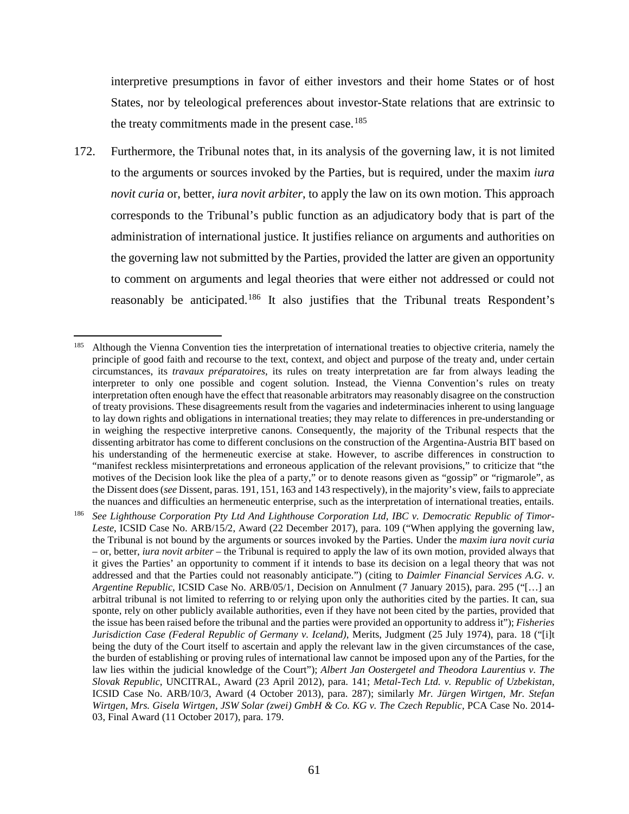interpretive presumptions in favor of either investors and their home States or of host States, nor by teleological preferences about investor-State relations that are extrinsic to the treaty commitments made in the present case.<sup>[185](#page-62-0)</sup>

172. Furthermore, the Tribunal notes that, in its analysis of the governing law, it is not limited to the arguments or sources invoked by the Parties, but is required, under the maxim *iura novit curia* or, better, *iura novit arbiter*, to apply the law on its own motion. This approach corresponds to the Tribunal's public function as an adjudicatory body that is part of the administration of international justice. It justifies reliance on arguments and authorities on the governing law not submitted by the Parties, provided the latter are given an opportunity to comment on arguments and legal theories that were either not addressed or could not reasonably be anticipated.<sup>[186](#page-62-1)</sup> It also justifies that the Tribunal treats Respondent's

<span id="page-62-0"></span><sup>&</sup>lt;sup>185</sup> Although the Vienna Convention ties the interpretation of international treaties to objective criteria, namely the principle of good faith and recourse to the text, context, and object and purpose of the treaty and, under certain circumstances, its *travaux préparatoires*, its rules on treaty interpretation are far from always leading the interpreter to only one possible and cogent solution. Instead, the Vienna Convention's rules on treaty interpretation often enough have the effect that reasonable arbitrators may reasonably disagree on the construction of treaty provisions. These disagreements result from the vagaries and indeterminacies inherent to using language to lay down rights and obligations in international treaties; they may relate to differences in pre-understanding or in weighing the respective interpretive canons. Consequently, the majority of the Tribunal respects that the dissenting arbitrator has come to different conclusions on the construction of the Argentina-Austria BIT based on his understanding of the hermeneutic exercise at stake. However, to ascribe differences in construction to "manifest reckless misinterpretations and erroneous application of the relevant provisions," to criticize that "the motives of the Decision look like the plea of a party," or to denote reasons given as "gossip" or "rigmarole", as the Dissent does (*see* Dissent, paras. 191, 151, 163 and 143 respectively), in the majority's view, failsto appreciate the nuances and difficulties an hermeneutic enterprise, such as the interpretation of international treaties, entails.

<span id="page-62-1"></span><sup>186</sup> *See Lighthouse Corporation Pty Ltd And Lighthouse Corporation Ltd, IBC v. Democratic Republic of Timor-Leste*, ICSID Case No. ARB/15/2, Award (22 December 2017), para. 109 ("When applying the governing law, the Tribunal is not bound by the arguments or sources invoked by the Parties. Under the *maxim iura novit curia* – or, better, *iura novit arbiter* – the Tribunal is required to apply the law of its own motion, provided always that it gives the Parties' an opportunity to comment if it intends to base its decision on a legal theory that was not addressed and that the Parties could not reasonably anticipate.") (citing to *Daimler Financial Services A.G. v. Argentine Republic*, ICSID Case No. ARB/05/1, Decision on Annulment (7 January 2015), para. 295 ("[…] an arbitral tribunal is not limited to referring to or relying upon only the authorities cited by the parties. It can, sua sponte, rely on other publicly available authorities, even if they have not been cited by the parties, provided that the issue has been raised before the tribunal and the parties were provided an opportunity to address it"); *Fisheries Jurisdiction Case (Federal Republic of Germany v. Iceland)*, Merits, Judgment (25 July 1974), para. 18 ("[i]t being the duty of the Court itself to ascertain and apply the relevant law in the given circumstances of the case, the burden of establishing or proving rules of international law cannot be imposed upon any of the Parties, for the law lies within the judicial knowledge of the Court"); *Albert Jan Oostergetel and Theodora Laurentius v. The Slovak Republic*, UNCITRAL, Award (23 April 2012), para. 141; *Metal-Tech Ltd. v. Republic of Uzbekistan*, ICSID Case No. ARB/10/3, Award (4 October 2013), para. 287); similarly *Mr. Jürgen Wirtgen, Mr. Stefan Wirtgen, Mrs. Gisela Wirtgen, JSW Solar (zwei) GmbH & Co. KG v. The Czech Republic*, PCA Case No. 2014- 03, Final Award (11 October 2017), para. 179.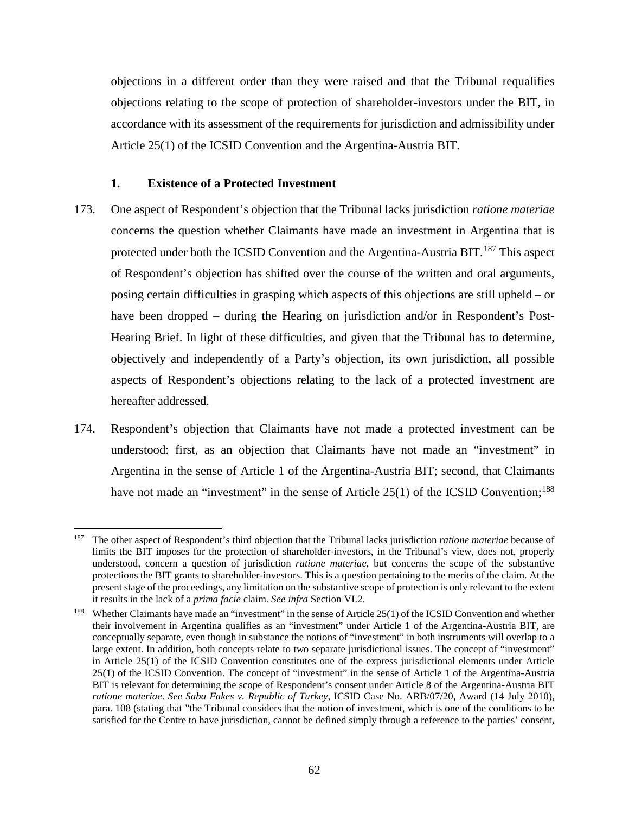objections in a different order than they were raised and that the Tribunal requalifies objections relating to the scope of protection of shareholder-investors under the BIT, in accordance with its assessment of the requirements for jurisdiction and admissibility under Article 25(1) of the ICSID Convention and the Argentina-Austria BIT.

#### **1. Existence of a Protected Investment**

- 173. One aspect of Respondent's objection that the Tribunal lacks jurisdiction *ratione materiae* concerns the question whether Claimants have made an investment in Argentina that is protected under both the ICSID Convention and the Argentina-Austria BIT.<sup>[187](#page-63-0)</sup> This aspect of Respondent's objection has shifted over the course of the written and oral arguments, posing certain difficulties in grasping which aspects of this objections are still upheld – or have been dropped – during the Hearing on jurisdiction and/or in Respondent's Post-Hearing Brief. In light of these difficulties, and given that the Tribunal has to determine, objectively and independently of a Party's objection, its own jurisdiction, all possible aspects of Respondent's objections relating to the lack of a protected investment are hereafter addressed.
- 174. Respondent's objection that Claimants have not made a protected investment can be understood: first, as an objection that Claimants have not made an "investment" in Argentina in the sense of Article 1 of the Argentina-Austria BIT; second, that Claimants have not made an "investment" in the sense of Article 25(1) of the ICSID Convention;<sup>[188](#page-63-1)</sup>

<span id="page-63-0"></span> <sup>187</sup> The other aspect of Respondent's third objection that the Tribunal lacks jurisdiction *ratione materiae* because of limits the BIT imposes for the protection of shareholder-investors, in the Tribunal's view, does not, properly understood, concern a question of jurisdiction *ratione materiae*, but concerns the scope of the substantive protections the BIT grants to shareholder-investors. This is a question pertaining to the merits of the claim. At the present stage of the proceedings, any limitation on the substantive scope of protection is only relevant to the extent it results in the lack of a *prima facie* claim. *See infra* [Section VI.2.](#page-71-0)

<span id="page-63-1"></span><sup>&</sup>lt;sup>188</sup> Whether Claimants have made an "investment" in the sense of Article 25(1) of the ICSID Convention and whether their involvement in Argentina qualifies as an "investment" under Article 1 of the Argentina-Austria BIT, are conceptually separate, even though in substance the notions of "investment" in both instruments will overlap to a large extent. In addition, both concepts relate to two separate jurisdictional issues. The concept of "investment" in Article 25(1) of the ICSID Convention constitutes one of the express jurisdictional elements under Article 25(1) of the ICSID Convention. The concept of "investment" in the sense of Article 1 of the Argentina-Austria BIT is relevant for determining the scope of Respondent's consent under Article 8 of the Argentina-Austria BIT *ratione materiae*. *See Saba Fakes v. Republic of Turkey*, ICSID Case No. ARB/07/20, Award (14 July 2010), para. 108 (stating that "the Tribunal considers that the notion of investment, which is one of the conditions to be satisfied for the Centre to have jurisdiction, cannot be defined simply through a reference to the parties' consent,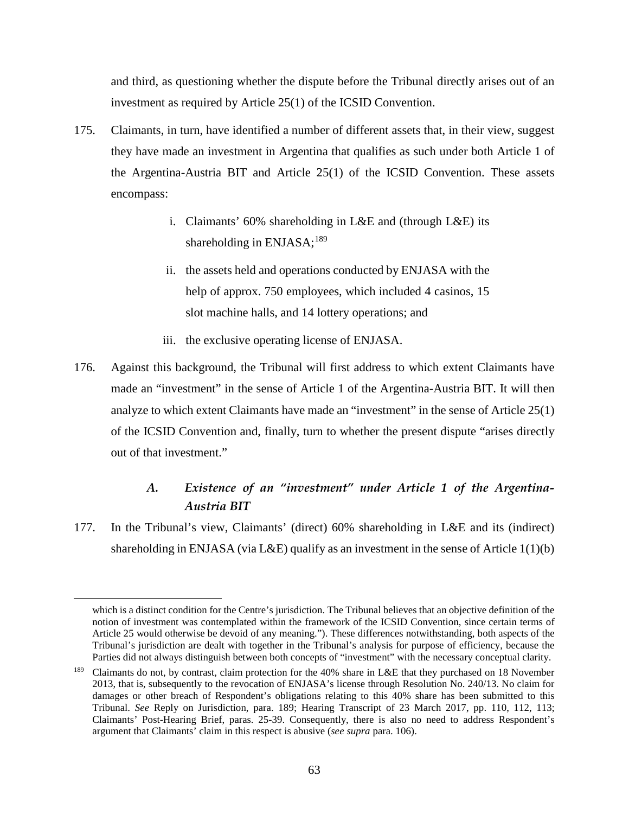and third, as questioning whether the dispute before the Tribunal directly arises out of an investment as required by Article 25(1) of the ICSID Convention.

- 175. Claimants, in turn, have identified a number of different assets that, in their view, suggest they have made an investment in Argentina that qualifies as such under both Article 1 of the Argentina-Austria BIT and Article 25(1) of the ICSID Convention. These assets encompass:
	- i. Claimants' 60% shareholding in L&E and (through L&E) its shareholding in  $ENJASA$ ;<sup>[189](#page-64-0)</sup>
	- ii. the assets held and operations conducted by ENJASA with the help of approx. 750 employees, which included 4 casinos, 15 slot machine halls, and 14 lottery operations; and
	- iii. the exclusive operating license of ENJASA.
- 176. Against this background, the Tribunal will first address to which extent Claimants have made an "investment" in the sense of Article 1 of the Argentina-Austria BIT. It will then analyze to which extent Claimants have made an "investment" in the sense of Article 25(1) of the ICSID Convention and, finally, turn to whether the present dispute "arises directly out of that investment."

## *A. Existence of an "investment" under Article 1 of the Argentina-Austria BIT*

177. In the Tribunal's view, Claimants' (direct) 60% shareholding in L&E and its (indirect) shareholding in ENJASA (via L&E) qualify as an investment in the sense of Article  $1(1)(b)$ 

 $\overline{a}$ 

which is a distinct condition for the Centre's jurisdiction. The Tribunal believes that an objective definition of the notion of investment was contemplated within the framework of the ICSID Convention, since certain terms of Article 25 would otherwise be devoid of any meaning."). These differences notwithstanding, both aspects of the Tribunal's jurisdiction are dealt with together in the Tribunal's analysis for purpose of efficiency, because the Parties did not always distinguish between both concepts of "investment" with the necessary conceptual clarity.

<span id="page-64-0"></span><sup>&</sup>lt;sup>189</sup> Claimants do not, by contrast, claim protection for the 40% share in L&E that they purchased on 18 November 2013, that is, subsequently to the revocation of ENJASA's license through Resolution No. 240/13. No claim for damages or other breach of Respondent's obligations relating to this 40% share has been submitted to this Tribunal. *See* Reply on Jurisdiction, para. 189; Hearing Transcript of 23 March 2017, pp. 110, 112, 113; Claimants' Post-Hearing Brief, paras. 25-39. Consequently, there is also no need to address Respondent's argument that Claimants' claim in this respect is abusive (*see supra* para. [106\)](#page-39-8).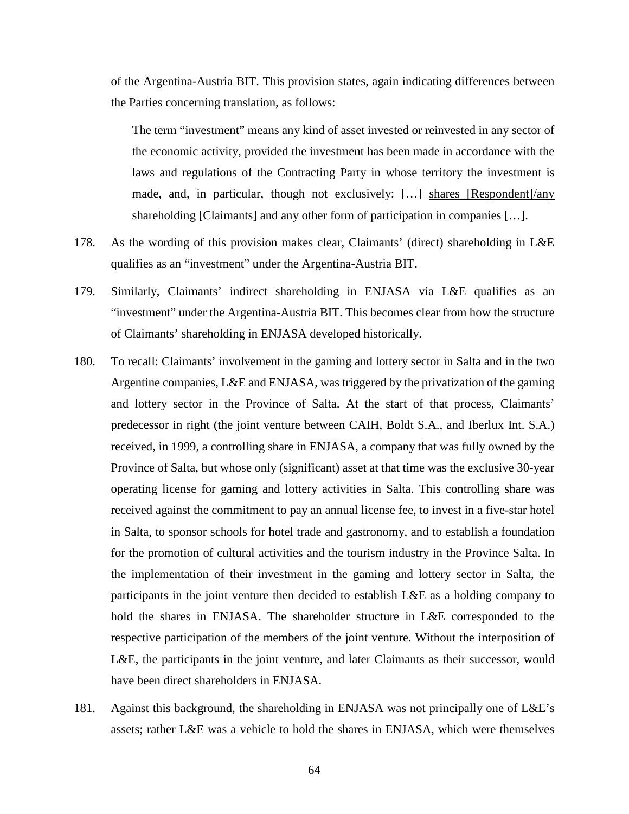of the Argentina-Austria BIT. This provision states, again indicating differences between the Parties concerning translation, as follows:

The term "investment" means any kind of asset invested or reinvested in any sector of the economic activity, provided the investment has been made in accordance with the laws and regulations of the Contracting Party in whose territory the investment is made, and, in particular, though not exclusively: […] shares [Respondent]/any shareholding [Claimants] and any other form of participation in companies […].

- 178. As the wording of this provision makes clear, Claimants' (direct) shareholding in L&E qualifies as an "investment" under the Argentina-Austria BIT.
- 179. Similarly, Claimants' indirect shareholding in ENJASA via L&E qualifies as an "investment" under the Argentina-Austria BIT. This becomes clear from how the structure of Claimants' shareholding in ENJASA developed historically.
- 180. To recall: Claimants' involvement in the gaming and lottery sector in Salta and in the two Argentine companies, L&E and ENJASA, was triggered by the privatization of the gaming and lottery sector in the Province of Salta. At the start of that process, Claimants' predecessor in right (the joint venture between CAIH, Boldt S.A., and Iberlux Int. S.A.) received, in 1999, a controlling share in ENJASA, a company that was fully owned by the Province of Salta, but whose only (significant) asset at that time was the exclusive 30-year operating license for gaming and lottery activities in Salta. This controlling share was received against the commitment to pay an annual license fee, to invest in a five-star hotel in Salta, to sponsor schools for hotel trade and gastronomy, and to establish a foundation for the promotion of cultural activities and the tourism industry in the Province Salta. In the implementation of their investment in the gaming and lottery sector in Salta, the participants in the joint venture then decided to establish L&E as a holding company to hold the shares in ENJASA. The shareholder structure in L&E corresponded to the respective participation of the members of the joint venture. Without the interposition of L&E, the participants in the joint venture, and later Claimants as their successor, would have been direct shareholders in ENJASA.
- 181. Against this background, the shareholding in ENJASA was not principally one of L&E's assets; rather L&E was a vehicle to hold the shares in ENJASA, which were themselves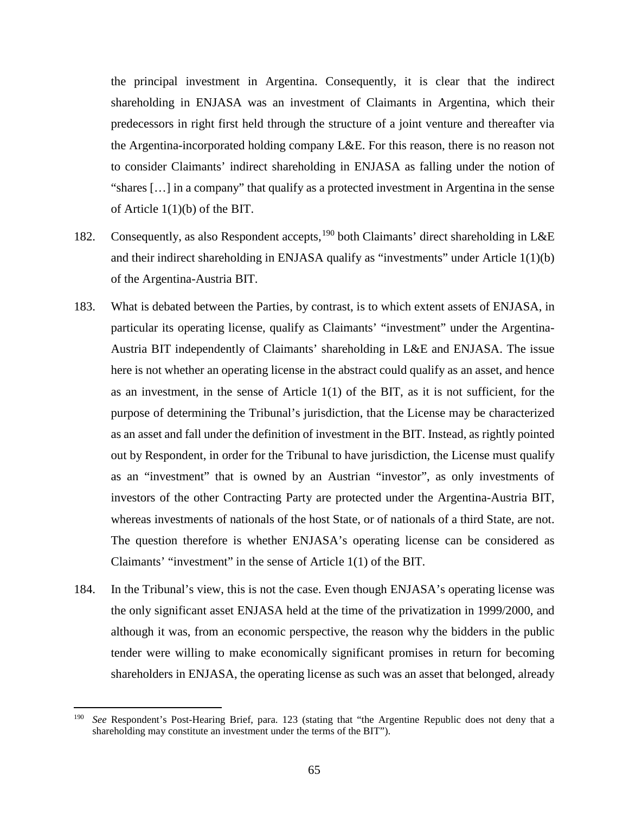the principal investment in Argentina. Consequently, it is clear that the indirect shareholding in ENJASA was an investment of Claimants in Argentina, which their predecessors in right first held through the structure of a joint venture and thereafter via the Argentina-incorporated holding company L&E. For this reason, there is no reason not to consider Claimants' indirect shareholding in ENJASA as falling under the notion of "shares […] in a company" that qualify as a protected investment in Argentina in the sense of Article 1(1)(b) of the BIT.

- 182. Consequently, as also Respondent accepts, <sup>[190](#page-66-0)</sup> both Claimants' direct shareholding in L&E and their indirect shareholding in ENJASA qualify as "investments" under Article 1(1)(b) of the Argentina-Austria BIT.
- 183. What is debated between the Parties, by contrast, is to which extent assets of ENJASA, in particular its operating license, qualify as Claimants' "investment" under the Argentina-Austria BIT independently of Claimants' shareholding in L&E and ENJASA. The issue here is not whether an operating license in the abstract could qualify as an asset, and hence as an investment, in the sense of Article 1(1) of the BIT, as it is not sufficient, for the purpose of determining the Tribunal's jurisdiction, that the License may be characterized as an asset and fall under the definition of investment in the BIT. Instead, as rightly pointed out by Respondent, in order for the Tribunal to have jurisdiction, the License must qualify as an "investment" that is owned by an Austrian "investor", as only investments of investors of the other Contracting Party are protected under the Argentina-Austria BIT, whereas investments of nationals of the host State, or of nationals of a third State, are not. The question therefore is whether ENJASA's operating license can be considered as Claimants' "investment" in the sense of Article 1(1) of the BIT.
- 184. In the Tribunal's view, this is not the case. Even though ENJASA's operating license was the only significant asset ENJASA held at the time of the privatization in 1999/2000, and although it was, from an economic perspective, the reason why the bidders in the public tender were willing to make economically significant promises in return for becoming shareholders in ENJASA, the operating license as such was an asset that belonged, already

<span id="page-66-0"></span>See Respondent's Post-Hearing Brief, para. 123 (stating that "the Argentine Republic does not deny that a shareholding may constitute an investment under the terms of the BIT").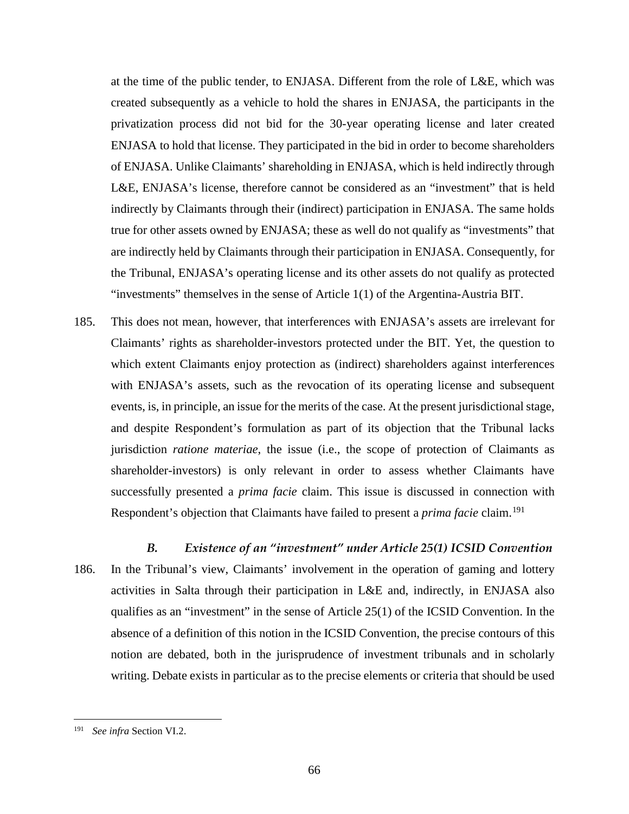at the time of the public tender, to ENJASA. Different from the role of L&E, which was created subsequently as a vehicle to hold the shares in ENJASA, the participants in the privatization process did not bid for the 30-year operating license and later created ENJASA to hold that license. They participated in the bid in order to become shareholders of ENJASA. Unlike Claimants' shareholding in ENJASA, which is held indirectly through L&E, ENJASA's license, therefore cannot be considered as an "investment" that is held indirectly by Claimants through their (indirect) participation in ENJASA. The same holds true for other assets owned by ENJASA; these as well do not qualify as "investments" that are indirectly held by Claimants through their participation in ENJASA. Consequently, for the Tribunal, ENJASA's operating license and its other assets do not qualify as protected "investments" themselves in the sense of Article 1(1) of the Argentina-Austria BIT.

- 185. This does not mean, however, that interferences with ENJASA's assets are irrelevant for Claimants' rights as shareholder-investors protected under the BIT. Yet, the question to which extent Claimants enjoy protection as (indirect) shareholders against interferences with ENJASA's assets, such as the revocation of its operating license and subsequent events, is, in principle, an issue for the merits of the case. At the present jurisdictional stage, and despite Respondent's formulation as part of its objection that the Tribunal lacks jurisdiction *ratione materiae*, the issue (i.e., the scope of protection of Claimants as shareholder-investors) is only relevant in order to assess whether Claimants have successfully presented a *prima facie* claim. This issue is discussed in connection with Respondent's objection that Claimants have failed to present a *prima facie* claim.<sup>[191](#page-67-0)</sup>
- *B. Existence of an "investment" under Article 25(1) ICSID Convention* 186. In the Tribunal's view, Claimants' involvement in the operation of gaming and lottery activities in Salta through their participation in L&E and, indirectly, in ENJASA also qualifies as an "investment" in the sense of Article 25(1) of the ICSID Convention. In the absence of a definition of this notion in the ICSID Convention, the precise contours of this notion are debated, both in the jurisprudence of investment tribunals and in scholarly writing. Debate exists in particular as to the precise elements or criteria that should be used

<span id="page-67-0"></span> <sup>191</sup> *See infra* Section VI.2.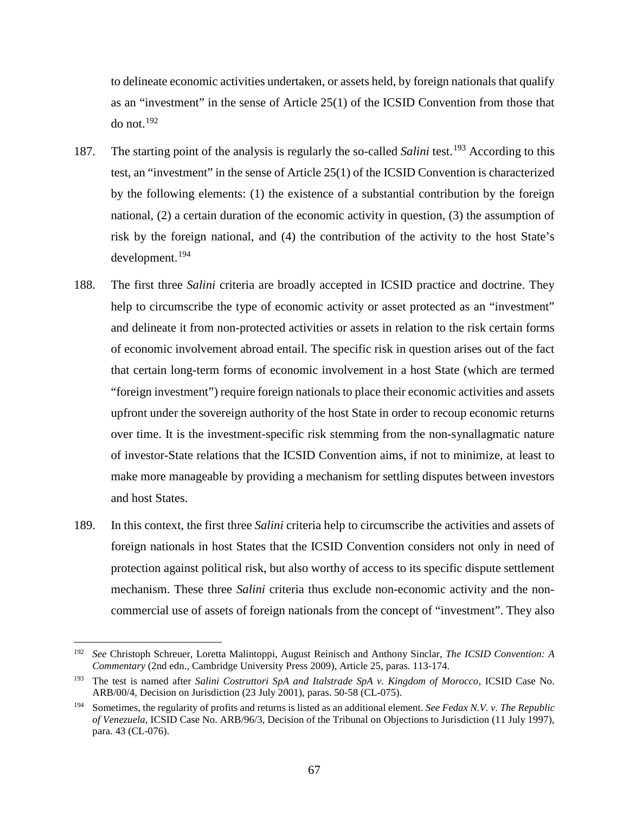to delineate economic activities undertaken, or assets held, by foreign nationals that qualify as an "investment" in the sense of Article 25(1) of the ICSID Convention from those that do not. [192](#page-68-0)

- 187. The starting point of the analysis is regularly the so-called *Salini* test.[193](#page-68-1) According to this test, an "investment" in the sense of Article 25(1) of the ICSID Convention is characterized by the following elements: (1) the existence of a substantial contribution by the foreign national, (2) a certain duration of the economic activity in question, (3) the assumption of risk by the foreign national, and (4) the contribution of the activity to the host State's development. [194](#page-68-2)
- 188. The first three *Salini* criteria are broadly accepted in ICSID practice and doctrine. They help to circumscribe the type of economic activity or asset protected as an "investment" and delineate it from non-protected activities or assets in relation to the risk certain forms of economic involvement abroad entail. The specific risk in question arises out of the fact that certain long-term forms of economic involvement in a host State (which are termed "foreign investment") require foreign nationals to place their economic activities and assets upfront under the sovereign authority of the host State in order to recoup economic returns over time. It is the investment-specific risk stemming from the non-synallagmatic nature of investor-State relations that the ICSID Convention aims, if not to minimize, at least to make more manageable by providing a mechanism for settling disputes between investors and host States.
- 189. In this context, the first three *Salini* criteria help to circumscribe the activities and assets of foreign nationals in host States that the ICSID Convention considers not only in need of protection against political risk, but also worthy of access to its specific dispute settlement mechanism. These three *Salini* criteria thus exclude non-economic activity and the noncommercial use of assets of foreign nationals from the concept of "investment". They also

<span id="page-68-0"></span> <sup>192</sup> *See* Christoph Schreuer, Loretta Malintoppi, August Reinisch and Anthony Sinclar, *The ICSID Convention: A Commentary* (2nd edn., Cambridge University Press 2009), Article 25, paras. 113-174.

<span id="page-68-1"></span><sup>193</sup> The test is named after *Salini Costruttori SpA and Italstrade SpA v. Kingdom of Morocco*, ICSID Case No. ARB/00/4, Decision on Jurisdiction (23 July 2001), paras. 50-58 (CL-075).

<span id="page-68-2"></span><sup>194</sup> Sometimes, the regularity of profits and returns is listed as an additional element. *See Fedax N.V. v. The Republic of Venezuela*, ICSID Case No. ARB/96/3, Decision of the Tribunal on Objections to Jurisdiction (11 July 1997), para. 43 (CL-076).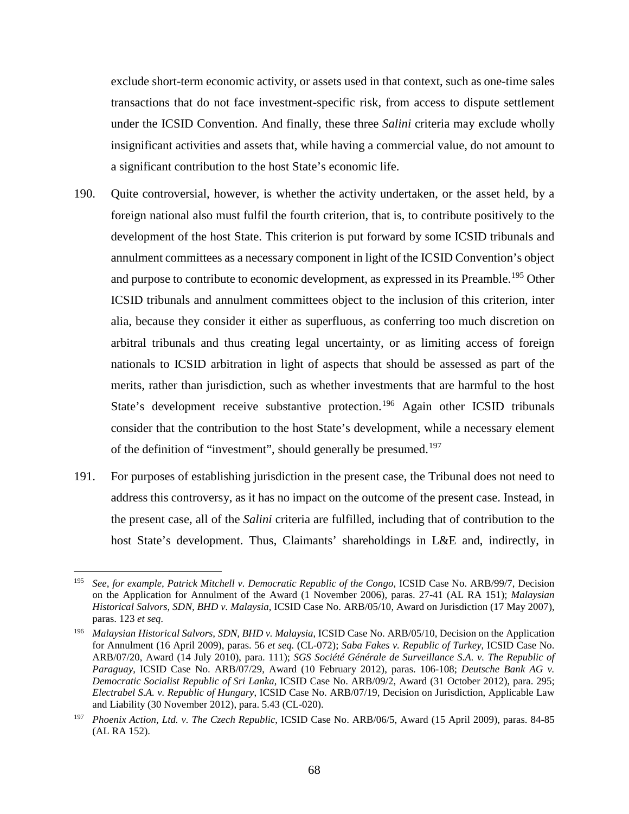exclude short-term economic activity, or assets used in that context, such as one-time sales transactions that do not face investment-specific risk, from access to dispute settlement under the ICSID Convention. And finally, these three *Salini* criteria may exclude wholly insignificant activities and assets that, while having a commercial value, do not amount to a significant contribution to the host State's economic life.

- 190. Quite controversial, however, is whether the activity undertaken, or the asset held, by a foreign national also must fulfil the fourth criterion, that is, to contribute positively to the development of the host State. This criterion is put forward by some ICSID tribunals and annulment committees as a necessary component in light of the ICSID Convention's object and purpose to contribute to economic development, as expressed in its Preamble. [195](#page-69-0) Other ICSID tribunals and annulment committees object to the inclusion of this criterion, inter alia, because they consider it either as superfluous, as conferring too much discretion on arbitral tribunals and thus creating legal uncertainty, or as limiting access of foreign nationals to ICSID arbitration in light of aspects that should be assessed as part of the merits, rather than jurisdiction, such as whether investments that are harmful to the host State's development receive substantive protection.<sup>[196](#page-69-1)</sup> Again other ICSID tribunals consider that the contribution to the host State's development, while a necessary element of the definition of "investment", should generally be presumed.<sup>[197](#page-69-2)</sup>
- 191. For purposes of establishing jurisdiction in the present case, the Tribunal does not need to address this controversy, as it has no impact on the outcome of the present case. Instead, in the present case, all of the *Salini* criteria are fulfilled, including that of contribution to the host State's development. Thus, Claimants' shareholdings in L&E and, indirectly, in

<span id="page-69-0"></span> <sup>195</sup> *See, for example, Patrick Mitchell v. Democratic Republic of the Congo*, ICSID Case No. ARB/99/7, Decision on the Application for Annulment of the Award (1 November 2006), paras. 27-41 (AL RA 151); *Malaysian Historical Salvors, SDN, BHD v. Malaysia*, ICSID Case No. ARB/05/10, Award on Jurisdiction (17 May 2007), paras. 123 *et seq.*

<span id="page-69-1"></span><sup>196</sup> *Malaysian Historical Salvors, SDN, BHD v. Malaysia*, ICSID Case No. ARB/05/10, Decision on the Application for Annulment (16 April 2009), paras. 56 *et seq.* (CL-072); *Saba Fakes v. Republic of Turkey*, ICSID Case No. ARB/07/20, Award (14 July 2010), para. 111); *SGS Société Générale de Surveillance S.A. v. The Republic of Paraguay*, ICSID Case No. ARB/07/29, Award (10 February 2012), paras. 106-108; *Deutsche Bank AG v. Democratic Socialist Republic of Sri Lanka*, ICSID Case No. ARB/09/2, Award (31 October 2012), para. 295; *Electrabel S.A. v. Republic of Hungary*, ICSID Case No. ARB/07/19, Decision on Jurisdiction, Applicable Law and Liability (30 November 2012), para. 5.43 (CL-020).

<span id="page-69-2"></span><sup>197</sup> *Phoenix Action, Ltd. v. The Czech Republic*, ICSID Case No. ARB/06/5, Award (15 April 2009), paras. 84-85 (AL RA 152).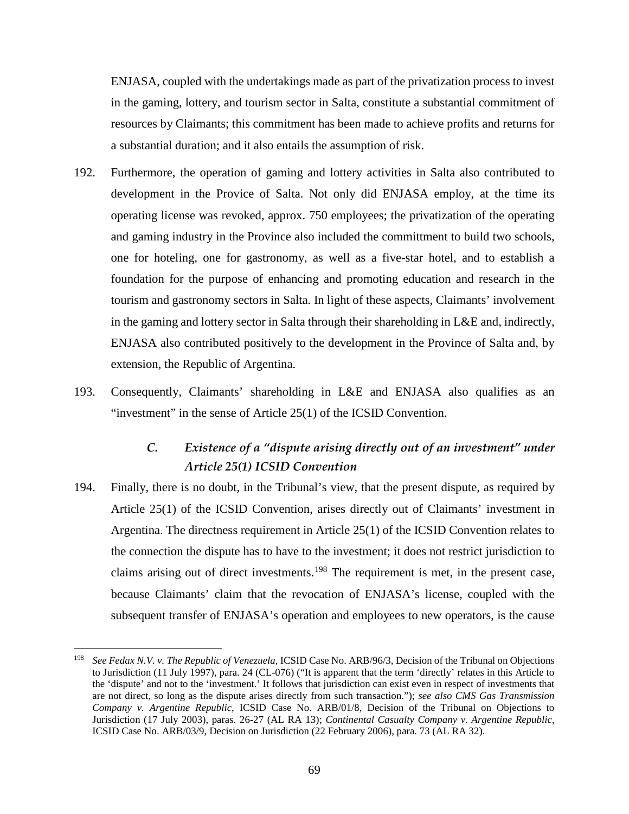ENJASA, coupled with the undertakings made as part of the privatization process to invest in the gaming, lottery, and tourism sector in Salta, constitute a substantial commitment of resources by Claimants; this commitment has been made to achieve profits and returns for a substantial duration; and it also entails the assumption of risk.

- 192. Furthermore, the operation of gaming and lottery activities in Salta also contributed to development in the Provice of Salta. Not only did ENJASA employ, at the time its operating license was revoked, approx. 750 employees; the privatization of the operating and gaming industry in the Province also included the committment to build two schools, one for hoteling, one for gastronomy, as well as a five-star hotel, and to establish a foundation for the purpose of enhancing and promoting education and research in the tourism and gastronomy sectors in Salta. In light of these aspects, Claimants' involvement in the gaming and lottery sector in Salta through their shareholding in L&E and, indirectly, ENJASA also contributed positively to the development in the Province of Salta and, by extension, the Republic of Argentina.
- 193. Consequently, Claimants' shareholding in L&E and ENJASA also qualifies as an "investment" in the sense of Article 25(1) of the ICSID Convention.

# *C. Existence of a "dispute arising directly out of an investment" under Article 25(1) ICSID Convention*

194. Finally, there is no doubt, in the Tribunal's view, that the present dispute, as required by Article 25(1) of the ICSID Convention, arises directly out of Claimants' investment in Argentina. The directness requirement in Article 25(1) of the ICSID Convention relates to the connection the dispute has to have to the investment; it does not restrict jurisdiction to claims arising out of direct investments.<sup>[198](#page-70-0)</sup> The requirement is met, in the present case, because Claimants' claim that the revocation of ENJASA's license, coupled with the subsequent transfer of ENJASA's operation and employees to new operators, is the cause

<span id="page-70-0"></span> <sup>198</sup> *See Fedax N.V. v. The Republic of Venezuela*, ICSID Case No. ARB/96/3, Decision of the Tribunal on Objections to Jurisdiction (11 July 1997), para. 24 (CL-076) ("It is apparent that the term 'directly' relates in this Article to the 'dispute' and not to the 'investment.' It follows that jurisdiction can exist even in respect of investments that are not direct, so long as the dispute arises directly from such transaction."); *see also CMS Gas Transmission Company v. Argentine Republic*, ICSID Case No. ARB/01/8, Decision of the Tribunal on Objections to Jurisdiction (17 July 2003), paras. 26-27 (AL RA 13); *Continental Casualty Company v. Argentine Republic*, ICSID Case No. ARB/03/9, Decision on Jurisdiction (22 February 2006), para. 73 (AL RA 32).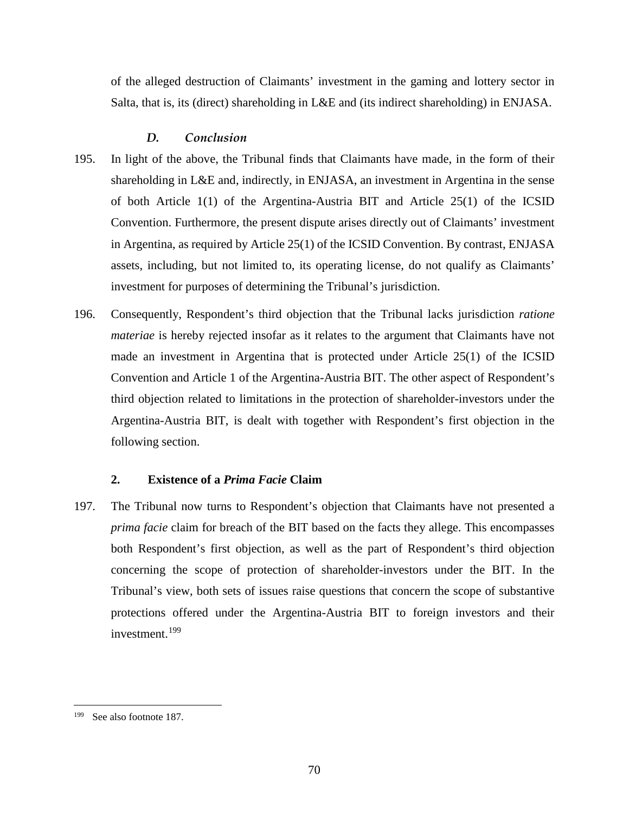of the alleged destruction of Claimants' investment in the gaming and lottery sector in Salta, that is, its (direct) shareholding in L&E and (its indirect shareholding) in ENJASA.

#### *D. Conclusion*

- 195. In light of the above, the Tribunal finds that Claimants have made, in the form of their shareholding in L&E and, indirectly, in ENJASA, an investment in Argentina in the sense of both Article 1(1) of the Argentina-Austria BIT and Article 25(1) of the ICSID Convention. Furthermore, the present dispute arises directly out of Claimants' investment in Argentina, as required by Article 25(1) of the ICSID Convention. By contrast, ENJASA assets, including, but not limited to, its operating license, do not qualify as Claimants' investment for purposes of determining the Tribunal's jurisdiction.
- 196. Consequently, Respondent's third objection that the Tribunal lacks jurisdiction *ratione materiae* is hereby rejected insofar as it relates to the argument that Claimants have not made an investment in Argentina that is protected under Article 25(1) of the ICSID Convention and Article 1 of the Argentina-Austria BIT. The other aspect of Respondent's third objection related to limitations in the protection of shareholder-investors under the Argentina-Austria BIT, is dealt with together with Respondent's first objection in the following section.

#### **2. Existence of a** *Prima Facie* **Claim**

<span id="page-71-0"></span>197. The Tribunal now turns to Respondent's objection that Claimants have not presented a *prima facie* claim for breach of the BIT based on the facts they allege. This encompasses both Respondent's first objection, as well as the part of Respondent's third objection concerning the scope of protection of shareholder-investors under the BIT. In the Tribunal's view, both sets of issues raise questions that concern the scope of substantive protections offered under the Argentina-Austria BIT to foreign investors and their investment.[199](#page-71-1)

<span id="page-71-1"></span> <sup>199</sup> See also footnote 187.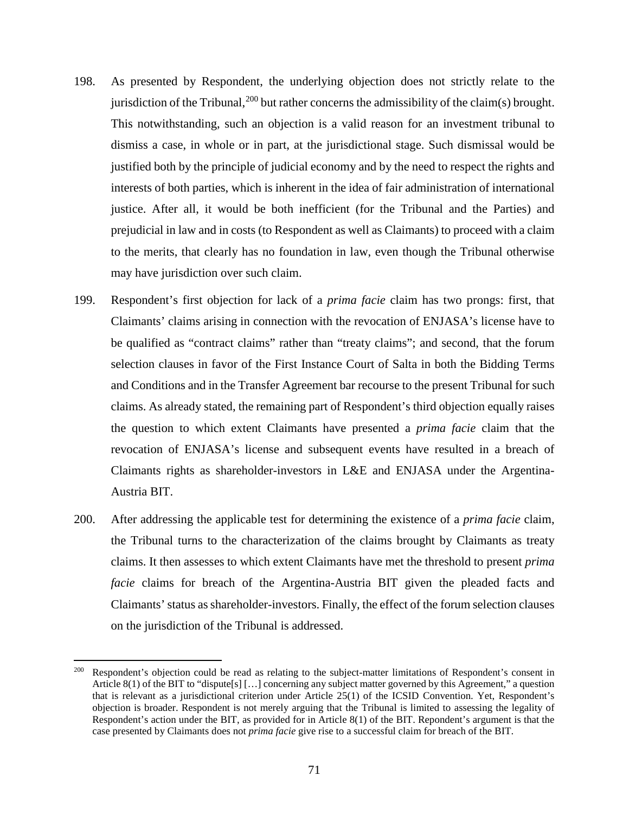- 198. As presented by Respondent, the underlying objection does not strictly relate to the jurisdiction of the Tribunal,  $200$  but rather concerns the admissibility of the claim(s) brought. This notwithstanding, such an objection is a valid reason for an investment tribunal to dismiss a case, in whole or in part, at the jurisdictional stage. Such dismissal would be justified both by the principle of judicial economy and by the need to respect the rights and interests of both parties, which is inherent in the idea of fair administration of international justice. After all, it would be both inefficient (for the Tribunal and the Parties) and prejudicial in law and in costs (to Respondent as well as Claimants) to proceed with a claim to the merits, that clearly has no foundation in law, even though the Tribunal otherwise may have jurisdiction over such claim.
- 199. Respondent's first objection for lack of a *prima facie* claim has two prongs: first, that Claimants' claims arising in connection with the revocation of ENJASA's license have to be qualified as "contract claims" rather than "treaty claims"; and second, that the forum selection clauses in favor of the First Instance Court of Salta in both the Bidding Terms and Conditions and in the Transfer Agreement bar recourse to the present Tribunal for such claims. As already stated, the remaining part of Respondent's third objection equally raises the question to which extent Claimants have presented a *prima facie* claim that the revocation of ENJASA's license and subsequent events have resulted in a breach of Claimants rights as shareholder-investors in L&E and ENJASA under the Argentina-Austria BIT.
- 200. After addressing the applicable test for determining the existence of a *prima facie* claim, the Tribunal turns to the characterization of the claims brought by Claimants as treaty claims. It then assesses to which extent Claimants have met the threshold to present *prima facie* claims for breach of the Argentina-Austria BIT given the pleaded facts and Claimants' status as shareholder-investors. Finally, the effect of the forum selection clauses on the jurisdiction of the Tribunal is addressed.

<span id="page-72-0"></span><sup>&</sup>lt;sup>200</sup> Respondent's objection could be read as relating to the subject-matter limitations of Respondent's consent in Article 8(1) of the BIT to "dispute[s] […] concerning any subject matter governed by this Agreement," a question that is relevant as a jurisdictional criterion under Article 25(1) of the ICSID Convention. Yet, Respondent's objection is broader. Respondent is not merely arguing that the Tribunal is limited to assessing the legality of Respondent's action under the BIT, as provided for in Article 8(1) of the BIT. Repondent's argument is that the case presented by Claimants does not *prima facie* give rise to a successful claim for breach of the BIT.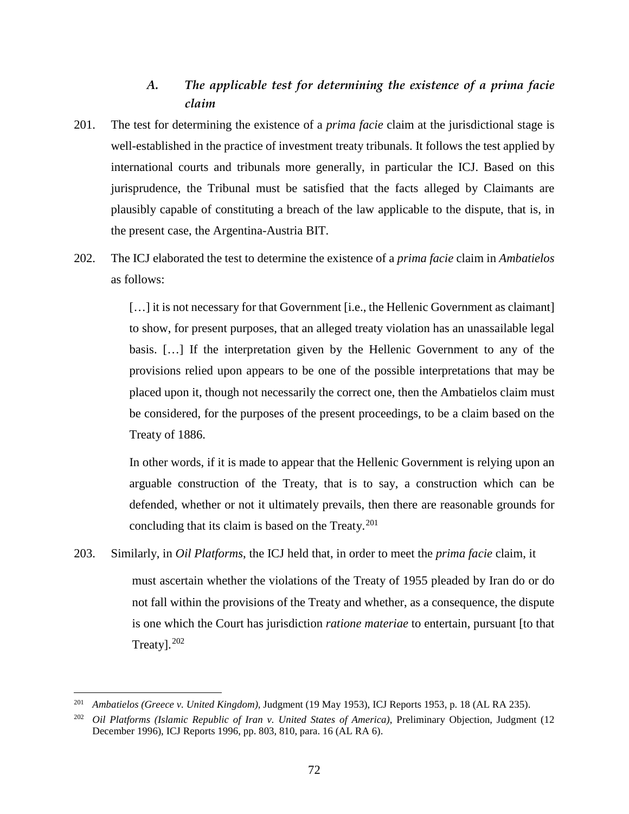# *A. The applicable test for determining the existence of a prima facie claim*

- 201. The test for determining the existence of a *prima facie* claim at the jurisdictional stage is well-established in the practice of investment treaty tribunals. It follows the test applied by international courts and tribunals more generally, in particular the ICJ. Based on this jurisprudence, the Tribunal must be satisfied that the facts alleged by Claimants are plausibly capable of constituting a breach of the law applicable to the dispute, that is, in the present case, the Argentina-Austria BIT.
- 202. The ICJ elaborated the test to determine the existence of a *prima facie* claim in *Ambatielos* as follows:

[...] it is not necessary for that Government [i.e., the Hellenic Government as claimant] to show, for present purposes, that an alleged treaty violation has an unassailable legal basis. […] If the interpretation given by the Hellenic Government to any of the provisions relied upon appears to be one of the possible interpretations that may be placed upon it, though not necessarily the correct one, then the Ambatielos claim must be considered, for the purposes of the present proceedings, to be a claim based on the Treaty of 1886.

In other words, if it is made to appear that the Hellenic Government is relying upon an arguable construction of the Treaty, that is to say, a construction which can be defended, whether or not it ultimately prevails, then there are reasonable grounds for concluding that its claim is based on the Treaty. $201$ 

203. Similarly, in *Oil Platforms*, the ICJ held that, in order to meet the *prima facie* claim, it must ascertain whether the violations of the Treaty of 1955 pleaded by Iran do or do not fall within the provisions of the Treaty and whether, as a consequence, the dispute is one which the Court has jurisdiction *ratione materiae* to entertain, pursuant [to that Treaty]. $202$ 

<span id="page-73-0"></span> <sup>201</sup> *Ambatielos (Greece v. United Kingdom)*, Judgment (19 May 1953), ICJ Reports 1953, p. 18 (AL RA 235).

<span id="page-73-1"></span><sup>202</sup> *Oil Platforms (Islamic Republic of Iran v. United States of America)*, Preliminary Objection, Judgment (12 December 1996), ICJ Reports 1996, pp. 803, 810, para. 16 (AL RA 6).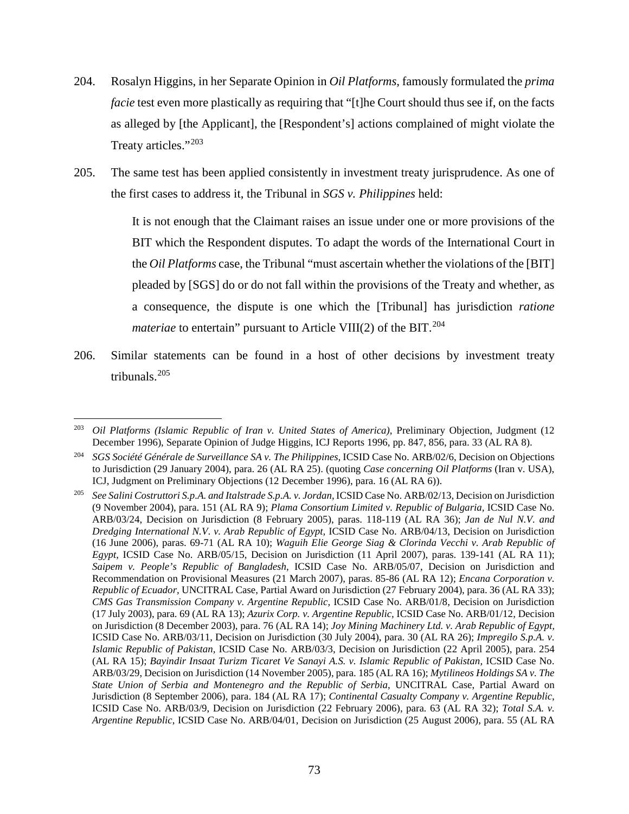- 204. Rosalyn Higgins, in her Separate Opinion in *Oil Platforms*, famously formulated the *prima facie* test even more plastically as requiring that "[t]he Court should thus see if, on the facts as alleged by [the Applicant], the [Respondent's] actions complained of might violate the Treaty articles."[203](#page-74-0)
- 205. The same test has been applied consistently in investment treaty jurisprudence. As one of the first cases to address it, the Tribunal in *SGS v. Philippines* held:

It is not enough that the Claimant raises an issue under one or more provisions of the BIT which the Respondent disputes. To adapt the words of the International Court in the *Oil Platforms* case, the Tribunal "must ascertain whether the violations of the [BIT] pleaded by [SGS] do or do not fall within the provisions of the Treaty and whether, as a consequence, the dispute is one which the [Tribunal] has jurisdiction *ratione materiae* to entertain" pursuant to Article VIII(2) of the BIT.<sup>[204](#page-74-1)</sup>

206. Similar statements can be found in a host of other decisions by investment treaty tribunals.[205](#page-74-2)

<span id="page-74-0"></span> <sup>203</sup> *Oil Platforms (Islamic Republic of Iran v. United States of America)*, Preliminary Objection, Judgment (12 December 1996), Separate Opinion of Judge Higgins, ICJ Reports 1996, pp. 847, 856, para. 33 (AL RA 8).

<span id="page-74-1"></span><sup>204</sup> *SGS Société Générale de Surveillance SA v. The Philippines,* ICSID Case No. ARB/02/6, Decision on Objections to Jurisdiction (29 January 2004), para. 26 (AL RA 25). (quoting *Case concerning Oil Platforms* (Iran v. USA), ICJ, Judgment on Preliminary Objections (12 December 1996), para. 16 (AL RA 6)).

<span id="page-74-2"></span><sup>205</sup> *See Salini Costruttori S.p.A. and Italstrade S.p.A. v. Jordan*, ICSID Case No. ARB/02/13, Decision on Jurisdiction (9 November 2004), para. 151 (AL RA 9); *Plama Consortium Limited v. Republic of Bulgaria,* ICSID Case No. ARB/03/24, Decision on Jurisdiction (8 February 2005), paras. 118-119 (AL RA 36); *Jan de Nul N.V. and Dredging International N.V*. *v. Arab Republic of Egypt,* ICSID Case No. ARB/04/13, Decision on Jurisdiction (16 June 2006), paras. 69-71 (AL RA 10); *Waguih Elie George Siag & Clorinda Vecchi v. Arab Republic of Egypt*, ICSID Case No. ARB/05/15, Decision on Jurisdiction (11 April 2007), paras. 139-141 (AL RA 11); *Saipem v. People's Republic of Bangladesh*, ICSID Case No. ARB/05/07, Decision on Jurisdiction and Recommendation on Provisional Measures (21 March 2007), paras. 85-86 (AL RA 12); *Encana Corporation v. Republic of Ecuador,* UNCITRAL Case, Partial Award on Jurisdiction (27 February 2004), para. 36 (AL RA 33); *CMS Gas Transmission Company v. Argentine Republic,* ICSID Case No. ARB/01/8, Decision on Jurisdiction (17 July 2003), para. 69 (AL RA 13); *Azurix Corp. v. Argentine Republic,* ICSID Case No. ARB/01/12, Decision on Jurisdiction (8 December 2003), para. 76 (AL RA 14); *Joy Mining Machinery Ltd. v. Arab Republic of Egypt,*  ICSID Case No. ARB/03/11, Decision on Jurisdiction (30 July 2004), para. 30 (AL RA 26); *Impregilo S.p.A. v. Islamic Republic of Pakistan,* ICSID Case No. ARB/03/3, Decision on Jurisdiction (22 April 2005), para. 254 (AL RA 15); *Bayindir Insaat Turizm Ticaret Ve Sanayi A.S. v. Islamic Republic of Pakistan, ICSID Case No.* ARB/03/29, Decision on Jurisdiction (14 November 2005), para. 185 (AL RA 16); *Mytilineos Holdings SA v. The State Union of Serbia and Montenegro and the Republic of Serbia*, UNCITRAL Case, Partial Award on Jurisdiction (8 September 2006), para. 184 (AL RA 17); *Continental Casualty Company v. Argentine Republic*, ICSID Case No. ARB/03/9, Decision on Jurisdiction (22 February 2006), para. 63 (AL RA 32); *Total S.A. v. Argentine Republic*, ICSID Case No. ARB/04/01, Decision on Jurisdiction (25 August 2006), para. 55 (AL RA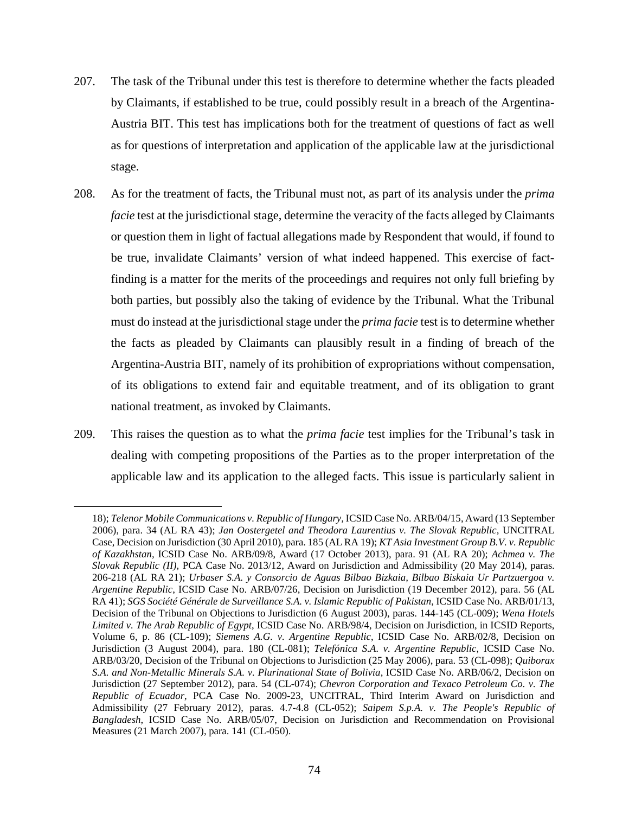- 207. The task of the Tribunal under this test is therefore to determine whether the facts pleaded by Claimants, if established to be true, could possibly result in a breach of the Argentina-Austria BIT. This test has implications both for the treatment of questions of fact as well as for questions of interpretation and application of the applicable law at the jurisdictional stage.
- 208. As for the treatment of facts, the Tribunal must not, as part of its analysis under the *prima facie* test at the jurisdictional stage, determine the veracity of the facts alleged by Claimants or question them in light of factual allegations made by Respondent that would, if found to be true, invalidate Claimants' version of what indeed happened. This exercise of factfinding is a matter for the merits of the proceedings and requires not only full briefing by both parties, but possibly also the taking of evidence by the Tribunal. What the Tribunal must do instead at the jurisdictional stage under the *prima facie* test is to determine whether the facts as pleaded by Claimants can plausibly result in a finding of breach of the Argentina-Austria BIT, namely of its prohibition of expropriations without compensation, of its obligations to extend fair and equitable treatment, and of its obligation to grant national treatment, as invoked by Claimants.
- 209. This raises the question as to what the *prima facie* test implies for the Tribunal's task in dealing with competing propositions of the Parties as to the proper interpretation of the applicable law and its application to the alleged facts. This issue is particularly salient in

 $\overline{a}$ 

<sup>18);</sup> *Telenor Mobile Communications v. Republic of Hungary,* ICSID Case No. ARB/04/15, Award (13 September 2006), para. 34 (AL RA 43); *Jan Oostergetel and Theodora Laurentius v. The Slovak Republic,* UNCITRAL Case, Decision on Jurisdiction (30 April 2010), para. 185 (AL RA 19); *KT Asia Investment Group B.V. v. Republic of Kazakhstan,* ICSID Case No. ARB/09/8, Award (17 October 2013), para. 91 (AL RA 20); *Achmea v. The Slovak Republic (II),* PCA Case No. 2013/12, Award on Jurisdiction and Admissibility (20 May 2014), paras. 206-218 (AL RA 21); *Urbaser S.A. y Consorcio de Aguas Bilbao Bizkaia, Bilbao Biskaia Ur Partzuergoa v. Argentine Republic*, ICSID Case No. ARB/07/26, Decision on Jurisdiction (19 December 2012), para. 56 (AL RA 41); *SGS Société Générale de Surveillance S.A. v. Islamic Republic of Pakistan*, ICSID Case No. ARB/01/13, Decision of the Tribunal on Objections to Jurisdiction (6 August 2003), paras. 144-145 (CL-009); *Wena Hotels Limited v. The Arab Republic of Egypt*, ICSID Case No. ARB/98/4, Decision on Jurisdiction, in ICSID Reports, Volume 6, p. 86 (CL-109); *Siemens A.G. v. Argentine Republic*, ICSID Case No. ARB/02/8, Decision on Jurisdiction (3 August 2004), para. 180 (CL-081); *Telefónica S.A. v. Argentine Republic*, ICSID Case No. ARB/03/20, Decision of the Tribunal on Objections to Jurisdiction (25 May 2006), para. 53 (CL-098); *Quiborax S.A. and Non-Metallic Minerals S.A. v. Plurinational State of Bolivia*, ICSID Case No. ARB/06/2, Decision on Jurisdiction (27 September 2012), para. 54 (CL-074); *Chevron Corporation and Texaco Petroleum Co. v. The Republic of Ecuador*, PCA Case No. 2009-23, UNCITRAL, Third Interim Award on Jurisdiction and Admissibility (27 February 2012), paras. 4.7-4.8 (CL-052); *Saipem S.p.A. v. The People's Republic of Bangladesh*, ICSID Case No. ARB/05/07, Decision on Jurisdiction and Recommendation on Provisional Measures (21 March 2007), para. 141 (CL-050).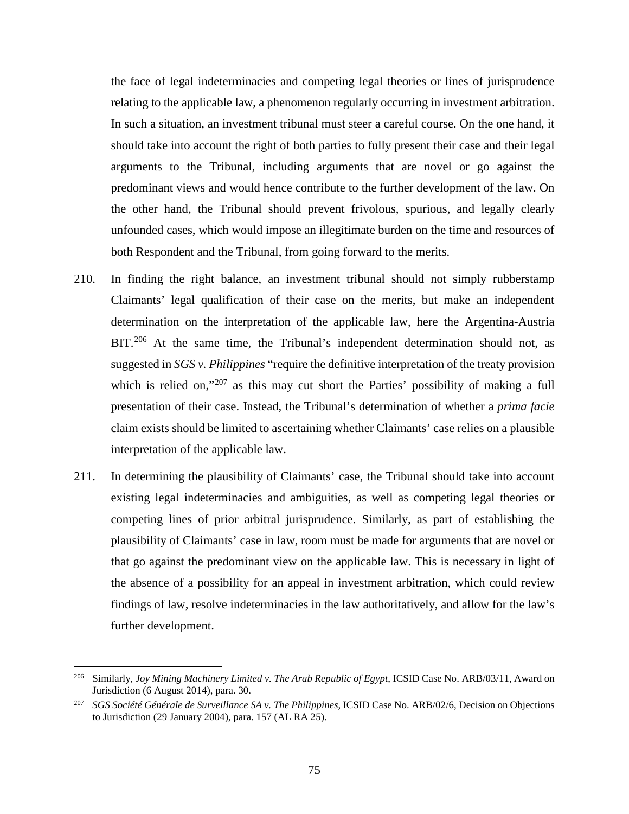the face of legal indeterminacies and competing legal theories or lines of jurisprudence relating to the applicable law, a phenomenon regularly occurring in investment arbitration. In such a situation, an investment tribunal must steer a careful course. On the one hand, it should take into account the right of both parties to fully present their case and their legal arguments to the Tribunal, including arguments that are novel or go against the predominant views and would hence contribute to the further development of the law. On the other hand, the Tribunal should prevent frivolous, spurious, and legally clearly unfounded cases, which would impose an illegitimate burden on the time and resources of both Respondent and the Tribunal, from going forward to the merits.

- 210. In finding the right balance, an investment tribunal should not simply rubberstamp Claimants' legal qualification of their case on the merits, but make an independent determination on the interpretation of the applicable law, here the Argentina-Austria BIT.<sup>[206](#page-76-0)</sup> At the same time, the Tribunal's independent determination should not, as suggested in *SGS v. Philippines* "require the definitive interpretation of the treaty provision which is relied on,"<sup>[207](#page-76-1)</sup> as this may cut short the Parties' possibility of making a full presentation of their case. Instead, the Tribunal's determination of whether a *prima facie* claim exists should be limited to ascertaining whether Claimants' case relies on a plausible interpretation of the applicable law.
- 211. In determining the plausibility of Claimants' case, the Tribunal should take into account existing legal indeterminacies and ambiguities, as well as competing legal theories or competing lines of prior arbitral jurisprudence. Similarly, as part of establishing the plausibility of Claimants' case in law, room must be made for arguments that are novel or that go against the predominant view on the applicable law. This is necessary in light of the absence of a possibility for an appeal in investment arbitration, which could review findings of law, resolve indeterminacies in the law authoritatively, and allow for the law's further development.

<span id="page-76-0"></span><sup>&</sup>lt;sup>206</sup> Similarly, *Joy Mining Machinery Limited v. The Arab Republic of Egypt*, ICSID Case No. ARB/03/11, Award on Jurisdiction (6 August 2014), para. 30.

<span id="page-76-1"></span><sup>207</sup> *SGS Société Générale de Surveillance SA v. The Philippines,* ICSID Case No. ARB/02/6, Decision on Objections to Jurisdiction (29 January 2004), para. 157 (AL RA 25).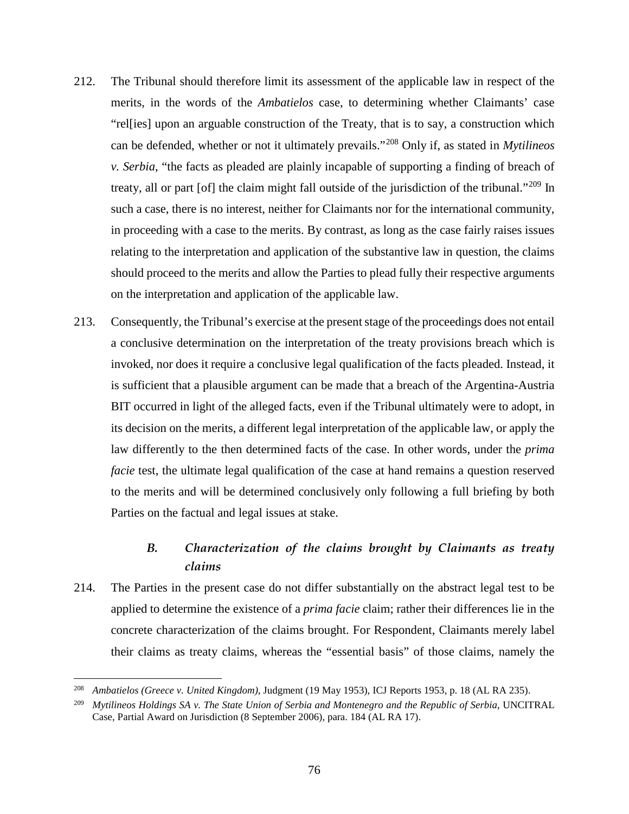- 212. The Tribunal should therefore limit its assessment of the applicable law in respect of the merits, in the words of the *Ambatielos* case, to determining whether Claimants' case "rel[ies] upon an arguable construction of the Treaty, that is to say, a construction which can be defended, whether or not it ultimately prevails."[208](#page-77-0) Only if, as stated in *Mytilineos v. Serbia*, "the facts as pleaded are plainly incapable of supporting a finding of breach of treaty, all or part [of] the claim might fall outside of the jurisdiction of the tribunal."<sup>[209](#page-77-1)</sup> In such a case, there is no interest, neither for Claimants nor for the international community, in proceeding with a case to the merits. By contrast, as long as the case fairly raises issues relating to the interpretation and application of the substantive law in question, the claims should proceed to the merits and allow the Parties to plead fully their respective arguments on the interpretation and application of the applicable law.
- 213. Consequently, the Tribunal's exercise at the present stage of the proceedings does not entail a conclusive determination on the interpretation of the treaty provisions breach which is invoked, nor does it require a conclusive legal qualification of the facts pleaded. Instead, it is sufficient that a plausible argument can be made that a breach of the Argentina-Austria BIT occurred in light of the alleged facts, even if the Tribunal ultimately were to adopt, in its decision on the merits, a different legal interpretation of the applicable law, or apply the law differently to the then determined facts of the case. In other words, under the *prima facie* test, the ultimate legal qualification of the case at hand remains a question reserved to the merits and will be determined conclusively only following a full briefing by both Parties on the factual and legal issues at stake.

# *B. Characterization of the claims brought by Claimants as treaty claims*

214. The Parties in the present case do not differ substantially on the abstract legal test to be applied to determine the existence of a *prima facie* claim; rather their differences lie in the concrete characterization of the claims brought. For Respondent, Claimants merely label their claims as treaty claims, whereas the "essential basis" of those claims, namely the

<span id="page-77-0"></span> <sup>208</sup> *Ambatielos (Greece v. United Kingdom)*, Judgment (19 May 1953), ICJ Reports 1953, p. 18 (AL RA 235).

<span id="page-77-1"></span><sup>209</sup> *Mytilineos Holdings SA v. The State Union of Serbia and Montenegro and the Republic of Serbia*, UNCITRAL Case, Partial Award on Jurisdiction (8 September 2006), para. 184 (AL RA 17).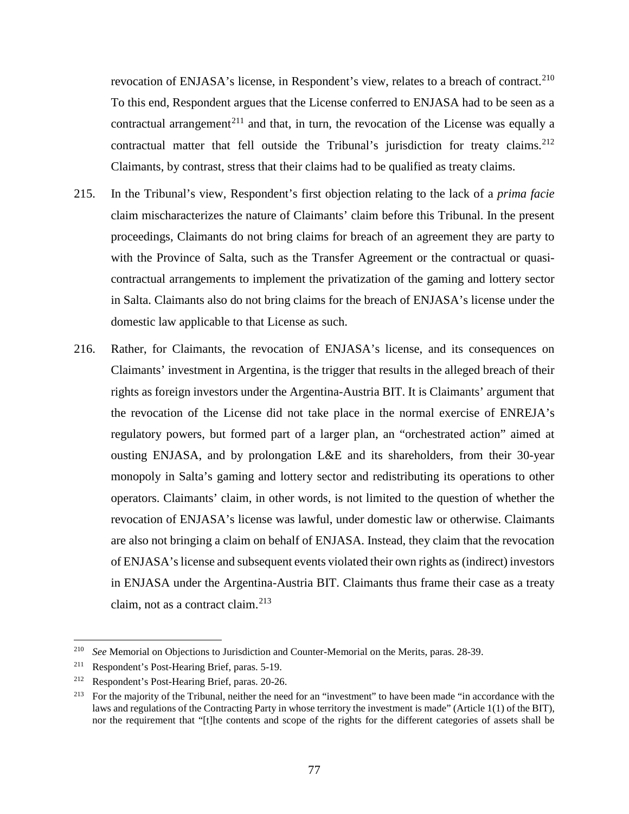revocation of ENJASA's license, in Respondent's view, relates to a breach of contract.<sup>[210](#page-78-0)</sup> To this end, Respondent argues that the License conferred to ENJASA had to be seen as a contractual arrangement<sup>[211](#page-78-1)</sup> and that, in turn, the revocation of the License was equally a contractual matter that fell outside the Tribunal's jurisdiction for treaty claims.<sup>[212](#page-78-2)</sup> Claimants, by contrast, stress that their claims had to be qualified as treaty claims.

- 215. In the Tribunal's view, Respondent's first objection relating to the lack of a *prima facie* claim mischaracterizes the nature of Claimants' claim before this Tribunal. In the present proceedings, Claimants do not bring claims for breach of an agreement they are party to with the Province of Salta, such as the Transfer Agreement or the contractual or quasicontractual arrangements to implement the privatization of the gaming and lottery sector in Salta. Claimants also do not bring claims for the breach of ENJASA's license under the domestic law applicable to that License as such.
- 216. Rather, for Claimants, the revocation of ENJASA's license, and its consequences on Claimants' investment in Argentina, is the trigger that results in the alleged breach of their rights as foreign investors under the Argentina-Austria BIT. It is Claimants' argument that the revocation of the License did not take place in the normal exercise of ENREJA's regulatory powers, but formed part of a larger plan, an "orchestrated action" aimed at ousting ENJASA, and by prolongation L&E and its shareholders, from their 30-year monopoly in Salta's gaming and lottery sector and redistributing its operations to other operators. Claimants' claim, in other words, is not limited to the question of whether the revocation of ENJASA's license was lawful, under domestic law or otherwise. Claimants are also not bringing a claim on behalf of ENJASA. Instead, they claim that the revocation of ENJASA'slicense and subsequent events violated their own rights as (indirect) investors in ENJASA under the Argentina-Austria BIT. Claimants thus frame their case as a treaty claim, not as a contract claim.<sup>[213](#page-78-3)</sup>

<span id="page-78-0"></span> <sup>210</sup> *See* Memorial on Objections to Jurisdiction and Counter-Memorial on the Merits, paras. 28-39.

<span id="page-78-1"></span><sup>211</sup> Respondent's Post-Hearing Brief, paras. 5-19.

<span id="page-78-2"></span><sup>212</sup> Respondent's Post-Hearing Brief, paras. 20-26.

<span id="page-78-3"></span><sup>&</sup>lt;sup>213</sup> For the majority of the Tribunal, neither the need for an "investment" to have been made "in accordance with the laws and regulations of the Contracting Party in whose territory the investment is made" (Article 1(1) of the BIT), nor the requirement that "[t]he contents and scope of the rights for the different categories of assets shall be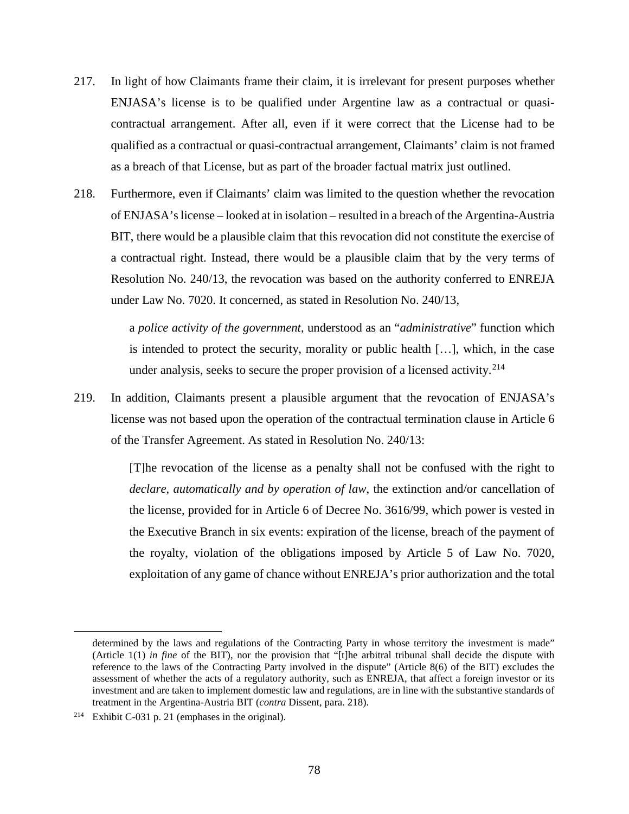- 217. In light of how Claimants frame their claim, it is irrelevant for present purposes whether ENJASA's license is to be qualified under Argentine law as a contractual or quasicontractual arrangement. After all, even if it were correct that the License had to be qualified as a contractual or quasi-contractual arrangement, Claimants' claim is not framed as a breach of that License, but as part of the broader factual matrix just outlined.
- 218. Furthermore, even if Claimants' claim was limited to the question whether the revocation of ENJASA's license – looked at in isolation – resulted in a breach of the Argentina-Austria BIT, there would be a plausible claim that this revocation did not constitute the exercise of a contractual right. Instead, there would be a plausible claim that by the very terms of Resolution No. 240/13, the revocation was based on the authority conferred to ENREJA under Law No. 7020. It concerned, as stated in Resolution No. 240/13,

a *police activity of the government*, understood as an "*administrative*" function which is intended to protect the security, morality or public health […], which, in the case under analysis, seeks to secure the proper provision of a licensed activity.<sup>[214](#page-79-0)</sup>

219. In addition, Claimants present a plausible argument that the revocation of ENJASA's license was not based upon the operation of the contractual termination clause in Article 6 of the Transfer Agreement. As stated in Resolution No. 240/13:

> [T]he revocation of the license as a penalty shall not be confused with the right to *declare*, *automatically and by operation of law*, the extinction and/or cancellation of the license, provided for in Article 6 of Decree No. 3616/99, which power is vested in the Executive Branch in six events: expiration of the license, breach of the payment of the royalty, violation of the obligations imposed by Article 5 of Law No. 7020, exploitation of any game of chance without ENREJA's prior authorization and the total

 $\overline{a}$ 

determined by the laws and regulations of the Contracting Party in whose territory the investment is made" (Article 1(1) *in fine* of the BIT), nor the provision that "[t]he arbitral tribunal shall decide the dispute with reference to the laws of the Contracting Party involved in the dispute" (Article 8(6) of the BIT) excludes the assessment of whether the acts of a regulatory authority, such as ENREJA, that affect a foreign investor or its investment and are taken to implement domestic law and regulations, are in line with the substantive standards of treatment in the Argentina-Austria BIT (*contra* Dissent, para. 218).

<span id="page-79-0"></span><sup>214</sup> Exhibit C-031 p. 21 (emphases in the original).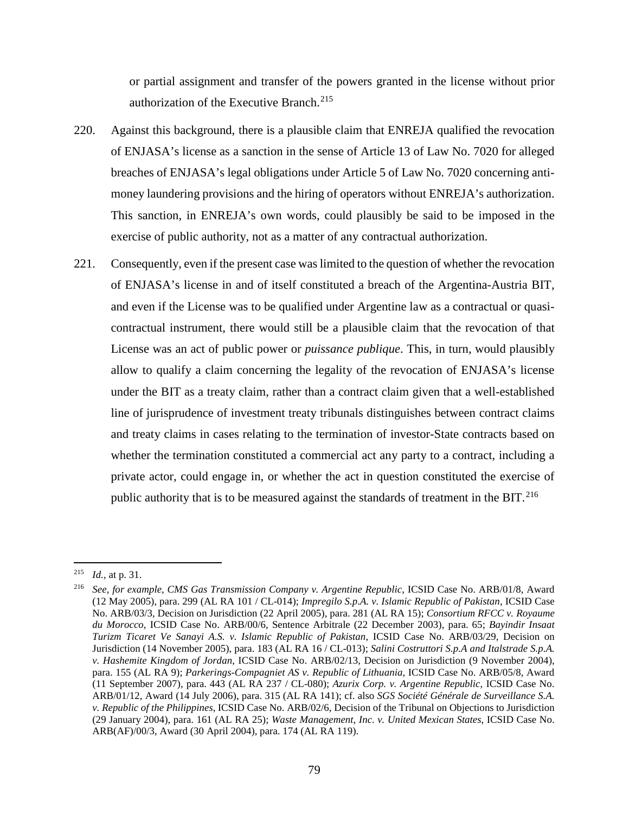or partial assignment and transfer of the powers granted in the license without prior authorization of the Executive Branch.<sup>[215](#page-80-0)</sup>

- 220. Against this background, there is a plausible claim that ENREJA qualified the revocation of ENJASA's license as a sanction in the sense of Article 13 of Law No. 7020 for alleged breaches of ENJASA's legal obligations under Article 5 of Law No. 7020 concerning antimoney laundering provisions and the hiring of operators without ENREJA's authorization. This sanction, in ENREJA's own words, could plausibly be said to be imposed in the exercise of public authority, not as a matter of any contractual authorization.
- 221. Consequently, even if the present case was limited to the question of whether the revocation of ENJASA's license in and of itself constituted a breach of the Argentina-Austria BIT, and even if the License was to be qualified under Argentine law as a contractual or quasicontractual instrument, there would still be a plausible claim that the revocation of that License was an act of public power or *puissance publique*. This, in turn, would plausibly allow to qualify a claim concerning the legality of the revocation of ENJASA's license under the BIT as a treaty claim, rather than a contract claim given that a well-established line of jurisprudence of investment treaty tribunals distinguishes between contract claims and treaty claims in cases relating to the termination of investor-State contracts based on whether the termination constituted a commercial act any party to a contract, including a private actor, could engage in, or whether the act in question constituted the exercise of public authority that is to be measured against the standards of treatment in the BIT.<sup>[216](#page-80-1)</sup>

<span id="page-80-0"></span> <sup>215</sup> *Id.*, at p. 31.

<span id="page-80-1"></span><sup>216</sup> *See, for example*, *CMS Gas Transmission Company v. Argentine Republic*, ICSID Case No. ARB/01/8, Award (12 May 2005), para. 299 (AL RA 101 / CL-014); *Impregilo S.p.A. v. Islamic Republic of Pakistan*, ICSID Case No. ARB/03/3, Decision on Jurisdiction (22 April 2005), para. 281 (AL RA 15); *Consortium RFCC v. Royaume du Morocco*, ICSID Case No. ARB/00/6, Sentence Arbitrale (22 December 2003), para. 65; *Bayindir Insaat Turizm Ticaret Ve Sanayi A.S. v. Islamic Republic of Pakistan*, ICSID Case No. ARB/03/29, Decision on Jurisdiction (14 November 2005), para. 183 (AL RA 16 / CL-013); *Salini Costruttori S.p.A and Italstrade S.p.A. v. Hashemite Kingdom of Jordan*, ICSID Case No. ARB/02/13, Decision on Jurisdiction (9 November 2004), para. 155 (AL RA 9); *Parkerings-Compagniet AS v. Republic of Lithuania*, ICSID Case No. ARB/05/8, Award (11 September 2007), para. 443 (AL RA 237 / CL-080); *Azurix Corp. v. Argentine Republic*, ICSID Case No. ARB/01/12, Award (14 July 2006), para. 315 (AL RA 141); cf. also *SGS Société Générale de Surveillance S.A. v. Republic of the Philippines*, ICSID Case No. ARB/02/6, Decision of the Tribunal on Objections to Jurisdiction (29 January 2004), para. 161 (AL RA 25); *Waste Management, Inc. v. United Mexican States*, ICSID Case No. ARB(AF)/00/3, Award (30 April 2004), para. 174 (AL RA 119).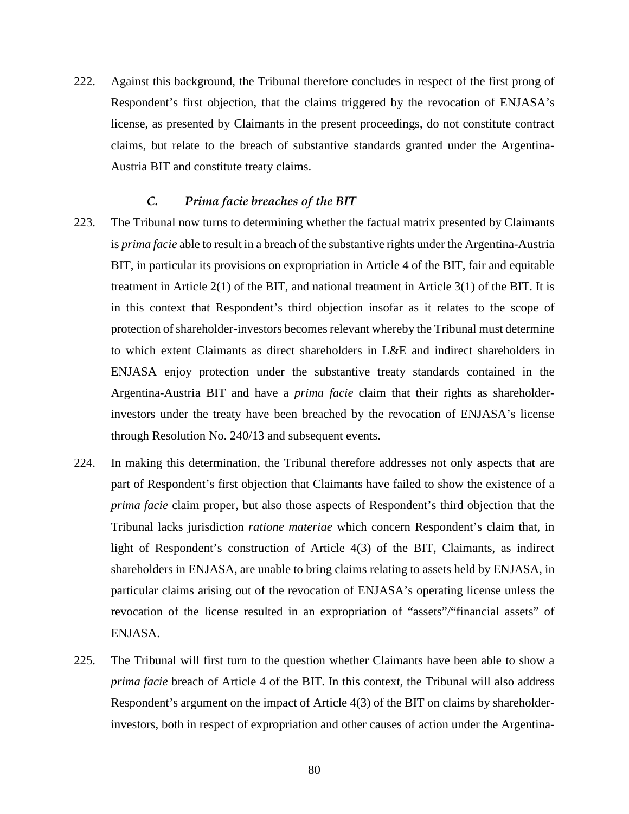222. Against this background, the Tribunal therefore concludes in respect of the first prong of Respondent's first objection, that the claims triggered by the revocation of ENJASA's license, as presented by Claimants in the present proceedings, do not constitute contract claims, but relate to the breach of substantive standards granted under the Argentina-Austria BIT and constitute treaty claims.

#### *C. Prima facie breaches of the BIT*

- 223. The Tribunal now turns to determining whether the factual matrix presented by Claimants is *prima facie* able to result in a breach of the substantive rights under the Argentina-Austria BIT, in particular its provisions on expropriation in Article 4 of the BIT, fair and equitable treatment in Article 2(1) of the BIT, and national treatment in Article 3(1) of the BIT. It is in this context that Respondent's third objection insofar as it relates to the scope of protection of shareholder-investors becomes relevant whereby the Tribunal must determine to which extent Claimants as direct shareholders in L&E and indirect shareholders in ENJASA enjoy protection under the substantive treaty standards contained in the Argentina-Austria BIT and have a *prima facie* claim that their rights as shareholderinvestors under the treaty have been breached by the revocation of ENJASA's license through Resolution No. 240/13 and subsequent events.
- 224. In making this determination, the Tribunal therefore addresses not only aspects that are part of Respondent's first objection that Claimants have failed to show the existence of a *prima facie* claim proper, but also those aspects of Respondent's third objection that the Tribunal lacks jurisdiction *ratione materiae* which concern Respondent's claim that, in light of Respondent's construction of Article 4(3) of the BIT, Claimants, as indirect shareholders in ENJASA, are unable to bring claims relating to assets held by ENJASA, in particular claims arising out of the revocation of ENJASA's operating license unless the revocation of the license resulted in an expropriation of "assets"/"financial assets" of ENJASA.
- 225. The Tribunal will first turn to the question whether Claimants have been able to show a *prima facie* breach of Article 4 of the BIT. In this context, the Tribunal will also address Respondent's argument on the impact of Article 4(3) of the BIT on claims by shareholderinvestors, both in respect of expropriation and other causes of action under the Argentina-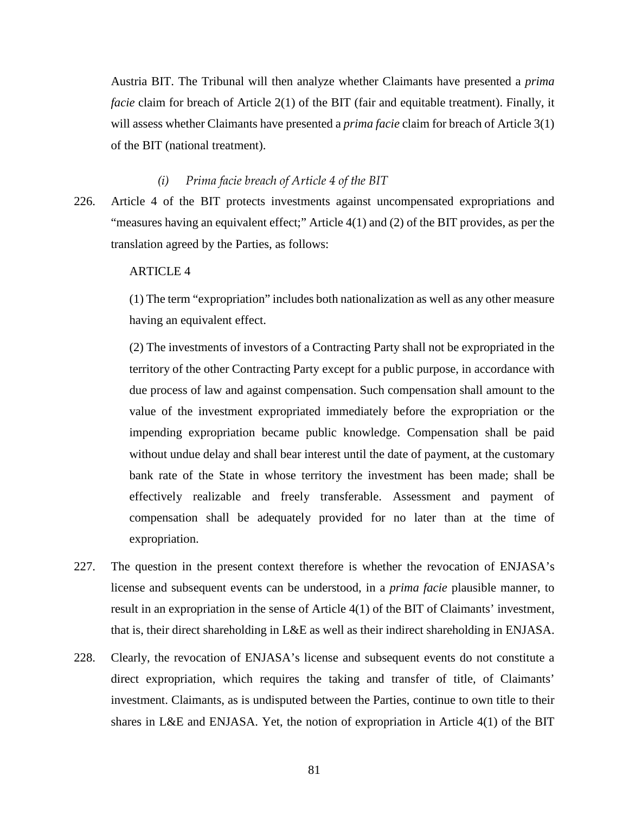Austria BIT. The Tribunal will then analyze whether Claimants have presented a *prima facie* claim for breach of Article 2(1) of the BIT (fair and equitable treatment). Finally, it will assess whether Claimants have presented a *prima facie* claim for breach of Article 3(1) of the BIT (national treatment).

#### *(i) Prima facie breach of Article 4 of the BIT*

226. Article 4 of the BIT protects investments against uncompensated expropriations and "measures having an equivalent effect;" Article 4(1) and (2) of the BIT provides, as per the translation agreed by the Parties, as follows:

### ARTICLE 4

(1) The term "expropriation" includes both nationalization as well as any other measure having an equivalent effect.

(2) The investments of investors of a Contracting Party shall not be expropriated in the territory of the other Contracting Party except for a public purpose, in accordance with due process of law and against compensation. Such compensation shall amount to the value of the investment expropriated immediately before the expropriation or the impending expropriation became public knowledge. Compensation shall be paid without undue delay and shall bear interest until the date of payment, at the customary bank rate of the State in whose territory the investment has been made; shall be effectively realizable and freely transferable. Assessment and payment of compensation shall be adequately provided for no later than at the time of expropriation.

- 227. The question in the present context therefore is whether the revocation of ENJASA's license and subsequent events can be understood, in a *prima facie* plausible manner, to result in an expropriation in the sense of Article 4(1) of the BIT of Claimants' investment, that is, their direct shareholding in L&E as well as their indirect shareholding in ENJASA.
- 228. Clearly, the revocation of ENJASA's license and subsequent events do not constitute a direct expropriation, which requires the taking and transfer of title, of Claimants' investment. Claimants, as is undisputed between the Parties, continue to own title to their shares in L&E and ENJASA. Yet, the notion of expropriation in Article  $4(1)$  of the BIT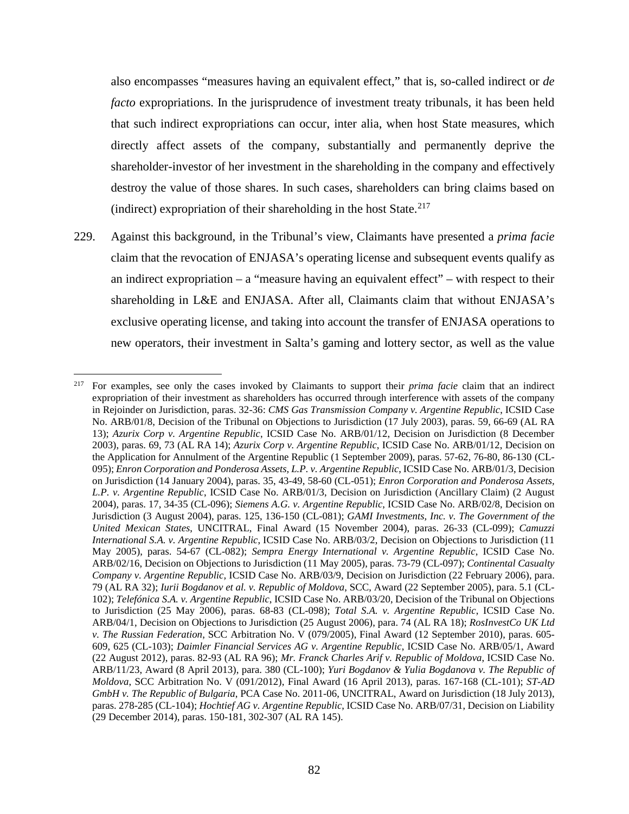also encompasses "measures having an equivalent effect," that is, so-called indirect or *de facto* expropriations. In the jurisprudence of investment treaty tribunals, it has been held that such indirect expropriations can occur, inter alia, when host State measures, which directly affect assets of the company, substantially and permanently deprive the shareholder-investor of her investment in the shareholding in the company and effectively destroy the value of those shares. In such cases, shareholders can bring claims based on (indirect) expropriation of their shareholding in the host State. $217$ 

229. Against this background, in the Tribunal's view, Claimants have presented a *prima facie* claim that the revocation of ENJASA's operating license and subsequent events qualify as an indirect expropriation – a "measure having an equivalent effect" – with respect to their shareholding in L&E and ENJASA. After all, Claimants claim that without ENJASA's exclusive operating license, and taking into account the transfer of ENJASA operations to new operators, their investment in Salta's gaming and lottery sector, as well as the value

<span id="page-83-0"></span> <sup>217</sup> For examples, see only the cases invoked by Claimants to support their *prima facie* claim that an indirect expropriation of their investment as shareholders has occurred through interference with assets of the company in Rejoinder on Jurisdiction, paras. 32-36: *CMS Gas Transmission Company v. Argentine Republic*, ICSID Case No. ARB/01/8, Decision of the Tribunal on Objections to Jurisdiction (17 July 2003), paras. 59, 66-69 (AL RA 13); *Azurix Corp v. Argentine Republic*, ICSID Case No. ARB/01/12, Decision on Jurisdiction (8 December 2003), paras. 69, 73 (AL RA 14); *Azurix Corp v. Argentine Republic*, ICSID Case No. ARB/01/12, Decision on the Application for Annulment of the Argentine Republic (1 September 2009), paras. 57-62, 76-80, 86-130 (CL-095); *Enron Corporation and Ponderosa Assets, L.P. v. Argentine Republic*, ICSID Case No. ARB/01/3, Decision on Jurisdiction (14 January 2004), paras. 35, 43-49, 58-60 (CL-051); *Enron Corporation and Ponderosa Assets, L.P. v. Argentine Republic*, ICSID Case No. ARB/01/3, Decision on Jurisdiction (Ancillary Claim) (2 August 2004), paras. 17, 34-35 (CL-096); *Siemens A.G. v. Argentine Republic*, ICSID Case No. ARB/02/8, Decision on Jurisdiction (3 August 2004), paras. 125, 136-150 (CL-081); *GAMI Investments, Inc. v. The Government of the United Mexican States*, UNCITRAL, Final Award (15 November 2004), paras. 26-33 (CL-099); *Camuzzi International S.A. v. Argentine Republic*, ICSID Case No. ARB/03/2, Decision on Objections to Jurisdiction (11 May 2005), paras. 54-67 (CL-082); *Sempra Energy International v. Argentine Republic*, ICSID Case No. ARB/02/16, Decision on Objections to Jurisdiction (11 May 2005), paras. 73-79 (CL-097); *Continental Casualty Company v. Argentine Republic,* ICSID Case No. ARB/03/9, Decision on Jurisdiction (22 February 2006), para. 79 (AL RA 32); *Iurii Bogdanov et al. v. Republic of Moldova*, SCC, Award (22 September 2005), para. 5.1 (CL-102); *Telefónica S.A. v. Argentine Republic*, ICSID Case No. ARB/03/20, Decision of the Tribunal on Objections to Jurisdiction (25 May 2006), paras. 68-83 (CL-098); *Total S.A. v. Argentine Republic*, ICSID Case No. ARB/04/1, Decision on Objections to Jurisdiction (25 August 2006), para. 74 (AL RA 18); *RosInvestCo UK Ltd v. The Russian Federation*, SCC Arbitration No. V (079/2005), Final Award (12 September 2010), paras. 605- 609, 625 (CL-103); *Daimler Financial Services AG v. Argentine Republic*, ICSID Case No. ARB/05/1, Award (22 August 2012), paras. 82-93 (AL RA 96); *Mr. Franck Charles Arif v. Republic of Moldova*, ICSID Case No. ARB/11/23, Award (8 April 2013), para. 380 (CL-100); *Yuri Bogdanov & Yulia Bogdanova v. The Republic of Moldova*, SCC Arbitration No. V (091/2012), Final Award (16 April 2013), paras. 167-168 (CL-101); *ST-AD GmbH v. The Republic of Bulgaria*, PCA Case No. 2011-06, UNCITRAL, Award on Jurisdiction (18 July 2013), paras. 278-285 (CL-104); *Hochtief AG v. Argentine Republic*, ICSID Case No. ARB/07/31, Decision on Liability (29 December 2014), paras. 150-181, 302-307 (AL RA 145).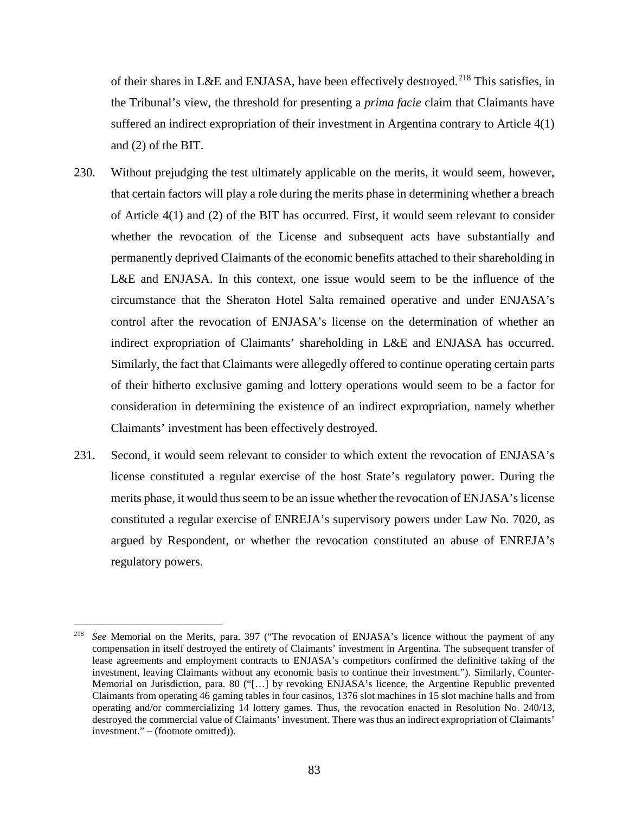of their shares in L&E and ENJASA, have been effectively destroyed.<sup>[218](#page-84-0)</sup> This satisfies, in the Tribunal's view, the threshold for presenting a *prima facie* claim that Claimants have suffered an indirect expropriation of their investment in Argentina contrary to Article 4(1) and (2) of the BIT.

- 230. Without prejudging the test ultimately applicable on the merits, it would seem, however, that certain factors will play a role during the merits phase in determining whether a breach of Article 4(1) and (2) of the BIT has occurred. First, it would seem relevant to consider whether the revocation of the License and subsequent acts have substantially and permanently deprived Claimants of the economic benefits attached to their shareholding in L&E and ENJASA. In this context, one issue would seem to be the influence of the circumstance that the Sheraton Hotel Salta remained operative and under ENJASA's control after the revocation of ENJASA's license on the determination of whether an indirect expropriation of Claimants' shareholding in L&E and ENJASA has occurred. Similarly, the fact that Claimants were allegedly offered to continue operating certain parts of their hitherto exclusive gaming and lottery operations would seem to be a factor for consideration in determining the existence of an indirect expropriation, namely whether Claimants' investment has been effectively destroyed.
- 231. Second, it would seem relevant to consider to which extent the revocation of ENJASA's license constituted a regular exercise of the host State's regulatory power. During the merits phase, it would thus seem to be an issue whether the revocation of ENJASA's license constituted a regular exercise of ENREJA's supervisory powers under Law No. 7020, as argued by Respondent, or whether the revocation constituted an abuse of ENREJA's regulatory powers.

<span id="page-84-0"></span> <sup>218</sup> *See* Memorial on the Merits, para. 397 ("The revocation of ENJASA's licence without the payment of any compensation in itself destroyed the entirety of Claimants' investment in Argentina. The subsequent transfer of lease agreements and employment contracts to ENJASA's competitors confirmed the definitive taking of the investment, leaving Claimants without any economic basis to continue their investment."). Similarly, Counter-Memorial on Jurisdiction, para. 80 ("[…] by revoking ENJASA's licence, the Argentine Republic prevented Claimants from operating 46 gaming tables in four casinos, 1376 slot machines in 15 slot machine halls and from operating and/or commercializing 14 lottery games. Thus, the revocation enacted in Resolution No. 240/13, destroyed the commercial value of Claimants' investment. There was thus an indirect expropriation of Claimants' investment." – (footnote omitted)).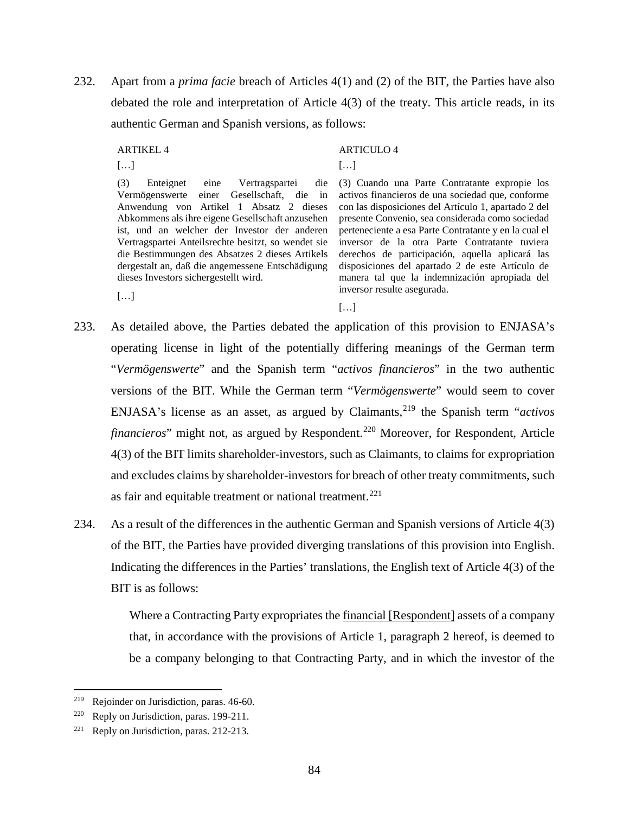- 232. Apart from a *prima facie* breach of Articles 4(1) and (2) of the BIT, the Parties have also debated the role and interpretation of Article 4(3) of the treaty. This article reads, in its authentic German and Spanish versions, as follows:
	- ARTIKEL 4

[…]

### ARTICULO 4

[…]

(3) Enteignet eine Vertragspartei die Vermögenswerte einer Gesellschaft, die in Anwendung von Artikel 1 Absatz 2 dieses Abkommens als ihre eigene Gesellschaft anzusehen ist, und an welcher der Investor der anderen Vertragspartei Anteilsrechte besitzt, so wendet sie die Bestimmungen des Absatzes 2 dieses Artikels dergestalt an, daß die angemessene Entschädigung dieses Investors sichergestellt wird.

 $[...]$ 

(3) Cuando una Parte Contratante expropie los activos financieros de una sociedad que, conforme con las disposiciones del Artículo 1, apartado 2 del presente Convenio, sea considerada como sociedad perteneciente a esa Parte Contratante y en la cual el inversor de la otra Parte Contratante tuviera derechos de participación, aquella aplicará las disposiciones del apartado 2 de este Artículo de manera tal que la indemnización apropiada del inversor resulte asegurada.

 $[...]$ 

- 233. As detailed above, the Parties debated the application of this provision to ENJASA's operating license in light of the potentially differing meanings of the German term "*Vermögenswerte*" and the Spanish term "*activos financieros*" in the two authentic versions of the BIT. While the German term "*Vermögenswerte*" would seem to cover ENJASA's license as an asset, as argued by Claimants, [219](#page-85-0) the Spanish term "*activos financieros*" might not, as argued by Respondent.<sup>[220](#page-85-1)</sup> Moreover, for Respondent, Article 4(3) of the BIT limits shareholder-investors, such as Claimants, to claims for expropriation and excludes claims by shareholder-investors for breach of other treaty commitments, such as fair and equitable treatment or national treatment.<sup>[221](#page-85-2)</sup>
- 234. As a result of the differences in the authentic German and Spanish versions of Article 4(3) of the BIT, the Parties have provided diverging translations of this provision into English. Indicating the differences in the Parties' translations, the English text of Article 4(3) of the BIT is as follows:

Where a Contracting Party expropriates the financial [Respondent] assets of a company that, in accordance with the provisions of Article 1, paragraph 2 hereof, is deemed to be a company belonging to that Contracting Party, and in which the investor of the

<span id="page-85-0"></span> <sup>219</sup> Rejoinder on Jurisdiction, paras. 46-60.

<span id="page-85-1"></span><sup>220</sup> Reply on Jurisdiction, paras. 199-211.

<span id="page-85-2"></span> $221$  Reply on Jurisdiction, paras. 212-213.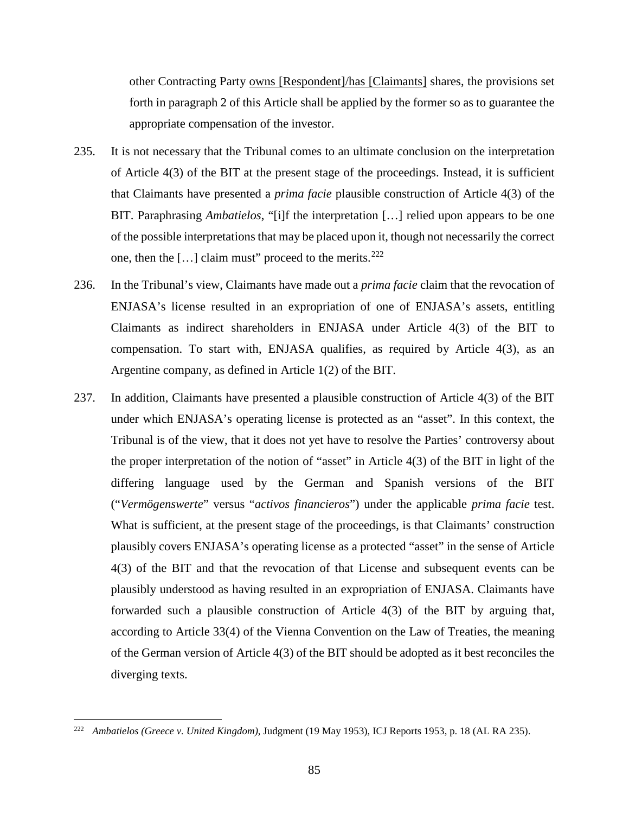other Contracting Party owns [Respondent]/has [Claimants] shares, the provisions set forth in paragraph 2 of this Article shall be applied by the former so as to guarantee the appropriate compensation of the investor.

- 235. It is not necessary that the Tribunal comes to an ultimate conclusion on the interpretation of Article 4(3) of the BIT at the present stage of the proceedings. Instead, it is sufficient that Claimants have presented a *prima facie* plausible construction of Article 4(3) of the BIT. Paraphrasing *Ambatielos*, "[i]f the interpretation […] relied upon appears to be one of the possible interpretations that may be placed upon it, though not necessarily the correct one, then the  $[...]$  claim must" proceed to the merits.<sup>[222](#page-86-0)</sup>
- 236. In the Tribunal's view, Claimants have made out a *prima facie* claim that the revocation of ENJASA's license resulted in an expropriation of one of ENJASA's assets, entitling Claimants as indirect shareholders in ENJASA under Article 4(3) of the BIT to compensation. To start with, ENJASA qualifies, as required by Article 4(3), as an Argentine company, as defined in Article 1(2) of the BIT.
- 237. In addition, Claimants have presented a plausible construction of Article 4(3) of the BIT under which ENJASA's operating license is protected as an "asset". In this context, the Tribunal is of the view, that it does not yet have to resolve the Parties' controversy about the proper interpretation of the notion of "asset" in Article 4(3) of the BIT in light of the differing language used by the German and Spanish versions of the BIT ("*Vermögenswerte*" versus "*activos financieros*") under the applicable *prima facie* test. What is sufficient, at the present stage of the proceedings, is that Claimants' construction plausibly covers ENJASA's operating license as a protected "asset" in the sense of Article 4(3) of the BIT and that the revocation of that License and subsequent events can be plausibly understood as having resulted in an expropriation of ENJASA. Claimants have forwarded such a plausible construction of Article 4(3) of the BIT by arguing that, according to Article 33(4) of the Vienna Convention on the Law of Treaties, the meaning of the German version of Article 4(3) of the BIT should be adopted as it best reconciles the diverging texts.

<span id="page-86-0"></span> <sup>222</sup> *Ambatielos (Greece v. United Kingdom)*, Judgment (19 May 1953), ICJ Reports 1953, p. 18 (AL RA 235).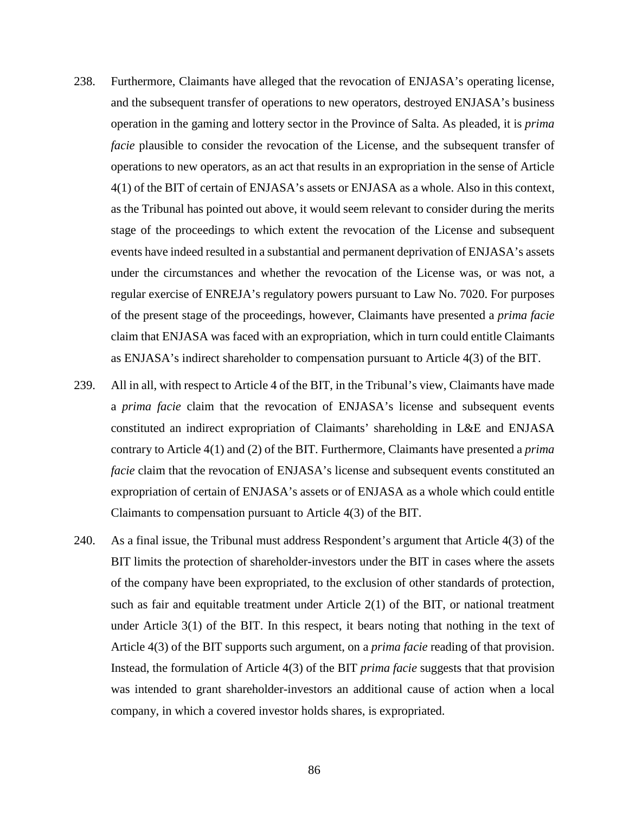- 238. Furthermore, Claimants have alleged that the revocation of ENJASA's operating license, and the subsequent transfer of operations to new operators, destroyed ENJASA's business operation in the gaming and lottery sector in the Province of Salta. As pleaded, it is *prima facie* plausible to consider the revocation of the License, and the subsequent transfer of operations to new operators, as an act that results in an expropriation in the sense of Article 4(1) of the BIT of certain of ENJASA's assets or ENJASA as a whole. Also in this context, as the Tribunal has pointed out above, it would seem relevant to consider during the merits stage of the proceedings to which extent the revocation of the License and subsequent events have indeed resulted in a substantial and permanent deprivation of ENJASA's assets under the circumstances and whether the revocation of the License was, or was not, a regular exercise of ENREJA's regulatory powers pursuant to Law No. 7020. For purposes of the present stage of the proceedings, however, Claimants have presented a *prima facie* claim that ENJASA was faced with an expropriation, which in turn could entitle Claimants as ENJASA's indirect shareholder to compensation pursuant to Article 4(3) of the BIT.
- 239. All in all, with respect to Article 4 of the BIT, in the Tribunal's view, Claimants have made a *prima facie* claim that the revocation of ENJASA's license and subsequent events constituted an indirect expropriation of Claimants' shareholding in L&E and ENJASA contrary to Article 4(1) and (2) of the BIT. Furthermore, Claimants have presented a *prima facie* claim that the revocation of ENJASA's license and subsequent events constituted an expropriation of certain of ENJASA's assets or of ENJASA as a whole which could entitle Claimants to compensation pursuant to Article 4(3) of the BIT.
- 240. As a final issue, the Tribunal must address Respondent's argument that Article 4(3) of the BIT limits the protection of shareholder-investors under the BIT in cases where the assets of the company have been expropriated, to the exclusion of other standards of protection, such as fair and equitable treatment under Article 2(1) of the BIT, or national treatment under Article 3(1) of the BIT. In this respect, it bears noting that nothing in the text of Article 4(3) of the BIT supports such argument, on a *prima facie* reading of that provision. Instead, the formulation of Article 4(3) of the BIT *prima facie* suggests that that provision was intended to grant shareholder-investors an additional cause of action when a local company, in which a covered investor holds shares, is expropriated.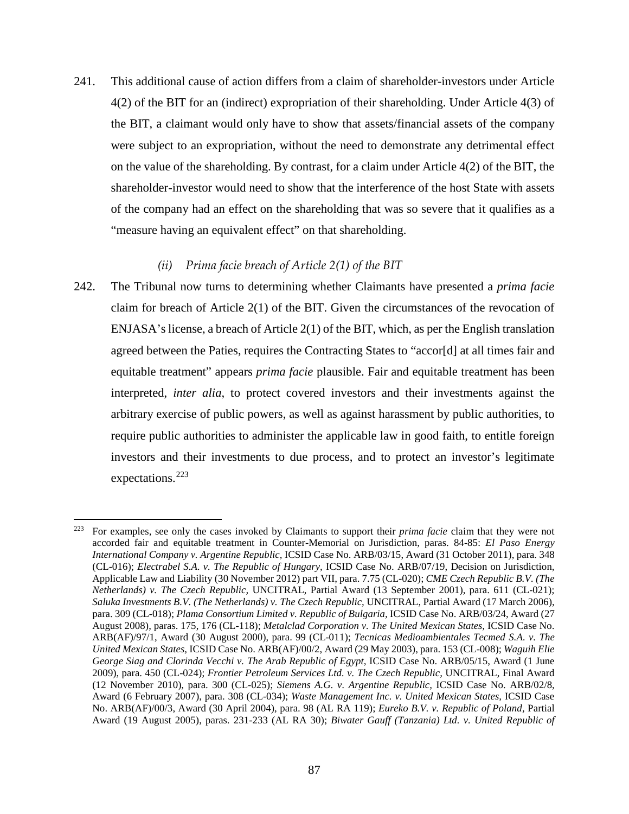241. This additional cause of action differs from a claim of shareholder-investors under Article 4(2) of the BIT for an (indirect) expropriation of their shareholding. Under Article 4(3) of the BIT, a claimant would only have to show that assets/financial assets of the company were subject to an expropriation, without the need to demonstrate any detrimental effect on the value of the shareholding. By contrast, for a claim under Article 4(2) of the BIT, the shareholder-investor would need to show that the interference of the host State with assets of the company had an effect on the shareholding that was so severe that it qualifies as a "measure having an equivalent effect" on that shareholding.

## *(ii) Prima facie breach of Article 2(1) of the BIT*

242. The Tribunal now turns to determining whether Claimants have presented a *prima facie* claim for breach of Article  $2(1)$  of the BIT. Given the circumstances of the revocation of ENJASA's license, a breach of Article 2(1) of the BIT, which, as per the English translation agreed between the Paties, requires the Contracting States to "accor[d] at all times fair and equitable treatment" appears *prima facie* plausible. Fair and equitable treatment has been interpreted, *inter alia*, to protect covered investors and their investments against the arbitrary exercise of public powers, as well as against harassment by public authorities, to require public authorities to administer the applicable law in good faith, to entitle foreign investors and their investments to due process, and to protect an investor's legitimate expectations.[223](#page-88-0)

<span id="page-88-0"></span> <sup>223</sup> For examples, see only the cases invoked by Claimants to support their *prima facie* claim that they were not accorded fair and equitable treatment in Counter-Memorial on Jurisdiction, paras. 84-85: *El Paso Energy International Company v. Argentine Republic,* ICSID Case No. ARB/03/15, Award (31 October 2011), para. 348 (CL-016); *Electrabel S.A. v. The Republic of Hungary,* ICSID Case No. ARB/07/19, Decision on Jurisdiction, Applicable Law and Liability (30 November 2012) part VII, para. 7.75 (CL-020); *CME Czech Republic B.V. (The Netherlands) v. The Czech Republic,* UNCITRAL, Partial Award (13 September 2001), para. 611 (CL-021); *Saluka Investments B.V. (The Netherlands) v. The Czech Republic,* UNCITRAL, Partial Award (17 March 2006), para. 309 (CL-018); *Plama Consortium Limited v. Republic of Bulgaria,* ICSID Case No. ARB/03/24, Award (27 August 2008), paras. 175, 176 (CL-118); *Metalclad Corporation v. The United Mexican States,* ICSID Case No. ARB(AF)/97/1, Award (30 August 2000), para. 99 (CL-011); *Tecnicas Medioambientales Tecmed S.A. v. The United Mexican States,* ICSID Case No. ARB(AF)/00/2, Award (29 May 2003), para. 153 (CL-008); *Waguih Elie George Siag and Clorinda Vecchi v. The Arab Republic of Egypt,* ICSID Case No. ARB/05/15, Award (1 June 2009), para. 450 (CL-024); *Frontier Petroleum Services Ltd. v. The Czech Republic,* UNCITRAL, Final Award (12 November 2010), para. 300 (CL-025); *Siemens A.G. v. Argentine Republic,* ICSID Case No. ARB/02/8, Award (6 February 2007), para. 308 (CL-034); *Waste Management Inc. v. United Mexican States,* ICSID Case No. ARB(AF)/00/3, Award (30 April 2004), para. 98 (AL RA 119); *Eureko B.V. v. Republic of Poland,* Partial Award (19 August 2005), paras. 231-233 (AL RA 30); *Biwater Gauff (Tanzania) Ltd. v. United Republic of*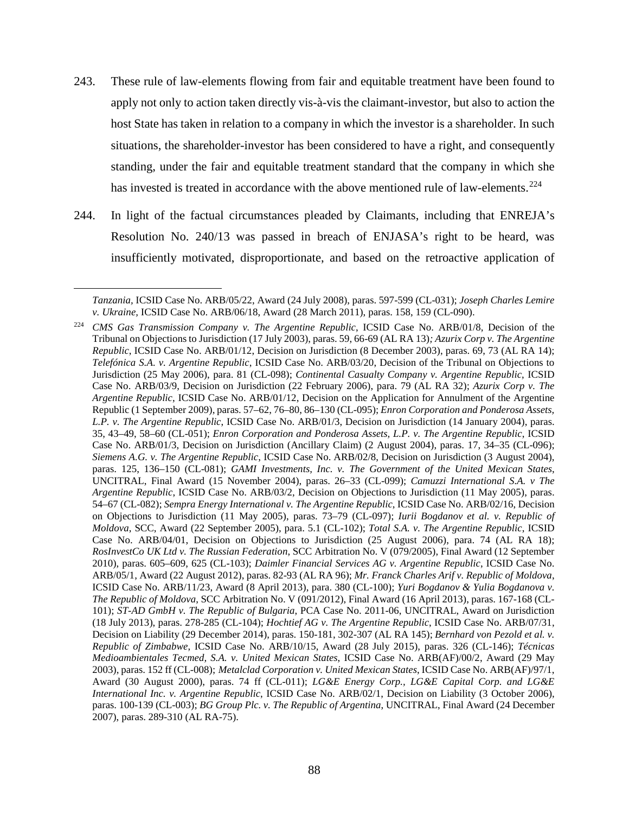- 243. These rule of law-elements flowing from fair and equitable treatment have been found to apply not only to action taken directly vis-à-vis the claimant-investor, but also to action the host State has taken in relation to a company in which the investor is a shareholder. In such situations, the shareholder-investor has been considered to have a right, and consequently standing, under the fair and equitable treatment standard that the company in which she has invested is treated in accordance with the above mentioned rule of law-elements.<sup>[224](#page-89-0)</sup>
- 244. In light of the factual circumstances pleaded by Claimants, including that ENREJA's Resolution No. 240/13 was passed in breach of ENJASA's right to be heard, was insufficiently motivated, disproportionate, and based on the retroactive application of

 $\overline{a}$ 

*Tanzania,* ICSID Case No. ARB/05/22, Award (24 July 2008), paras. 597-599 (CL-031); *Joseph Charles Lemire v. Ukraine,* ICSID Case No. ARB/06/18, Award (28 March 2011), paras. 158, 159 (CL-090).

<span id="page-89-0"></span><sup>224</sup> *CMS Gas Transmission Company v. The Argentine Republic*, ICSID Case No. ARB/01/8, Decision of the Tribunal on Objections to Jurisdiction (17 July 2003), paras. 59, 66-69 (AL RA 13)*; Azurix Corp v. The Argentine Republic*, ICSID Case No. ARB/01/12, Decision on Jurisdiction (8 December 2003), paras. 69, 73 (AL RA 14); *Telefónica S.A. v. Argentine Republic*, ICSID Case No. ARB/03/20, Decision of the Tribunal on Objections to Jurisdiction (25 May 2006), para. 81 (CL-098); *Continental Casualty Company v. Argentine Republic*, ICSID Case No. ARB/03/9, Decision on Jurisdiction (22 February 2006), para. 79 (AL RA 32); *Azurix Corp v. The Argentine Republic*, ICSID Case No. ARB/01/12, Decision on the Application for Annulment of the Argentine Republic (1 September 2009), paras. 57–62, 76–80, 86–130 (CL-095); *Enron Corporation and Ponderosa Assets, L.P. v. The Argentine Republic*, ICSID Case No. ARB/01/3, Decision on Jurisdiction (14 January 2004), paras. 35, 43–49, 58–60 (CL-051); *Enron Corporation and Ponderosa Assets, L.P. v. The Argentine Republic*, ICSID Case No. ARB/01/3, Decision on Jurisdiction (Ancillary Claim) (2 August 2004), paras. 17, 34–35 (CL-096); *Siemens A.G. v. The Argentine Republic*, ICSID Case No. ARB/02/8, Decision on Jurisdiction (3 August 2004), paras. 125, 136–150 (CL-081); *GAMI Investments, Inc. v. The Government of the United Mexican States*, UNCITRAL, Final Award (15 November 2004), paras. 26–33 (CL-099); *Camuzzi International S.A. v The Argentine Republic*, ICSID Case No. ARB/03/2, Decision on Objections to Jurisdiction (11 May 2005), paras. 54–67 (CL-082); *Sempra Energy International v. The Argentine Republic*, ICSID Case No. ARB/02/16, Decision on Objections to Jurisdiction (11 May 2005), paras. 73–79 (CL-097); *Iurii Bogdanov et al. v. Republic of Moldova*, SCC, Award (22 September 2005), para. 5.1 (CL-102); *Total S.A. v. The Argentine Republic*, ICSID Case No. ARB/04/01, Decision on Objections to Jurisdiction (25 August 2006), para. 74 (AL RA 18); *RosInvestCo UK Ltd v. The Russian Federation*, SCC Arbitration No. V (079/2005), Final Award (12 September 2010), paras. 605–609, 625 (CL-103); *Daimler Financial Services AG v. Argentine Republic*, ICSID Case No. ARB/05/1, Award (22 August 2012), paras. 82-93 (AL RA 96); *Mr. Franck Charles Arif v. Republic of Moldova*, ICSID Case No. ARB/11/23, Award (8 April 2013), para. 380 (CL-100); *Yuri Bogdanov & Yulia Bogdanova v. The Republic of Moldova*, SCC Arbitration No. V (091/2012), Final Award (16 April 2013), paras. 167-168 (CL-101); *ST-AD GmbH v. The Republic of Bulgaria*, PCA Case No. 2011-06, UNCITRAL, Award on Jurisdiction (18 July 2013), paras. 278-285 (CL-104); *Hochtief AG v. The Argentine Republic*, ICSID Case No. ARB/07/31, Decision on Liability (29 December 2014), paras. 150-181, 302-307 (AL RA 145); *Bernhard von Pezold et al. v. Republic of Zimbabwe*, ICSID Case No. ARB/10/15, Award (28 July 2015), paras. 326 (CL-146); *Técnicas Medioambientales Tecmed, S.A. v. United Mexican States*, ICSID Case No. ARB(AF)/00/2, Award (29 May 2003), paras. 152 ff (CL-008); *Metalclad Corporation v. United Mexican States*, ICSID Case No. ARB(AF)/97/1, Award (30 August 2000), paras. 74 ff (CL-011); *LG&E Energy Corp., LG&E Capital Corp. and LG&E International Inc. v. Argentine Republic*, ICSID Case No. ARB/02/1, Decision on Liability (3 October 2006), paras. 100-139 (CL-003); *BG Group Plc. v. The Republic of Argentina*, UNCITRAL, Final Award (24 December 2007), paras. 289-310 (AL RA-75).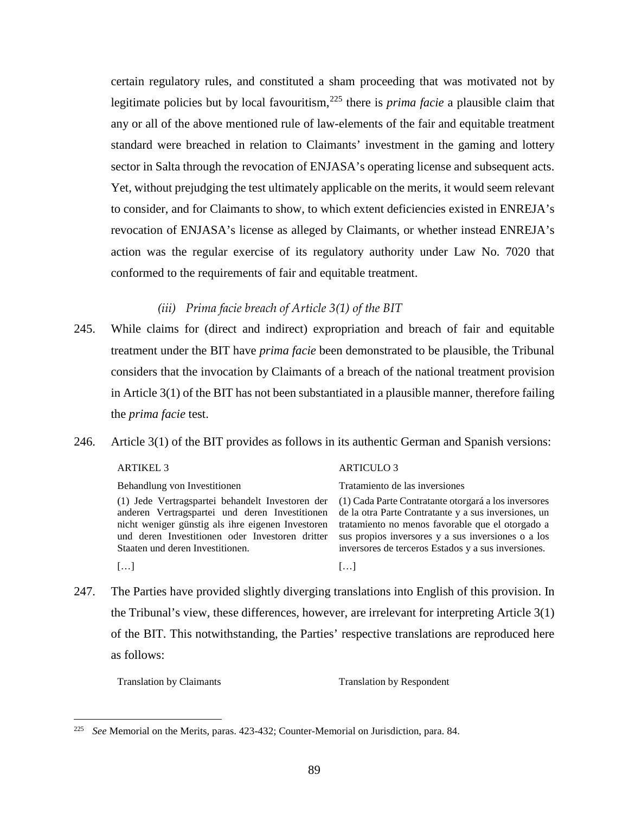certain regulatory rules, and constituted a sham proceeding that was motivated not by legitimate policies but by local favouritism,<sup>[225](#page-90-0)</sup> there is *prima facie* a plausible claim that any or all of the above mentioned rule of law-elements of the fair and equitable treatment standard were breached in relation to Claimants' investment in the gaming and lottery sector in Salta through the revocation of ENJASA's operating license and subsequent acts. Yet, without prejudging the test ultimately applicable on the merits, it would seem relevant to consider, and for Claimants to show, to which extent deficiencies existed in ENREJA's revocation of ENJASA's license as alleged by Claimants, or whether instead ENREJA's action was the regular exercise of its regulatory authority under Law No. 7020 that conformed to the requirements of fair and equitable treatment.

## *(iii) Prima facie breach of Article 3(1) of the BIT*

- 245. While claims for (direct and indirect) expropriation and breach of fair and equitable treatment under the BIT have *prima facie* been demonstrated to be plausible, the Tribunal considers that the invocation by Claimants of a breach of the national treatment provision in Article 3(1) of the BIT has not been substantiated in a plausible manner, therefore failing the *prima facie* test.
- 246. Article 3(1) of the BIT provides as follows in its authentic German and Spanish versions:

| Behandlung von Investitionen                      | Tratamiento de las inversiones                       |
|---------------------------------------------------|------------------------------------------------------|
| (1) Jede Vertragspartei behandelt Investoren der  | (1) Cada Parte Contratante otorgará a los inversores |
| anderen Vertragspartei und deren Investitionen    | de la otra Parte Contratante y a sus inversiones, un |
| nicht weniger günstig als ihre eigenen Investoren | tratamiento no menos favorable que el otorgado a     |
| und deren Investitionen oder Investoren dritter   | sus propios inversores y a sus inversiones o a los   |
| Staaten und deren Investitionen.                  | inversores de terceros Estados y a sus inversiones.  |
| $\left  \ldots \right $                           | النبا                                                |

ARTICULO 3

247. The Parties have provided slightly diverging translations into English of this provision. In the Tribunal's view, these differences, however, are irrelevant for interpreting Article 3(1) of the BIT. This notwithstanding, the Parties' respective translations are reproduced here as follows:

ARTIKEL 3

Translation by Claimants Translation by Respondent

<span id="page-90-0"></span> <sup>225</sup> *See* Memorial on the Merits, paras. 423-432; Counter-Memorial on Jurisdiction, para. 84.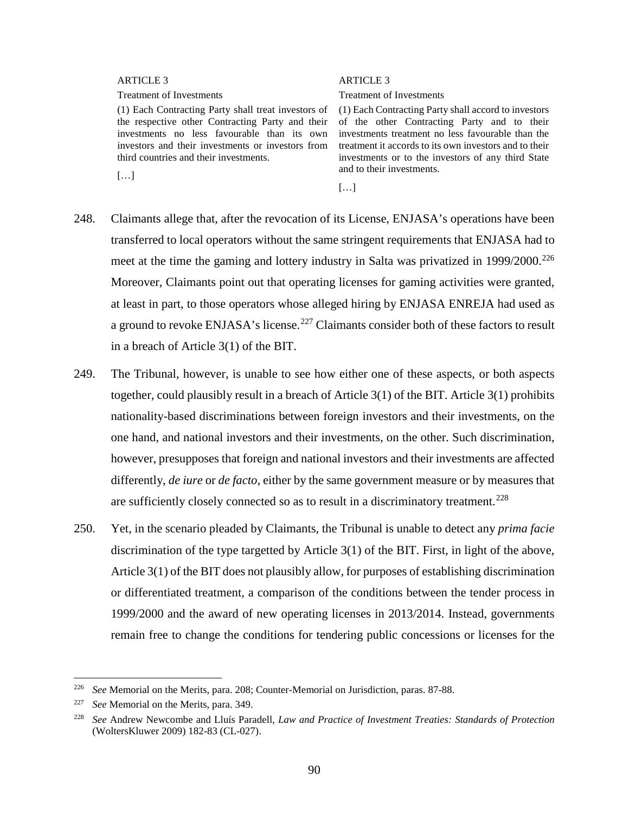#### ARTICLE 3

#### Treatment of Investments

(1) Each Contracting Party shall treat investors of the respective other Contracting Party and their investments no less favourable than its own investors and their investments or investors from third countries and their investments.

 $[\dots]$ 

#### ARTICLE 3

Treatment of Investments

(1) Each Contracting Party shall accord to investors of the other Contracting Party and to their investments treatment no less favourable than the treatment it accords to its own investors and to their investments or to the investors of any third State and to their investments.

 $[...]$ 

- 248. Claimants allege that, after the revocation of its License, ENJASA's operations have been transferred to local operators without the same stringent requirements that ENJASA had to meet at the time the gaming and lottery industry in Salta was privatized in 1999/2000.<sup>[226](#page-91-0)</sup> Moreover, Claimants point out that operating licenses for gaming activities were granted, at least in part, to those operators whose alleged hiring by ENJASA ENREJA had used as a ground to revoke ENJASA's license.<sup>[227](#page-91-1)</sup> Claimants consider both of these factors to result in a breach of Article 3(1) of the BIT.
- 249. The Tribunal, however, is unable to see how either one of these aspects, or both aspects together, could plausibly result in a breach of Article 3(1) of the BIT. Article 3(1) prohibits nationality-based discriminations between foreign investors and their investments, on the one hand, and national investors and their investments, on the other. Such discrimination, however, presupposes that foreign and national investors and their investments are affected differently, *de iure* or *de facto*, either by the same government measure or by measures that are sufficiently closely connected so as to result in a discriminatory treatment.<sup>[228](#page-91-2)</sup>
- 250. Yet, in the scenario pleaded by Claimants, the Tribunal is unable to detect any *prima facie* discrimination of the type targetted by Article 3(1) of the BIT. First, in light of the above, Article 3(1) of the BIT does not plausibly allow, for purposes of establishing discrimination or differentiated treatment, a comparison of the conditions between the tender process in 1999/2000 and the award of new operating licenses in 2013/2014. Instead, governments remain free to change the conditions for tendering public concessions or licenses for the

<span id="page-91-0"></span> <sup>226</sup> *See* Memorial on the Merits, para. 208; Counter-Memorial on Jurisdiction, paras. 87-88.

<span id="page-91-1"></span><sup>227</sup> *See* Memorial on the Merits, para. 349.

<span id="page-91-2"></span><sup>228</sup> *See* Andrew Newcombe and Lluís Paradell, *Law and Practice of Investment Treaties: Standards of Protection* (WoltersKluwer 2009) 182-83 (CL-027).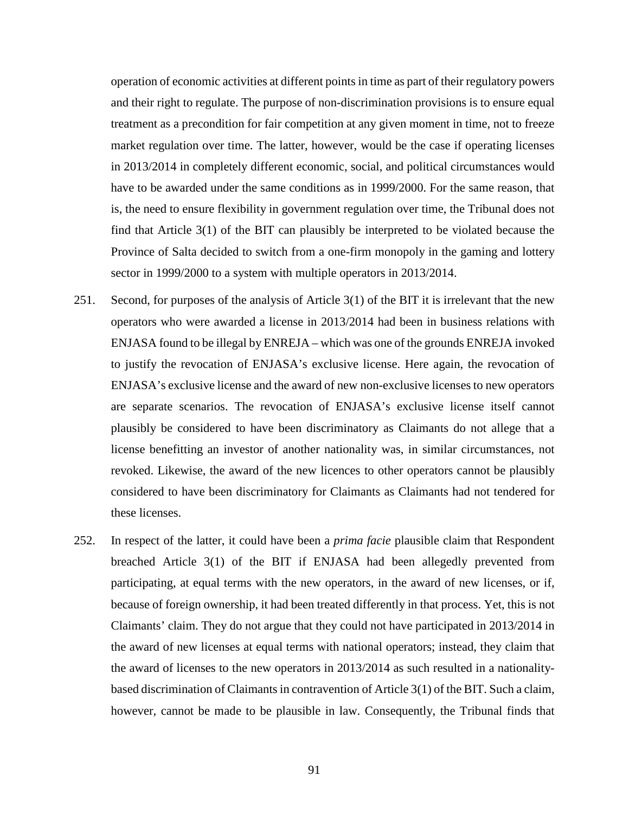operation of economic activities at different points in time as part of their regulatory powers and their right to regulate. The purpose of non-discrimination provisions is to ensure equal treatment as a precondition for fair competition at any given moment in time, not to freeze market regulation over time. The latter, however, would be the case if operating licenses in 2013/2014 in completely different economic, social, and political circumstances would have to be awarded under the same conditions as in 1999/2000. For the same reason, that is, the need to ensure flexibility in government regulation over time, the Tribunal does not find that Article 3(1) of the BIT can plausibly be interpreted to be violated because the Province of Salta decided to switch from a one-firm monopoly in the gaming and lottery sector in 1999/2000 to a system with multiple operators in 2013/2014.

- 251. Second, for purposes of the analysis of Article 3(1) of the BIT it is irrelevant that the new operators who were awarded a license in 2013/2014 had been in business relations with ENJASA found to be illegal by ENREJA – which was one of the grounds ENREJA invoked to justify the revocation of ENJASA's exclusive license. Here again, the revocation of ENJASA's exclusive license and the award of new non-exclusive licenses to new operators are separate scenarios. The revocation of ENJASA's exclusive license itself cannot plausibly be considered to have been discriminatory as Claimants do not allege that a license benefitting an investor of another nationality was, in similar circumstances, not revoked. Likewise, the award of the new licences to other operators cannot be plausibly considered to have been discriminatory for Claimants as Claimants had not tendered for these licenses.
- 252. In respect of the latter, it could have been a *prima facie* plausible claim that Respondent breached Article 3(1) of the BIT if ENJASA had been allegedly prevented from participating, at equal terms with the new operators, in the award of new licenses, or if, because of foreign ownership, it had been treated differently in that process. Yet, this is not Claimants' claim. They do not argue that they could not have participated in 2013/2014 in the award of new licenses at equal terms with national operators; instead, they claim that the award of licenses to the new operators in 2013/2014 as such resulted in a nationalitybased discrimination of Claimants in contravention of Article 3(1) of the BIT. Such a claim, however, cannot be made to be plausible in law. Consequently, the Tribunal finds that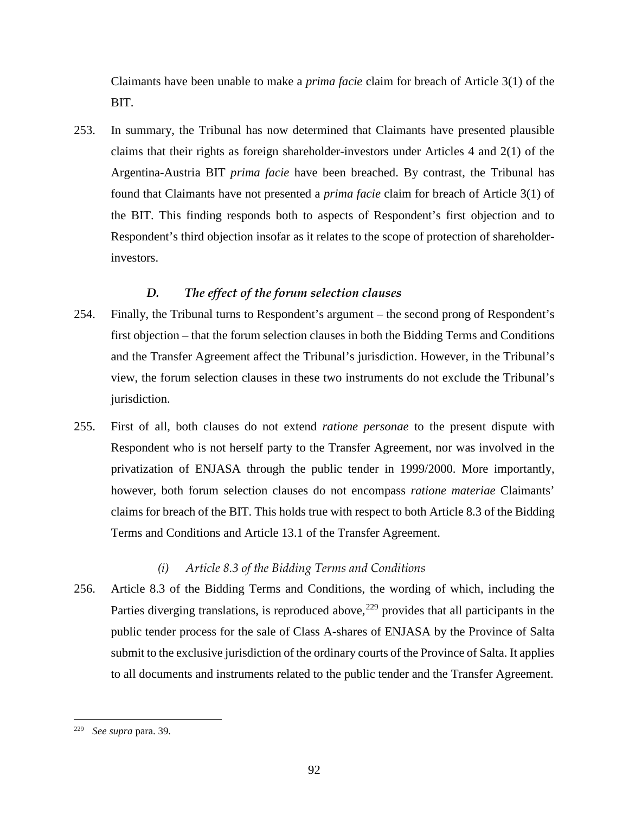Claimants have been unable to make a *prima facie* claim for breach of Article 3(1) of the BIT.

253. In summary, the Tribunal has now determined that Claimants have presented plausible claims that their rights as foreign shareholder-investors under Articles 4 and 2(1) of the Argentina-Austria BIT *prima facie* have been breached. By contrast, the Tribunal has found that Claimants have not presented a *prima facie* claim for breach of Article 3(1) of the BIT. This finding responds both to aspects of Respondent's first objection and to Respondent's third objection insofar as it relates to the scope of protection of shareholderinvestors.

## *D. The effect of the forum selection clauses*

- 254. Finally, the Tribunal turns to Respondent's argument the second prong of Respondent's first objection – that the forum selection clauses in both the Bidding Terms and Conditions and the Transfer Agreement affect the Tribunal's jurisdiction. However, in the Tribunal's view, the forum selection clauses in these two instruments do not exclude the Tribunal's jurisdiction.
- 255. First of all, both clauses do not extend *ratione personae* to the present dispute with Respondent who is not herself party to the Transfer Agreement, nor was involved in the privatization of ENJASA through the public tender in 1999/2000. More importantly, however, both forum selection clauses do not encompass *ratione materiae* Claimants' claims for breach of the BIT. This holds true with respect to both Article 8.3 of the Bidding Terms and Conditions and Article 13.1 of the Transfer Agreement.

## *(i) Article 8.3 of the Bidding Terms and Conditions*

256. Article 8.3 of the Bidding Terms and Conditions, the wording of which, including the Parties diverging translations, is reproduced above,  $229$  provides that all participants in the public tender process for the sale of Class A-shares of ENJASA by the Province of Salta submit to the exclusive jurisdiction of the ordinary courts of the Province of Salta. It applies to all documents and instruments related to the public tender and the Transfer Agreement.

<span id="page-93-0"></span> <sup>229</sup> *See supra* para. [39.](#page-18-0)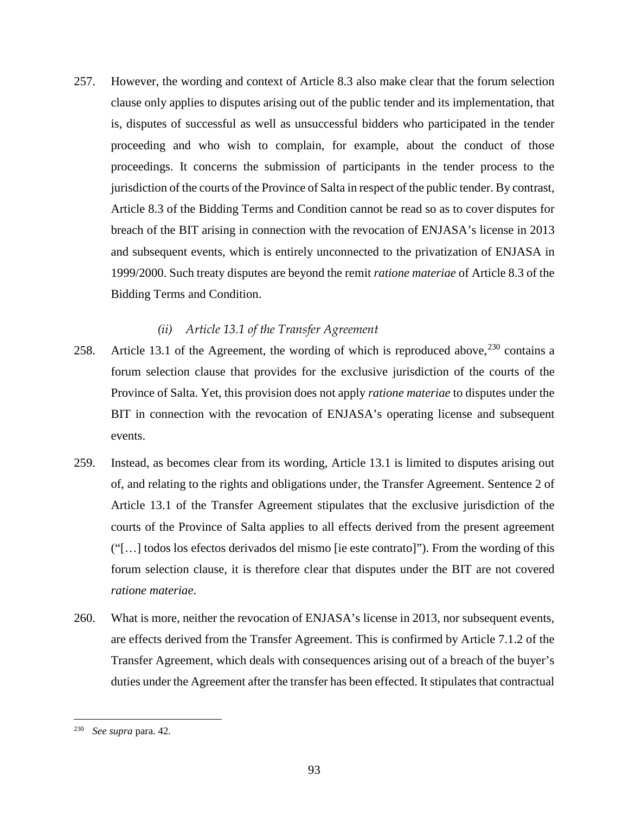257. However, the wording and context of Article 8.3 also make clear that the forum selection clause only applies to disputes arising out of the public tender and its implementation, that is, disputes of successful as well as unsuccessful bidders who participated in the tender proceeding and who wish to complain, for example, about the conduct of those proceedings. It concerns the submission of participants in the tender process to the jurisdiction of the courts of the Province of Salta in respect of the public tender. By contrast, Article 8.3 of the Bidding Terms and Condition cannot be read so as to cover disputes for breach of the BIT arising in connection with the revocation of ENJASA's license in 2013 and subsequent events, which is entirely unconnected to the privatization of ENJASA in 1999/2000. Such treaty disputes are beyond the remit *ratione materiae* of Article 8.3 of the Bidding Terms and Condition.

## *(ii) Article 13.1 of the Transfer Agreement*

- 258. Article 13.1 of the Agreement, the wording of which is reproduced above,  $230$  contains a forum selection clause that provides for the exclusive jurisdiction of the courts of the Province of Salta. Yet, this provision does not apply *ratione materiae* to disputes under the BIT in connection with the revocation of ENJASA's operating license and subsequent events.
- 259. Instead, as becomes clear from its wording, Article 13.1 is limited to disputes arising out of, and relating to the rights and obligations under, the Transfer Agreement. Sentence 2 of Article 13.1 of the Transfer Agreement stipulates that the exclusive jurisdiction of the courts of the Province of Salta applies to all effects derived from the present agreement ("[…] todos los efectos derivados del mismo [ie este contrato]"). From the wording of this forum selection clause, it is therefore clear that disputes under the BIT are not covered *ratione materiae*.
- 260. What is more, neither the revocation of ENJASA's license in 2013, nor subsequent events, are effects derived from the Transfer Agreement. This is confirmed by Article 7.1.2 of the Transfer Agreement, which deals with consequences arising out of a breach of the buyer's duties under the Agreement after the transfer has been effected. It stipulates that contractual

<span id="page-94-0"></span> <sup>230</sup> *See supra* para. [42.](#page-19-0)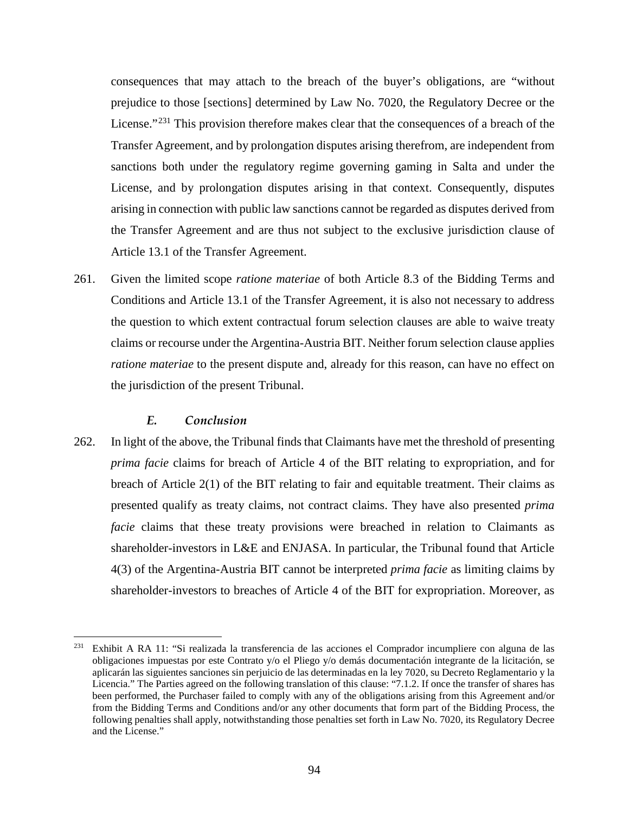consequences that may attach to the breach of the buyer's obligations, are "without prejudice to those [sections] determined by Law No. 7020, the Regulatory Decree or the License."<sup>[231](#page-95-0)</sup> This provision therefore makes clear that the consequences of a breach of the Transfer Agreement, and by prolongation disputes arising therefrom, are independent from sanctions both under the regulatory regime governing gaming in Salta and under the License, and by prolongation disputes arising in that context. Consequently, disputes arising in connection with public law sanctions cannot be regarded as disputes derived from the Transfer Agreement and are thus not subject to the exclusive jurisdiction clause of Article 13.1 of the Transfer Agreement.

261. Given the limited scope *ratione materiae* of both Article 8.3 of the Bidding Terms and Conditions and Article 13.1 of the Transfer Agreement, it is also not necessary to address the question to which extent contractual forum selection clauses are able to waive treaty claims or recourse under the Argentina-Austria BIT. Neither forum selection clause applies *ratione materiae* to the present dispute and, already for this reason, can have no effect on the jurisdiction of the present Tribunal.

### *E. Conclusion*

262. In light of the above, the Tribunal finds that Claimants have met the threshold of presenting *prima facie* claims for breach of Article 4 of the BIT relating to expropriation, and for breach of Article 2(1) of the BIT relating to fair and equitable treatment. Their claims as presented qualify as treaty claims, not contract claims. They have also presented *prima facie* claims that these treaty provisions were breached in relation to Claimants as shareholder-investors in L&E and ENJASA. In particular, the Tribunal found that Article 4(3) of the Argentina-Austria BIT cannot be interpreted *prima facie* as limiting claims by shareholder-investors to breaches of Article 4 of the BIT for expropriation. Moreover, as

<span id="page-95-0"></span> <sup>231</sup> Exhibit A RA 11: "Si realizada la transferencia de las acciones el Comprador incumpliere con alguna de las obligaciones impuestas por este Contrato y/o el Pliego y/o demás documentación integrante de la licitación, se aplicarán las siguientes sanciones sin perjuicio de las determinadas en la ley 7020, su Decreto Reglamentario y la Licencia." The Parties agreed on the following translation of this clause: "7.1.2. If once the transfer of shares has been performed, the Purchaser failed to comply with any of the obligations arising from this Agreement and/or from the Bidding Terms and Conditions and/or any other documents that form part of the Bidding Process, the following penalties shall apply, notwithstanding those penalties set forth in Law No. 7020, its Regulatory Decree and the License."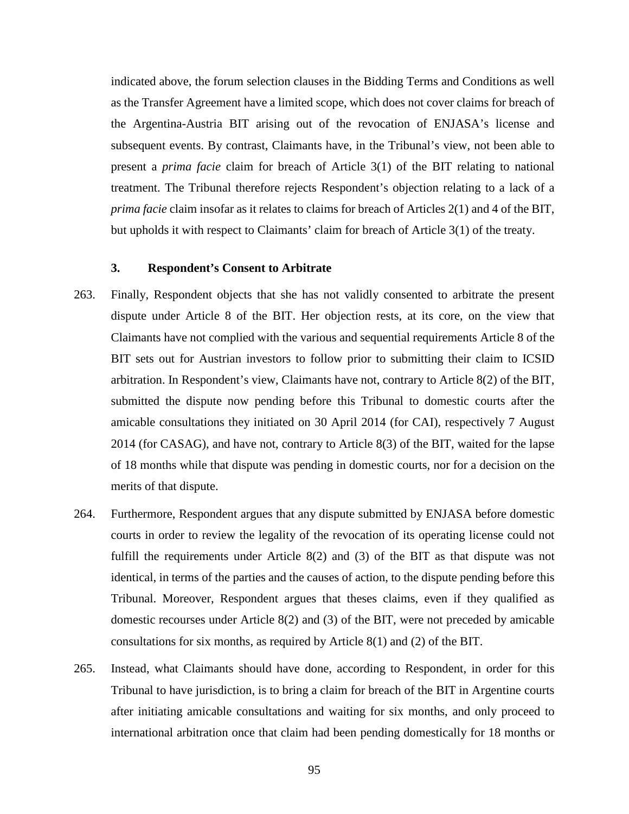indicated above, the forum selection clauses in the Bidding Terms and Conditions as well as the Transfer Agreement have a limited scope, which does not cover claims for breach of the Argentina-Austria BIT arising out of the revocation of ENJASA's license and subsequent events. By contrast, Claimants have, in the Tribunal's view, not been able to present a *prima facie* claim for breach of Article 3(1) of the BIT relating to national treatment. The Tribunal therefore rejects Respondent's objection relating to a lack of a *prima facie* claim insofar as it relates to claims for breach of Articles 2(1) and 4 of the BIT, but upholds it with respect to Claimants' claim for breach of Article 3(1) of the treaty.

### **3. Respondent's Consent to Arbitrate**

- 263. Finally, Respondent objects that she has not validly consented to arbitrate the present dispute under Article 8 of the BIT. Her objection rests, at its core, on the view that Claimants have not complied with the various and sequential requirements Article 8 of the BIT sets out for Austrian investors to follow prior to submitting their claim to ICSID arbitration. In Respondent's view, Claimants have not, contrary to Article 8(2) of the BIT, submitted the dispute now pending before this Tribunal to domestic courts after the amicable consultations they initiated on 30 April 2014 (for CAI), respectively 7 August 2014 (for CASAG), and have not, contrary to Article 8(3) of the BIT, waited for the lapse of 18 months while that dispute was pending in domestic courts, nor for a decision on the merits of that dispute.
- 264. Furthermore, Respondent argues that any dispute submitted by ENJASA before domestic courts in order to review the legality of the revocation of its operating license could not fulfill the requirements under Article 8(2) and (3) of the BIT as that dispute was not identical, in terms of the parties and the causes of action, to the dispute pending before this Tribunal. Moreover, Respondent argues that theses claims, even if they qualified as domestic recourses under Article 8(2) and (3) of the BIT, were not preceded by amicable consultations for six months, as required by Article 8(1) and (2) of the BIT.
- 265. Instead, what Claimants should have done, according to Respondent, in order for this Tribunal to have jurisdiction, is to bring a claim for breach of the BIT in Argentine courts after initiating amicable consultations and waiting for six months, and only proceed to international arbitration once that claim had been pending domestically for 18 months or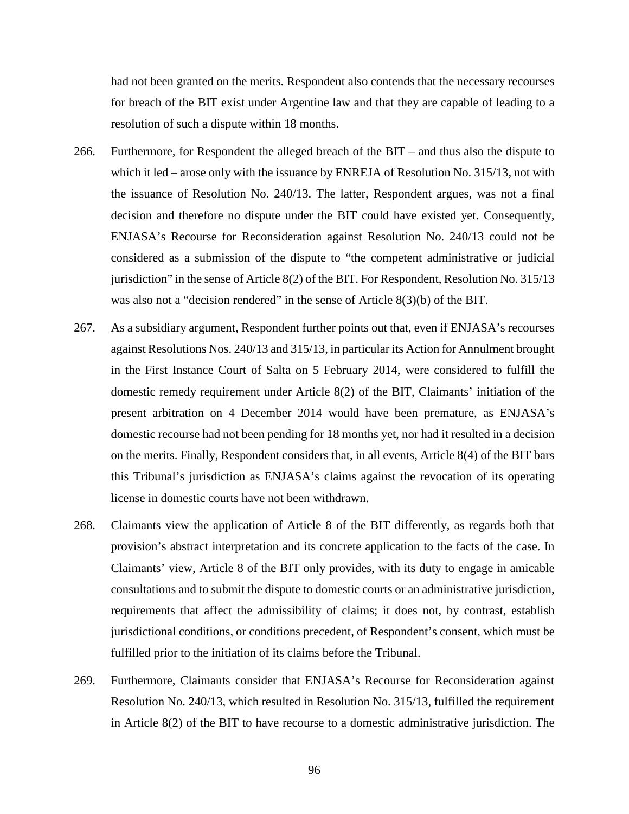had not been granted on the merits. Respondent also contends that the necessary recourses for breach of the BIT exist under Argentine law and that they are capable of leading to a resolution of such a dispute within 18 months.

- 266. Furthermore, for Respondent the alleged breach of the BIT and thus also the dispute to which it led – arose only with the issuance by ENREJA of Resolution No. 315/13, not with the issuance of Resolution No. 240/13. The latter, Respondent argues, was not a final decision and therefore no dispute under the BIT could have existed yet. Consequently, ENJASA's Recourse for Reconsideration against Resolution No. 240/13 could not be considered as a submission of the dispute to "the competent administrative or judicial jurisdiction" in the sense of Article 8(2) of the BIT. For Respondent, Resolution No. 315/13 was also not a "decision rendered" in the sense of Article 8(3)(b) of the BIT.
- 267. As a subsidiary argument, Respondent further points out that, even if ENJASA's recourses against Resolutions Nos. 240/13 and 315/13, in particular its Action for Annulment brought in the First Instance Court of Salta on 5 February 2014, were considered to fulfill the domestic remedy requirement under Article 8(2) of the BIT, Claimants' initiation of the present arbitration on 4 December 2014 would have been premature, as ENJASA's domestic recourse had not been pending for 18 months yet, nor had it resulted in a decision on the merits. Finally, Respondent considers that, in all events, Article 8(4) of the BIT bars this Tribunal's jurisdiction as ENJASA's claims against the revocation of its operating license in domestic courts have not been withdrawn.
- 268. Claimants view the application of Article 8 of the BIT differently, as regards both that provision's abstract interpretation and its concrete application to the facts of the case. In Claimants' view, Article 8 of the BIT only provides, with its duty to engage in amicable consultations and to submit the dispute to domestic courts or an administrative jurisdiction, requirements that affect the admissibility of claims; it does not, by contrast, establish jurisdictional conditions, or conditions precedent, of Respondent's consent, which must be fulfilled prior to the initiation of its claims before the Tribunal.
- 269. Furthermore, Claimants consider that ENJASA's Recourse for Reconsideration against Resolution No. 240/13, which resulted in Resolution No. 315/13, fulfilled the requirement in Article 8(2) of the BIT to have recourse to a domestic administrative jurisdiction. The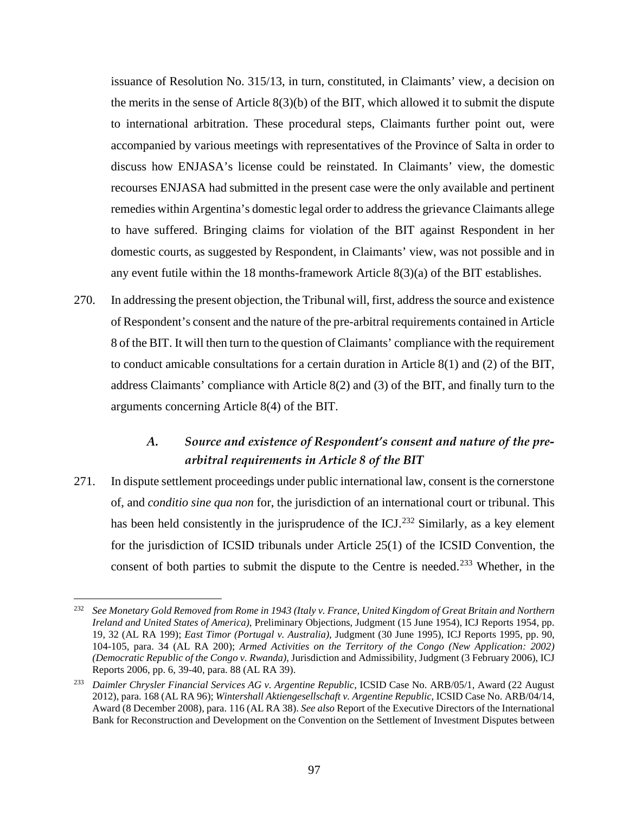issuance of Resolution No. 315/13, in turn, constituted, in Claimants' view, a decision on the merits in the sense of Article 8(3)(b) of the BIT, which allowed it to submit the dispute to international arbitration. These procedural steps, Claimants further point out, were accompanied by various meetings with representatives of the Province of Salta in order to discuss how ENJASA's license could be reinstated. In Claimants' view, the domestic recourses ENJASA had submitted in the present case were the only available and pertinent remedies within Argentina's domestic legal order to address the grievance Claimants allege to have suffered. Bringing claims for violation of the BIT against Respondent in her domestic courts, as suggested by Respondent, in Claimants' view, was not possible and in any event futile within the 18 months-framework Article 8(3)(a) of the BIT establishes.

270. In addressing the present objection, the Tribunal will, first, address the source and existence of Respondent's consent and the nature of the pre-arbitral requirements contained in Article 8 of the BIT. It will then turn to the question of Claimants' compliance with the requirement to conduct amicable consultations for a certain duration in Article 8(1) and (2) of the BIT, address Claimants' compliance with Article 8(2) and (3) of the BIT, and finally turn to the arguments concerning Article 8(4) of the BIT.

# *A. Source and existence of Respondent's consent and nature of the prearbitral requirements in Article 8 of the BIT*

271. In dispute settlement proceedings under public international law, consent is the cornerstone of, and *conditio sine qua non* for, the jurisdiction of an international court or tribunal. This has been held consistently in the jurisprudence of the ICJ.<sup>[232](#page-98-0)</sup> Similarly, as a key element for the jurisdiction of ICSID tribunals under Article 25(1) of the ICSID Convention, the consent of both parties to submit the dispute to the Centre is needed.<sup>[233](#page-98-1)</sup> Whether, in the

<span id="page-98-0"></span> <sup>232</sup> *See Monetary Gold Removed from Rome in 1943 (Italy v. France, United Kingdom of Great Britain and Northern Ireland and United States of America)*, Preliminary Objections, Judgment (15 June 1954), ICJ Reports 1954, pp. 19, 32 (AL RA 199); *East Timor (Portugal v. Australia)*, Judgment (30 June 1995), ICJ Reports 1995, pp. 90, 104-105, para. 34 (AL RA 200); *Armed Activities on the Territory of the Congo (New Application: 2002) (Democratic Republic of the Congo v. Rwanda)*, Jurisdiction and Admissibility, Judgment (3 February 2006), ICJ Reports 2006, pp. 6, 39-40, para. 88 (AL RA 39).

<span id="page-98-1"></span><sup>233</sup> *Daimler Chrysler Financial Services AG v. Argentine Republic*, ICSID Case No. ARB/05/1, Award (22 August 2012), para. 168 (AL RA 96); *Wintershall Aktiengesellschaft v. Argentine Republic*, ICSID Case No. ARB/04/14, Award (8 December 2008), para. 116 (AL RA 38). *See also* Report of the Executive Directors of the International Bank for Reconstruction and Development on the Convention on the Settlement of Investment Disputes between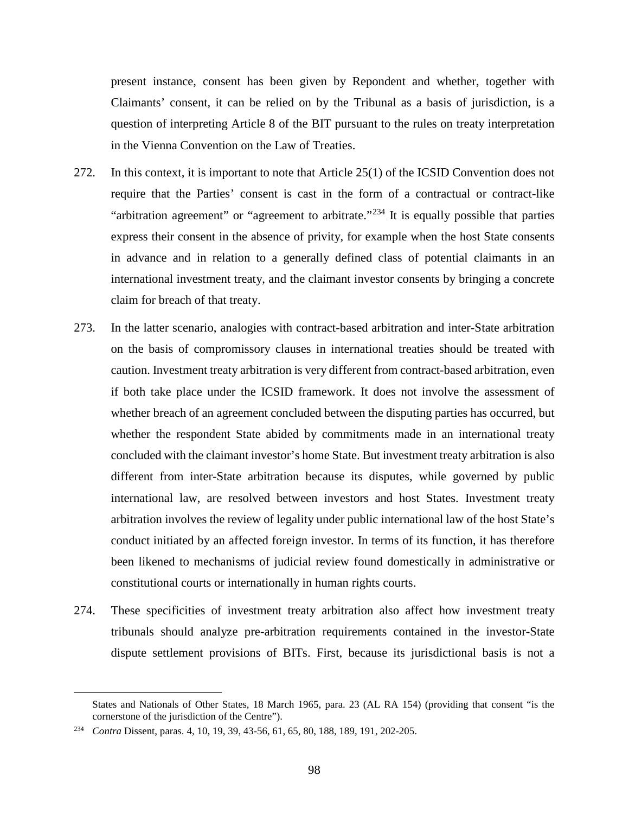present instance, consent has been given by Repondent and whether, together with Claimants' consent, it can be relied on by the Tribunal as a basis of jurisdiction, is a question of interpreting Article 8 of the BIT pursuant to the rules on treaty interpretation in the Vienna Convention on the Law of Treaties.

- 272. In this context, it is important to note that Article 25(1) of the ICSID Convention does not require that the Parties' consent is cast in the form of a contractual or contract-like "arbitration agreement" or "agreement to arbitrate."<sup>[234](#page-99-0)</sup> It is equally possible that parties express their consent in the absence of privity, for example when the host State consents in advance and in relation to a generally defined class of potential claimants in an international investment treaty, and the claimant investor consents by bringing a concrete claim for breach of that treaty.
- 273. In the latter scenario, analogies with contract-based arbitration and inter-State arbitration on the basis of compromissory clauses in international treaties should be treated with caution. Investment treaty arbitration is very different from contract-based arbitration, even if both take place under the ICSID framework. It does not involve the assessment of whether breach of an agreement concluded between the disputing parties has occurred, but whether the respondent State abided by commitments made in an international treaty concluded with the claimant investor's home State. But investment treaty arbitration is also different from inter-State arbitration because its disputes, while governed by public international law, are resolved between investors and host States. Investment treaty arbitration involves the review of legality under public international law of the host State's conduct initiated by an affected foreign investor. In terms of its function, it has therefore been likened to mechanisms of judicial review found domestically in administrative or constitutional courts or internationally in human rights courts.
- 274. These specificities of investment treaty arbitration also affect how investment treaty tribunals should analyze pre-arbitration requirements contained in the investor-State dispute settlement provisions of BITs. First, because its jurisdictional basis is not a

States and Nationals of Other States, 18 March 1965, para. 23 (AL RA 154) (providing that consent "is the cornerstone of the jurisdiction of the Centre").

<span id="page-99-0"></span><sup>234</sup> *Contra* Dissent, paras. 4, 10, 19, 39, 43-56, 61, 65, 80, 188, 189, 191, 202-205.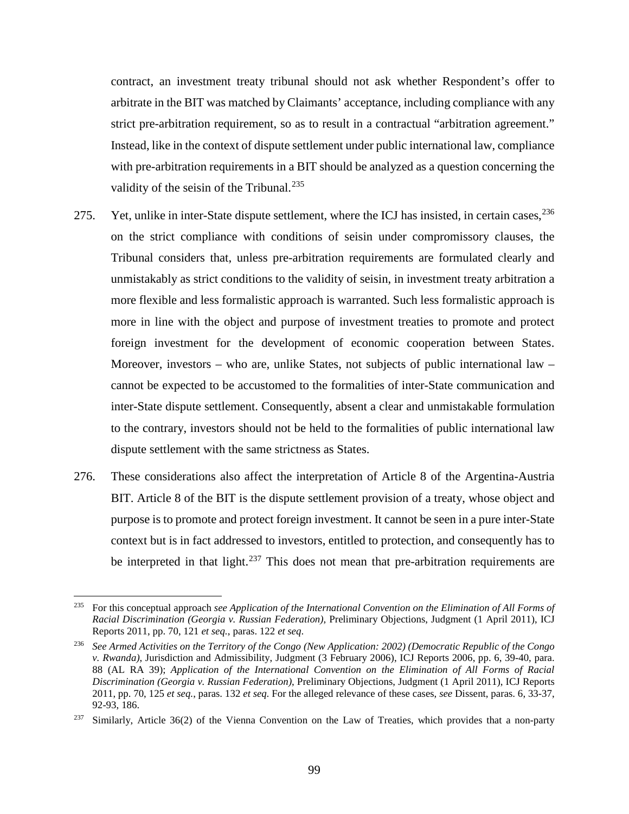contract, an investment treaty tribunal should not ask whether Respondent's offer to arbitrate in the BIT was matched by Claimants' acceptance, including compliance with any strict pre-arbitration requirement, so as to result in a contractual "arbitration agreement." Instead, like in the context of dispute settlement under public international law, compliance with pre-arbitration requirements in a BIT should be analyzed as a question concerning the validity of the seisin of the Tribunal.<sup>[235](#page-100-0)</sup>

- 275. Yet, unlike in inter-State dispute settlement, where the ICJ has insisted, in certain cases, <sup>[236](#page-100-1)</sup> on the strict compliance with conditions of seisin under compromissory clauses, the Tribunal considers that, unless pre-arbitration requirements are formulated clearly and unmistakably as strict conditions to the validity of seisin, in investment treaty arbitration a more flexible and less formalistic approach is warranted. Such less formalistic approach is more in line with the object and purpose of investment treaties to promote and protect foreign investment for the development of economic cooperation between States. Moreover, investors – who are, unlike States, not subjects of public international law – cannot be expected to be accustomed to the formalities of inter-State communication and inter-State dispute settlement. Consequently, absent a clear and unmistakable formulation to the contrary, investors should not be held to the formalities of public international law dispute settlement with the same strictness as States.
- 276. These considerations also affect the interpretation of Article 8 of the Argentina-Austria BIT. Article 8 of the BIT is the dispute settlement provision of a treaty, whose object and purpose is to promote and protect foreign investment. It cannot be seen in a pure inter-State context but is in fact addressed to investors, entitled to protection, and consequently has to be interpreted in that light.<sup>[237](#page-100-2)</sup> This does not mean that pre-arbitration requirements are

<span id="page-100-0"></span> <sup>235</sup> For this conceptual approach *see Application of the International Convention on the Elimination of All Forms of Racial Discrimination (Georgia v. Russian Federation)*, Preliminary Objections, Judgment (1 April 2011), ICJ Reports 2011, pp. 70, 121 *et seq.*, paras. 122 *et seq*.

<span id="page-100-1"></span><sup>236</sup> *See Armed Activities on the Territory of the Congo (New Application: 2002) (Democratic Republic of the Congo v. Rwanda)*, Jurisdiction and Admissibility, Judgment (3 February 2006), ICJ Reports 2006, pp. 6, 39-40, para. 88 (AL RA 39); *Application of the International Convention on the Elimination of All Forms of Racial Discrimination (Georgia v. Russian Federation)*, Preliminary Objections, Judgment (1 April 2011), ICJ Reports 2011, pp. 70, 125 *et seq.*, paras. 132 *et seq.* For the alleged relevance of these cases, *see* Dissent, paras. 6, 33-37, 92-93, 186.

<span id="page-100-2"></span><sup>&</sup>lt;sup>237</sup> Similarly, Article 36(2) of the Vienna Convention on the Law of Treaties, which provides that a non-party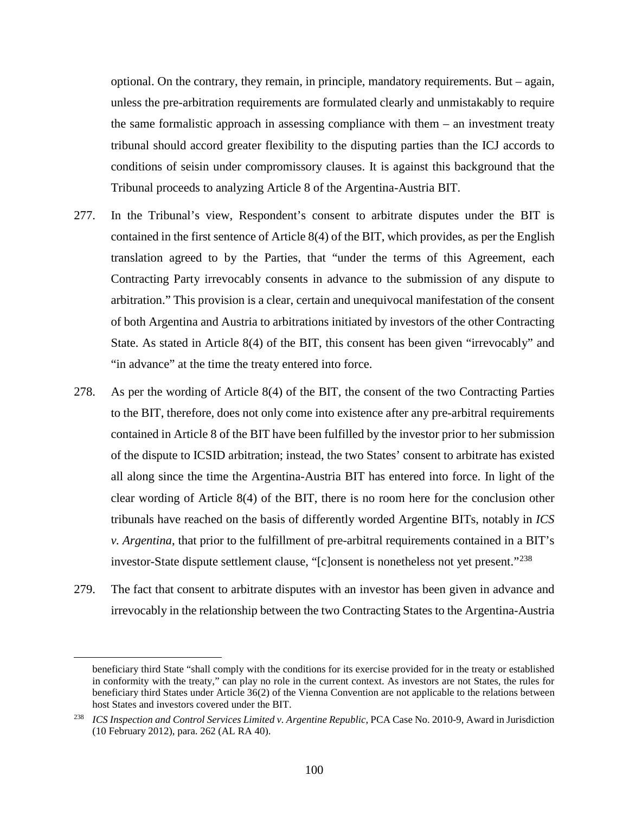optional. On the contrary, they remain, in principle, mandatory requirements. But – again, unless the pre-arbitration requirements are formulated clearly and unmistakably to require the same formalistic approach in assessing compliance with them – an investment treaty tribunal should accord greater flexibility to the disputing parties than the ICJ accords to conditions of seisin under compromissory clauses. It is against this background that the Tribunal proceeds to analyzing Article 8 of the Argentina-Austria BIT.

- 277. In the Tribunal's view, Respondent's consent to arbitrate disputes under the BIT is contained in the first sentence of Article 8(4) of the BIT, which provides, as per the English translation agreed to by the Parties, that "under the terms of this Agreement, each Contracting Party irrevocably consents in advance to the submission of any dispute to arbitration." This provision is a clear, certain and unequivocal manifestation of the consent of both Argentina and Austria to arbitrations initiated by investors of the other Contracting State. As stated in Article 8(4) of the BIT, this consent has been given "irrevocably" and "in advance" at the time the treaty entered into force.
- 278. As per the wording of Article 8(4) of the BIT, the consent of the two Contracting Parties to the BIT, therefore, does not only come into existence after any pre-arbitral requirements contained in Article 8 of the BIT have been fulfilled by the investor prior to her submission of the dispute to ICSID arbitration; instead, the two States' consent to arbitrate has existed all along since the time the Argentina-Austria BIT has entered into force. In light of the clear wording of Article 8(4) of the BIT, there is no room here for the conclusion other tribunals have reached on the basis of differently worded Argentine BITs, notably in *ICS v. Argentina*, that prior to the fulfillment of pre-arbitral requirements contained in a BIT's investor-State dispute settlement clause, "[c]onsent is nonetheless not yet present."[238](#page-101-0)
- 279. The fact that consent to arbitrate disputes with an investor has been given in advance and irrevocably in the relationship between the two Contracting States to the Argentina-Austria

beneficiary third State "shall comply with the conditions for its exercise provided for in the treaty or established in conformity with the treaty," can play no role in the current context. As investors are not States, the rules for beneficiary third States under Article 36(2) of the Vienna Convention are not applicable to the relations between host States and investors covered under the BIT.

<span id="page-101-0"></span><sup>&</sup>lt;sup>238</sup> *ICS Inspection and Control Services Limited v. Argentine Republic*, PCA Case No. 2010-9, Award in Jurisdiction (10 February 2012), para. 262 (AL RA 40).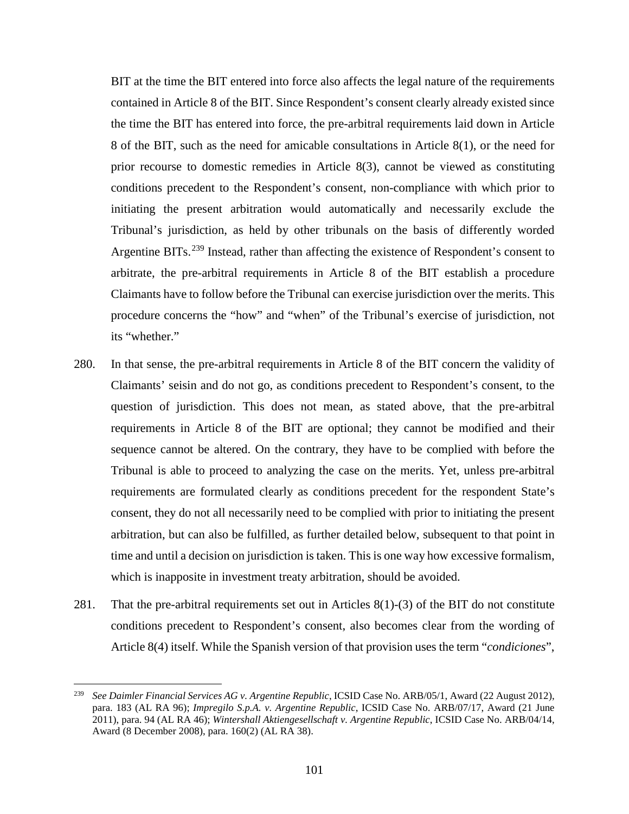BIT at the time the BIT entered into force also affects the legal nature of the requirements contained in Article 8 of the BIT. Since Respondent's consent clearly already existed since the time the BIT has entered into force, the pre-arbitral requirements laid down in Article 8 of the BIT, such as the need for amicable consultations in Article 8(1), or the need for prior recourse to domestic remedies in Article 8(3), cannot be viewed as constituting conditions precedent to the Respondent's consent, non-compliance with which prior to initiating the present arbitration would automatically and necessarily exclude the Tribunal's jurisdiction, as held by other tribunals on the basis of differently worded Argentine BITs.<sup>[239](#page-102-0)</sup> Instead, rather than affecting the existence of Respondent's consent to arbitrate, the pre-arbitral requirements in Article 8 of the BIT establish a procedure Claimants have to follow before the Tribunal can exercise jurisdiction over the merits. This procedure concerns the "how" and "when" of the Tribunal's exercise of jurisdiction, not its "whether."

- 280. In that sense, the pre-arbitral requirements in Article 8 of the BIT concern the validity of Claimants' seisin and do not go, as conditions precedent to Respondent's consent, to the question of jurisdiction. This does not mean, as stated above, that the pre-arbitral requirements in Article 8 of the BIT are optional; they cannot be modified and their sequence cannot be altered. On the contrary, they have to be complied with before the Tribunal is able to proceed to analyzing the case on the merits. Yet, unless pre-arbitral requirements are formulated clearly as conditions precedent for the respondent State's consent, they do not all necessarily need to be complied with prior to initiating the present arbitration, but can also be fulfilled, as further detailed below, subsequent to that point in time and until a decision on jurisdiction is taken. This is one way how excessive formalism, which is inapposite in investment treaty arbitration, should be avoided.
- 281. That the pre-arbitral requirements set out in Articles 8(1)-(3) of the BIT do not constitute conditions precedent to Respondent's consent, also becomes clear from the wording of Article 8(4) itself. While the Spanish version of that provision uses the term "*condiciones*",

<span id="page-102-0"></span> <sup>239</sup> *See Daimler Financial Services AG v. Argentine Republic*, ICSID Case No. ARB/05/1, Award (22 August 2012), para. 183 (AL RA 96); *Impregilo S.p.A. v. Argentine Republic*, ICSID Case No. ARB/07/17, Award (21 June 2011), para. 94 (AL RA 46); *Wintershall Aktiengesellschaft v. Argentine Republic*, ICSID Case No. ARB/04/14, Award (8 December 2008), para. 160(2) (AL RA 38).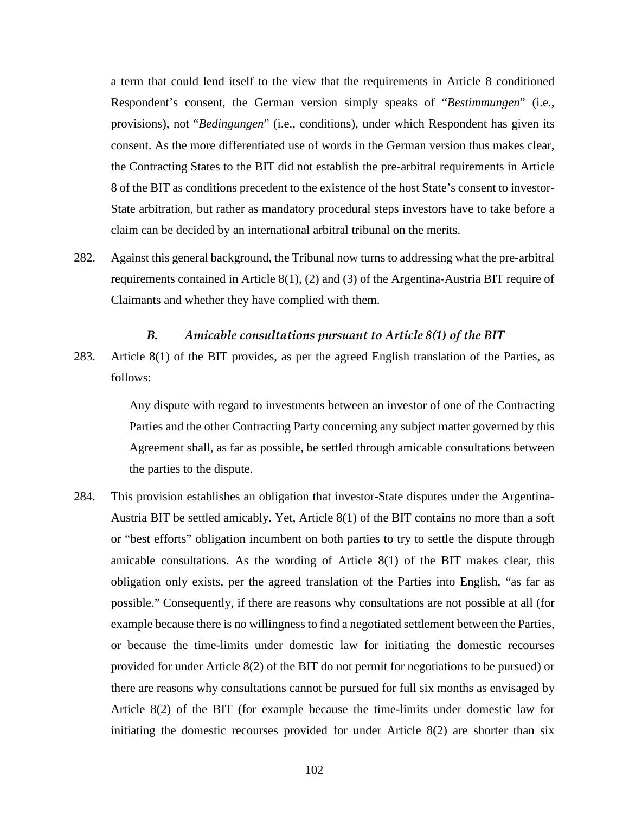a term that could lend itself to the view that the requirements in Article 8 conditioned Respondent's consent, the German version simply speaks of "*Bestimmungen*" (i.e., provisions), not "*Bedingungen*" (i.e., conditions), under which Respondent has given its consent. As the more differentiated use of words in the German version thus makes clear, the Contracting States to the BIT did not establish the pre-arbitral requirements in Article 8 of the BIT as conditions precedent to the existence of the host State's consent to investor-State arbitration, but rather as mandatory procedural steps investors have to take before a claim can be decided by an international arbitral tribunal on the merits.

282. Against this general background, the Tribunal now turns to addressing what the pre-arbitral requirements contained in Article 8(1), (2) and (3) of the Argentina-Austria BIT require of Claimants and whether they have complied with them.

### *B. Amicable consultations pursuant to Article 8(1) of the BIT*

283. Article 8(1) of the BIT provides, as per the agreed English translation of the Parties, as follows:

> Any dispute with regard to investments between an investor of one of the Contracting Parties and the other Contracting Party concerning any subject matter governed by this Agreement shall, as far as possible, be settled through amicable consultations between the parties to the dispute.

284. This provision establishes an obligation that investor-State disputes under the Argentina-Austria BIT be settled amicably. Yet, Article 8(1) of the BIT contains no more than a soft or "best efforts" obligation incumbent on both parties to try to settle the dispute through amicable consultations. As the wording of Article 8(1) of the BIT makes clear, this obligation only exists, per the agreed translation of the Parties into English, "as far as possible." Consequently, if there are reasons why consultations are not possible at all (for example because there is no willingness to find a negotiated settlement between the Parties, or because the time-limits under domestic law for initiating the domestic recourses provided for under Article 8(2) of the BIT do not permit for negotiations to be pursued) or there are reasons why consultations cannot be pursued for full six months as envisaged by Article 8(2) of the BIT (for example because the time-limits under domestic law for initiating the domestic recourses provided for under Article 8(2) are shorter than six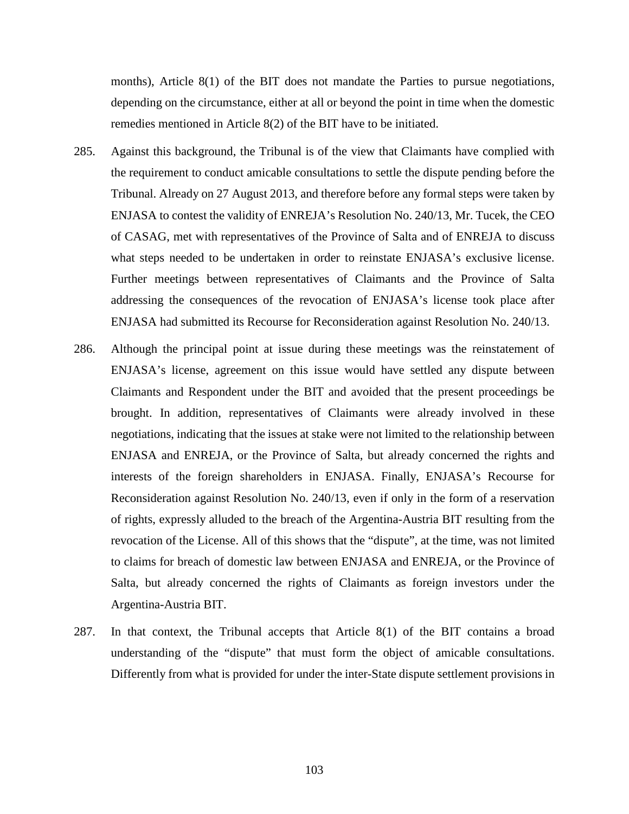months), Article 8(1) of the BIT does not mandate the Parties to pursue negotiations, depending on the circumstance, either at all or beyond the point in time when the domestic remedies mentioned in Article 8(2) of the BIT have to be initiated.

- 285. Against this background, the Tribunal is of the view that Claimants have complied with the requirement to conduct amicable consultations to settle the dispute pending before the Tribunal. Already on 27 August 2013, and therefore before any formal steps were taken by ENJASA to contest the validity of ENREJA's Resolution No. 240/13, Mr. Tucek, the CEO of CASAG, met with representatives of the Province of Salta and of ENREJA to discuss what steps needed to be undertaken in order to reinstate ENJASA's exclusive license. Further meetings between representatives of Claimants and the Province of Salta addressing the consequences of the revocation of ENJASA's license took place after ENJASA had submitted its Recourse for Reconsideration against Resolution No. 240/13.
- 286. Although the principal point at issue during these meetings was the reinstatement of ENJASA's license, agreement on this issue would have settled any dispute between Claimants and Respondent under the BIT and avoided that the present proceedings be brought. In addition, representatives of Claimants were already involved in these negotiations, indicating that the issues at stake were not limited to the relationship between ENJASA and ENREJA, or the Province of Salta, but already concerned the rights and interests of the foreign shareholders in ENJASA. Finally, ENJASA's Recourse for Reconsideration against Resolution No. 240/13, even if only in the form of a reservation of rights, expressly alluded to the breach of the Argentina-Austria BIT resulting from the revocation of the License. All of this shows that the "dispute", at the time, was not limited to claims for breach of domestic law between ENJASA and ENREJA, or the Province of Salta, but already concerned the rights of Claimants as foreign investors under the Argentina-Austria BIT.
- 287. In that context, the Tribunal accepts that Article 8(1) of the BIT contains a broad understanding of the "dispute" that must form the object of amicable consultations. Differently from what is provided for under the inter-State dispute settlement provisions in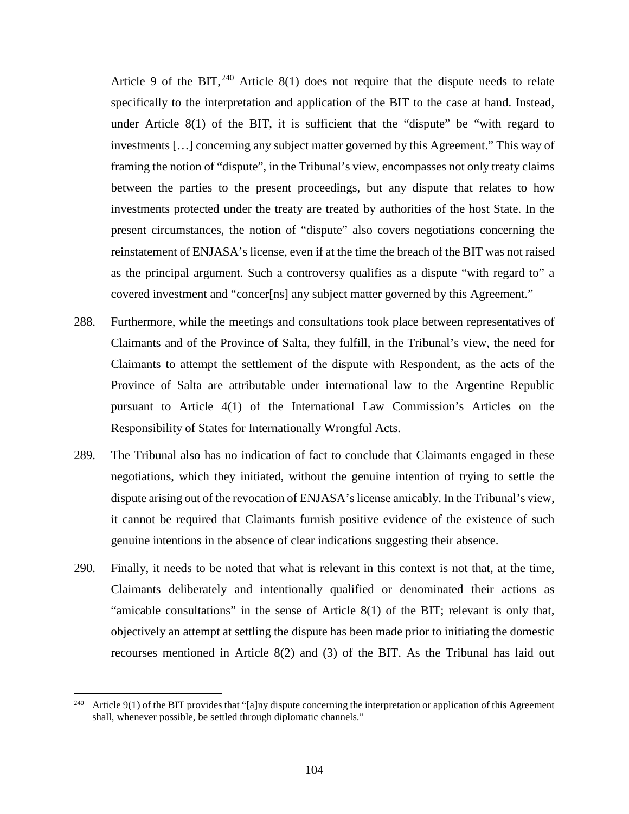Article 9 of the BIT,  $240$  Article 8(1) does not require that the dispute needs to relate specifically to the interpretation and application of the BIT to the case at hand. Instead, under Article 8(1) of the BIT, it is sufficient that the "dispute" be "with regard to investments […] concerning any subject matter governed by this Agreement." This way of framing the notion of "dispute", in the Tribunal's view, encompasses not only treaty claims between the parties to the present proceedings, but any dispute that relates to how investments protected under the treaty are treated by authorities of the host State. In the present circumstances, the notion of "dispute" also covers negotiations concerning the reinstatement of ENJASA's license, even if at the time the breach of the BIT was not raised as the principal argument. Such a controversy qualifies as a dispute "with regard to" a covered investment and "concer[ns] any subject matter governed by this Agreement."

- 288. Furthermore, while the meetings and consultations took place between representatives of Claimants and of the Province of Salta, they fulfill, in the Tribunal's view, the need for Claimants to attempt the settlement of the dispute with Respondent, as the acts of the Province of Salta are attributable under international law to the Argentine Republic pursuant to Article 4(1) of the International Law Commission's Articles on the Responsibility of States for Internationally Wrongful Acts.
- 289. The Tribunal also has no indication of fact to conclude that Claimants engaged in these negotiations, which they initiated, without the genuine intention of trying to settle the dispute arising out of the revocation of ENJASA's license amicably. In the Tribunal's view, it cannot be required that Claimants furnish positive evidence of the existence of such genuine intentions in the absence of clear indications suggesting their absence.
- 290. Finally, it needs to be noted that what is relevant in this context is not that, at the time, Claimants deliberately and intentionally qualified or denominated their actions as "amicable consultations" in the sense of Article 8(1) of the BIT; relevant is only that, objectively an attempt at settling the dispute has been made prior to initiating the domestic recourses mentioned in Article 8(2) and (3) of the BIT. As the Tribunal has laid out

<span id="page-105-0"></span><sup>&</sup>lt;sup>240</sup> Article 9(1) of the BIT provides that "[a]ny dispute concerning the interpretation or application of this Agreement shall, whenever possible, be settled through diplomatic channels."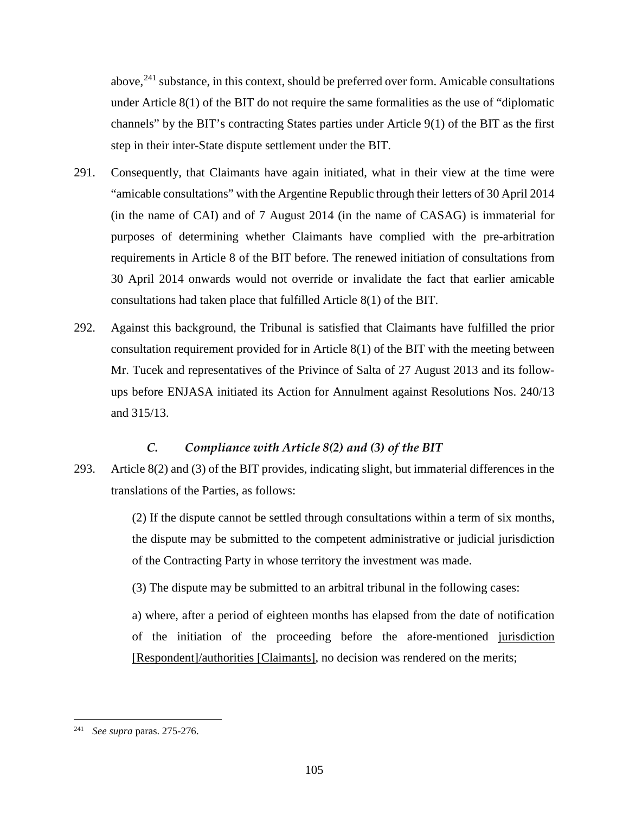above,  $241$  substance, in this context, should be preferred over form. Amicable consultations under Article 8(1) of the BIT do not require the same formalities as the use of "diplomatic channels" by the BIT's contracting States parties under Article 9(1) of the BIT as the first step in their inter-State dispute settlement under the BIT.

- 291. Consequently, that Claimants have again initiated, what in their view at the time were "amicable consultations" with the Argentine Republic through their letters of 30 April 2014 (in the name of CAI) and of 7 August 2014 (in the name of CASAG) is immaterial for purposes of determining whether Claimants have complied with the pre-arbitration requirements in Article 8 of the BIT before. The renewed initiation of consultations from 30 April 2014 onwards would not override or invalidate the fact that earlier amicable consultations had taken place that fulfilled Article 8(1) of the BIT.
- 292. Against this background, the Tribunal is satisfied that Claimants have fulfilled the prior consultation requirement provided for in Article 8(1) of the BIT with the meeting between Mr. Tucek and representatives of the Privince of Salta of 27 August 2013 and its followups before ENJASA initiated its Action for Annulment against Resolutions Nos. 240/13 and 315/13.

## *C. Compliance with Article 8(2) and (3) of the BIT*

293. Article 8(2) and (3) of the BIT provides, indicating slight, but immaterial differences in the translations of the Parties, as follows:

> (2) If the dispute cannot be settled through consultations within a term of six months, the dispute may be submitted to the competent administrative or judicial jurisdiction of the Contracting Party in whose territory the investment was made.

(3) The dispute may be submitted to an arbitral tribunal in the following cases:

a) where, after a period of eighteen months has elapsed from the date of notification of the initiation of the proceeding before the afore-mentioned jurisdiction [Respondent]/authorities [Claimants], no decision was rendered on the merits;

<span id="page-106-0"></span> <sup>241</sup> *See supra* paras. 275-276.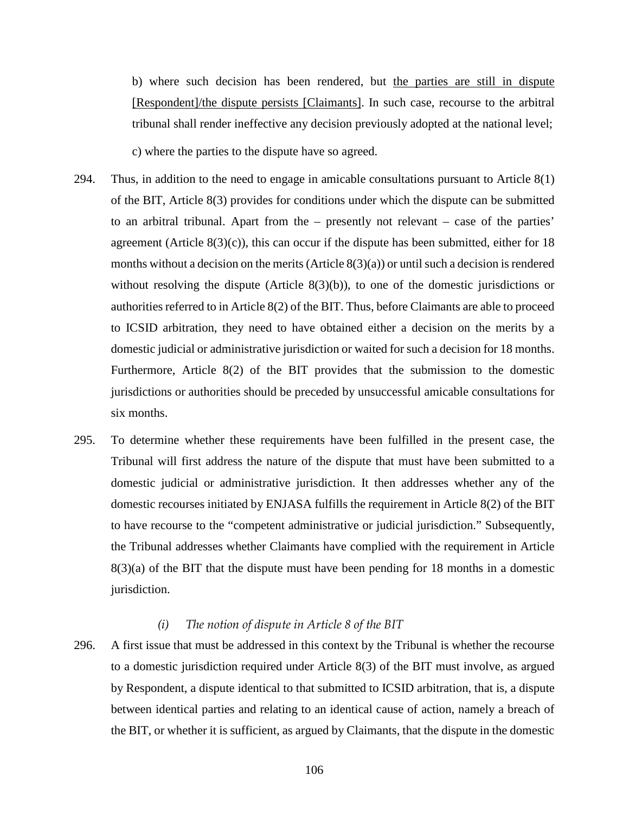b) where such decision has been rendered, but the parties are still in dispute [Respondent]/the dispute persists [Claimants]. In such case, recourse to the arbitral tribunal shall render ineffective any decision previously adopted at the national level; c) where the parties to the dispute have so agreed.

- 294. Thus, in addition to the need to engage in amicable consultations pursuant to Article 8(1) of the BIT, Article 8(3) provides for conditions under which the dispute can be submitted to an arbitral tribunal. Apart from the – presently not relevant – case of the parties' agreement (Article  $8(3)(c)$ ), this can occur if the dispute has been submitted, either for 18 months without a decision on the merits (Article  $8(3)(a)$ ) or until such a decision is rendered without resolving the dispute  $(A$ rticle  $8(3)(b)$ , to one of the domestic jurisdictions or authorities referred to in Article 8(2) of the BIT. Thus, before Claimants are able to proceed to ICSID arbitration, they need to have obtained either a decision on the merits by a domestic judicial or administrative jurisdiction or waited for such a decision for 18 months. Furthermore, Article 8(2) of the BIT provides that the submission to the domestic jurisdictions or authorities should be preceded by unsuccessful amicable consultations for six months.
- 295. To determine whether these requirements have been fulfilled in the present case, the Tribunal will first address the nature of the dispute that must have been submitted to a domestic judicial or administrative jurisdiction. It then addresses whether any of the domestic recourses initiated by ENJASA fulfills the requirement in Article 8(2) of the BIT to have recourse to the "competent administrative or judicial jurisdiction." Subsequently, the Tribunal addresses whether Claimants have complied with the requirement in Article 8(3)(a) of the BIT that the dispute must have been pending for 18 months in a domestic jurisdiction.

### *(i) The notion of dispute in Article 8 of the BIT*

296. A first issue that must be addressed in this context by the Tribunal is whether the recourse to a domestic jurisdiction required under Article 8(3) of the BIT must involve, as argued by Respondent, a dispute identical to that submitted to ICSID arbitration, that is, a dispute between identical parties and relating to an identical cause of action, namely a breach of the BIT, or whether it is sufficient, as argued by Claimants, that the dispute in the domestic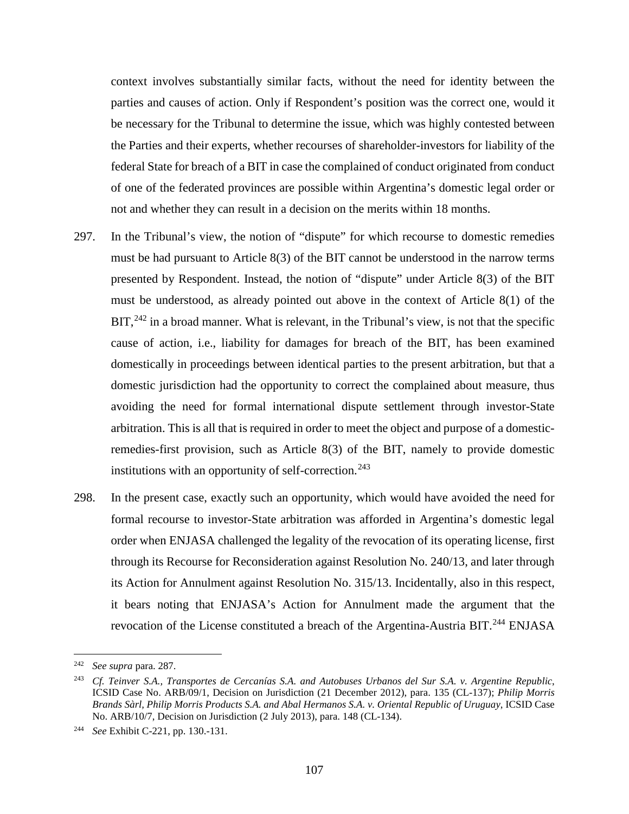context involves substantially similar facts, without the need for identity between the parties and causes of action. Only if Respondent's position was the correct one, would it be necessary for the Tribunal to determine the issue, which was highly contested between the Parties and their experts, whether recourses of shareholder-investors for liability of the federal State for breach of a BIT in case the complained of conduct originated from conduct of one of the federated provinces are possible within Argentina's domestic legal order or not and whether they can result in a decision on the merits within 18 months.

- 297. In the Tribunal's view, the notion of "dispute" for which recourse to domestic remedies must be had pursuant to Article 8(3) of the BIT cannot be understood in the narrow terms presented by Respondent. Instead, the notion of "dispute" under Article 8(3) of the BIT must be understood, as already pointed out above in the context of Article 8(1) of the  $BIT, <sup>242</sup>$  $BIT, <sup>242</sup>$  $BIT, <sup>242</sup>$  in a broad manner. What is relevant, in the Tribunal's view, is not that the specific cause of action, i.e., liability for damages for breach of the BIT, has been examined domestically in proceedings between identical parties to the present arbitration, but that a domestic jurisdiction had the opportunity to correct the complained about measure, thus avoiding the need for formal international dispute settlement through investor-State arbitration. This is all that is required in order to meet the object and purpose of a domesticremedies-first provision, such as Article 8(3) of the BIT, namely to provide domestic institutions with an opportunity of self-correction.<sup>[243](#page-108-1)</sup>
- 298. In the present case, exactly such an opportunity, which would have avoided the need for formal recourse to investor-State arbitration was afforded in Argentina's domestic legal order when ENJASA challenged the legality of the revocation of its operating license, first through its Recourse for Reconsideration against Resolution No. 240/13, and later through its Action for Annulment against Resolution No. 315/13. Incidentally, also in this respect, it bears noting that ENJASA's Action for Annulment made the argument that the revocation of the License constituted a breach of the Argentina-Austria BIT.<sup>[244](#page-108-2)</sup> ENJASA

<span id="page-108-0"></span> <sup>242</sup> *See supra* para. 287.

<span id="page-108-1"></span><sup>243</sup> *Cf. Teinver S.A., Transportes de Cercanías S.A. and Autobuses Urbanos del Sur S.A. v. Argentine Republic*, ICSID Case No. ARB/09/1, Decision on Jurisdiction (21 December 2012), para. 135 (CL-137); *Philip Morris Brands Sàrl, Philip Morris Products S.A. and Abal Hermanos S.A. v. Oriental Republic of Uruguay*, ICSID Case No. ARB/10/7, Decision on Jurisdiction (2 July 2013), para. 148 (CL-134).

<span id="page-108-2"></span><sup>244</sup> *See* Exhibit C-221, pp. 130.-131.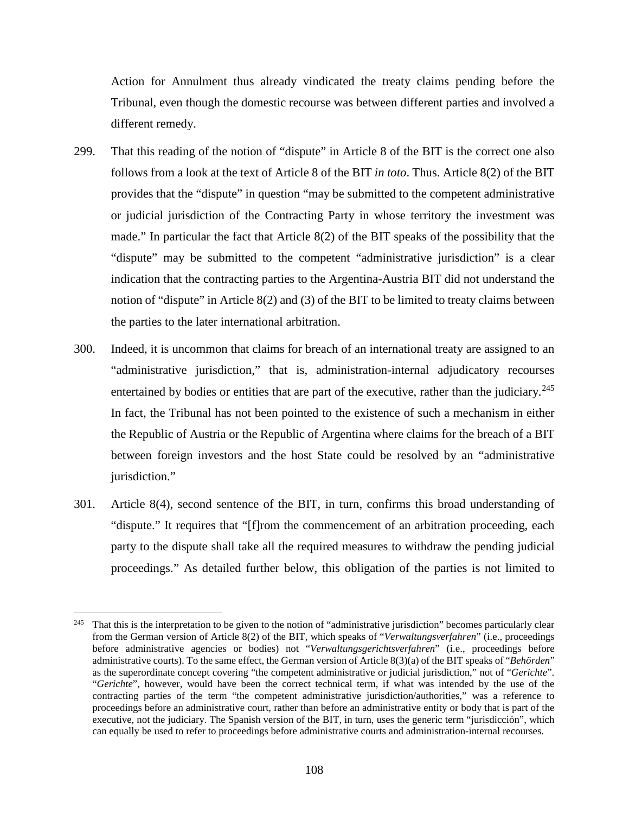Action for Annulment thus already vindicated the treaty claims pending before the Tribunal, even though the domestic recourse was between different parties and involved a different remedy.

- 299. That this reading of the notion of "dispute" in Article 8 of the BIT is the correct one also follows from a look at the text of Article 8 of the BIT *in toto*. Thus. Article 8(2) of the BIT provides that the "dispute" in question "may be submitted to the competent administrative or judicial jurisdiction of the Contracting Party in whose territory the investment was made." In particular the fact that Article 8(2) of the BIT speaks of the possibility that the "dispute" may be submitted to the competent "administrative jurisdiction" is a clear indication that the contracting parties to the Argentina-Austria BIT did not understand the notion of "dispute" in Article 8(2) and (3) of the BIT to be limited to treaty claims between the parties to the later international arbitration.
- 300. Indeed, it is uncommon that claims for breach of an international treaty are assigned to an "administrative jurisdiction," that is, administration-internal adjudicatory recourses entertained by bodies or entities that are part of the executive, rather than the judiciary.<sup>[245](#page-109-0)</sup> In fact, the Tribunal has not been pointed to the existence of such a mechanism in either the Republic of Austria or the Republic of Argentina where claims for the breach of a BIT between foreign investors and the host State could be resolved by an "administrative jurisdiction."
- 301. Article 8(4), second sentence of the BIT, in turn, confirms this broad understanding of "dispute." It requires that "[f]rom the commencement of an arbitration proceeding, each party to the dispute shall take all the required measures to withdraw the pending judicial proceedings." As detailed further below, this obligation of the parties is not limited to

<span id="page-109-0"></span><sup>&</sup>lt;sup>245</sup> That this is the interpretation to be given to the notion of "administrative jurisdiction" becomes particularly clear from the German version of Article 8(2) of the BIT, which speaks of "*Verwaltungsverfahren*" (i.e., proceedings before administrative agencies or bodies) not "*Verwaltungsgerichtsverfahren*" (i.e., proceedings before administrative courts). To the same effect, the German version of Article 8(3)(a) of the BIT speaks of "*Behörden*" as the superordinate concept covering "the competent administrative or judicial jurisdiction," not of "*Gerichte*". "*Gerichte*", however, would have been the correct technical term, if what was intended by the use of the contracting parties of the term "the competent administrative jurisdiction/authorities," was a reference to proceedings before an administrative court, rather than before an administrative entity or body that is part of the executive, not the judiciary. The Spanish version of the BIT, in turn, uses the generic term "jurisdicción", which can equally be used to refer to proceedings before administrative courts and administration-internal recourses.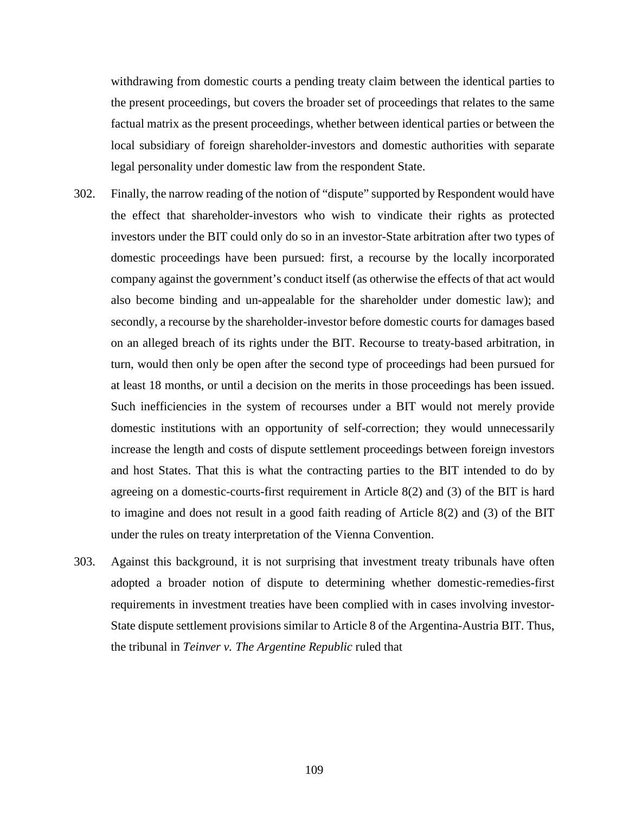withdrawing from domestic courts a pending treaty claim between the identical parties to the present proceedings, but covers the broader set of proceedings that relates to the same factual matrix as the present proceedings, whether between identical parties or between the local subsidiary of foreign shareholder-investors and domestic authorities with separate legal personality under domestic law from the respondent State.

- 302. Finally, the narrow reading of the notion of "dispute" supported by Respondent would have the effect that shareholder-investors who wish to vindicate their rights as protected investors under the BIT could only do so in an investor-State arbitration after two types of domestic proceedings have been pursued: first, a recourse by the locally incorporated company against the government's conduct itself (as otherwise the effects of that act would also become binding and un-appealable for the shareholder under domestic law); and secondly, a recourse by the shareholder-investor before domestic courts for damages based on an alleged breach of its rights under the BIT. Recourse to treaty-based arbitration, in turn, would then only be open after the second type of proceedings had been pursued for at least 18 months, or until a decision on the merits in those proceedings has been issued. Such inefficiencies in the system of recourses under a BIT would not merely provide domestic institutions with an opportunity of self-correction; they would unnecessarily increase the length and costs of dispute settlement proceedings between foreign investors and host States. That this is what the contracting parties to the BIT intended to do by agreeing on a domestic-courts-first requirement in Article 8(2) and (3) of the BIT is hard to imagine and does not result in a good faith reading of Article 8(2) and (3) of the BIT under the rules on treaty interpretation of the Vienna Convention.
- 303. Against this background, it is not surprising that investment treaty tribunals have often adopted a broader notion of dispute to determining whether domestic-remedies-first requirements in investment treaties have been complied with in cases involving investor-State dispute settlement provisions similar to Article 8 of the Argentina-Austria BIT. Thus, the tribunal in *Teinver v. The Argentine Republic* ruled that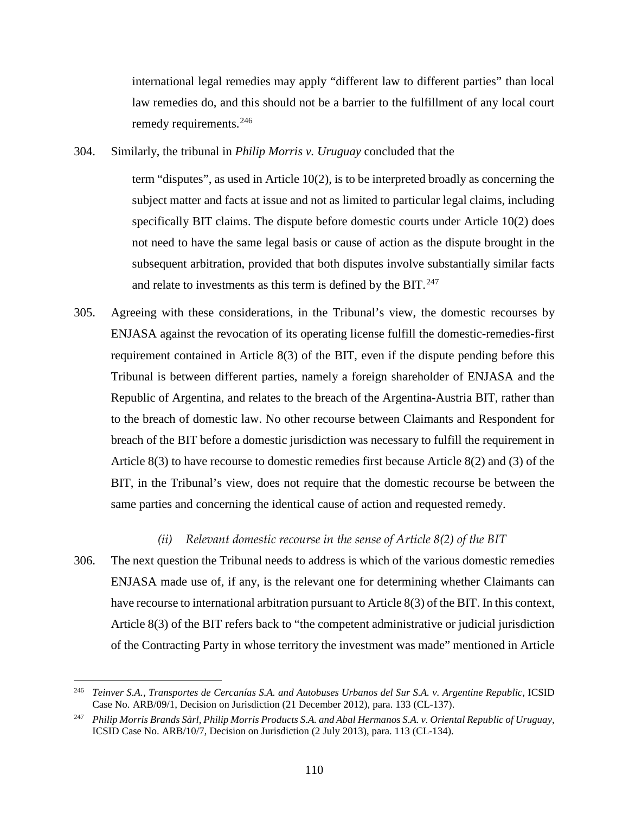international legal remedies may apply "different law to different parties" than local law remedies do, and this should not be a barrier to the fulfillment of any local court remedy requirements.<sup>[246](#page-111-0)</sup>

304. Similarly, the tribunal in *Philip Morris v. Uruguay* concluded that the

term "disputes", as used in Article  $10(2)$ , is to be interpreted broadly as concerning the subject matter and facts at issue and not as limited to particular legal claims, including specifically BIT claims. The dispute before domestic courts under Article 10(2) does not need to have the same legal basis or cause of action as the dispute brought in the subsequent arbitration, provided that both disputes involve substantially similar facts and relate to investments as this term is defined by the BIT.<sup>[247](#page-111-1)</sup>

305. Agreeing with these considerations, in the Tribunal's view, the domestic recourses by ENJASA against the revocation of its operating license fulfill the domestic-remedies-first requirement contained in Article 8(3) of the BIT, even if the dispute pending before this Tribunal is between different parties, namely a foreign shareholder of ENJASA and the Republic of Argentina, and relates to the breach of the Argentina-Austria BIT, rather than to the breach of domestic law. No other recourse between Claimants and Respondent for breach of the BIT before a domestic jurisdiction was necessary to fulfill the requirement in Article 8(3) to have recourse to domestic remedies first because Article 8(2) and (3) of the BIT, in the Tribunal's view, does not require that the domestic recourse be between the same parties and concerning the identical cause of action and requested remedy.

#### *(ii) Relevant domestic recourse in the sense of Article 8(2) of the BIT*

306. The next question the Tribunal needs to address is which of the various domestic remedies ENJASA made use of, if any, is the relevant one for determining whether Claimants can have recourse to international arbitration pursuant to Article 8(3) of the BIT. In this context, Article 8(3) of the BIT refers back to "the competent administrative or judicial jurisdiction of the Contracting Party in whose territory the investment was made" mentioned in Article

<span id="page-111-0"></span> <sup>246</sup> *Teinver S.A., Transportes de Cercanías S.A. and Autobuses Urbanos del Sur S.A. v. Argentine Republic*, ICSID Case No. ARB/09/1, Decision on Jurisdiction (21 December 2012), para. 133 (CL-137).

<span id="page-111-1"></span><sup>247</sup> *Philip Morris Brands Sàrl, Philip Morris Products S.A. and Abal Hermanos S.A. v. Oriental Republic of Uruguay*, ICSID Case No. ARB/10/7, Decision on Jurisdiction (2 July 2013), para. 113 (CL-134).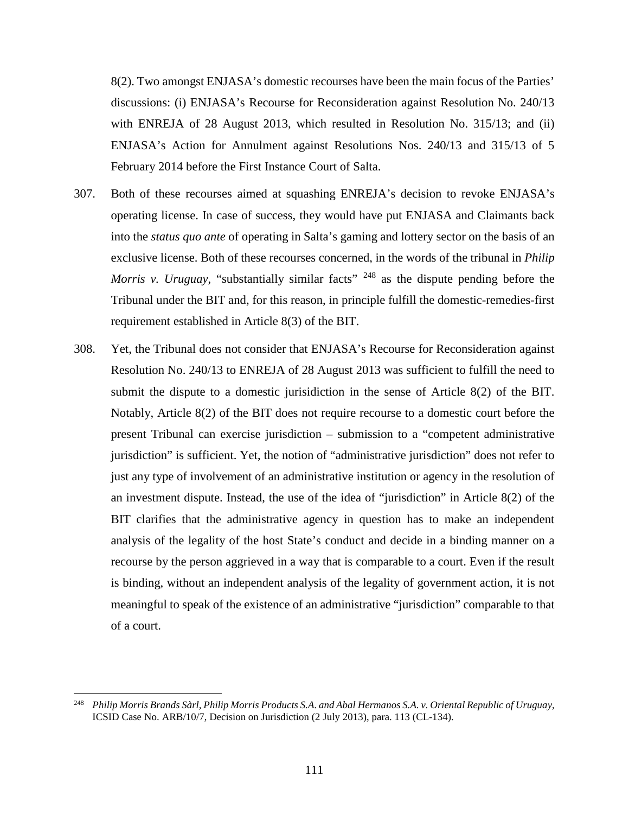8(2). Two amongst ENJASA's domestic recourses have been the main focus of the Parties' discussions: (i) ENJASA's Recourse for Reconsideration against Resolution No. 240/13 with ENREJA of 28 August 2013, which resulted in Resolution No. 315/13; and (ii) ENJASA's Action for Annulment against Resolutions Nos. 240/13 and 315/13 of 5 February 2014 before the First Instance Court of Salta.

- 307. Both of these recourses aimed at squashing ENREJA's decision to revoke ENJASA's operating license. In case of success, they would have put ENJASA and Claimants back into the *status quo ante* of operating in Salta's gaming and lottery sector on the basis of an exclusive license. Both of these recourses concerned, in the words of the tribunal in *Philip Morris v. Uruguay*, "substantially similar facts" <sup>[248](#page-112-0)</sup> as the dispute pending before the Tribunal under the BIT and, for this reason, in principle fulfill the domestic-remedies-first requirement established in Article 8(3) of the BIT.
- 308. Yet, the Tribunal does not consider that ENJASA's Recourse for Reconsideration against Resolution No. 240/13 to ENREJA of 28 August 2013 was sufficient to fulfill the need to submit the dispute to a domestic jurisidiction in the sense of Article 8(2) of the BIT. Notably, Article 8(2) of the BIT does not require recourse to a domestic court before the present Tribunal can exercise jurisdiction – submission to a "competent administrative jurisdiction" is sufficient. Yet, the notion of "administrative jurisdiction" does not refer to just any type of involvement of an administrative institution or agency in the resolution of an investment dispute. Instead, the use of the idea of "jurisdiction" in Article 8(2) of the BIT clarifies that the administrative agency in question has to make an independent analysis of the legality of the host State's conduct and decide in a binding manner on a recourse by the person aggrieved in a way that is comparable to a court. Even if the result is binding, without an independent analysis of the legality of government action, it is not meaningful to speak of the existence of an administrative "jurisdiction" comparable to that of a court.

<span id="page-112-0"></span> <sup>248</sup> *Philip Morris Brands Sàrl, Philip Morris Products S.A. and Abal Hermanos S.A. v. Oriental Republic of Uruguay*, ICSID Case No. ARB/10/7, Decision on Jurisdiction (2 July 2013), para. 113 (CL-134).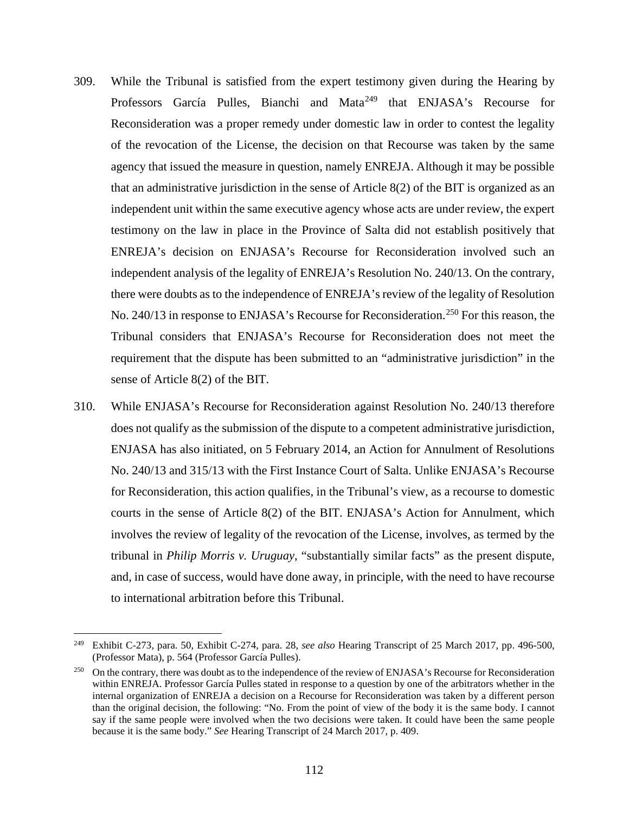- 309. While the Tribunal is satisfied from the expert testimony given during the Hearing by Professors García Pulles, Bianchi and Mata<sup>[249](#page-113-0)</sup> that ENJASA's Recourse for Reconsideration was a proper remedy under domestic law in order to contest the legality of the revocation of the License, the decision on that Recourse was taken by the same agency that issued the measure in question, namely ENREJA. Although it may be possible that an administrative jurisdiction in the sense of Article 8(2) of the BIT is organized as an independent unit within the same executive agency whose acts are under review, the expert testimony on the law in place in the Province of Salta did not establish positively that ENREJA's decision on ENJASA's Recourse for Reconsideration involved such an independent analysis of the legality of ENREJA's Resolution No. 240/13. On the contrary, there were doubts as to the independence of ENREJA's review of the legality of Resolution No. 240/13 in response to ENJASA's Recourse for Reconsideration.<sup>[250](#page-113-1)</sup> For this reason, the Tribunal considers that ENJASA's Recourse for Reconsideration does not meet the requirement that the dispute has been submitted to an "administrative jurisdiction" in the sense of Article 8(2) of the BIT.
- 310. While ENJASA's Recourse for Reconsideration against Resolution No. 240/13 therefore does not qualify as the submission of the dispute to a competent administrative jurisdiction, ENJASA has also initiated, on 5 February 2014, an Action for Annulment of Resolutions No. 240/13 and 315/13 with the First Instance Court of Salta. Unlike ENJASA's Recourse for Reconsideration, this action qualifies, in the Tribunal's view, as a recourse to domestic courts in the sense of Article 8(2) of the BIT. ENJASA's Action for Annulment, which involves the review of legality of the revocation of the License, involves, as termed by the tribunal in *Philip Morris v. Uruguay*, "substantially similar facts" as the present dispute, and, in case of success, would have done away, in principle, with the need to have recourse to international arbitration before this Tribunal.

<span id="page-113-0"></span> <sup>249</sup> Exhibit C-273, para. 50, Exhibit C-274, para. 28, *see also* Hearing Transcript of 25 March 2017, pp. 496-500, (Professor Mata), p. 564 (Professor García Pulles).

<span id="page-113-1"></span><sup>&</sup>lt;sup>250</sup> On the contrary, there was doubt as to the independence of the review of ENJASA's Recourse for Reconsideration within ENREJA. Professor García Pulles stated in response to a question by one of the arbitrators whether in the internal organization of ENREJA a decision on a Recourse for Reconsideration was taken by a different person than the original decision, the following: "No. From the point of view of the body it is the same body. I cannot say if the same people were involved when the two decisions were taken. It could have been the same people because it is the same body." *See* Hearing Transcript of 24 March 2017, p. 409.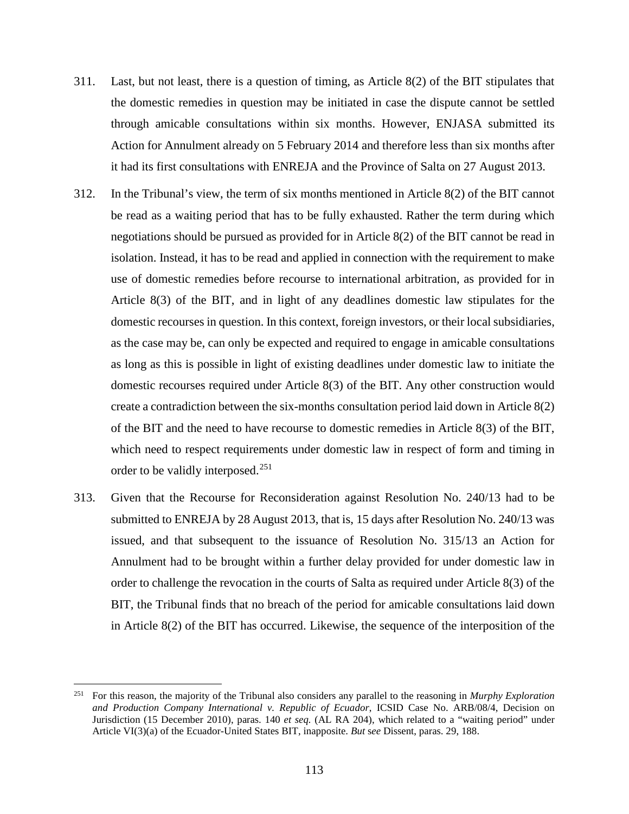- 311. Last, but not least, there is a question of timing, as Article 8(2) of the BIT stipulates that the domestic remedies in question may be initiated in case the dispute cannot be settled through amicable consultations within six months. However, ENJASA submitted its Action for Annulment already on 5 February 2014 and therefore less than six months after it had its first consultations with ENREJA and the Province of Salta on 27 August 2013.
- 312. In the Tribunal's view, the term of six months mentioned in Article 8(2) of the BIT cannot be read as a waiting period that has to be fully exhausted. Rather the term during which negotiations should be pursued as provided for in Article 8(2) of the BIT cannot be read in isolation. Instead, it has to be read and applied in connection with the requirement to make use of domestic remedies before recourse to international arbitration, as provided for in Article 8(3) of the BIT, and in light of any deadlines domestic law stipulates for the domestic recourses in question. In this context, foreign investors, or their local subsidiaries, as the case may be, can only be expected and required to engage in amicable consultations as long as this is possible in light of existing deadlines under domestic law to initiate the domestic recourses required under Article 8(3) of the BIT. Any other construction would create a contradiction between the six-months consultation period laid down in Article 8(2) of the BIT and the need to have recourse to domestic remedies in Article 8(3) of the BIT, which need to respect requirements under domestic law in respect of form and timing in order to be validly interposed.<sup>[251](#page-114-0)</sup>
- 313. Given that the Recourse for Reconsideration against Resolution No. 240/13 had to be submitted to ENREJA by 28 August 2013, that is, 15 days after Resolution No. 240/13 was issued, and that subsequent to the issuance of Resolution No. 315/13 an Action for Annulment had to be brought within a further delay provided for under domestic law in order to challenge the revocation in the courts of Salta as required under Article 8(3) of the BIT, the Tribunal finds that no breach of the period for amicable consultations laid down in Article 8(2) of the BIT has occurred. Likewise, the sequence of the interposition of the

<span id="page-114-0"></span> <sup>251</sup> For this reason, the majority of the Tribunal also considers any parallel to the reasoning in *Murphy Exploration and Production Company International v. Republic of Ecuador*, ICSID Case No. ARB/08/4, Decision on Jurisdiction (15 December 2010), paras. 140 *et seq.* (AL RA 204), which related to a "waiting period" under Article VI(3)(a) of the Ecuador-United States BIT, inapposite. *But* s*ee* Dissent, paras. 29, 188.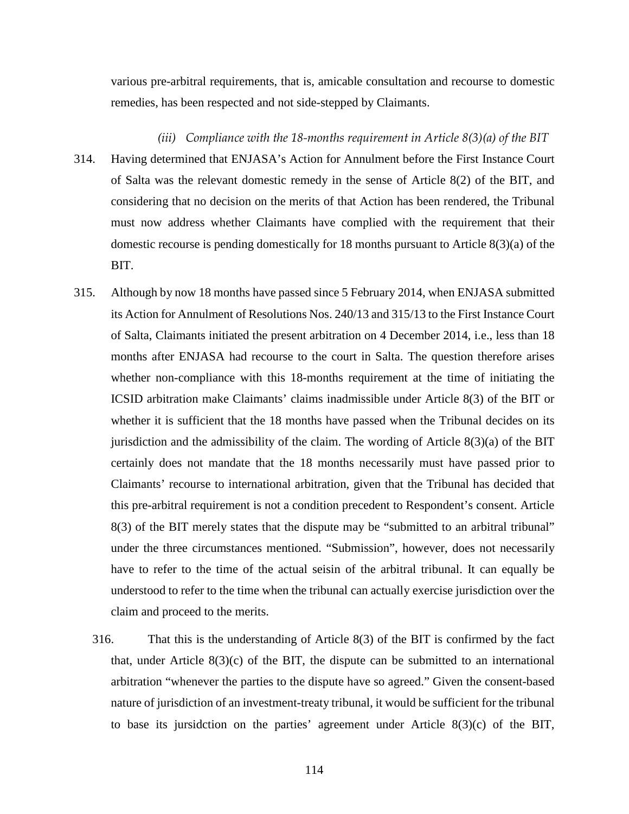various pre-arbitral requirements, that is, amicable consultation and recourse to domestic remedies, has been respected and not side-stepped by Claimants.

*(iii) Compliance with the 18-months requirement in Article 8(3)(a) of the BIT*

- 314. Having determined that ENJASA's Action for Annulment before the First Instance Court of Salta was the relevant domestic remedy in the sense of Article 8(2) of the BIT, and considering that no decision on the merits of that Action has been rendered, the Tribunal must now address whether Claimants have complied with the requirement that their domestic recourse is pending domestically for 18 months pursuant to Article 8(3)(a) of the BIT.
- 315. Although by now 18 months have passed since 5 February 2014, when ENJASA submitted its Action for Annulment of Resolutions Nos. 240/13 and 315/13 to the First Instance Court of Salta, Claimants initiated the present arbitration on 4 December 2014, i.e., less than 18 months after ENJASA had recourse to the court in Salta. The question therefore arises whether non-compliance with this 18-months requirement at the time of initiating the ICSID arbitration make Claimants' claims inadmissible under Article 8(3) of the BIT or whether it is sufficient that the 18 months have passed when the Tribunal decides on its jurisdiction and the admissibility of the claim. The wording of Article  $8(3)(a)$  of the BIT certainly does not mandate that the 18 months necessarily must have passed prior to Claimants' recourse to international arbitration, given that the Tribunal has decided that this pre-arbitral requirement is not a condition precedent to Respondent's consent. Article 8(3) of the BIT merely states that the dispute may be "submitted to an arbitral tribunal" under the three circumstances mentioned. "Submission", however, does not necessarily have to refer to the time of the actual seisin of the arbitral tribunal. It can equally be understood to refer to the time when the tribunal can actually exercise jurisdiction over the claim and proceed to the merits.
	- 316. That this is the understanding of Article 8(3) of the BIT is confirmed by the fact that, under Article  $8(3)(c)$  of the BIT, the dispute can be submitted to an international arbitration "whenever the parties to the dispute have so agreed." Given the consent-based nature of jurisdiction of an investment-treaty tribunal, it would be sufficient for the tribunal to base its jursidction on the parties' agreement under Article 8(3)(c) of the BIT,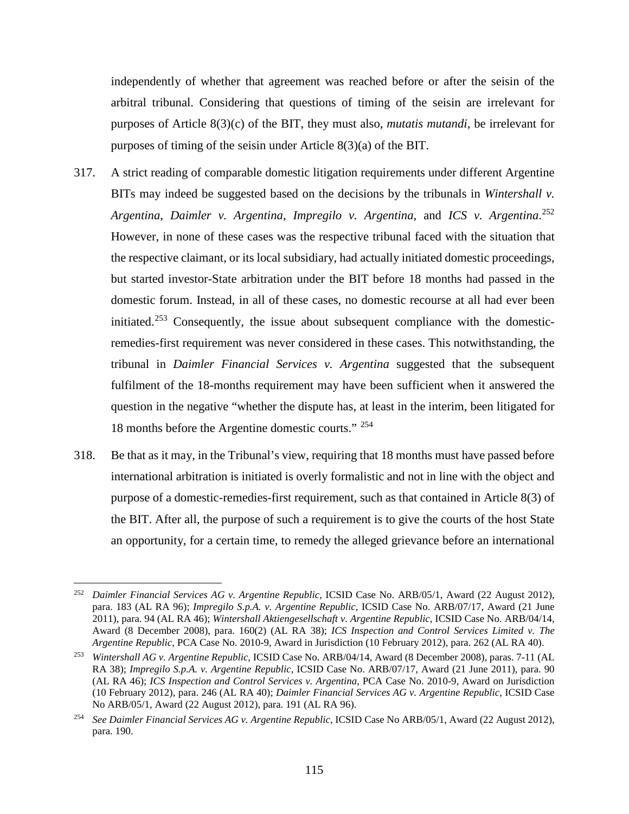independently of whether that agreement was reached before or after the seisin of the arbitral tribunal. Considering that questions of timing of the seisin are irrelevant for purposes of Article 8(3)(c) of the BIT, they must also, *mutatis mutandi*, be irrelevant for purposes of timing of the seisin under Article 8(3)(a) of the BIT.

- 317. A strict reading of comparable domestic litigation requirements under different Argentine BITs may indeed be suggested based on the decisions by the tribunals in *Wintershall v. Argentina*, *Daimler v. Argentina*, *Impregilo v. Argentina*, and *ICS v. Argentina*. [252](#page-116-0) However, in none of these cases was the respective tribunal faced with the situation that the respective claimant, or its local subsidiary, had actually initiated domestic proceedings, but started investor-State arbitration under the BIT before 18 months had passed in the domestic forum. Instead, in all of these cases, no domestic recourse at all had ever been initiated.<sup>[253](#page-116-1)</sup> Consequently, the issue about subsequent compliance with the domesticremedies-first requirement was never considered in these cases. This notwithstanding, the tribunal in *Daimler Financial Services v. Argentina* suggested that the subsequent fulfilment of the 18-months requirement may have been sufficient when it answered the question in the negative "whether the dispute has, at least in the interim, been litigated for 18 months before the Argentine domestic courts." [254](#page-116-2)
- 318. Be that as it may, in the Tribunal's view, requiring that 18 months must have passed before international arbitration is initiated is overly formalistic and not in line with the object and purpose of a domestic-remedies-first requirement, such as that contained in Article 8(3) of the BIT. After all, the purpose of such a requirement is to give the courts of the host State an opportunity, for a certain time, to remedy the alleged grievance before an international

<span id="page-116-0"></span> <sup>252</sup> *Daimler Financial Services AG v. Argentine Republic*, ICSID Case No. ARB/05/1, Award (22 August 2012), para. 183 (AL RA 96); *Impregilo S.p.A. v. Argentine Republic*, ICSID Case No. ARB/07/17, Award (21 June 2011), para. 94 (AL RA 46); *Wintershall Aktiengesellschaft v. Argentine Republic*, ICSID Case No. ARB/04/14, Award (8 December 2008), para. 160(2) (AL RA 38); *ICS Inspection and Control Services Limited v. The Argentine Republic*, PCA Case No. 2010-9, Award in Jurisdiction (10 February 2012), para. 262 (AL RA 40).

<span id="page-116-1"></span><sup>253</sup> *Wintershall AG v. Argentine Republic*, ICSID Case No. ARB/04/14, Award (8 December 2008), paras. 7-11 (AL RA 38); *Impregilo S.p.A. v. Argentine Republic*, ICSID Case No. ARB/07/17, Award (21 June 2011), para. 90 (AL RA 46); *ICS Inspection and Control Services v. Argentina*, PCA Case No. 2010-9, Award on Jurisdiction (10 February 2012), para. 246 (AL RA 40); *Daimler Financial Services AG v. Argentine Republic*, ICSID Case No ARB/05/1, Award (22 August 2012), para. 191 (AL RA 96).

<span id="page-116-2"></span><sup>254</sup> *See Daimler Financial Services AG v. Argentine Republic*, ICSID Case No ARB/05/1, Award (22 August 2012), para. 190.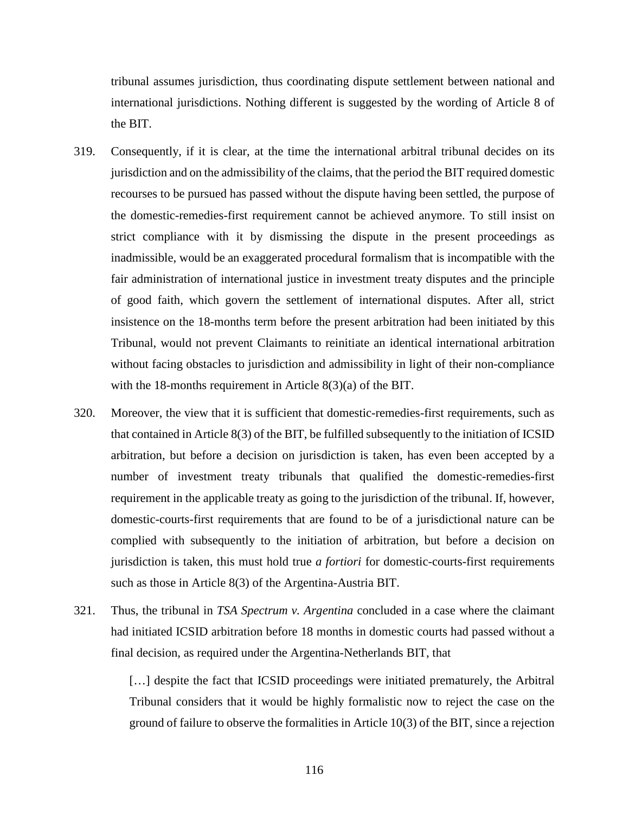tribunal assumes jurisdiction, thus coordinating dispute settlement between national and international jurisdictions. Nothing different is suggested by the wording of Article 8 of the BIT.

- 319. Consequently, if it is clear, at the time the international arbitral tribunal decides on its jurisdiction and on the admissibility of the claims, that the period the BIT required domestic recourses to be pursued has passed without the dispute having been settled, the purpose of the domestic-remedies-first requirement cannot be achieved anymore. To still insist on strict compliance with it by dismissing the dispute in the present proceedings as inadmissible, would be an exaggerated procedural formalism that is incompatible with the fair administration of international justice in investment treaty disputes and the principle of good faith, which govern the settlement of international disputes. After all, strict insistence on the 18-months term before the present arbitration had been initiated by this Tribunal, would not prevent Claimants to reinitiate an identical international arbitration without facing obstacles to jurisdiction and admissibility in light of their non-compliance with the 18-months requirement in Article 8(3)(a) of the BIT.
- 320. Moreover, the view that it is sufficient that domestic-remedies-first requirements, such as that contained in Article 8(3) of the BIT, be fulfilled subsequently to the initiation of ICSID arbitration, but before a decision on jurisdiction is taken, has even been accepted by a number of investment treaty tribunals that qualified the domestic-remedies-first requirement in the applicable treaty as going to the jurisdiction of the tribunal. If, however, domestic-courts-first requirements that are found to be of a jurisdictional nature can be complied with subsequently to the initiation of arbitration, but before a decision on jurisdiction is taken, this must hold true *a fortiori* for domestic-courts-first requirements such as those in Article 8(3) of the Argentina-Austria BIT.
- 321. Thus, the tribunal in *TSA Spectrum v. Argentina* concluded in a case where the claimant had initiated ICSID arbitration before 18 months in domestic courts had passed without a final decision, as required under the Argentina-Netherlands BIT, that

[...] despite the fact that ICSID proceedings were initiated prematurely, the Arbitral Tribunal considers that it would be highly formalistic now to reject the case on the ground of failure to observe the formalities in Article 10(3) of the BIT, since a rejection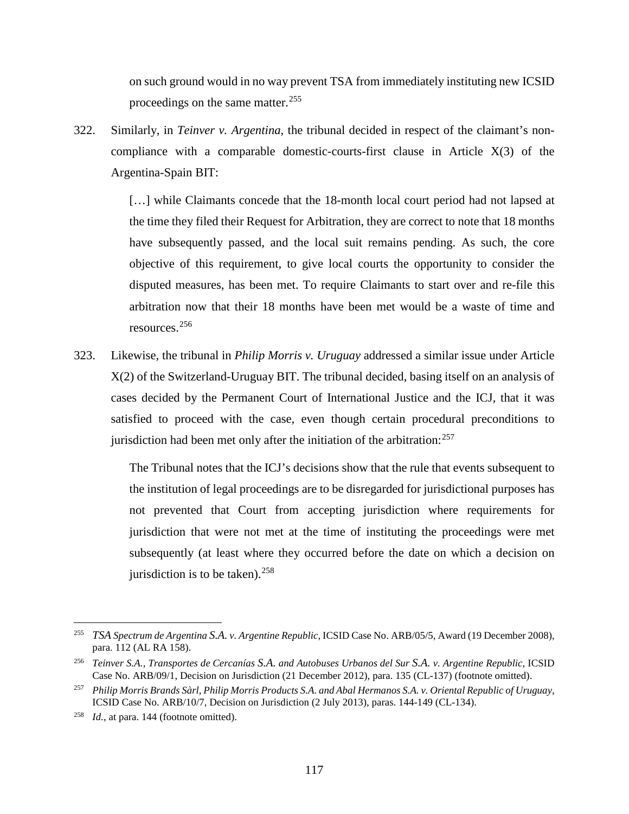on such ground would in no way prevent TSA from immediately instituting new ICSID proceedings on the same matter.<sup>[255](#page-118-0)</sup>

322. Similarly, in *Teinver v. Argentina*, the tribunal decided in respect of the claimant's noncompliance with a comparable domestic-courts-first clause in Article  $X(3)$  of the Argentina-Spain BIT:

> [...] while Claimants concede that the 18-month local court period had not lapsed at the time they filed their Request for Arbitration, they are correct to note that 18 months have subsequently passed, and the local suit remains pending. As such, the core objective of this requirement, to give local courts the opportunity to consider the disputed measures, has been met. To require Claimants to start over and re-file this arbitration now that their 18 months have been met would be a waste of time and resources.[256](#page-118-1)

323. Likewise, the tribunal in *Philip Morris v. Uruguay* addressed a similar issue under Article X(2) of the Switzerland-Uruguay BIT. The tribunal decided, basing itself on an analysis of cases decided by the Permanent Court of International Justice and the ICJ, that it was satisfied to proceed with the case, even though certain procedural preconditions to jurisdiction had been met only after the initiation of the arbitration:  $257$ 

> The Tribunal notes that the ICJ's decisions show that the rule that events subsequent to the institution of legal proceedings are to be disregarded for jurisdictional purposes has not prevented that Court from accepting jurisdiction where requirements for jurisdiction that were not met at the time of instituting the proceedings were met subsequently (at least where they occurred before the date on which a decision on jurisdiction is to be taken).  $258$

<span id="page-118-0"></span> <sup>255</sup> *TSA Spectrum de Argentina S.A. v. Argentine Republic*, ICSID Case No. ARB/05/5, Award (19 December 2008), para. 112 (AL RA 158).

<span id="page-118-1"></span><sup>256</sup> *Teinver S.A., Transportes de Cercanías S.A. and Autobuses Urbanos del Sur S.A. v. Argentine Republic*, ICSID Case No. ARB/09/1, Decision on Jurisdiction (21 December 2012), para. 135 (CL-137) (footnote omitted).

<span id="page-118-2"></span><sup>257</sup> *Philip Morris Brands Sàrl, Philip Morris Products S.A. and Abal Hermanos S.A. v. Oriental Republic of Uruguay*, ICSID Case No. ARB/10/7, Decision on Jurisdiction (2 July 2013), paras. 144-149 (CL-134).

<span id="page-118-3"></span><sup>258</sup> *Id.*, at para. 144 (footnote omitted).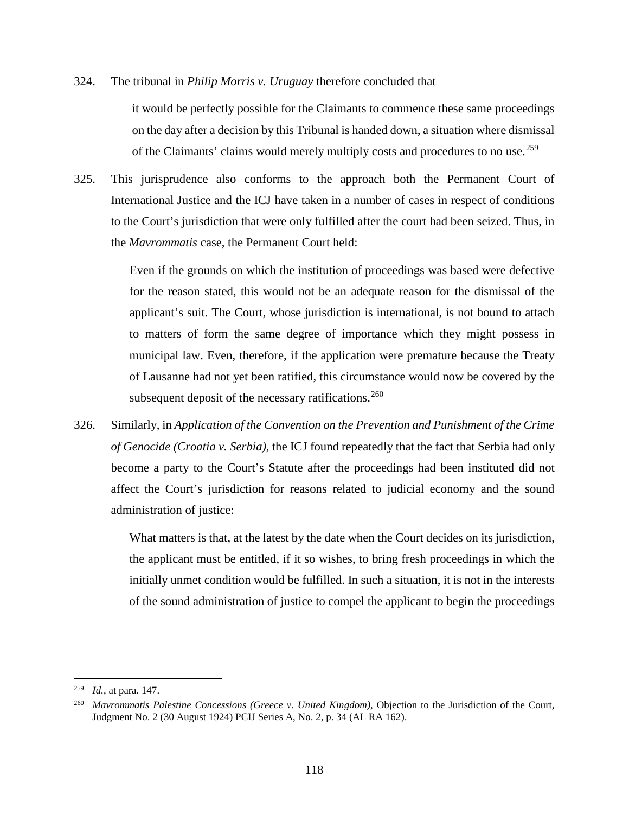324. The tribunal in *Philip Morris v. Uruguay* therefore concluded that

it would be perfectly possible for the Claimants to commence these same proceedings on the day after a decision by this Tribunal is handed down, a situation where dismissal of the Claimants' claims would merely multiply costs and procedures to no use.<sup>[259](#page-119-0)</sup>

325. This jurisprudence also conforms to the approach both the Permanent Court of International Justice and the ICJ have taken in a number of cases in respect of conditions to the Court's jurisdiction that were only fulfilled after the court had been seized. Thus, in the *Mavrommatis* case, the Permanent Court held:

> Even if the grounds on which the institution of proceedings was based were defective for the reason stated, this would not be an adequate reason for the dismissal of the applicant's suit. The Court, whose jurisdiction is international, is not bound to attach to matters of form the same degree of importance which they might possess in municipal law. Even, therefore, if the application were premature because the Treaty of Lausanne had not yet been ratified, this circumstance would now be covered by the subsequent deposit of the necessary ratifications.<sup>[260](#page-119-1)</sup>

326. Similarly, in *Application of the Convention on the Prevention and Punishment of the Crime of Genocide (Croatia v. Serbia)*, the ICJ found repeatedly that the fact that Serbia had only become a party to the Court's Statute after the proceedings had been instituted did not affect the Court's jurisdiction for reasons related to judicial economy and the sound administration of justice:

> What matters is that, at the latest by the date when the Court decides on its jurisdiction, the applicant must be entitled, if it so wishes, to bring fresh proceedings in which the initially unmet condition would be fulfilled. In such a situation, it is not in the interests of the sound administration of justice to compel the applicant to begin the proceedings

<span id="page-119-0"></span> <sup>259</sup> *Id.*, at para. 147.

<span id="page-119-1"></span><sup>260</sup> *Mavrommatis Palestine Concessions (Greece v. United Kingdom)*, Objection to the Jurisdiction of the Court, Judgment No. 2 (30 August 1924) PCIJ Series A, No. 2, p. 34 (AL RA 162).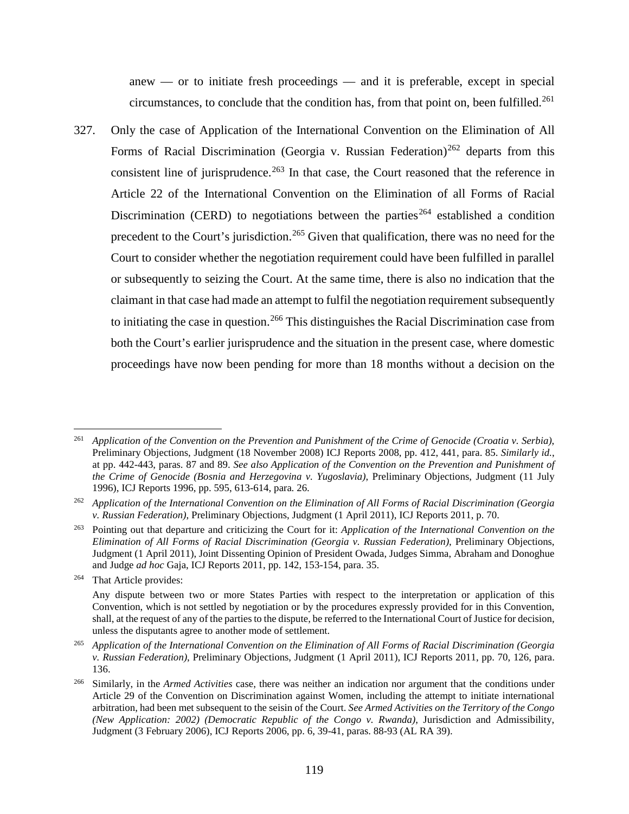anew — or to initiate fresh proceedings — and it is preferable, except in special circumstances, to conclude that the condition has, from that point on, been fulfilled.<sup>[261](#page-120-0)</sup>

327. Only the case of Application of the International Convention on the Elimination of All Forms of Racial Discrimination (Georgia v. Russian Federation)<sup>[262](#page-120-1)</sup> departs from this consistent line of jurisprudence.<sup>[263](#page-120-2)</sup> In that case, the Court reasoned that the reference in Article 22 of the International Convention on the Elimination of all Forms of Racial Discrimination (CERD) to negotiations between the parties<sup>[264](#page-120-3)</sup> established a condition precedent to the Court's jurisdiction.<sup>[265](#page-120-4)</sup> Given that qualification, there was no need for the Court to consider whether the negotiation requirement could have been fulfilled in parallel or subsequently to seizing the Court. At the same time, there is also no indication that the claimant in that case had made an attempt to fulfil the negotiation requirement subsequently to initiating the case in question.<sup>[266](#page-120-5)</sup> This distinguishes the Racial Discrimination case from both the Court's earlier jurisprudence and the situation in the present case, where domestic proceedings have now been pending for more than 18 months without a decision on the

<span id="page-120-0"></span> <sup>261</sup> *Application of the Convention on the Prevention and Punishment of the Crime of Genocide (Croatia v. Serbia)*, Preliminary Objections, Judgment (18 November 2008) ICJ Reports 2008, pp. 412, 441, para. 85. *Similarly id.*, at pp. 442-443, paras. 87 and 89. *See also Application of the Convention on the Prevention and Punishment of the Crime of Genocide (Bosnia and Herzegovina v. Yugoslavia)*, Preliminary Objections, Judgment (11 July 1996), ICJ Reports 1996, pp. 595, 613-614, para. 26.

<span id="page-120-1"></span><sup>262</sup> *Application of the International Convention on the Elimination of All Forms of Racial Discrimination (Georgia v. Russian Federation)*, Preliminary Objections, Judgment (1 April 2011), ICJ Reports 2011, p. 70.

<span id="page-120-2"></span><sup>263</sup> Pointing out that departure and criticizing the Court for it: *Application of the International Convention on the Elimination of All Forms of Racial Discrimination (Georgia v. Russian Federation)*, Preliminary Objections, Judgment (1 April 2011), Joint Dissenting Opinion of President Owada, Judges Simma, Abraham and Donoghue and Judge *ad hoc* Gaja, ICJ Reports 2011, pp. 142, 153-154, para. 35.

<span id="page-120-3"></span><sup>264</sup> That Article provides:

Any dispute between two or more States Parties with respect to the interpretation or application of this Convention, which is not settled by negotiation or by the procedures expressly provided for in this Convention, shall, at the request of any of the parties to the dispute, be referred to the International Court of Justice for decision, unless the disputants agree to another mode of settlement.

<span id="page-120-4"></span><sup>265</sup> *Application of the International Convention on the Elimination of All Forms of Racial Discrimination (Georgia v. Russian Federation)*, Preliminary Objections, Judgment (1 April 2011), ICJ Reports 2011, pp. 70, 126, para. 136.

<span id="page-120-5"></span><sup>266</sup> Similarly, in the *Armed Activities* case, there was neither an indication nor argument that the conditions under Article 29 of the Convention on Discrimination against Women, including the attempt to initiate international arbitration, had been met subsequent to the seisin of the Court. *See Armed Activities on the Territory of the Congo (New Application: 2002) (Democratic Republic of the Congo v. Rwanda)*, Jurisdiction and Admissibility, Judgment (3 February 2006), ICJ Reports 2006, pp. 6, 39-41, paras. 88-93 (AL RA 39).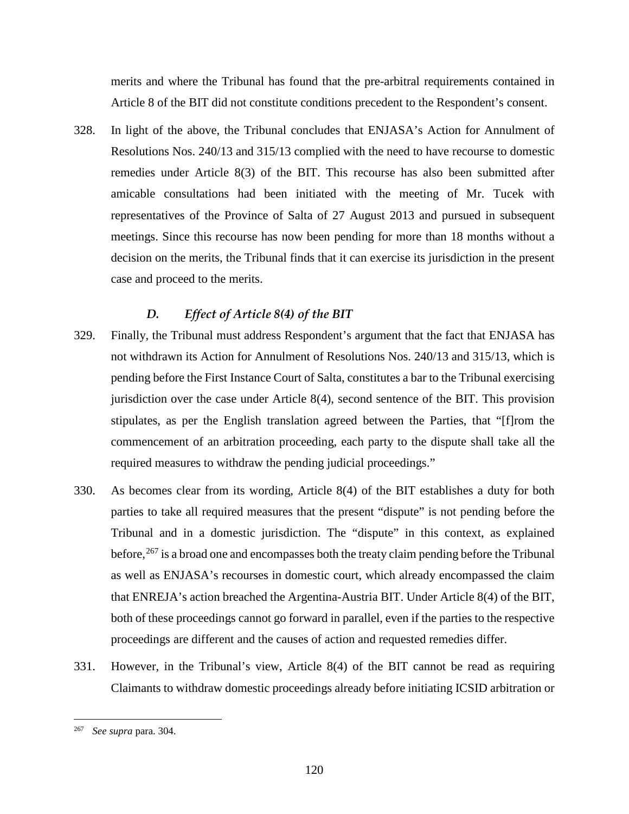merits and where the Tribunal has found that the pre-arbitral requirements contained in Article 8 of the BIT did not constitute conditions precedent to the Respondent's consent.

328. In light of the above, the Tribunal concludes that ENJASA's Action for Annulment of Resolutions Nos. 240/13 and 315/13 complied with the need to have recourse to domestic remedies under Article 8(3) of the BIT. This recourse has also been submitted after amicable consultations had been initiated with the meeting of Mr. Tucek with representatives of the Province of Salta of 27 August 2013 and pursued in subsequent meetings. Since this recourse has now been pending for more than 18 months without a decision on the merits, the Tribunal finds that it can exercise its jurisdiction in the present case and proceed to the merits.

# *D. Effect of Article 8(4) of the BIT*

- 329. Finally, the Tribunal must address Respondent's argument that the fact that ENJASA has not withdrawn its Action for Annulment of Resolutions Nos. 240/13 and 315/13, which is pending before the First Instance Court of Salta, constitutes a bar to the Tribunal exercising jurisdiction over the case under Article 8(4), second sentence of the BIT. This provision stipulates, as per the English translation agreed between the Parties, that "[f]rom the commencement of an arbitration proceeding, each party to the dispute shall take all the required measures to withdraw the pending judicial proceedings."
- 330. As becomes clear from its wording, Article 8(4) of the BIT establishes a duty for both parties to take all required measures that the present "dispute" is not pending before the Tribunal and in a domestic jurisdiction. The "dispute" in this context, as explained before,  $267$  is a broad one and encompasses both the treaty claim pending before the Tribunal as well as ENJASA's recourses in domestic court, which already encompassed the claim that ENREJA's action breached the Argentina-Austria BIT. Under Article 8(4) of the BIT, both of these proceedings cannot go forward in parallel, even if the parties to the respective proceedings are different and the causes of action and requested remedies differ.
- 331. However, in the Tribunal's view, Article 8(4) of the BIT cannot be read as requiring Claimants to withdraw domestic proceedings already before initiating ICSID arbitration or

<span id="page-121-0"></span> <sup>267</sup> *See supra* para. 304.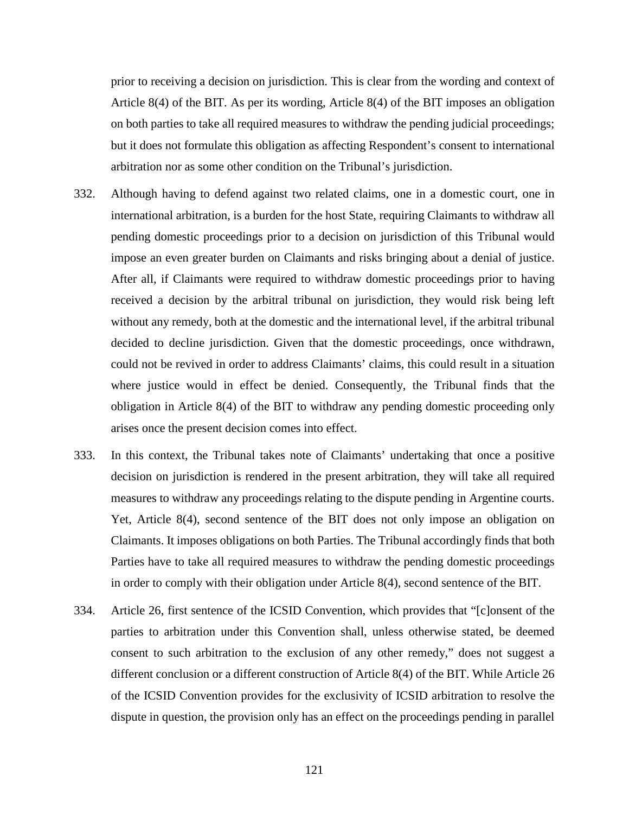prior to receiving a decision on jurisdiction. This is clear from the wording and context of Article 8(4) of the BIT. As per its wording, Article 8(4) of the BIT imposes an obligation on both parties to take all required measures to withdraw the pending judicial proceedings; but it does not formulate this obligation as affecting Respondent's consent to international arbitration nor as some other condition on the Tribunal's jurisdiction.

- 332. Although having to defend against two related claims, one in a domestic court, one in international arbitration, is a burden for the host State, requiring Claimants to withdraw all pending domestic proceedings prior to a decision on jurisdiction of this Tribunal would impose an even greater burden on Claimants and risks bringing about a denial of justice. After all, if Claimants were required to withdraw domestic proceedings prior to having received a decision by the arbitral tribunal on jurisdiction, they would risk being left without any remedy, both at the domestic and the international level, if the arbitral tribunal decided to decline jurisdiction. Given that the domestic proceedings, once withdrawn, could not be revived in order to address Claimants' claims, this could result in a situation where justice would in effect be denied. Consequently, the Tribunal finds that the obligation in Article 8(4) of the BIT to withdraw any pending domestic proceeding only arises once the present decision comes into effect.
- 333. In this context, the Tribunal takes note of Claimants' undertaking that once a positive decision on jurisdiction is rendered in the present arbitration, they will take all required measures to withdraw any proceedings relating to the dispute pending in Argentine courts. Yet, Article 8(4), second sentence of the BIT does not only impose an obligation on Claimants. It imposes obligations on both Parties. The Tribunal accordingly finds that both Parties have to take all required measures to withdraw the pending domestic proceedings in order to comply with their obligation under Article 8(4), second sentence of the BIT.
- 334. Article 26, first sentence of the ICSID Convention, which provides that "[c]onsent of the parties to arbitration under this Convention shall, unless otherwise stated, be deemed consent to such arbitration to the exclusion of any other remedy," does not suggest a different conclusion or a different construction of Article 8(4) of the BIT. While Article 26 of the ICSID Convention provides for the exclusivity of ICSID arbitration to resolve the dispute in question, the provision only has an effect on the proceedings pending in parallel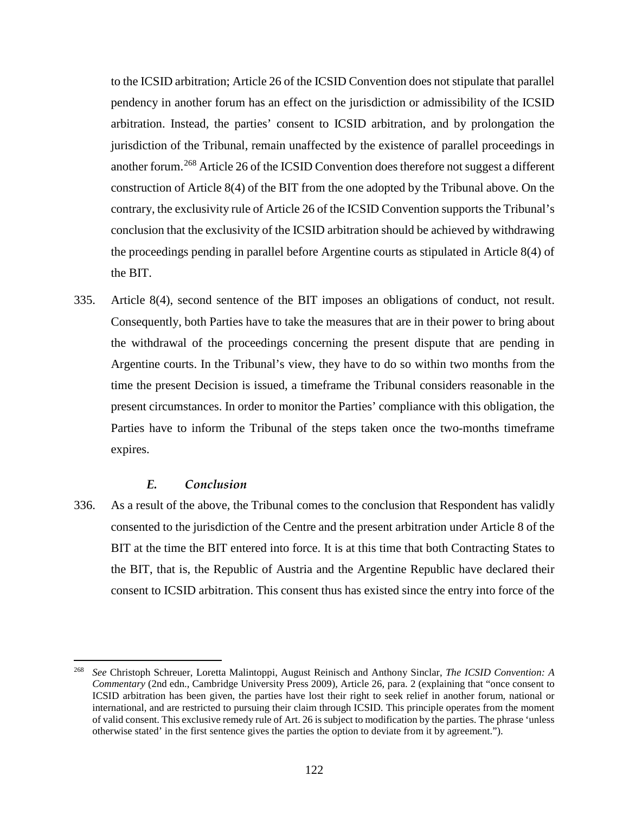to the ICSID arbitration; Article 26 of the ICSID Convention does not stipulate that parallel pendency in another forum has an effect on the jurisdiction or admissibility of the ICSID arbitration. Instead, the parties' consent to ICSID arbitration, and by prolongation the jurisdiction of the Tribunal, remain unaffected by the existence of parallel proceedings in another forum.<sup>[268](#page-123-0)</sup> Article 26 of the ICSID Convention does therefore not suggest a different construction of Article 8(4) of the BIT from the one adopted by the Tribunal above. On the contrary, the exclusivity rule of Article 26 of the ICSID Convention supports the Tribunal's conclusion that the exclusivity of the ICSID arbitration should be achieved by withdrawing the proceedings pending in parallel before Argentine courts as stipulated in Article 8(4) of the BIT.

335. Article 8(4), second sentence of the BIT imposes an obligations of conduct, not result. Consequently, both Parties have to take the measures that are in their power to bring about the withdrawal of the proceedings concerning the present dispute that are pending in Argentine courts. In the Tribunal's view, they have to do so within two months from the time the present Decision is issued, a timeframe the Tribunal considers reasonable in the present circumstances. In order to monitor the Parties' compliance with this obligation, the Parties have to inform the Tribunal of the steps taken once the two-months timeframe expires.

### *E. Conclusion*

336. As a result of the above, the Tribunal comes to the conclusion that Respondent has validly consented to the jurisdiction of the Centre and the present arbitration under Article 8 of the BIT at the time the BIT entered into force. It is at this time that both Contracting States to the BIT, that is, the Republic of Austria and the Argentine Republic have declared their consent to ICSID arbitration. This consent thus has existed since the entry into force of the

<span id="page-123-0"></span> <sup>268</sup> *See* Christoph Schreuer, Loretta Malintoppi, August Reinisch and Anthony Sinclar, *The ICSID Convention: A Commentary* (2nd edn., Cambridge University Press 2009), Article 26, para. 2 (explaining that "once consent to ICSID arbitration has been given, the parties have lost their right to seek relief in another forum, national or international, and are restricted to pursuing their claim through ICSID. This principle operates from the moment of valid consent. This exclusive remedy rule of Art. 26 is subject to modification by the parties. The phrase 'unless otherwise stated' in the first sentence gives the parties the option to deviate from it by agreement.").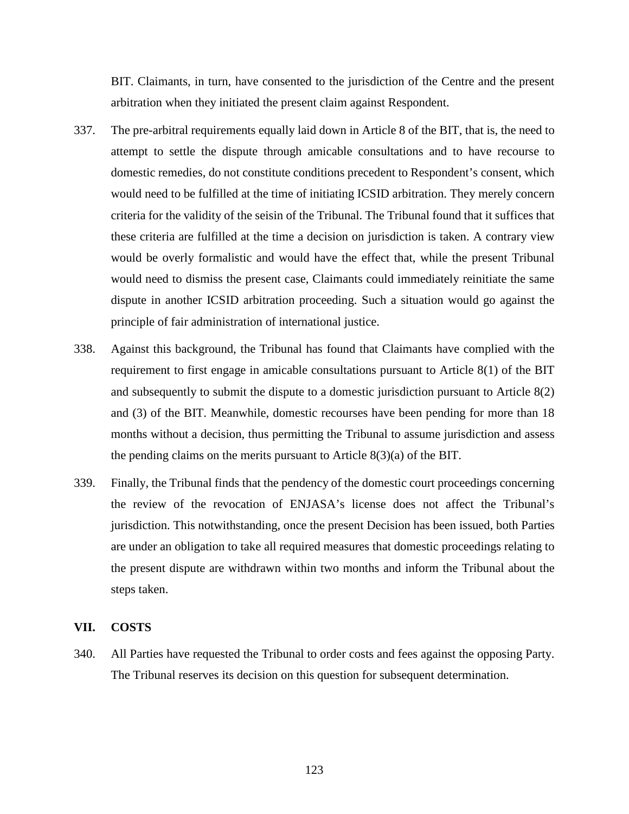BIT. Claimants, in turn, have consented to the jurisdiction of the Centre and the present arbitration when they initiated the present claim against Respondent.

- 337. The pre-arbitral requirements equally laid down in Article 8 of the BIT, that is, the need to attempt to settle the dispute through amicable consultations and to have recourse to domestic remedies, do not constitute conditions precedent to Respondent's consent, which would need to be fulfilled at the time of initiating ICSID arbitration. They merely concern criteria for the validity of the seisin of the Tribunal. The Tribunal found that it suffices that these criteria are fulfilled at the time a decision on jurisdiction is taken. A contrary view would be overly formalistic and would have the effect that, while the present Tribunal would need to dismiss the present case, Claimants could immediately reinitiate the same dispute in another ICSID arbitration proceeding. Such a situation would go against the principle of fair administration of international justice.
- 338. Against this background, the Tribunal has found that Claimants have complied with the requirement to first engage in amicable consultations pursuant to Article 8(1) of the BIT and subsequently to submit the dispute to a domestic jurisdiction pursuant to Article 8(2) and (3) of the BIT. Meanwhile, domestic recourses have been pending for more than 18 months without a decision, thus permitting the Tribunal to assume jurisdiction and assess the pending claims on the merits pursuant to Article  $8(3)(a)$  of the BIT.
- 339. Finally, the Tribunal finds that the pendency of the domestic court proceedings concerning the review of the revocation of ENJASA's license does not affect the Tribunal's jurisdiction. This notwithstanding, once the present Decision has been issued, both Parties are under an obligation to take all required measures that domestic proceedings relating to the present dispute are withdrawn within two months and inform the Tribunal about the steps taken.

#### **VII. COSTS**

340. All Parties have requested the Tribunal to order costs and fees against the opposing Party. The Tribunal reserves its decision on this question for subsequent determination.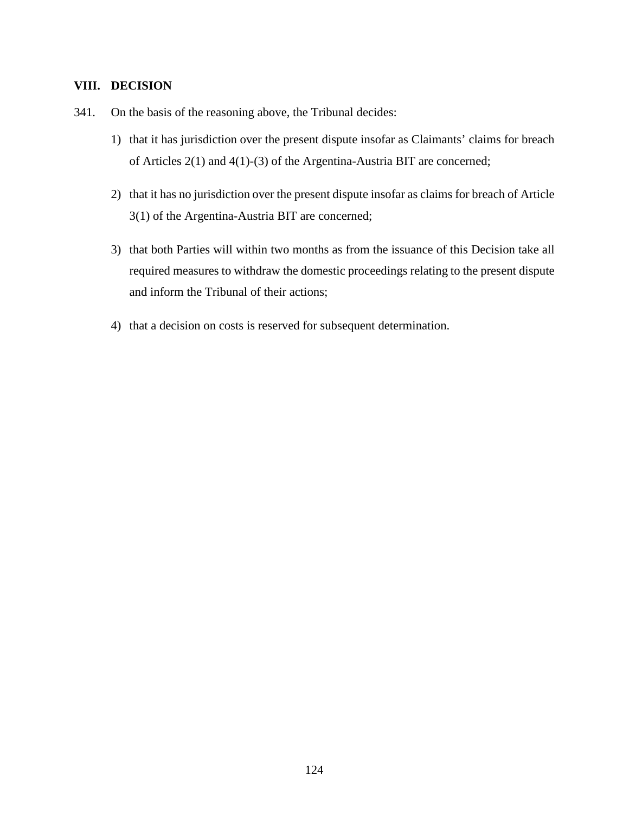## **VIII. DECISION**

- 341. On the basis of the reasoning above, the Tribunal decides:
	- 1) that it has jurisdiction over the present dispute insofar as Claimants' claims for breach of Articles 2(1) and 4(1)-(3) of the Argentina-Austria BIT are concerned;
	- 2) that it has no jurisdiction over the present dispute insofar as claims for breach of Article 3(1) of the Argentina-Austria BIT are concerned;
	- 3) that both Parties will within two months as from the issuance of this Decision take all required measures to withdraw the domestic proceedings relating to the present dispute and inform the Tribunal of their actions;
	- 4) that a decision on costs is reserved for subsequent determination.